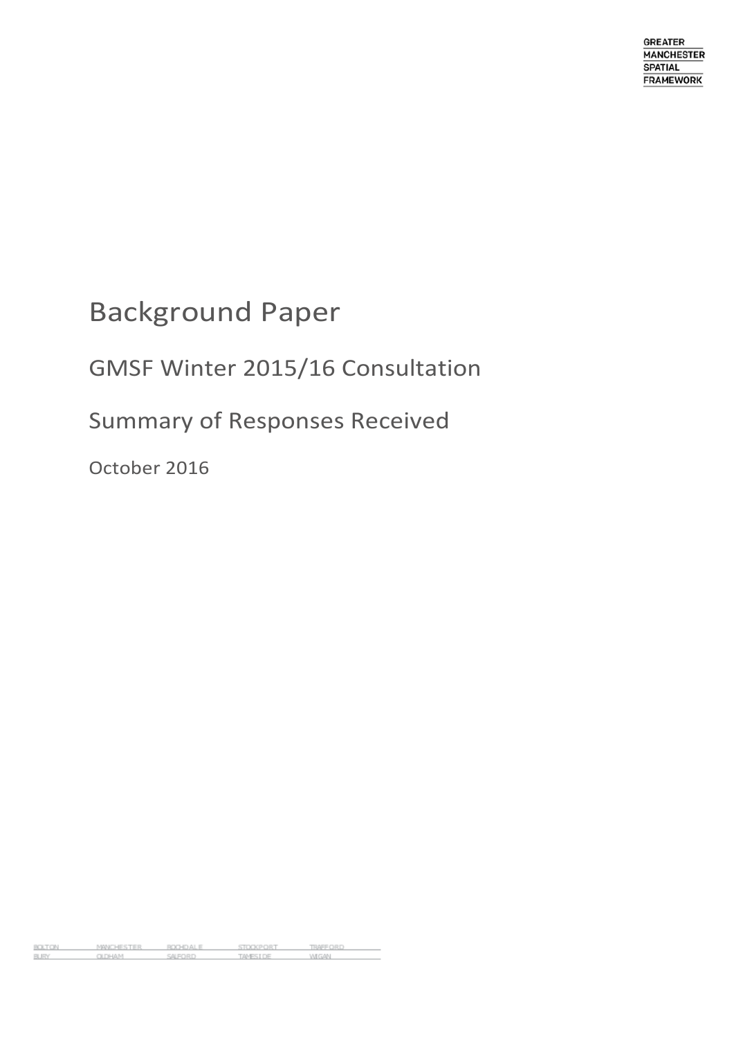# Background Paper

## GMSF Winter 2015/16 Consultation

## Summary of Responses Received

October 2016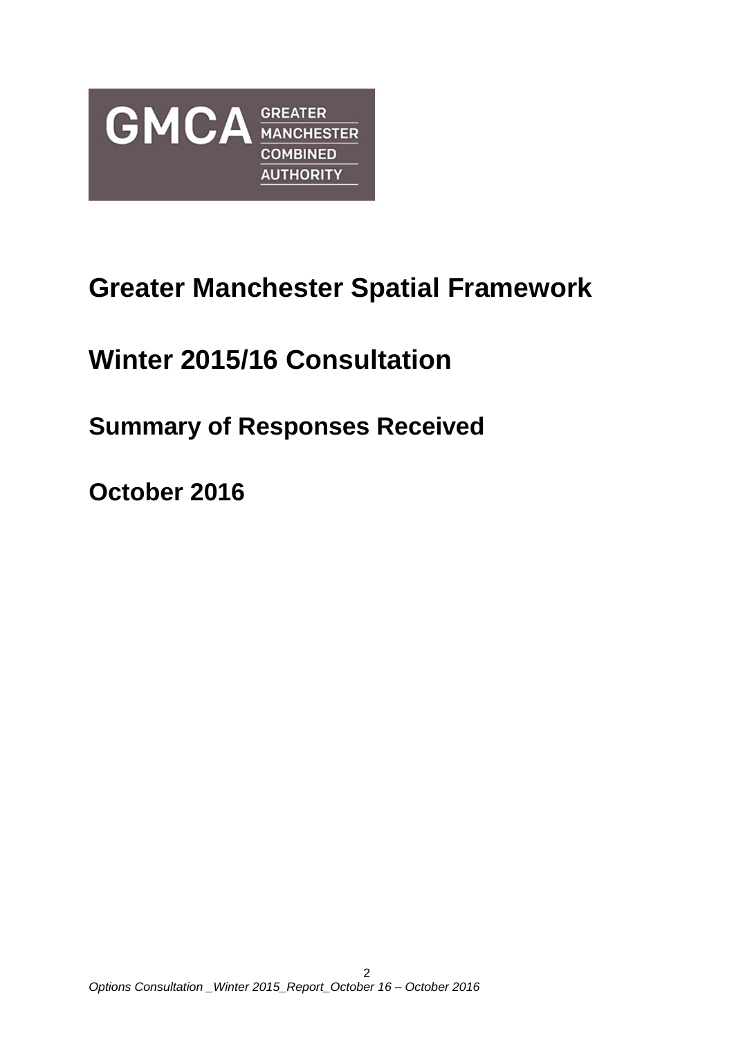

# **Greater Manchester Spatial Framework**

# **Winter 2015/16 Consultation**

## **Summary of Responses Received**

**October 2016**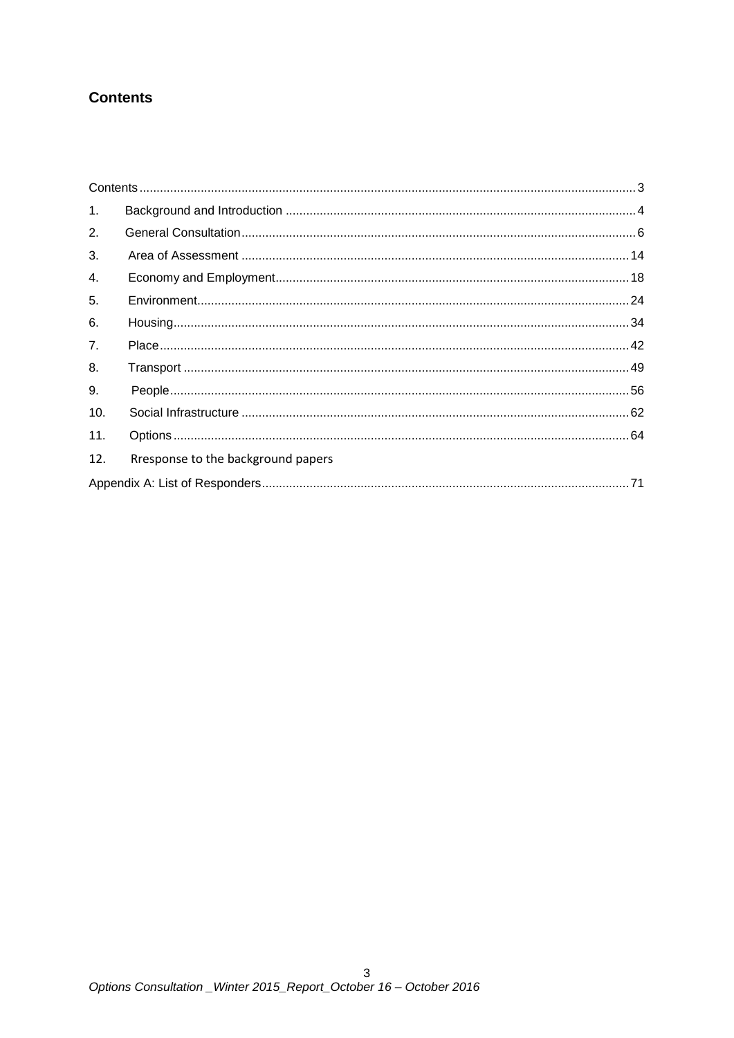## <span id="page-2-0"></span>**Contents**

| 1.  |                                    |  |
|-----|------------------------------------|--|
| 2.  |                                    |  |
| 3.  |                                    |  |
| 4.  |                                    |  |
| 5.  |                                    |  |
| 6.  |                                    |  |
| 7.  |                                    |  |
| 8.  |                                    |  |
| 9.  |                                    |  |
| 10. |                                    |  |
| 11. |                                    |  |
| 12. | Rresponse to the background papers |  |
|     |                                    |  |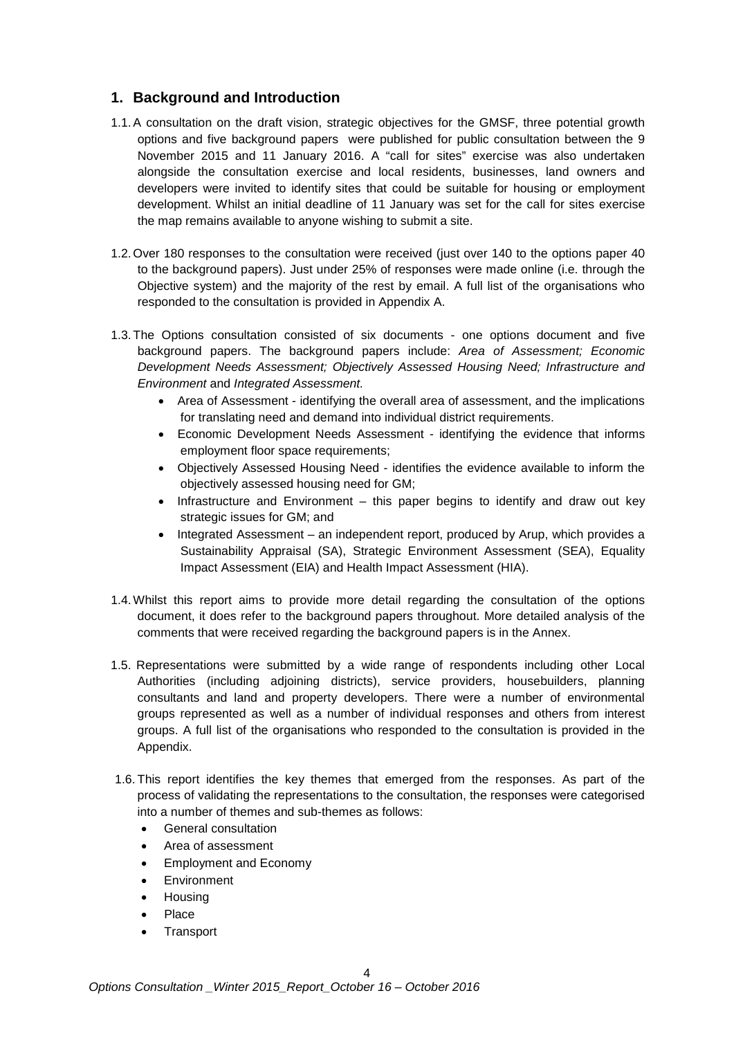### <span id="page-3-0"></span>**1. Background and Introduction**

- 1.1.A consultation on the draft vision, strategic objectives for the GMSF, three potential growth options and five background papers were published for public consultation between the 9 November 2015 and 11 January 2016. A "call for sites" exercise was also undertaken alongside the consultation exercise and local residents, businesses, land owners and developers were invited to identify sites that could be suitable for housing or employment development. Whilst an initial deadline of 11 January was set for the call for sites exercise the map remains available to anyone wishing to submit a site.
- 1.2.Over 180 responses to the consultation were received (just over 140 to the options paper 40 to the background papers). Just under 25% of responses were made online (i.e. through the Objective system) and the majority of the rest by email. A full list of the organisations who responded to the consultation is provided in Appendix A.
- 1.3.The Options consultation consisted of six documents one options document and five background papers. The background papers include: *Area of Assessment; Economic Development Needs Assessment; Objectively Assessed Housing Need; Infrastructure and Environment* and *Integrated Assessment.*
	- Area of Assessment identifying the overall area of assessment, and the implications for translating need and demand into individual district requirements.
	- Economic Development Needs Assessment identifying the evidence that informs employment floor space requirements;
	- Objectively Assessed Housing Need identifies the evidence available to inform the objectively assessed housing need for GM;
	- Infrastructure and Environment this paper begins to identify and draw out key strategic issues for GM; and
	- Integrated Assessment an independent report, produced by Arup, which provides a Sustainability Appraisal (SA), Strategic Environment Assessment (SEA), Equality Impact Assessment (EIA) and Health Impact Assessment (HIA).
- 1.4.Whilst this report aims to provide more detail regarding the consultation of the options document, it does refer to the background papers throughout. More detailed analysis of the comments that were received regarding the background papers is in the Annex.
- 1.5. Representations were submitted by a wide range of respondents including other Local Authorities (including adjoining districts), service providers, housebuilders, planning consultants and land and property developers. There were a number of environmental groups represented as well as a number of individual responses and others from interest groups. A full list of the organisations who responded to the consultation is provided in the Appendix.
- 1.6. This report identifies the key themes that emerged from the responses. As part of the process of validating the representations to the consultation, the responses were categorised into a number of themes and sub-themes as follows:
	- General consultation
	- Area of assessment
	- Employment and Economy
	- **Environment**
	- Housing
	- Place
	- **Transport**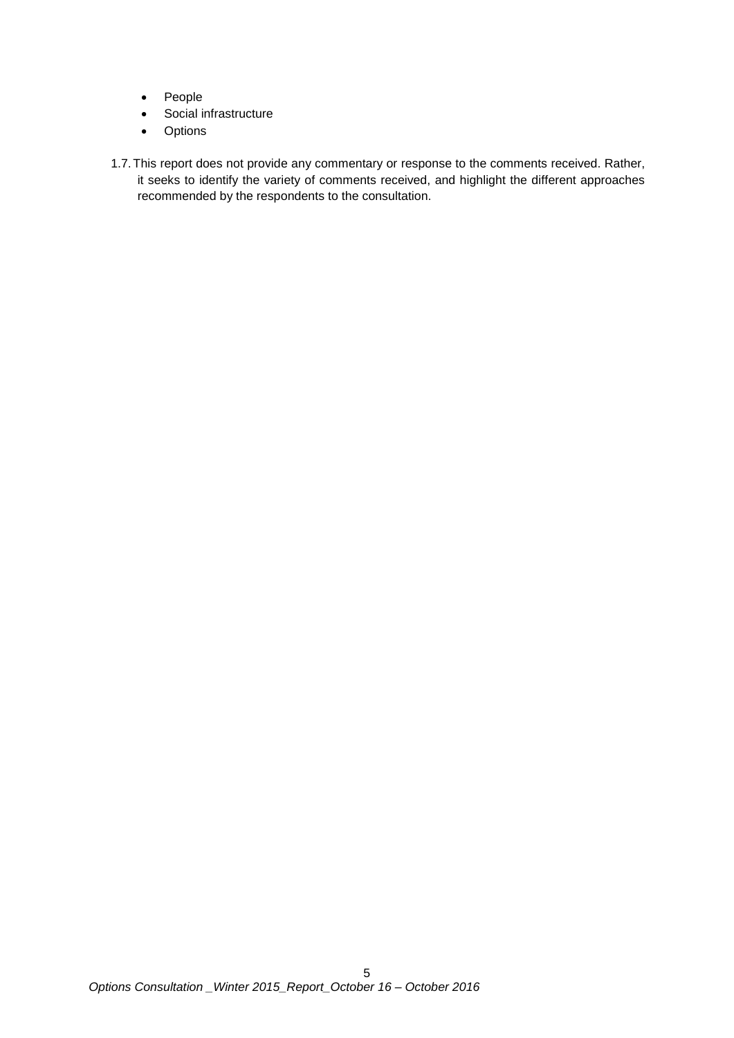- People
- Social infrastructure
- Options
- 1.7.This report does not provide any commentary or response to the comments received. Rather, it seeks to identify the variety of comments received, and highlight the different approaches recommended by the respondents to the consultation.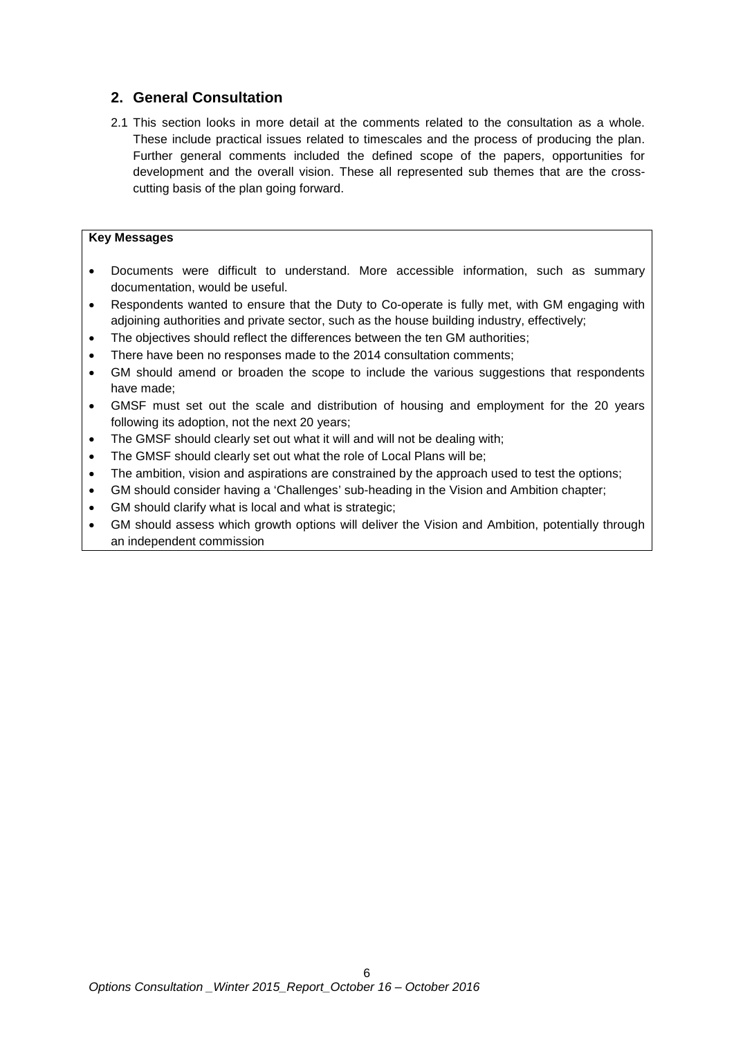## <span id="page-5-0"></span>**2. General Consultation**

2.1 This section looks in more detail at the comments related to the consultation as a whole. These include practical issues related to timescales and the process of producing the plan. Further general comments included the defined scope of the papers, opportunities for development and the overall vision. These all represented sub themes that are the crosscutting basis of the plan going forward.

#### **Key Messages**

- Documents were difficult to understand. More accessible information, such as summary documentation, would be useful.
- Respondents wanted to ensure that the Duty to Co-operate is fully met, with GM engaging with adjoining authorities and private sector, such as the house building industry, effectively;
- The objectives should reflect the differences between the ten GM authorities;
- There have been no responses made to the 2014 consultation comments;
- GM should amend or broaden the scope to include the various suggestions that respondents have made;
- GMSF must set out the scale and distribution of housing and employment for the 20 years following its adoption, not the next 20 years;
- The GMSF should clearly set out what it will and will not be dealing with;
- The GMSF should clearly set out what the role of Local Plans will be;
- The ambition, vision and aspirations are constrained by the approach used to test the options;
- GM should consider having a 'Challenges' sub-heading in the Vision and Ambition chapter;
- GM should clarify what is local and what is strategic;
- GM should assess which growth options will deliver the Vision and Ambition, potentially through an independent commission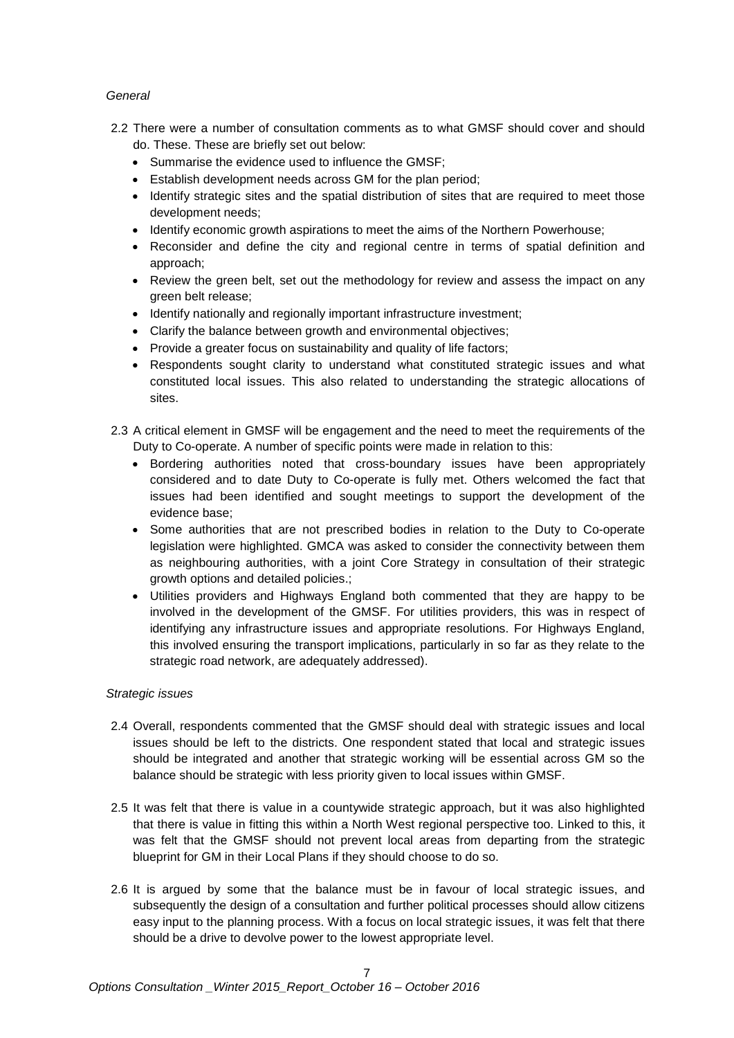#### *General*

- 2.2 There were a number of consultation comments as to what GMSF should cover and should do. These. These are briefly set out below:
	- Summarise the evidence used to influence the GMSF;
	- Establish development needs across GM for the plan period;
	- Identify strategic sites and the spatial distribution of sites that are required to meet those development needs;
	- Identify economic growth aspirations to meet the aims of the Northern Powerhouse;
	- Reconsider and define the city and regional centre in terms of spatial definition and approach;
	- Review the green belt, set out the methodology for review and assess the impact on any green belt release;
	- Identify nationally and regionally important infrastructure investment;
	- Clarify the balance between growth and environmental objectives;
	- Provide a greater focus on sustainability and quality of life factors;
	- Respondents sought clarity to understand what constituted strategic issues and what constituted local issues. This also related to understanding the strategic allocations of sites.
- 2.3 A critical element in GMSF will be engagement and the need to meet the requirements of the Duty to Co-operate. A number of specific points were made in relation to this:
	- Bordering authorities noted that cross-boundary issues have been appropriately considered and to date Duty to Co-operate is fully met. Others welcomed the fact that issues had been identified and sought meetings to support the development of the evidence base;
	- Some authorities that are not prescribed bodies in relation to the Duty to Co-operate legislation were highlighted. GMCA was asked to consider the connectivity between them as neighbouring authorities, with a joint Core Strategy in consultation of their strategic growth options and detailed policies.;
	- Utilities providers and Highways England both commented that they are happy to be involved in the development of the GMSF. For utilities providers, this was in respect of identifying any infrastructure issues and appropriate resolutions. For Highways England, this involved ensuring the transport implications, particularly in so far as they relate to the strategic road network, are adequately addressed).

#### *Strategic issues*

- 2.4 Overall, respondents commented that the GMSF should deal with strategic issues and local issues should be left to the districts. One respondent stated that local and strategic issues should be integrated and another that strategic working will be essential across GM so the balance should be strategic with less priority given to local issues within GMSF.
- 2.5 It was felt that there is value in a countywide strategic approach, but it was also highlighted that there is value in fitting this within a North West regional perspective too. Linked to this, it was felt that the GMSF should not prevent local areas from departing from the strategic blueprint for GM in their Local Plans if they should choose to do so.
- 2.6 It is argued by some that the balance must be in favour of local strategic issues, and subsequently the design of a consultation and further political processes should allow citizens easy input to the planning process. With a focus on local strategic issues, it was felt that there should be a drive to devolve power to the lowest appropriate level.

7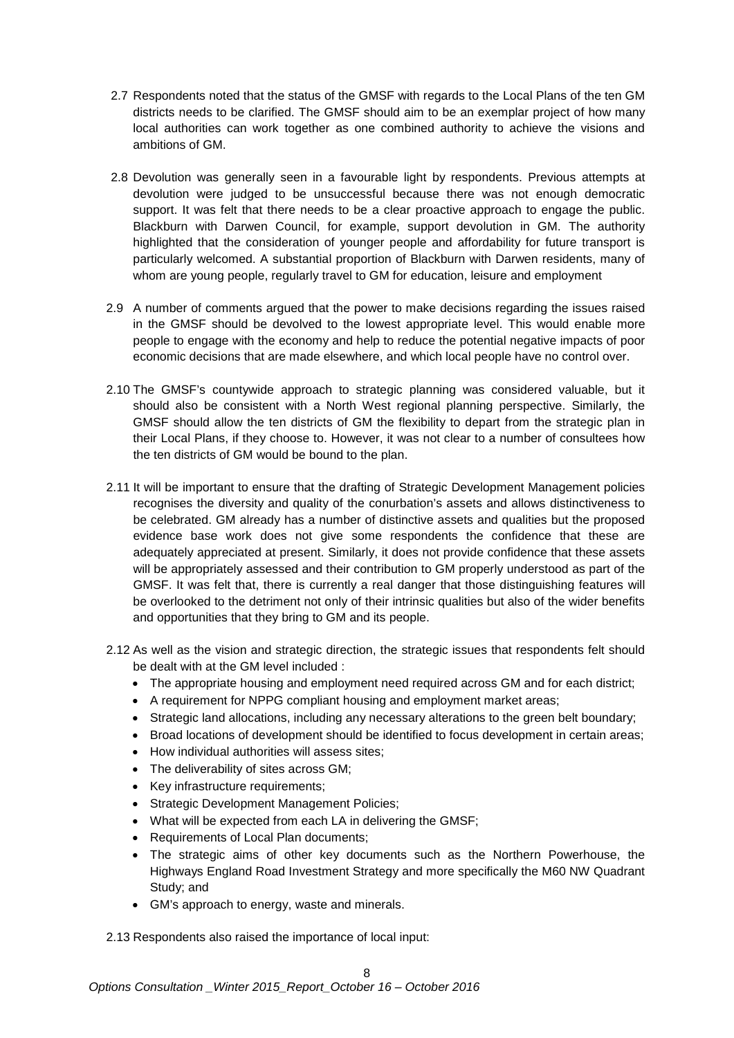- 2.7 Respondents noted that the status of the GMSF with regards to the Local Plans of the ten GM districts needs to be clarified. The GMSF should aim to be an exemplar project of how many local authorities can work together as one combined authority to achieve the visions and ambitions of GM.
- 2.8 Devolution was generally seen in a favourable light by respondents. Previous attempts at devolution were judged to be unsuccessful because there was not enough democratic support. It was felt that there needs to be a clear proactive approach to engage the public. Blackburn with Darwen Council, for example, support devolution in GM. The authority highlighted that the consideration of younger people and affordability for future transport is particularly welcomed. A substantial proportion of Blackburn with Darwen residents, many of whom are young people, regularly travel to GM for education, leisure and employment
- 2.9 A number of comments argued that the power to make decisions regarding the issues raised in the GMSF should be devolved to the lowest appropriate level. This would enable more people to engage with the economy and help to reduce the potential negative impacts of poor economic decisions that are made elsewhere, and which local people have no control over.
- 2.10 The GMSF's countywide approach to strategic planning was considered valuable, but it should also be consistent with a North West regional planning perspective. Similarly, the GMSF should allow the ten districts of GM the flexibility to depart from the strategic plan in their Local Plans, if they choose to. However, it was not clear to a number of consultees how the ten districts of GM would be bound to the plan.
- 2.11 It will be important to ensure that the drafting of Strategic Development Management policies recognises the diversity and quality of the conurbation's assets and allows distinctiveness to be celebrated. GM already has a number of distinctive assets and qualities but the proposed evidence base work does not give some respondents the confidence that these are adequately appreciated at present. Similarly, it does not provide confidence that these assets will be appropriately assessed and their contribution to GM properly understood as part of the GMSF. It was felt that, there is currently a real danger that those distinguishing features will be overlooked to the detriment not only of their intrinsic qualities but also of the wider benefits and opportunities that they bring to GM and its people.
- 2.12 As well as the vision and strategic direction, the strategic issues that respondents felt should be dealt with at the GM level included :
	- The appropriate housing and employment need required across GM and for each district;
	- A requirement for NPPG compliant housing and employment market areas;
	- Strategic land allocations, including any necessary alterations to the green belt boundary;
	- Broad locations of development should be identified to focus development in certain areas;
	- How individual authorities will assess sites;
	- The deliverability of sites across GM;
	- Key infrastructure requirements;
	- Strategic Development Management Policies;
	- What will be expected from each LA in delivering the GMSF;
	- Requirements of Local Plan documents;
	- The strategic aims of other key documents such as the Northern Powerhouse, the Highways England Road Investment Strategy and more specifically the M60 NW Quadrant Study; and
	- GM's approach to energy, waste and minerals.

2.13 Respondents also raised the importance of local input: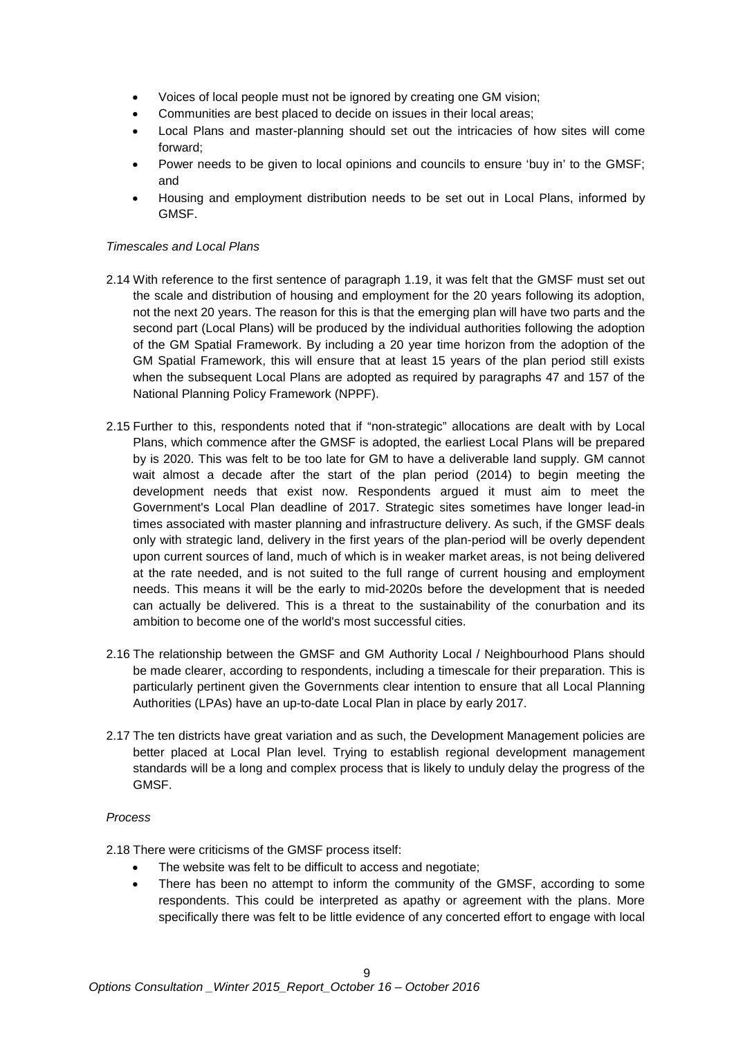- Voices of local people must not be ignored by creating one GM vision;
- Communities are best placed to decide on issues in their local areas;
- Local Plans and master-planning should set out the intricacies of how sites will come forward;
- Power needs to be given to local opinions and councils to ensure 'buy in' to the GMSF; and
- Housing and employment distribution needs to be set out in Local Plans, informed by GMSF.

#### *Timescales and Local Plans*

- 2.14 With reference to the first sentence of paragraph 1.19, it was felt that the GMSF must set out the scale and distribution of housing and employment for the 20 years following its adoption, not the next 20 years. The reason for this is that the emerging plan will have two parts and the second part (Local Plans) will be produced by the individual authorities following the adoption of the GM Spatial Framework. By including a 20 year time horizon from the adoption of the GM Spatial Framework, this will ensure that at least 15 years of the plan period still exists when the subsequent Local Plans are adopted as required by paragraphs 47 and 157 of the National Planning Policy Framework (NPPF).
- 2.15 Further to this, respondents noted that if "non-strategic" allocations are dealt with by Local Plans, which commence after the GMSF is adopted, the earliest Local Plans will be prepared by is 2020. This was felt to be too late for GM to have a deliverable land supply. GM cannot wait almost a decade after the start of the plan period (2014) to begin meeting the development needs that exist now. Respondents argued it must aim to meet the Government's Local Plan deadline of 2017. Strategic sites sometimes have longer lead-in times associated with master planning and infrastructure delivery. As such, if the GMSF deals only with strategic land, delivery in the first years of the plan-period will be overly dependent upon current sources of land, much of which is in weaker market areas, is not being delivered at the rate needed, and is not suited to the full range of current housing and employment needs. This means it will be the early to mid-2020s before the development that is needed can actually be delivered. This is a threat to the sustainability of the conurbation and its ambition to become one of the world's most successful cities.
- 2.16 The relationship between the GMSF and GM Authority Local / Neighbourhood Plans should be made clearer, according to respondents, including a timescale for their preparation. This is particularly pertinent given the Governments clear intention to ensure that all Local Planning Authorities (LPAs) have an up-to-date Local Plan in place by early 2017.
- 2.17 The ten districts have great variation and as such, the Development Management policies are better placed at Local Plan level. Trying to establish regional development management standards will be a long and complex process that is likely to unduly delay the progress of the GMSF.

#### *Process*

2.18 There were criticisms of the GMSF process itself:

- The website was felt to be difficult to access and negotiate;
- There has been no attempt to inform the community of the GMSF, according to some respondents. This could be interpreted as apathy or agreement with the plans. More specifically there was felt to be little evidence of any concerted effort to engage with local

 $\alpha$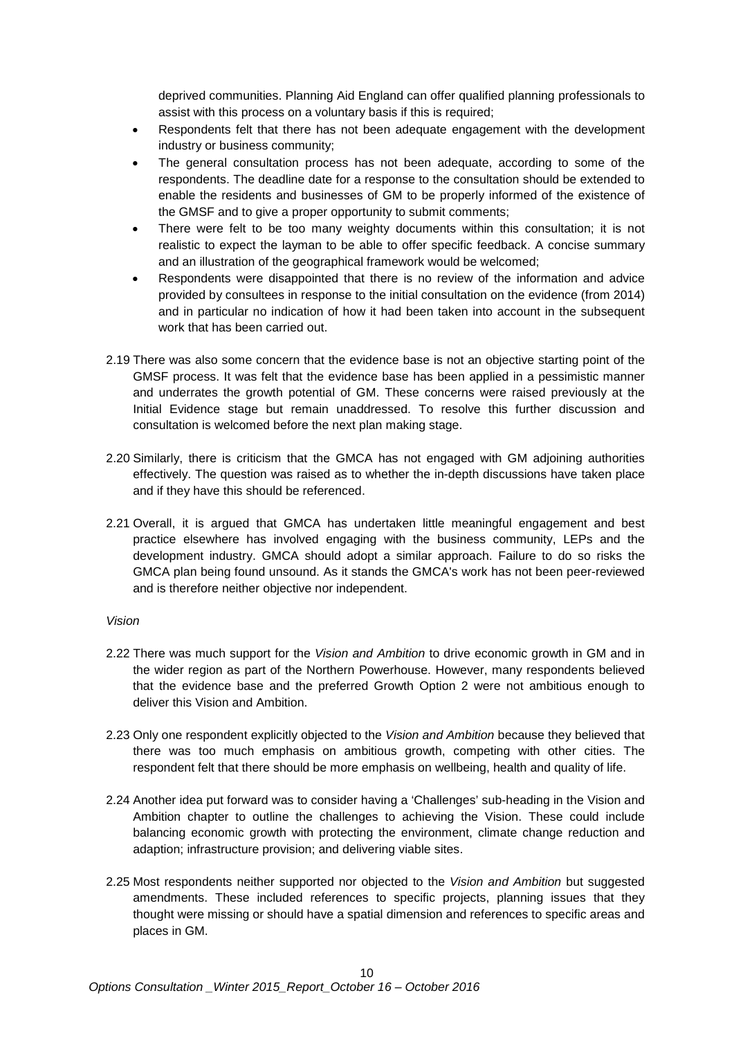deprived communities. Planning Aid England can offer qualified planning professionals to assist with this process on a voluntary basis if this is required;

- Respondents felt that there has not been adequate engagement with the development industry or business community;
- The general consultation process has not been adequate, according to some of the respondents. The deadline date for a response to the consultation should be extended to enable the residents and businesses of GM to be properly informed of the existence of the GMSF and to give a proper opportunity to submit comments;
- There were felt to be too many weighty documents within this consultation; it is not realistic to expect the layman to be able to offer specific feedback. A concise summary and an illustration of the geographical framework would be welcomed;
- Respondents were disappointed that there is no review of the information and advice provided by consultees in response to the initial consultation on the evidence (from 2014) and in particular no indication of how it had been taken into account in the subsequent work that has been carried out.
- 2.19 There was also some concern that the evidence base is not an objective starting point of the GMSF process. It was felt that the evidence base has been applied in a pessimistic manner and underrates the growth potential of GM. These concerns were raised previously at the Initial Evidence stage but remain unaddressed. To resolve this further discussion and consultation is welcomed before the next plan making stage.
- 2.20 Similarly, there is criticism that the GMCA has not engaged with GM adjoining authorities effectively. The question was raised as to whether the in-depth discussions have taken place and if they have this should be referenced.
- 2.21 Overall, it is argued that GMCA has undertaken little meaningful engagement and best practice elsewhere has involved engaging with the business community, LEPs and the development industry. GMCA should adopt a similar approach. Failure to do so risks the GMCA plan being found unsound. As it stands the GMCA's work has not been peer-reviewed and is therefore neither objective nor independent.

#### *Vision*

- 2.22 There was much support for the *Vision and Ambition* to drive economic growth in GM and in the wider region as part of the Northern Powerhouse. However, many respondents believed that the evidence base and the preferred Growth Option 2 were not ambitious enough to deliver this Vision and Ambition.
- 2.23 Only one respondent explicitly objected to the *Vision and Ambition* because they believed that there was too much emphasis on ambitious growth, competing with other cities. The respondent felt that there should be more emphasis on wellbeing, health and quality of life.
- 2.24 Another idea put forward was to consider having a 'Challenges' sub-heading in the Vision and Ambition chapter to outline the challenges to achieving the Vision. These could include balancing economic growth with protecting the environment, climate change reduction and adaption; infrastructure provision; and delivering viable sites.
- 2.25 Most respondents neither supported nor objected to the *Vision and Ambition* but suggested amendments. These included references to specific projects, planning issues that they thought were missing or should have a spatial dimension and references to specific areas and places in GM.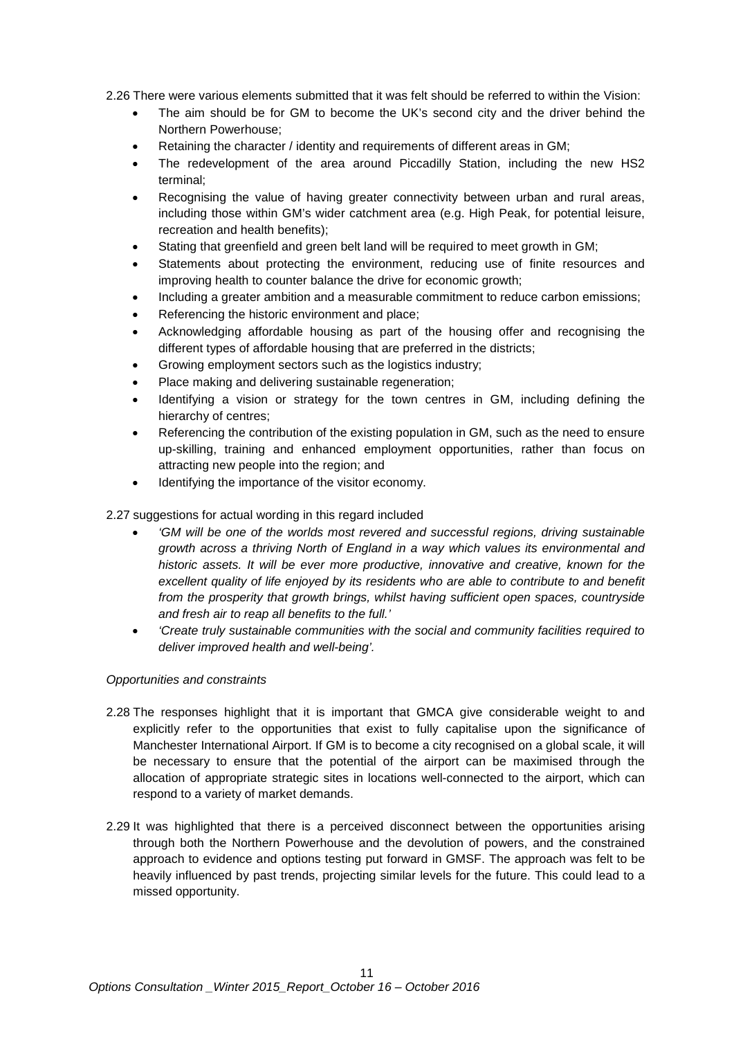2.26 There were various elements submitted that it was felt should be referred to within the Vision:

- The aim should be for GM to become the UK's second city and the driver behind the Northern Powerhouse;
- Retaining the character / identity and requirements of different areas in GM;
- The redevelopment of the area around Piccadilly Station, including the new HS2 terminal;
- Recognising the value of having greater connectivity between urban and rural areas, including those within GM's wider catchment area (e.g. High Peak, for potential leisure, recreation and health benefits);
- Stating that greenfield and green belt land will be required to meet growth in GM;
- Statements about protecting the environment, reducing use of finite resources and improving health to counter balance the drive for economic growth;
- Including a greater ambition and a measurable commitment to reduce carbon emissions;
- Referencing the historic environment and place;
- Acknowledging affordable housing as part of the housing offer and recognising the different types of affordable housing that are preferred in the districts;
- Growing employment sectors such as the logistics industry;
- Place making and delivering sustainable regeneration;
- Identifying a vision or strategy for the town centres in GM, including defining the hierarchy of centres;
- Referencing the contribution of the existing population in GM, such as the need to ensure up-skilling, training and enhanced employment opportunities, rather than focus on attracting new people into the region; and
- Identifying the importance of the visitor economy.

2.27 suggestions for actual wording in this regard included

- *'GM will be one of the worlds most revered and successful regions, driving sustainable growth across a thriving North of England in a way which values its environmental and historic assets. It will be ever more productive, innovative and creative, known for the excellent quality of life enjoyed by its residents who are able to contribute to and benefit from the prosperity that growth brings, whilst having sufficient open spaces, countryside and fresh air to reap all benefits to the full.'*
- *'Create truly sustainable communities with the social and community facilities required to deliver improved health and well-being'.*

#### *Opportunities and constraints*

- 2.28 The responses highlight that it is important that GMCA give considerable weight to and explicitly refer to the opportunities that exist to fully capitalise upon the significance of Manchester International Airport. If GM is to become a city recognised on a global scale, it will be necessary to ensure that the potential of the airport can be maximised through the allocation of appropriate strategic sites in locations well-connected to the airport, which can respond to a variety of market demands.
- 2.29 It was highlighted that there is a perceived disconnect between the opportunities arising through both the Northern Powerhouse and the devolution of powers, and the constrained approach to evidence and options testing put forward in GMSF. The approach was felt to be heavily influenced by past trends, projecting similar levels for the future. This could lead to a missed opportunity.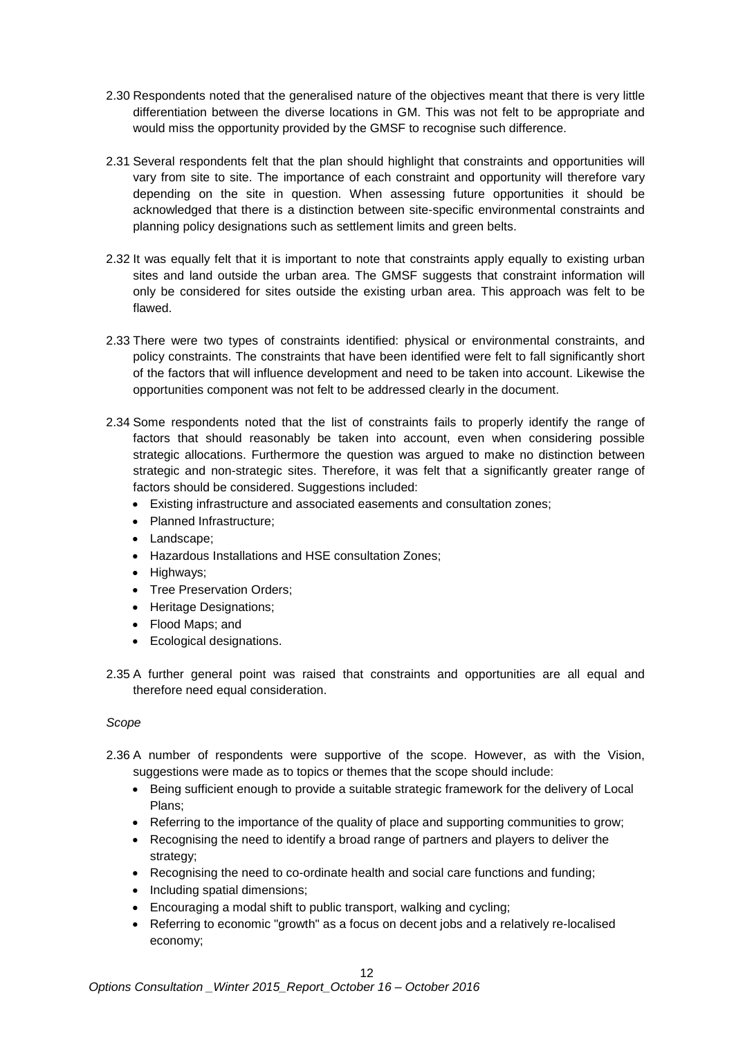- 2.30 Respondents noted that the generalised nature of the objectives meant that there is very little differentiation between the diverse locations in GM. This was not felt to be appropriate and would miss the opportunity provided by the GMSF to recognise such difference.
- 2.31 Several respondents felt that the plan should highlight that constraints and opportunities will vary from site to site. The importance of each constraint and opportunity will therefore vary depending on the site in question. When assessing future opportunities it should be acknowledged that there is a distinction between site-specific environmental constraints and planning policy designations such as settlement limits and green belts.
- 2.32 It was equally felt that it is important to note that constraints apply equally to existing urban sites and land outside the urban area. The GMSF suggests that constraint information will only be considered for sites outside the existing urban area. This approach was felt to be flawed.
- 2.33 There were two types of constraints identified: physical or environmental constraints, and policy constraints. The constraints that have been identified were felt to fall significantly short of the factors that will influence development and need to be taken into account. Likewise the opportunities component was not felt to be addressed clearly in the document.
- 2.34 Some respondents noted that the list of constraints fails to properly identify the range of factors that should reasonably be taken into account, even when considering possible strategic allocations. Furthermore the question was argued to make no distinction between strategic and non-strategic sites. Therefore, it was felt that a significantly greater range of factors should be considered. Suggestions included:
	- Existing infrastructure and associated easements and consultation zones;
	- Planned Infrastructure;
	- Landscape;
	- Hazardous Installations and HSE consultation Zones;
	- Highways;
	- Tree Preservation Orders;
	- Heritage Designations:
	- Flood Maps; and
	- Ecological designations.
- 2.35 A further general point was raised that constraints and opportunities are all equal and therefore need equal consideration.

#### *Scope*

- 2.36 A number of respondents were supportive of the scope. However, as with the Vision, suggestions were made as to topics or themes that the scope should include:
	- Being sufficient enough to provide a suitable strategic framework for the delivery of Local Plans;
	- Referring to the importance of the quality of place and supporting communities to grow;
	- Recognising the need to identify a broad range of partners and players to deliver the strategy;
	- Recognising the need to co-ordinate health and social care functions and funding;
	- Including spatial dimensions;
	- Encouraging a modal shift to public transport, walking and cycling;
	- Referring to economic "growth" as a focus on decent jobs and a relatively re-localised economy;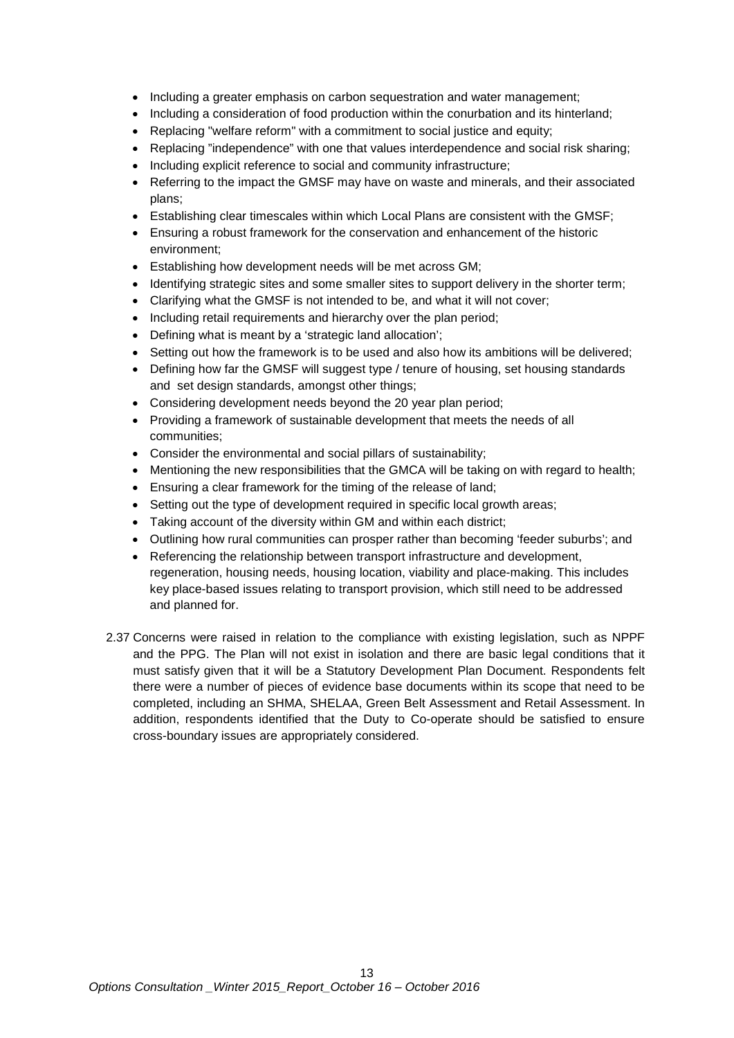- Including a greater emphasis on carbon sequestration and water management;
- Including a consideration of food production within the conurbation and its hinterland;
- Replacing "welfare reform" with a commitment to social justice and equity:
- Replacing "independence" with one that values interdependence and social risk sharing;
- Including explicit reference to social and community infrastructure;
- Referring to the impact the GMSF may have on waste and minerals, and their associated plans;
- Establishing clear timescales within which Local Plans are consistent with the GMSF;
- Ensuring a robust framework for the conservation and enhancement of the historic environment;
- Establishing how development needs will be met across GM;
- Identifying strategic sites and some smaller sites to support delivery in the shorter term;
- Clarifying what the GMSF is not intended to be, and what it will not cover;
- Including retail requirements and hierarchy over the plan period;
- Defining what is meant by a 'strategic land allocation';
- Setting out how the framework is to be used and also how its ambitions will be delivered;
- Defining how far the GMSF will suggest type / tenure of housing, set housing standards and set design standards, amongst other things;
- Considering development needs beyond the 20 year plan period;
- Providing a framework of sustainable development that meets the needs of all communities;
- Consider the environmental and social pillars of sustainability;
- Mentioning the new responsibilities that the GMCA will be taking on with regard to health;
- Ensuring a clear framework for the timing of the release of land;
- Setting out the type of development required in specific local growth areas;
- Taking account of the diversity within GM and within each district;
- Outlining how rural communities can prosper rather than becoming 'feeder suburbs'; and
- Referencing the relationship between transport infrastructure and development, regeneration, housing needs, housing location, viability and place-making. This includes key place-based issues relating to transport provision, which still need to be addressed and planned for.
- 2.37 Concerns were raised in relation to the compliance with existing legislation, such as NPPF and the PPG. The Plan will not exist in isolation and there are basic legal conditions that it must satisfy given that it will be a Statutory Development Plan Document. Respondents felt there were a number of pieces of evidence base documents within its scope that need to be completed, including an SHMA, SHELAA, Green Belt Assessment and Retail Assessment. In addition, respondents identified that the Duty to Co-operate should be satisfied to ensure cross-boundary issues are appropriately considered.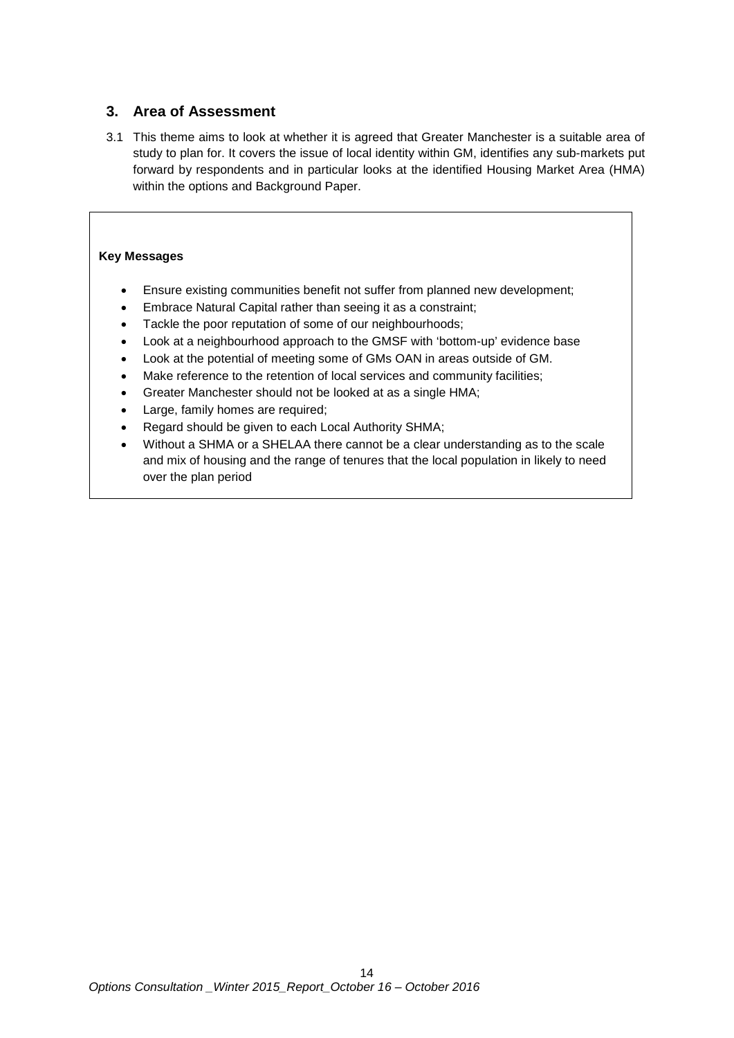### <span id="page-13-0"></span>**3. Area of Assessment**

3.1 This theme aims to look at whether it is agreed that Greater Manchester is a suitable area of study to plan for. It covers the issue of local identity within GM, identifies any sub-markets put forward by respondents and in particular looks at the identified Housing Market Area (HMA) within the options and Background Paper.

#### **Key Messages**

- Ensure existing communities benefit not suffer from planned new development;
- Embrace Natural Capital rather than seeing it as a constraint;
- Tackle the poor reputation of some of our neighbourhoods;
- Look at a neighbourhood approach to the GMSF with 'bottom-up' evidence base
- Look at the potential of meeting some of GMs OAN in areas outside of GM.
- Make reference to the retention of local services and community facilities;
- Greater Manchester should not be looked at as a single HMA;
- Large, family homes are required;
- Regard should be given to each Local Authority SHMA;
- Without a SHMA or a SHELAA there cannot be a clear understanding as to the scale and mix of housing and the range of tenures that the local population in likely to need over the plan period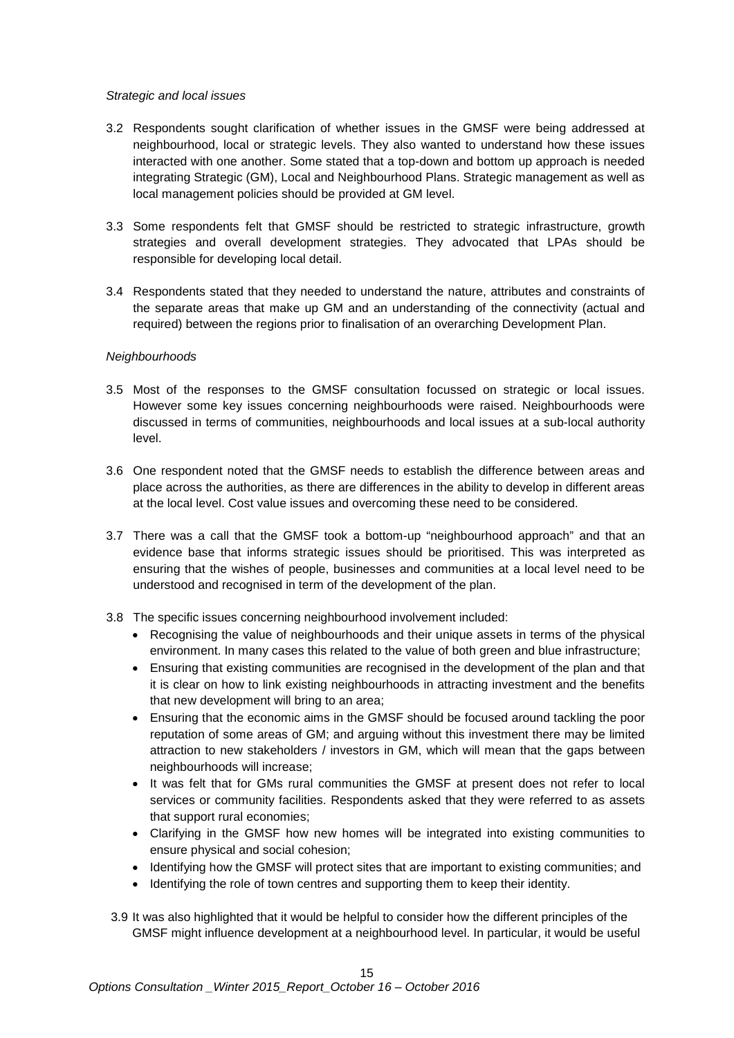#### *Strategic and local issues*

- 3.2 Respondents sought clarification of whether issues in the GMSF were being addressed at neighbourhood, local or strategic levels. They also wanted to understand how these issues interacted with one another. Some stated that a top-down and bottom up approach is needed integrating Strategic (GM), Local and Neighbourhood Plans. Strategic management as well as local management policies should be provided at GM level.
- 3.3 Some respondents felt that GMSF should be restricted to strategic infrastructure, growth strategies and overall development strategies. They advocated that LPAs should be responsible for developing local detail.
- 3.4 Respondents stated that they needed to understand the nature, attributes and constraints of the separate areas that make up GM and an understanding of the connectivity (actual and required) between the regions prior to finalisation of an overarching Development Plan.

#### *Neighbourhoods*

- 3.5 Most of the responses to the GMSF consultation focussed on strategic or local issues. However some key issues concerning neighbourhoods were raised. Neighbourhoods were discussed in terms of communities, neighbourhoods and local issues at a sub-local authority level.
- 3.6 One respondent noted that the GMSF needs to establish the difference between areas and place across the authorities, as there are differences in the ability to develop in different areas at the local level. Cost value issues and overcoming these need to be considered.
- 3.7 There was a call that the GMSF took a bottom-up "neighbourhood approach" and that an evidence base that informs strategic issues should be prioritised. This was interpreted as ensuring that the wishes of people, businesses and communities at a local level need to be understood and recognised in term of the development of the plan.
- 3.8 The specific issues concerning neighbourhood involvement included:
	- Recognising the value of neighbourhoods and their unique assets in terms of the physical environment. In many cases this related to the value of both green and blue infrastructure;
	- Ensuring that existing communities are recognised in the development of the plan and that it is clear on how to link existing neighbourhoods in attracting investment and the benefits that new development will bring to an area;
	- Ensuring that the economic aims in the GMSF should be focused around tackling the poor reputation of some areas of GM; and arguing without this investment there may be limited attraction to new stakeholders / investors in GM, which will mean that the gaps between neighbourhoods will increase;
	- It was felt that for GMs rural communities the GMSF at present does not refer to local services or community facilities. Respondents asked that they were referred to as assets that support rural economies;
	- Clarifying in the GMSF how new homes will be integrated into existing communities to ensure physical and social cohesion;
	- Identifying how the GMSF will protect sites that are important to existing communities; and
	- Identifying the role of town centres and supporting them to keep their identity.
- 3.9 It was also highlighted that it would be helpful to consider how the different principles of the GMSF might influence development at a neighbourhood level. In particular, it would be useful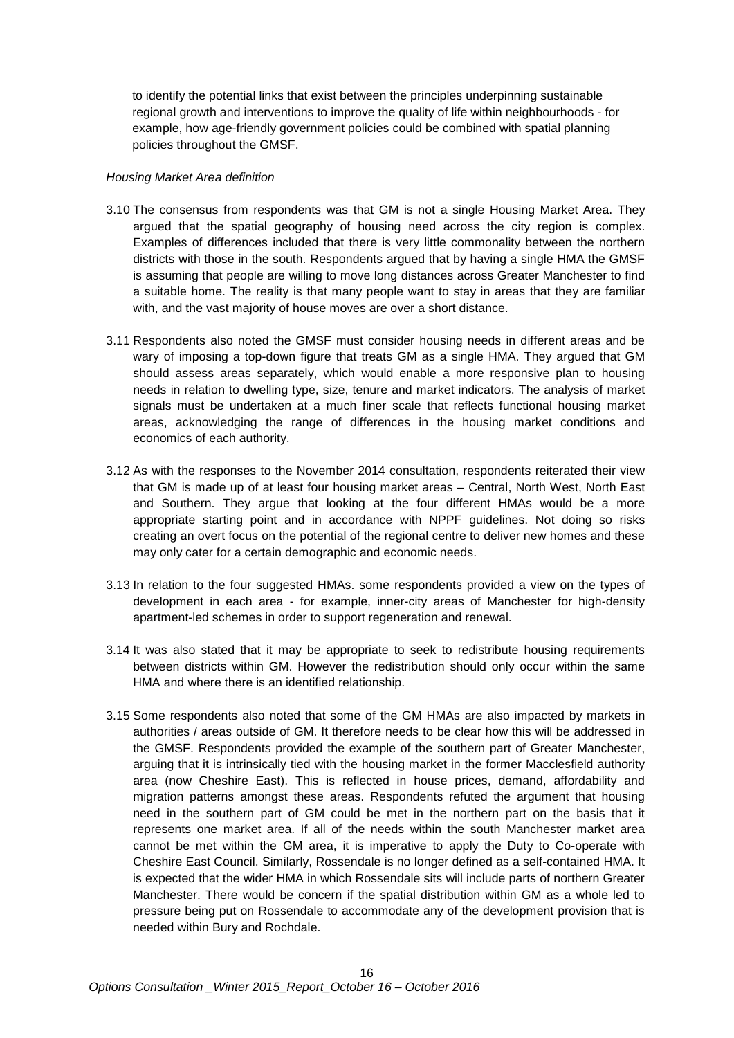to identify the potential links that exist between the principles underpinning sustainable regional growth and interventions to improve the quality of life within neighbourhoods - for example, how age-friendly government policies could be combined with spatial planning policies throughout the GMSF.

#### *Housing Market Area definition*

- 3.10 The consensus from respondents was that GM is not a single Housing Market Area. They argued that the spatial geography of housing need across the city region is complex. Examples of differences included that there is very little commonality between the northern districts with those in the south. Respondents argued that by having a single HMA the GMSF is assuming that people are willing to move long distances across Greater Manchester to find a suitable home. The reality is that many people want to stay in areas that they are familiar with, and the vast majority of house moves are over a short distance.
- 3.11 Respondents also noted the GMSF must consider housing needs in different areas and be wary of imposing a top-down figure that treats GM as a single HMA. They argued that GM should assess areas separately, which would enable a more responsive plan to housing needs in relation to dwelling type, size, tenure and market indicators. The analysis of market signals must be undertaken at a much finer scale that reflects functional housing market areas, acknowledging the range of differences in the housing market conditions and economics of each authority.
- 3.12 As with the responses to the November 2014 consultation, respondents reiterated their view that GM is made up of at least four housing market areas – Central, North West, North East and Southern. They argue that looking at the four different HMAs would be a more appropriate starting point and in accordance with NPPF guidelines. Not doing so risks creating an overt focus on the potential of the regional centre to deliver new homes and these may only cater for a certain demographic and economic needs.
- 3.13 In relation to the four suggested HMAs. some respondents provided a view on the types of development in each area - for example, inner-city areas of Manchester for high-density apartment-led schemes in order to support regeneration and renewal.
- 3.14 It was also stated that it may be appropriate to seek to redistribute housing requirements between districts within GM. However the redistribution should only occur within the same HMA and where there is an identified relationship.
- 3.15 Some respondents also noted that some of the GM HMAs are also impacted by markets in authorities / areas outside of GM. It therefore needs to be clear how this will be addressed in the GMSF. Respondents provided the example of the southern part of Greater Manchester, arguing that it is intrinsically tied with the housing market in the former Macclesfield authority area (now Cheshire East). This is reflected in house prices, demand, affordability and migration patterns amongst these areas. Respondents refuted the argument that housing need in the southern part of GM could be met in the northern part on the basis that it represents one market area. If all of the needs within the south Manchester market area cannot be met within the GM area, it is imperative to apply the Duty to Co-operate with Cheshire East Council. Similarly, Rossendale is no longer defined as a self-contained HMA. It is expected that the wider HMA in which Rossendale sits will include parts of northern Greater Manchester. There would be concern if the spatial distribution within GM as a whole led to pressure being put on Rossendale to accommodate any of the development provision that is needed within Bury and Rochdale.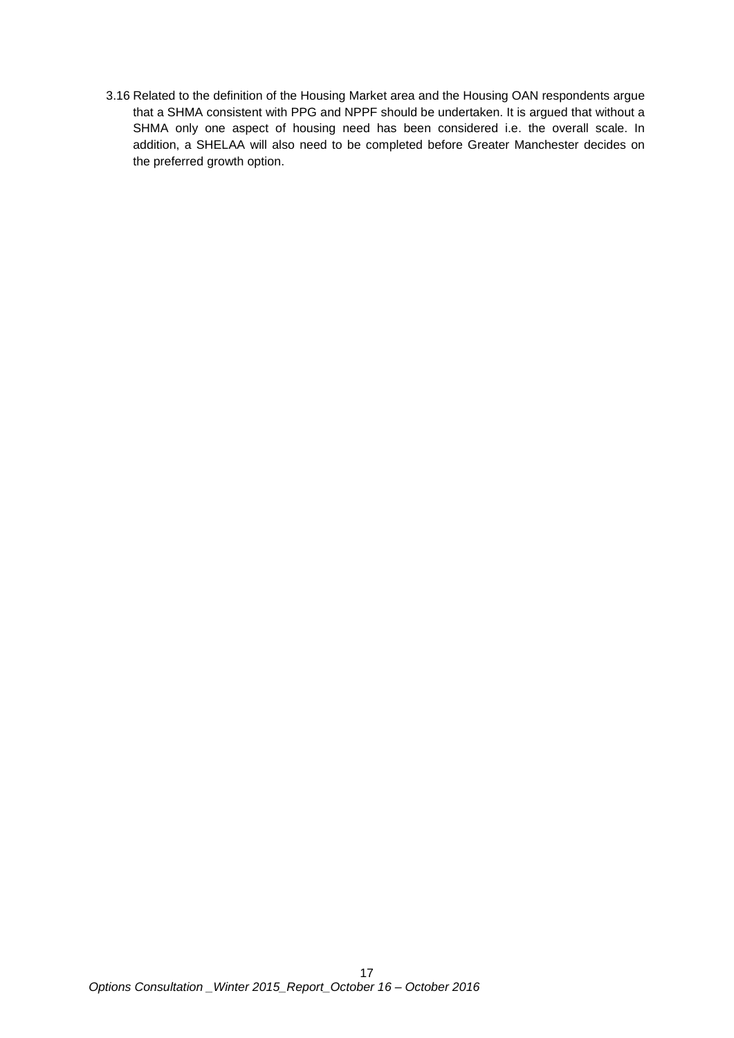3.16 Related to the definition of the Housing Market area and the Housing OAN respondents argue that a SHMA consistent with PPG and NPPF should be undertaken. It is argued that without a SHMA only one aspect of housing need has been considered i.e. the overall scale. In addition, a SHELAA will also need to be completed before Greater Manchester decides on the preferred growth option.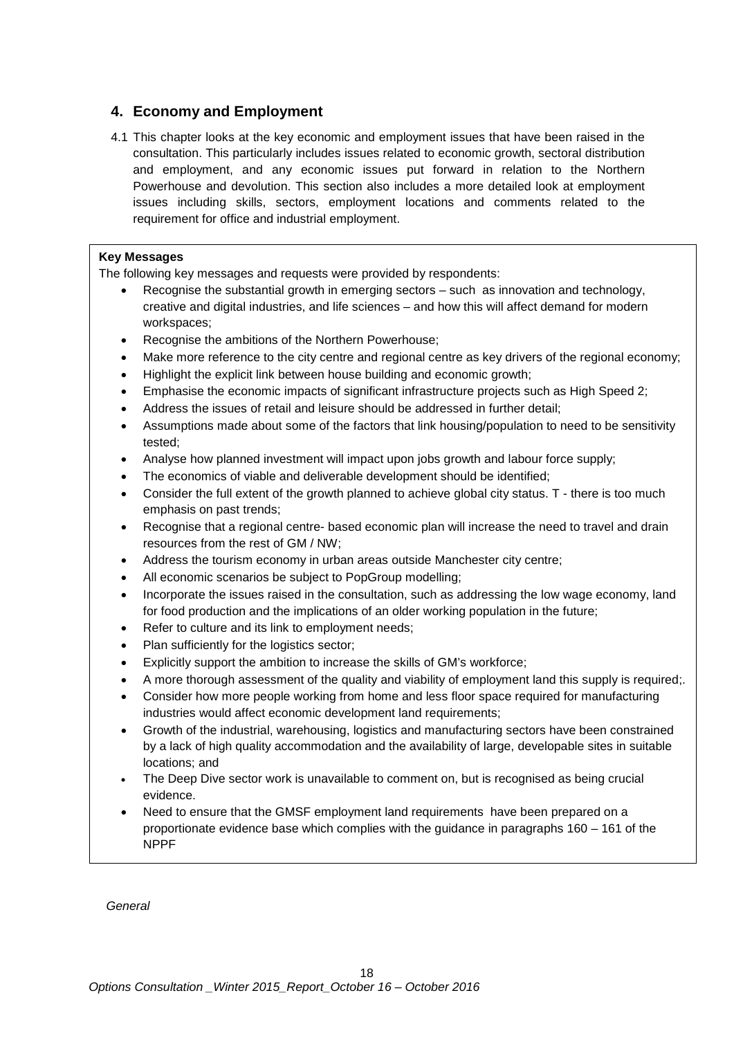## <span id="page-17-0"></span>**4. Economy and Employment**

4.1 This chapter looks at the key economic and employment issues that have been raised in the consultation. This particularly includes issues related to economic growth, sectoral distribution and employment, and any economic issues put forward in relation to the Northern Powerhouse and devolution. This section also includes a more detailed look at employment issues including skills, sectors, employment locations and comments related to the requirement for office and industrial employment.

#### **Key Messages**

The following key messages and requests were provided by respondents:

- Recognise the substantial growth in emerging sectors such as innovation and technology, creative and digital industries, and life sciences – and how this will affect demand for modern workspaces;
- Recognise the ambitions of the Northern Powerhouse;
- Make more reference to the city centre and regional centre as key drivers of the regional economy;
- Highlight the explicit link between house building and economic growth;
- Emphasise the economic impacts of significant infrastructure projects such as High Speed 2;
- Address the issues of retail and leisure should be addressed in further detail;
- Assumptions made about some of the factors that link housing/population to need to be sensitivity tested;
- Analyse how planned investment will impact upon jobs growth and labour force supply;
- The economics of viable and deliverable development should be identified;
- Consider the full extent of the growth planned to achieve global city status. T there is too much emphasis on past trends;
- Recognise that a regional centre- based economic plan will increase the need to travel and drain resources from the rest of GM / NW;
- Address the tourism economy in urban areas outside Manchester city centre;
- All economic scenarios be subject to PopGroup modelling:
- Incorporate the issues raised in the consultation, such as addressing the low wage economy, land for food production and the implications of an older working population in the future;
- Refer to culture and its link to employment needs;
- Plan sufficiently for the logistics sector;
- Explicitly support the ambition to increase the skills of GM's workforce;
- A more thorough assessment of the quality and viability of employment land this supply is required;.
- Consider how more people working from home and less floor space required for manufacturing industries would affect economic development land requirements;
- Growth of the industrial, warehousing, logistics and manufacturing sectors have been constrained by a lack of high quality accommodation and the availability of large, developable sites in suitable locations; and
- The Deep Dive sector work is unavailable to comment on, but is recognised as being crucial evidence.
- Need to ensure that the GMSF employment land requirements have been prepared on a proportionate evidence base which complies with the guidance in paragraphs 160 – 161 of the NPPF

*General*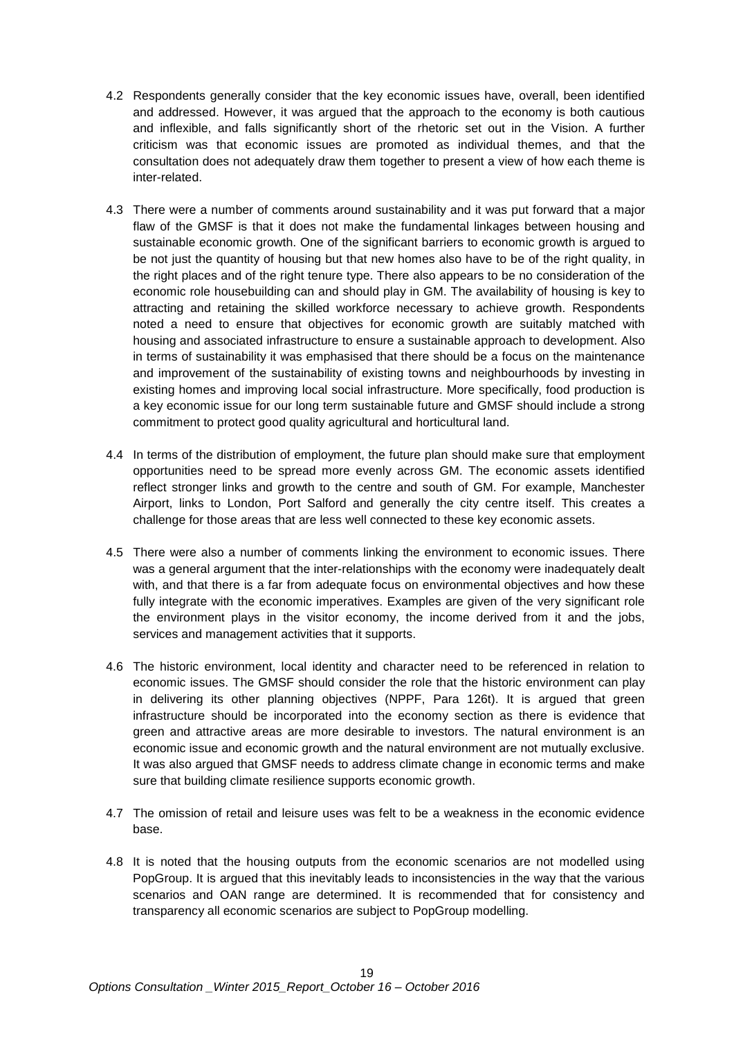- 4.2 Respondents generally consider that the key economic issues have, overall, been identified and addressed. However, it was argued that the approach to the economy is both cautious and inflexible, and falls significantly short of the rhetoric set out in the Vision. A further criticism was that economic issues are promoted as individual themes, and that the consultation does not adequately draw them together to present a view of how each theme is inter-related.
- 4.3 There were a number of comments around sustainability and it was put forward that a major flaw of the GMSF is that it does not make the fundamental linkages between housing and sustainable economic growth. One of the significant barriers to economic growth is argued to be not just the quantity of housing but that new homes also have to be of the right quality, in the right places and of the right tenure type. There also appears to be no consideration of the economic role housebuilding can and should play in GM. The availability of housing is key to attracting and retaining the skilled workforce necessary to achieve growth. Respondents noted a need to ensure that objectives for economic growth are suitably matched with housing and associated infrastructure to ensure a sustainable approach to development. Also in terms of sustainability it was emphasised that there should be a focus on the maintenance and improvement of the sustainability of existing towns and neighbourhoods by investing in existing homes and improving local social infrastructure. More specifically, food production is a key economic issue for our long term sustainable future and GMSF should include a strong commitment to protect good quality agricultural and horticultural land.
- 4.4 In terms of the distribution of employment, the future plan should make sure that employment opportunities need to be spread more evenly across GM. The economic assets identified reflect stronger links and growth to the centre and south of GM. For example, Manchester Airport, links to London, Port Salford and generally the city centre itself. This creates a challenge for those areas that are less well connected to these key economic assets.
- 4.5 There were also a number of comments linking the environment to economic issues. There was a general argument that the inter-relationships with the economy were inadequately dealt with, and that there is a far from adequate focus on environmental objectives and how these fully integrate with the economic imperatives. Examples are given of the very significant role the environment plays in the visitor economy, the income derived from it and the jobs, services and management activities that it supports.
- 4.6 The historic environment, local identity and character need to be referenced in relation to economic issues. The GMSF should consider the role that the historic environment can play in delivering its other planning objectives (NPPF, Para 126t). It is argued that green infrastructure should be incorporated into the economy section as there is evidence that green and attractive areas are more desirable to investors. The natural environment is an economic issue and economic growth and the natural environment are not mutually exclusive. It was also argued that GMSF needs to address climate change in economic terms and make sure that building climate resilience supports economic growth.
- 4.7 The omission of retail and leisure uses was felt to be a weakness in the economic evidence base.
- 4.8 It is noted that the housing outputs from the economic scenarios are not modelled using PopGroup. It is argued that this inevitably leads to inconsistencies in the way that the various scenarios and OAN range are determined. It is recommended that for consistency and transparency all economic scenarios are subject to PopGroup modelling.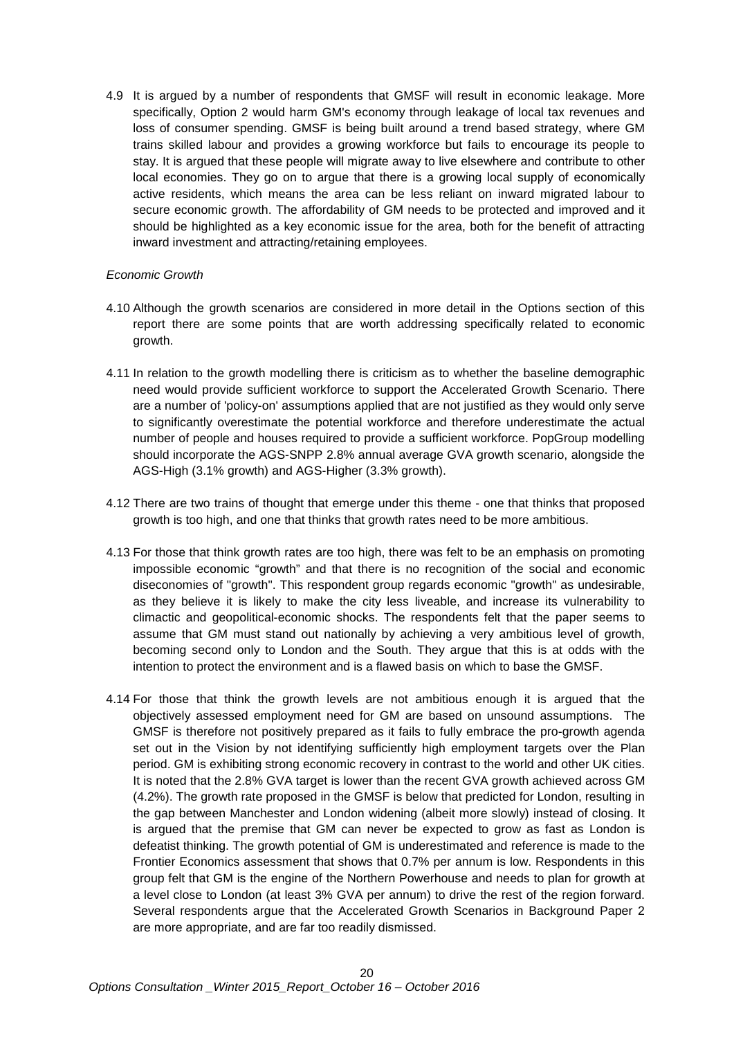4.9 It is argued by a number of respondents that GMSF will result in economic leakage. More specifically, Option 2 would harm GM's economy through leakage of local tax revenues and loss of consumer spending. GMSF is being built around a trend based strategy, where GM trains skilled labour and provides a growing workforce but fails to encourage its people to stay. It is argued that these people will migrate away to live elsewhere and contribute to other local economies. They go on to argue that there is a growing local supply of economically active residents, which means the area can be less reliant on inward migrated labour to secure economic growth. The affordability of GM needs to be protected and improved and it should be highlighted as a key economic issue for the area, both for the benefit of attracting inward investment and attracting/retaining employees.

#### *Economic Growth*

- 4.10 Although the growth scenarios are considered in more detail in the Options section of this report there are some points that are worth addressing specifically related to economic growth.
- 4.11 In relation to the growth modelling there is criticism as to whether the baseline demographic need would provide sufficient workforce to support the Accelerated Growth Scenario. There are a number of 'policy-on' assumptions applied that are not justified as they would only serve to significantly overestimate the potential workforce and therefore underestimate the actual number of people and houses required to provide a sufficient workforce. PopGroup modelling should incorporate the AGS-SNPP 2.8% annual average GVA growth scenario, alongside the AGS-High (3.1% growth) and AGS-Higher (3.3% growth).
- 4.12 There are two trains of thought that emerge under this theme one that thinks that proposed growth is too high, and one that thinks that growth rates need to be more ambitious.
- 4.13 For those that think growth rates are too high, there was felt to be an emphasis on promoting impossible economic "growth" and that there is no recognition of the social and economic diseconomies of "growth". This respondent group regards economic "growth" as undesirable, as they believe it is likely to make the city less liveable, and increase its vulnerability to climactic and geopolitical-economic shocks. The respondents felt that the paper seems to assume that GM must stand out nationally by achieving a very ambitious level of growth, becoming second only to London and the South. They argue that this is at odds with the intention to protect the environment and is a flawed basis on which to base the GMSF.
- 4.14 For those that think the growth levels are not ambitious enough it is argued that the objectively assessed employment need for GM are based on unsound assumptions. The GMSF is therefore not positively prepared as it fails to fully embrace the pro-growth agenda set out in the Vision by not identifying sufficiently high employment targets over the Plan period. GM is exhibiting strong economic recovery in contrast to the world and other UK cities. It is noted that the 2.8% GVA target is lower than the recent GVA growth achieved across GM (4.2%). The growth rate proposed in the GMSF is below that predicted for London, resulting in the gap between Manchester and London widening (albeit more slowly) instead of closing. It is argued that the premise that GM can never be expected to grow as fast as London is defeatist thinking. The growth potential of GM is underestimated and reference is made to the Frontier Economics assessment that shows that 0.7% per annum is low. Respondents in this group felt that GM is the engine of the Northern Powerhouse and needs to plan for growth at a level close to London (at least 3% GVA per annum) to drive the rest of the region forward. Several respondents argue that the Accelerated Growth Scenarios in Background Paper 2 are more appropriate, and are far too readily dismissed.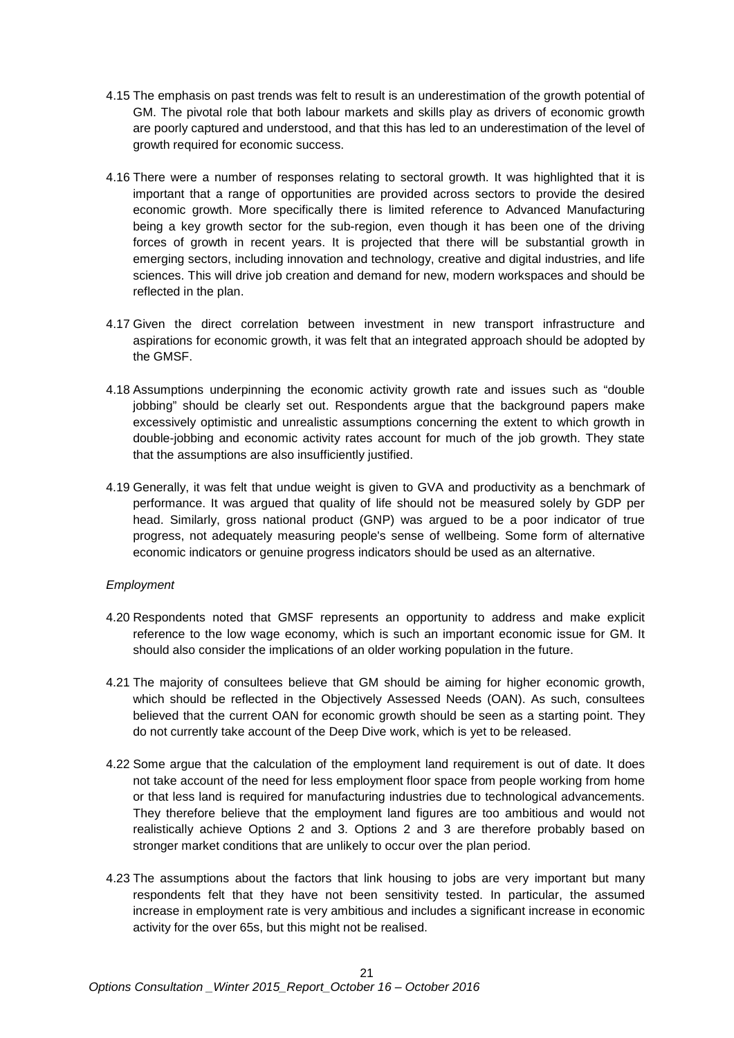- 4.15 The emphasis on past trends was felt to result is an underestimation of the growth potential of GM. The pivotal role that both labour markets and skills play as drivers of economic growth are poorly captured and understood, and that this has led to an underestimation of the level of growth required for economic success.
- 4.16 There were a number of responses relating to sectoral growth. It was highlighted that it is important that a range of opportunities are provided across sectors to provide the desired economic growth. More specifically there is limited reference to Advanced Manufacturing being a key growth sector for the sub-region, even though it has been one of the driving forces of growth in recent years. It is projected that there will be substantial growth in emerging sectors, including innovation and technology, creative and digital industries, and life sciences. This will drive job creation and demand for new, modern workspaces and should be reflected in the plan.
- 4.17 Given the direct correlation between investment in new transport infrastructure and aspirations for economic growth, it was felt that an integrated approach should be adopted by the GMSF.
- 4.18 Assumptions underpinning the economic activity growth rate and issues such as "double jobbing" should be clearly set out. Respondents argue that the background papers make excessively optimistic and unrealistic assumptions concerning the extent to which growth in double-jobbing and economic activity rates account for much of the job growth. They state that the assumptions are also insufficiently justified.
- 4.19 Generally, it was felt that undue weight is given to GVA and productivity as a benchmark of performance. It was argued that quality of life should not be measured solely by GDP per head. Similarly, gross national product (GNP) was argued to be a poor indicator of true progress, not adequately measuring people's sense of wellbeing. Some form of alternative economic indicators or genuine progress indicators should be used as an alternative.

#### *Employment*

- 4.20 Respondents noted that GMSF represents an opportunity to address and make explicit reference to the low wage economy, which is such an important economic issue for GM. It should also consider the implications of an older working population in the future.
- 4.21 The majority of consultees believe that GM should be aiming for higher economic growth, which should be reflected in the Objectively Assessed Needs (OAN). As such, consultees believed that the current OAN for economic growth should be seen as a starting point. They do not currently take account of the Deep Dive work, which is yet to be released.
- 4.22 Some argue that the calculation of the employment land requirement is out of date. It does not take account of the need for less employment floor space from people working from home or that less land is required for manufacturing industries due to technological advancements. They therefore believe that the employment land figures are too ambitious and would not realistically achieve Options 2 and 3. Options 2 and 3 are therefore probably based on stronger market conditions that are unlikely to occur over the plan period.
- 4.23 The assumptions about the factors that link housing to jobs are very important but many respondents felt that they have not been sensitivity tested. In particular, the assumed increase in employment rate is very ambitious and includes a significant increase in economic activity for the over 65s, but this might not be realised.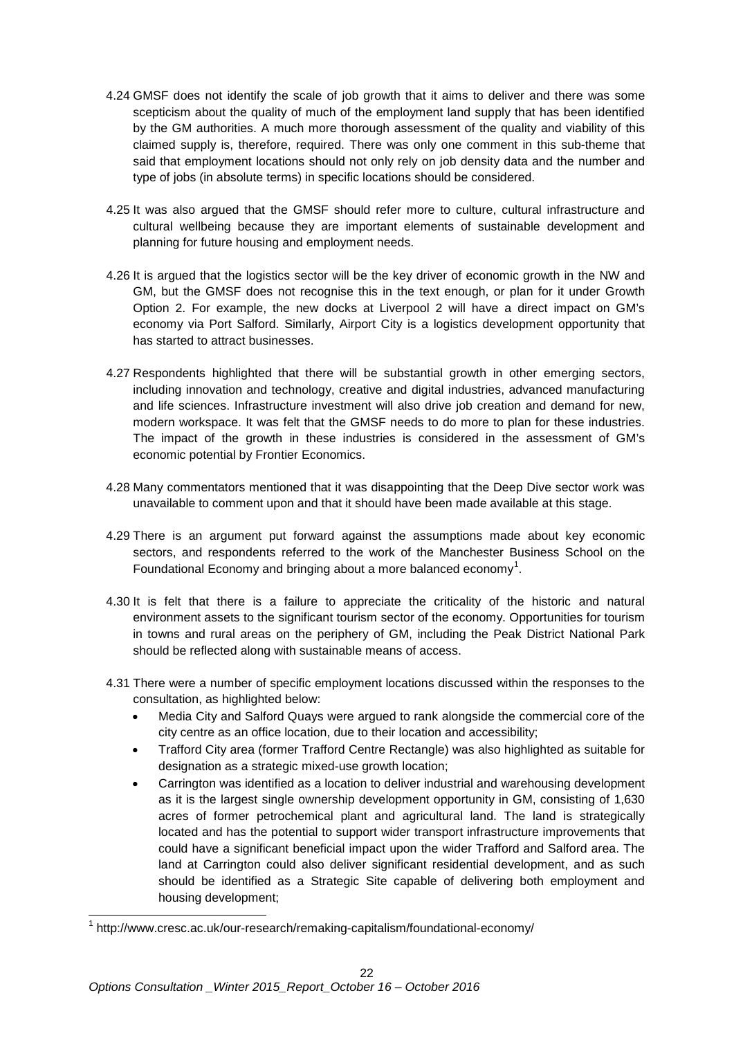- 4.24 GMSF does not identify the scale of job growth that it aims to deliver and there was some scepticism about the quality of much of the employment land supply that has been identified by the GM authorities. A much more thorough assessment of the quality and viability of this claimed supply is, therefore, required. There was only one comment in this sub-theme that said that employment locations should not only rely on job density data and the number and type of jobs (in absolute terms) in specific locations should be considered.
- 4.25 It was also argued that the GMSF should refer more to culture, cultural infrastructure and cultural wellbeing because they are important elements of sustainable development and planning for future housing and employment needs.
- 4.26 It is argued that the logistics sector will be the key driver of economic growth in the NW and GM, but the GMSF does not recognise this in the text enough, or plan for it under Growth Option 2. For example, the new docks at Liverpool 2 will have a direct impact on GM's economy via Port Salford. Similarly, Airport City is a logistics development opportunity that has started to attract businesses.
- 4.27 Respondents highlighted that there will be substantial growth in other emerging sectors, including innovation and technology, creative and digital industries, advanced manufacturing and life sciences. Infrastructure investment will also drive job creation and demand for new, modern workspace. It was felt that the GMSF needs to do more to plan for these industries. The impact of the growth in these industries is considered in the assessment of GM's economic potential by Frontier Economics.
- 4.28 Many commentators mentioned that it was disappointing that the Deep Dive sector work was unavailable to comment upon and that it should have been made available at this stage.
- 4.29 There is an argument put forward against the assumptions made about key economic sectors, and respondents referred to the work of the Manchester Business School on the Foundational Economy and bringing about a more balanced economy<sup>[1](#page-21-0)</sup>.
- 4.30 It is felt that there is a failure to appreciate the criticality of the historic and natural environment assets to the significant tourism sector of the economy. Opportunities for tourism in towns and rural areas on the periphery of GM, including the Peak District National Park should be reflected along with sustainable means of access.
- 4.31 There were a number of specific employment locations discussed within the responses to the consultation, as highlighted below:
	- Media City and Salford Quays were argued to rank alongside the commercial core of the city centre as an office location, due to their location and accessibility;
	- Trafford City area (former Trafford Centre Rectangle) was also highlighted as suitable for designation as a strategic mixed-use growth location;
	- Carrington was identified as a location to deliver industrial and warehousing development as it is the largest single ownership development opportunity in GM, consisting of 1,630 acres of former petrochemical plant and agricultural land. The land is strategically located and has the potential to support wider transport infrastructure improvements that could have a significant beneficial impact upon the wider Trafford and Salford area. The land at Carrington could also deliver significant residential development, and as such should be identified as a Strategic Site capable of delivering both employment and housing development;

Ę

<span id="page-21-0"></span><sup>1</sup> <http://www.cresc.ac.uk/our-research/remaking-capitalism/foundational-economy/>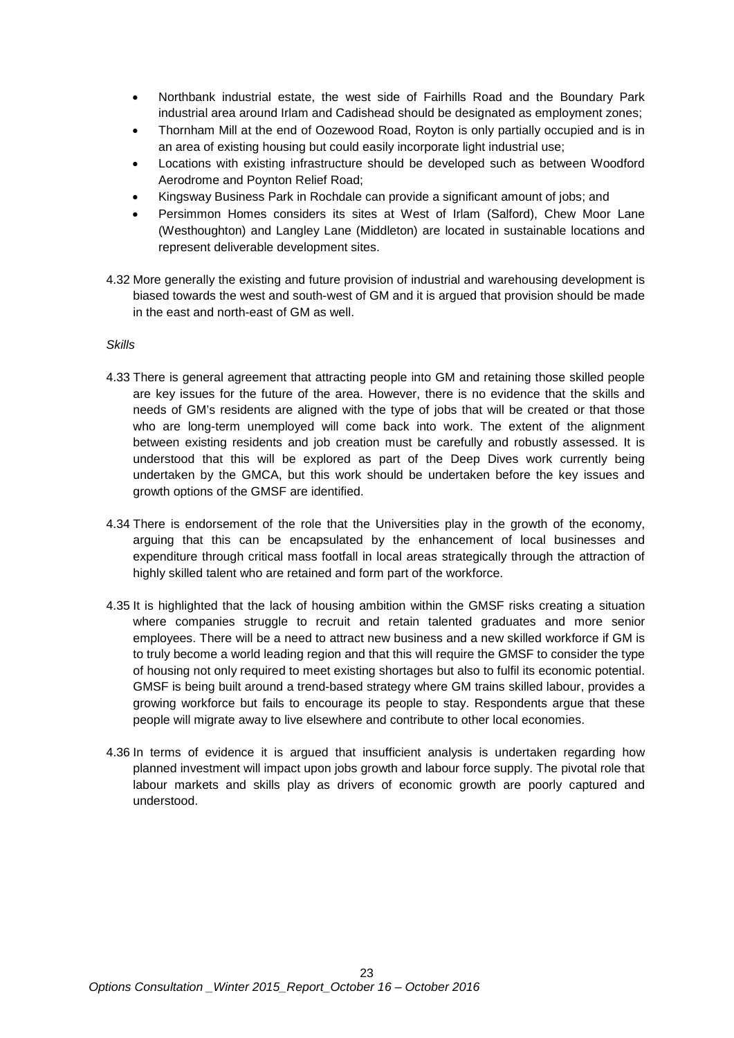- Northbank industrial estate, the west side of Fairhills Road and the Boundary Park industrial area around Irlam and Cadishead should be designated as employment zones;
- Thornham Mill at the end of Oozewood Road, Royton is only partially occupied and is in an area of existing housing but could easily incorporate light industrial use;
- Locations with existing infrastructure should be developed such as between Woodford Aerodrome and Poynton Relief Road;
- Kingsway Business Park in Rochdale can provide a significant amount of jobs; and
- Persimmon Homes considers its sites at West of Irlam (Salford), Chew Moor Lane (Westhoughton) and Langley Lane (Middleton) are located in sustainable locations and represent deliverable development sites.
- 4.32 More generally the existing and future provision of industrial and warehousing development is biased towards the west and south-west of GM and it is argued that provision should be made in the east and north-east of GM as well.

#### *Skills*

- 4.33 There is general agreement that attracting people into GM and retaining those skilled people are key issues for the future of the area. However, there is no evidence that the skills and needs of GM's residents are aligned with the type of jobs that will be created or that those who are long-term unemployed will come back into work. The extent of the alignment between existing residents and job creation must be carefully and robustly assessed. It is understood that this will be explored as part of the Deep Dives work currently being undertaken by the GMCA, but this work should be undertaken before the key issues and growth options of the GMSF are identified.
- 4.34 There is endorsement of the role that the Universities play in the growth of the economy, arguing that this can be encapsulated by the enhancement of local businesses and expenditure through critical mass footfall in local areas strategically through the attraction of highly skilled talent who are retained and form part of the workforce.
- 4.35 It is highlighted that the lack of housing ambition within the GMSF risks creating a situation where companies struggle to recruit and retain talented graduates and more senior employees. There will be a need to attract new business and a new skilled workforce if GM is to truly become a world leading region and that this will require the GMSF to consider the type of housing not only required to meet existing shortages but also to fulfil its economic potential. GMSF is being built around a trend-based strategy where GM trains skilled labour, provides a growing workforce but fails to encourage its people to stay. Respondents argue that these people will migrate away to live elsewhere and contribute to other local economies.
- 4.36 In terms of evidence it is argued that insufficient analysis is undertaken regarding how planned investment will impact upon jobs growth and labour force supply. The pivotal role that labour markets and skills play as drivers of economic growth are poorly captured and understood.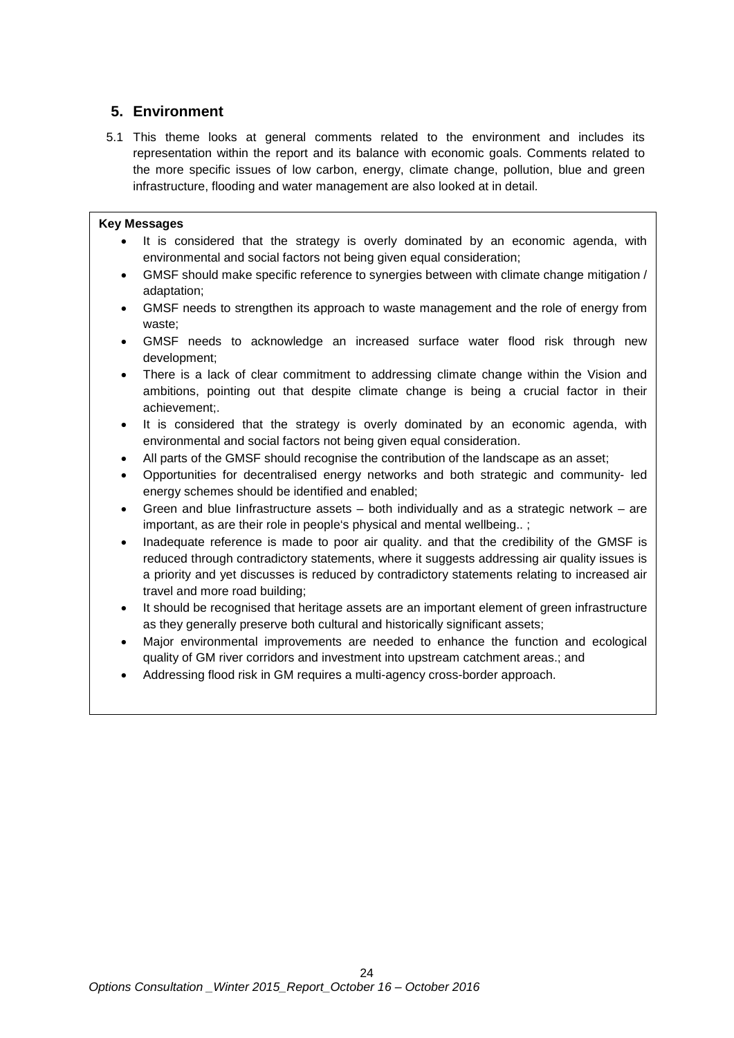## <span id="page-23-0"></span>**5. Environment**

5.1 This theme looks at general comments related to the environment and includes its representation within the report and its balance with economic goals. Comments related to the more specific issues of low carbon, energy, climate change, pollution, blue and green infrastructure, flooding and water management are also looked at in detail.

#### **Key Messages**

- It is considered that the strategy is overly dominated by an economic agenda, with environmental and social factors not being given equal consideration;
- GMSF should make specific reference to synergies between with climate change mitigation / adaptation;
- GMSF needs to strengthen its approach to waste management and the role of energy from waste;
- GMSF needs to acknowledge an increased surface water flood risk through new development;
- There is a lack of clear commitment to addressing climate change within the Vision and ambitions, pointing out that despite climate change is being a crucial factor in their achievement;.
- It is considered that the strategy is overly dominated by an economic agenda, with environmental and social factors not being given equal consideration.
- All parts of the GMSF should recognise the contribution of the landscape as an asset;
- Opportunities for decentralised energy networks and both strategic and community- led energy schemes should be identified and enabled;
- Green and blue linfrastructure assets  $-$  both individually and as a strategic network  $-$  are important, as are their role in people's physical and mental wellbeing..;
- Inadequate reference is made to poor air quality. and that the credibility of the GMSF is reduced through contradictory statements, where it suggests addressing air quality issues is a priority and yet discusses is reduced by contradictory statements relating to increased air travel and more road building;
- It should be recognised that heritage assets are an important element of green infrastructure as they generally preserve both cultural and historically significant assets;
- Major environmental improvements are needed to enhance the function and ecological quality of GM river corridors and investment into upstream catchment areas.; and
- Addressing flood risk in GM requires a multi-agency cross-border approach.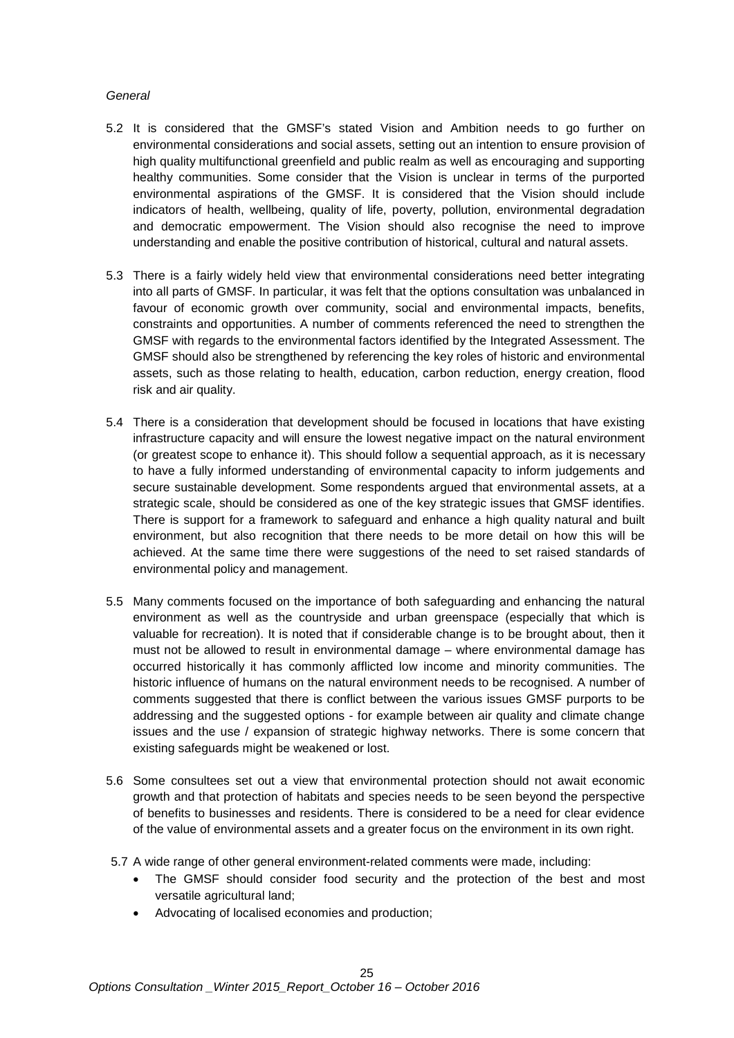#### *General*

- 5.2 It is considered that the GMSF's stated Vision and Ambition needs to go further on environmental considerations and social assets, setting out an intention to ensure provision of high quality multifunctional greenfield and public realm as well as encouraging and supporting healthy communities. Some consider that the Vision is unclear in terms of the purported environmental aspirations of the GMSF. It is considered that the Vision should include indicators of health, wellbeing, quality of life, poverty, pollution, environmental degradation and democratic empowerment. The Vision should also recognise the need to improve understanding and enable the positive contribution of historical, cultural and natural assets.
- 5.3 There is a fairly widely held view that environmental considerations need better integrating into all parts of GMSF. In particular, it was felt that the options consultation was unbalanced in favour of economic growth over community, social and environmental impacts, benefits, constraints and opportunities. A number of comments referenced the need to strengthen the GMSF with regards to the environmental factors identified by the Integrated Assessment. The GMSF should also be strengthened by referencing the key roles of historic and environmental assets, such as those relating to health, education, carbon reduction, energy creation, flood risk and air quality.
- 5.4 There is a consideration that development should be focused in locations that have existing infrastructure capacity and will ensure the lowest negative impact on the natural environment (or greatest scope to enhance it). This should follow a sequential approach, as it is necessary to have a fully informed understanding of environmental capacity to inform judgements and secure sustainable development. Some respondents argued that environmental assets, at a strategic scale, should be considered as one of the key strategic issues that GMSF identifies. There is support for a framework to safeguard and enhance a high quality natural and built environment, but also recognition that there needs to be more detail on how this will be achieved. At the same time there were suggestions of the need to set raised standards of environmental policy and management.
- 5.5 Many comments focused on the importance of both safeguarding and enhancing the natural environment as well as the countryside and urban greenspace (especially that which is valuable for recreation). It is noted that if considerable change is to be brought about, then it must not be allowed to result in environmental damage – where environmental damage has occurred historically it has commonly afflicted low income and minority communities. The historic influence of humans on the natural environment needs to be recognised. A number of comments suggested that there is conflict between the various issues GMSF purports to be addressing and the suggested options - for example between air quality and climate change issues and the use / expansion of strategic highway networks. There is some concern that existing safeguards might be weakened or lost.
- 5.6 Some consultees set out a view that environmental protection should not await economic growth and that protection of habitats and species needs to be seen beyond the perspective of benefits to businesses and residents. There is considered to be a need for clear evidence of the value of environmental assets and a greater focus on the environment in its own right.
- 5.7 A wide range of other general environment-related comments were made, including:
	- The GMSF should consider food security and the protection of the best and most versatile agricultural land;
	- Advocating of localised economies and production;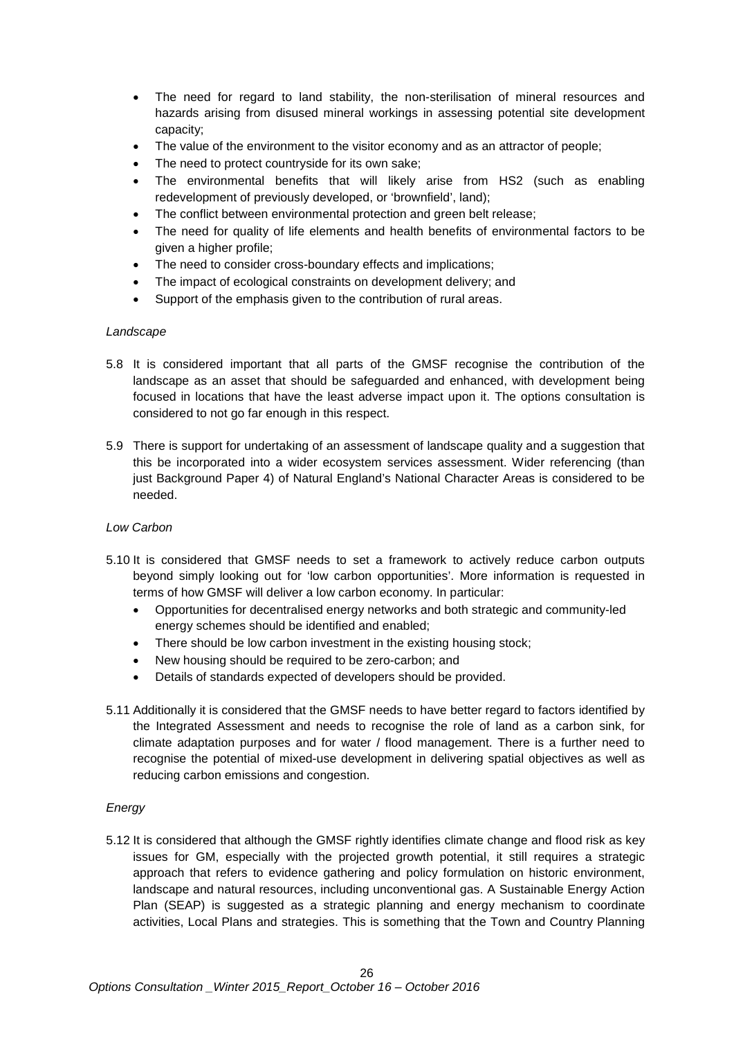- The need for regard to land stability, the non-sterilisation of mineral resources and hazards arising from disused mineral workings in assessing potential site development capacity;
- The value of the environment to the visitor economy and as an attractor of people;
- The need to protect countryside for its own sake;
- The environmental benefits that will likely arise from HS2 (such as enabling redevelopment of previously developed, or 'brownfield', land);
- The conflict between environmental protection and green belt release:
- The need for quality of life elements and health benefits of environmental factors to be given a higher profile;
- The need to consider cross-boundary effects and implications;
- The impact of ecological constraints on development delivery; and
- Support of the emphasis given to the contribution of rural areas.

#### *Landscape*

- 5.8 It is considered important that all parts of the GMSF recognise the contribution of the landscape as an asset that should be safeguarded and enhanced, with development being focused in locations that have the least adverse impact upon it. The options consultation is considered to not go far enough in this respect.
- 5.9 There is support for undertaking of an assessment of landscape quality and a suggestion that this be incorporated into a wider ecosystem services assessment. Wider referencing (than just Background Paper 4) of Natural England's National Character Areas is considered to be needed.

#### *Low Carbon*

- 5.10 It is considered that GMSF needs to set a framework to actively reduce carbon outputs beyond simply looking out for 'low carbon opportunities'. More information is requested in terms of how GMSF will deliver a low carbon economy. In particular:
	- Opportunities for decentralised energy networks and both strategic and community-led energy schemes should be identified and enabled;
	- There should be low carbon investment in the existing housing stock;
	- New housing should be required to be zero-carbon; and
	- Details of standards expected of developers should be provided.
- 5.11 Additionally it is considered that the GMSF needs to have better regard to factors identified by the Integrated Assessment and needs to recognise the role of land as a carbon sink, for climate adaptation purposes and for water / flood management. There is a further need to recognise the potential of mixed-use development in delivering spatial objectives as well as reducing carbon emissions and congestion.

#### *Energy*

5.12 It is considered that although the GMSF rightly identifies climate change and flood risk as key issues for GM, especially with the projected growth potential, it still requires a strategic approach that refers to evidence gathering and policy formulation on historic environment, landscape and natural resources, including unconventional gas. A Sustainable Energy Action Plan (SEAP) is suggested as a strategic planning and energy mechanism to coordinate activities, Local Plans and strategies. This is something that the Town and Country Planning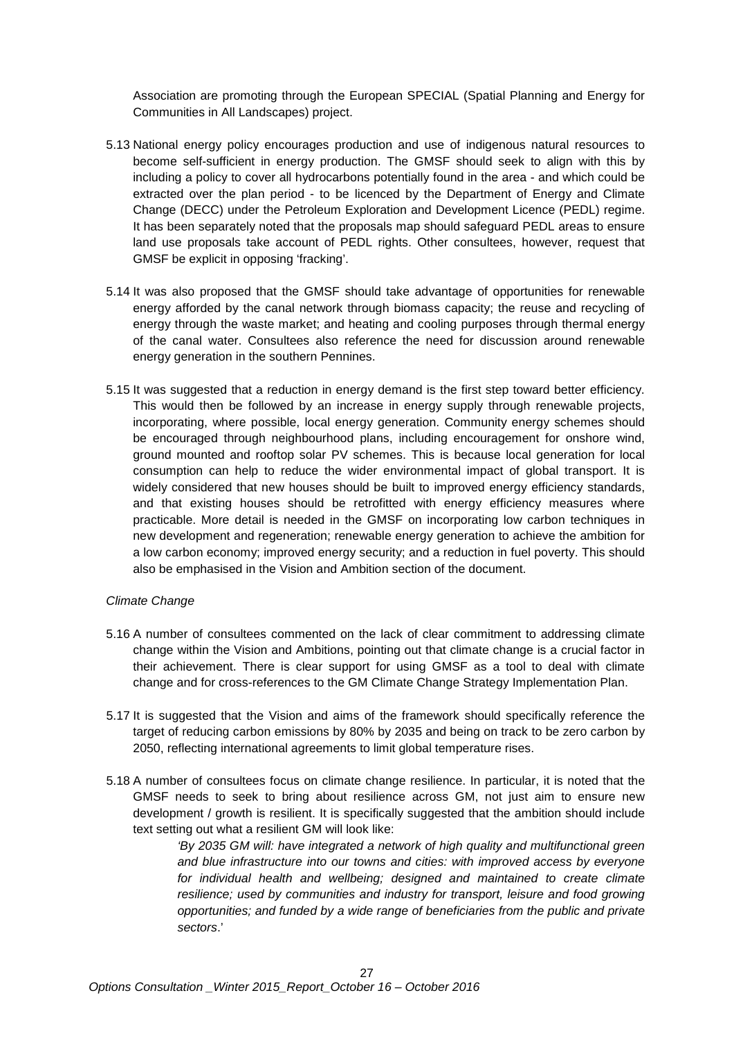Association are promoting through the European SPECIAL (Spatial Planning and Energy for Communities in All Landscapes) project.

- 5.13 National energy policy encourages production and use of indigenous natural resources to become self-sufficient in energy production. The GMSF should seek to align with this by including a policy to cover all hydrocarbons potentially found in the area - and which could be extracted over the plan period - to be licenced by the Department of Energy and Climate Change (DECC) under the Petroleum Exploration and Development Licence (PEDL) regime. It has been separately noted that the proposals map should safeguard PEDL areas to ensure land use proposals take account of PEDL rights. Other consultees, however, request that GMSF be explicit in opposing 'fracking'.
- 5.14 It was also proposed that the GMSF should take advantage of opportunities for renewable energy afforded by the canal network through biomass capacity; the reuse and recycling of energy through the waste market; and heating and cooling purposes through thermal energy of the canal water. Consultees also reference the need for discussion around renewable energy generation in the southern Pennines.
- 5.15 It was suggested that a reduction in energy demand is the first step toward better efficiency. This would then be followed by an increase in energy supply through renewable projects, incorporating, where possible, local energy generation. Community energy schemes should be encouraged through neighbourhood plans, including encouragement for onshore wind, ground mounted and rooftop solar PV schemes. This is because local generation for local consumption can help to reduce the wider environmental impact of global transport. It is widely considered that new houses should be built to improved energy efficiency standards, and that existing houses should be retrofitted with energy efficiency measures where practicable. More detail is needed in the GMSF on incorporating low carbon techniques in new development and regeneration; renewable energy generation to achieve the ambition for a low carbon economy; improved energy security; and a reduction in fuel poverty. This should also be emphasised in the Vision and Ambition section of the document.

#### *Climate Change*

- 5.16 A number of consultees commented on the lack of clear commitment to addressing climate change within the Vision and Ambitions, pointing out that climate change is a crucial factor in their achievement. There is clear support for using GMSF as a tool to deal with climate change and for cross-references to the GM Climate Change Strategy Implementation Plan.
- 5.17 It is suggested that the Vision and aims of the framework should specifically reference the target of reducing carbon emissions by 80% by 2035 and being on track to be zero carbon by 2050, reflecting international agreements to limit global temperature rises.
- 5.18 A number of consultees focus on climate change resilience. In particular, it is noted that the GMSF needs to seek to bring about resilience across GM, not just aim to ensure new development / growth is resilient. It is specifically suggested that the ambition should include text setting out what a resilient GM will look like:

*'By 2035 GM will: have integrated a network of high quality and multifunctional green and blue infrastructure into our towns and cities: with improved access by everyone for individual health and wellbeing; designed and maintained to create climate resilience; used by communities and industry for transport, leisure and food growing opportunities; and funded by a wide range of beneficiaries from the public and private sectors*.'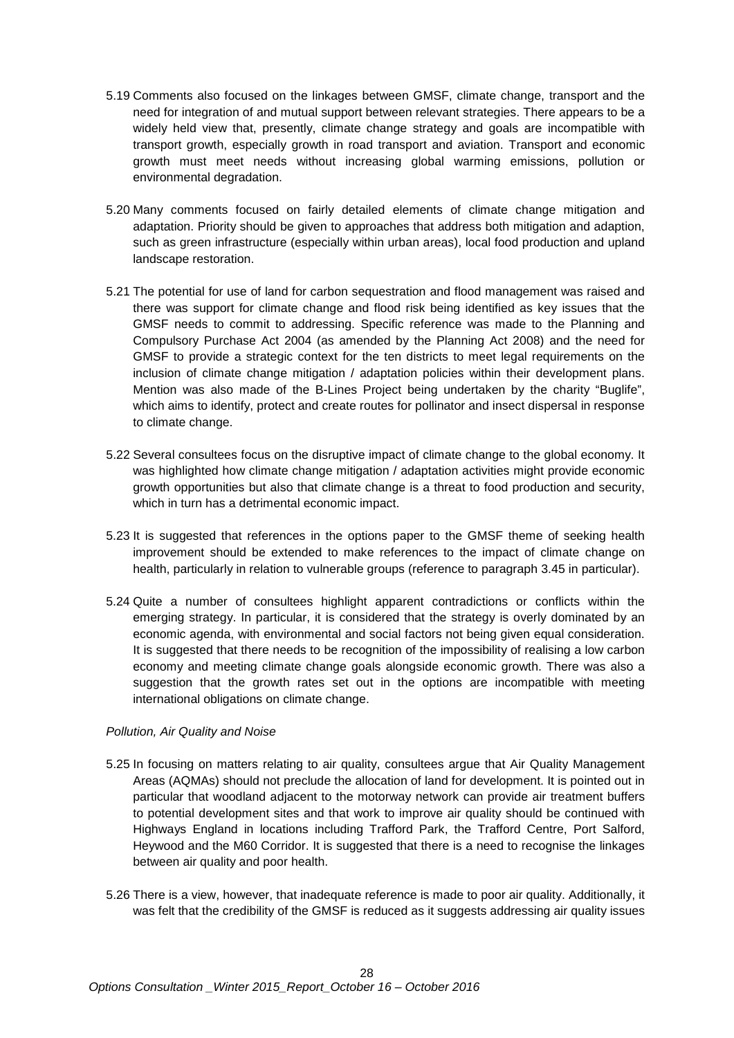- 5.19 Comments also focused on the linkages between GMSF, climate change, transport and the need for integration of and mutual support between relevant strategies. There appears to be a widely held view that, presently, climate change strategy and goals are incompatible with transport growth, especially growth in road transport and aviation. Transport and economic growth must meet needs without increasing global warming emissions, pollution or environmental degradation.
- 5.20 Many comments focused on fairly detailed elements of climate change mitigation and adaptation. Priority should be given to approaches that address both mitigation and adaption, such as green infrastructure (especially within urban areas), local food production and upland landscape restoration.
- 5.21 The potential for use of land for carbon sequestration and flood management was raised and there was support for climate change and flood risk being identified as key issues that the GMSF needs to commit to addressing. Specific reference was made to the Planning and Compulsory Purchase Act 2004 (as amended by the Planning Act 2008) and the need for GMSF to provide a strategic context for the ten districts to meet legal requirements on the inclusion of climate change mitigation / adaptation policies within their development plans. Mention was also made of the B-Lines Project being undertaken by the charity "Buglife", which aims to identify, protect and create routes for pollinator and insect dispersal in response to climate change.
- 5.22 Several consultees focus on the disruptive impact of climate change to the global economy. It was highlighted how climate change mitigation / adaptation activities might provide economic growth opportunities but also that climate change is a threat to food production and security, which in turn has a detrimental economic impact.
- 5.23 It is suggested that references in the options paper to the GMSF theme of seeking health improvement should be extended to make references to the impact of climate change on health, particularly in relation to vulnerable groups (reference to paragraph 3.45 in particular).
- 5.24 Quite a number of consultees highlight apparent contradictions or conflicts within the emerging strategy. In particular, it is considered that the strategy is overly dominated by an economic agenda, with environmental and social factors not being given equal consideration. It is suggested that there needs to be recognition of the impossibility of realising a low carbon economy and meeting climate change goals alongside economic growth. There was also a suggestion that the growth rates set out in the options are incompatible with meeting international obligations on climate change.

#### *Pollution, Air Quality and Noise*

- 5.25 In focusing on matters relating to air quality, consultees argue that Air Quality Management Areas (AQMAs) should not preclude the allocation of land for development. It is pointed out in particular that woodland adjacent to the motorway network can provide air treatment buffers to potential development sites and that work to improve air quality should be continued with Highways England in locations including Trafford Park, the Trafford Centre, Port Salford, Heywood and the M60 Corridor. It is suggested that there is a need to recognise the linkages between air quality and poor health.
- 5.26 There is a view, however, that inadequate reference is made to poor air quality. Additionally, it was felt that the credibility of the GMSF is reduced as it suggests addressing air quality issues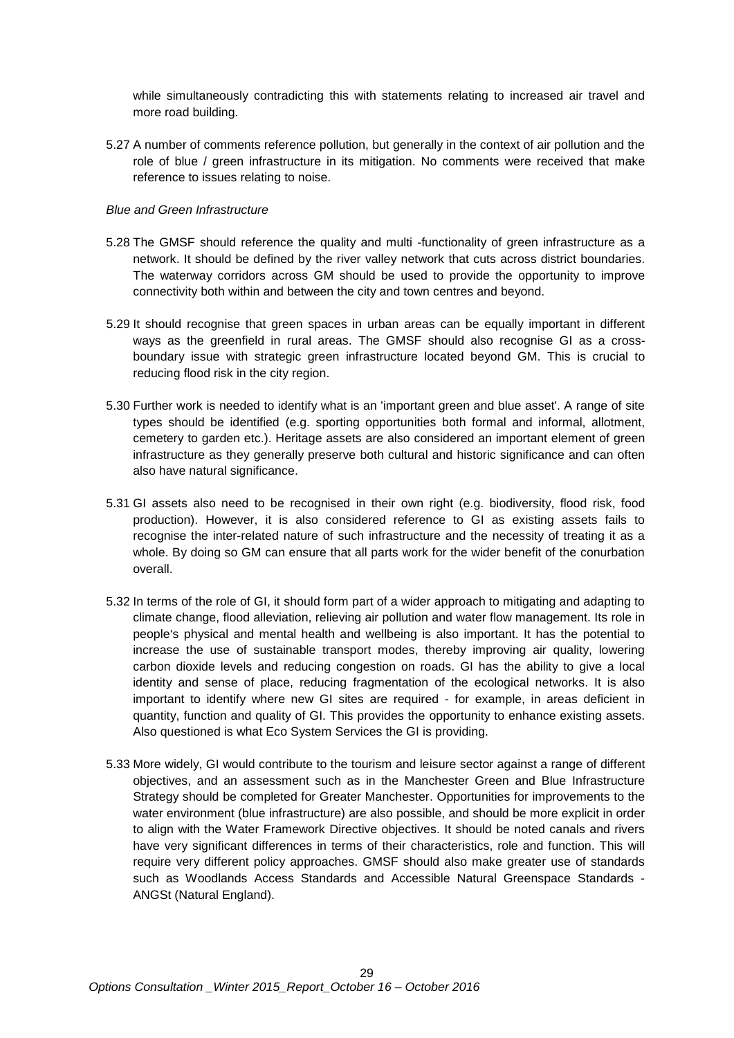while simultaneously contradicting this with statements relating to increased air travel and more road building.

5.27 A number of comments reference pollution, but generally in the context of air pollution and the role of blue / green infrastructure in its mitigation. No comments were received that make reference to issues relating to noise.

#### *Blue and Green Infrastructure*

- 5.28 The GMSF should reference the quality and multi -functionality of green infrastructure as a network. It should be defined by the river valley network that cuts across district boundaries. The waterway corridors across GM should be used to provide the opportunity to improve connectivity both within and between the city and town centres and beyond.
- 5.29 It should recognise that green spaces in urban areas can be equally important in different ways as the greenfield in rural areas. The GMSF should also recognise GI as a crossboundary issue with strategic green infrastructure located beyond GM. This is crucial to reducing flood risk in the city region.
- 5.30 Further work is needed to identify what is an 'important green and blue asset'. A range of site types should be identified (e.g. sporting opportunities both formal and informal, allotment, cemetery to garden etc.). Heritage assets are also considered an important element of green infrastructure as they generally preserve both cultural and historic significance and can often also have natural significance.
- 5.31 GI assets also need to be recognised in their own right (e.g. biodiversity, flood risk, food production). However, it is also considered reference to GI as existing assets fails to recognise the inter-related nature of such infrastructure and the necessity of treating it as a whole. By doing so GM can ensure that all parts work for the wider benefit of the conurbation overall.
- 5.32 In terms of the role of GI, it should form part of a wider approach to mitigating and adapting to climate change, flood alleviation, relieving air pollution and water flow management. Its role in people's physical and mental health and wellbeing is also important. It has the potential to increase the use of sustainable transport modes, thereby improving air quality, lowering carbon dioxide levels and reducing congestion on roads. GI has the ability to give a local identity and sense of place, reducing fragmentation of the ecological networks. It is also important to identify where new GI sites are required - for example, in areas deficient in quantity, function and quality of GI. This provides the opportunity to enhance existing assets. Also questioned is what Eco System Services the GI is providing.
- 5.33 More widely, GI would contribute to the tourism and leisure sector against a range of different objectives, and an assessment such as in the Manchester Green and Blue Infrastructure Strategy should be completed for Greater Manchester. Opportunities for improvements to the water environment (blue infrastructure) are also possible, and should be more explicit in order to align with the Water Framework Directive objectives. It should be noted canals and rivers have very significant differences in terms of their characteristics, role and function. This will require very different policy approaches. GMSF should also make greater use of standards such as Woodlands Access Standards and Accessible Natural Greenspace Standards - ANGSt (Natural England).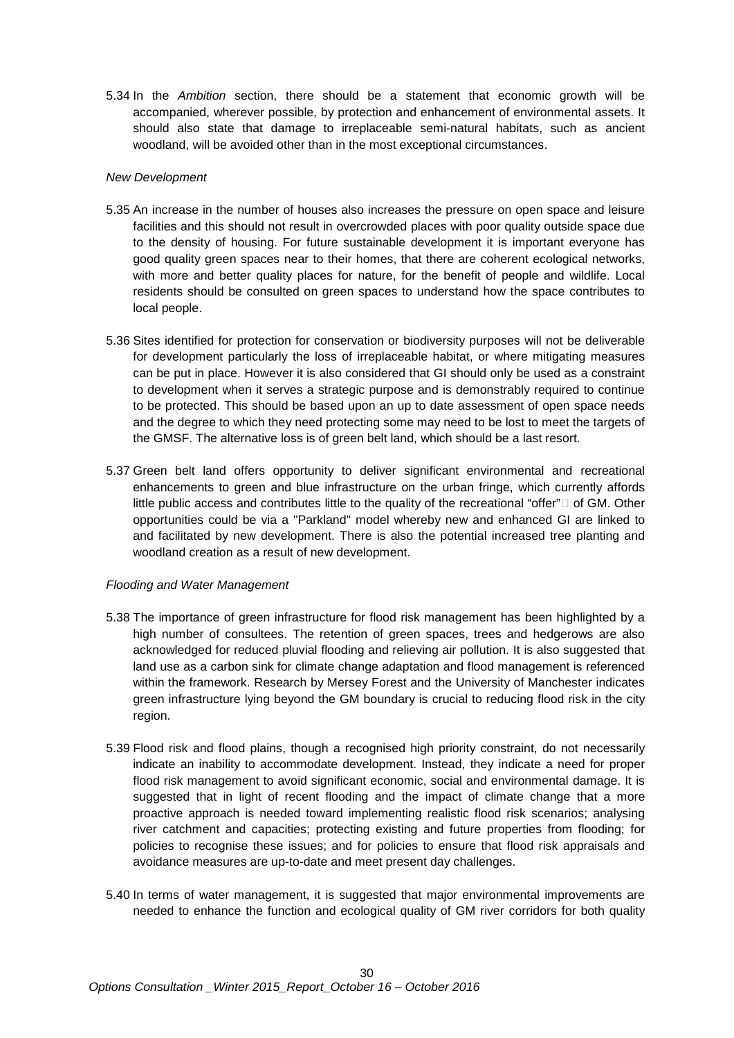5.34 In the *Ambition* section, there should be a statement that economic growth will be accompanied, wherever possible, by protection and enhancement of environmental assets. It should also state that damage to irreplaceable semi-natural habitats, such as ancient woodland, will be avoided other than in the most exceptional circumstances.

#### *New Development*

- 5.35 An increase in the number of houses also increases the pressure on open space and leisure facilities and this should not result in overcrowded places with poor quality outside space due to the density of housing. For future sustainable development it is important everyone has good quality green spaces near to their homes, that there are coherent ecological networks, with more and better quality places for nature, for the benefit of people and wildlife. Local residents should be consulted on green spaces to understand how the space contributes to local people.
- 5.36 Sites identified for protection for conservation or biodiversity purposes will not be deliverable for development particularly the loss of irreplaceable habitat, or where mitigating measures can be put in place. However it is also considered that GI should only be used as a constraint to development when it serves a strategic purpose and is demonstrably required to continue to be protected. This should be based upon an up to date assessment of open space needs and the degree to which they need protecting some may need to be lost to meet the targets of the GMSF. The alternative loss is of green belt land, which should be a last resort.
- 5.37 Green belt land offers opportunity to deliver significant environmental and recreational enhancements to green and blue infrastructure on the urban fringe, which currently affords little public access and contributes little to the quality of the recreational "offer" $\Box$  of GM. Other opportunities could be via a "Parkland" model whereby new and enhanced GI are linked to and facilitated by new development. There is also the potential increased tree planting and woodland creation as a result of new development.

#### *Flooding and Water Management*

- 5.38 The importance of green infrastructure for flood risk management has been highlighted by a high number of consultees. The retention of green spaces, trees and hedgerows are also acknowledged for reduced pluvial flooding and relieving air pollution. It is also suggested that land use as a carbon sink for climate change adaptation and flood management is referenced within the framework. Research by Mersey Forest and the University of Manchester indicates green infrastructure lying beyond the GM boundary is crucial to reducing flood risk in the city region.
- 5.39 Flood risk and flood plains, though a recognised high priority constraint, do not necessarily indicate an inability to accommodate development. Instead, they indicate a need for proper flood risk management to avoid significant economic, social and environmental damage. It is suggested that in light of recent flooding and the impact of climate change that a more proactive approach is needed toward implementing realistic flood risk scenarios; analysing river catchment and capacities; protecting existing and future properties from flooding; for policies to recognise these issues; and for policies to ensure that flood risk appraisals and avoidance measures are up-to-date and meet present day challenges.
- 5.40 In terms of water management, it is suggested that major environmental improvements are needed to enhance the function and ecological quality of GM river corridors for both quality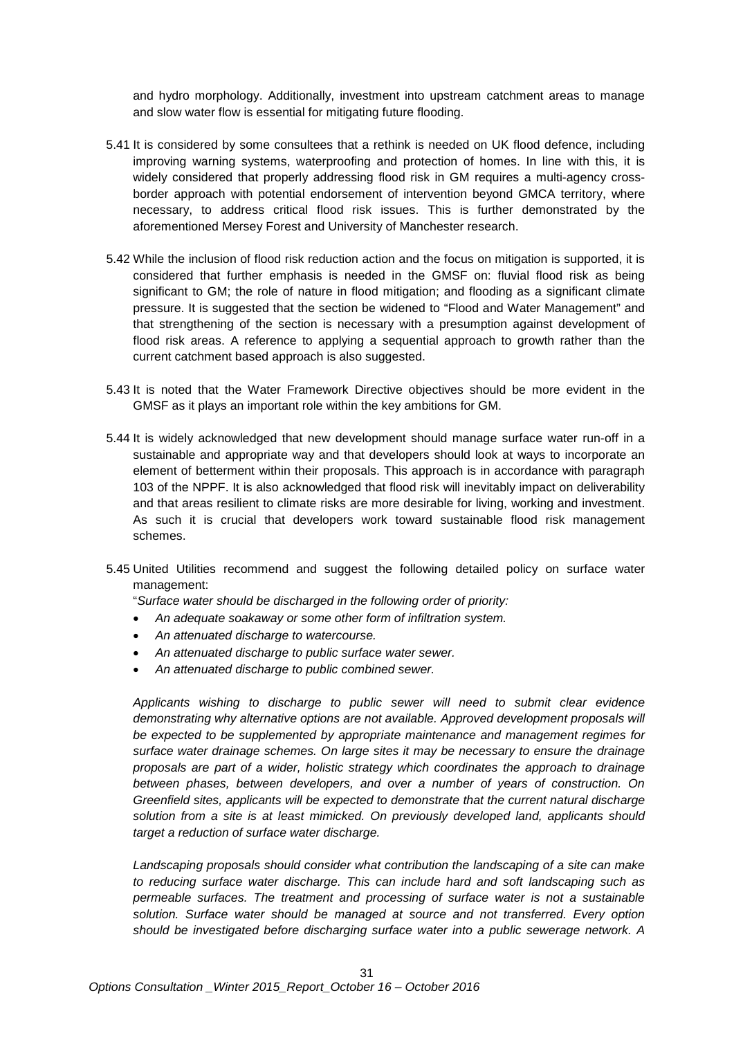and hydro morphology. Additionally, investment into upstream catchment areas to manage and slow water flow is essential for mitigating future flooding.

- 5.41 It is considered by some consultees that a rethink is needed on UK flood defence, including improving warning systems, waterproofing and protection of homes. In line with this, it is widely considered that properly addressing flood risk in GM requires a multi-agency crossborder approach with potential endorsement of intervention beyond GMCA territory, where necessary, to address critical flood risk issues. This is further demonstrated by the aforementioned Mersey Forest and University of Manchester research.
- 5.42 While the inclusion of flood risk reduction action and the focus on mitigation is supported, it is considered that further emphasis is needed in the GMSF on: fluvial flood risk as being significant to GM; the role of nature in flood mitigation; and flooding as a significant climate pressure. It is suggested that the section be widened to "Flood and Water Management" and that strengthening of the section is necessary with a presumption against development of flood risk areas. A reference to applying a sequential approach to growth rather than the current catchment based approach is also suggested.
- 5.43 It is noted that the Water Framework Directive objectives should be more evident in the GMSF as it plays an important role within the key ambitions for GM.
- 5.44 It is widely acknowledged that new development should manage surface water run-off in a sustainable and appropriate way and that developers should look at ways to incorporate an element of betterment within their proposals. This approach is in accordance with paragraph 103 of the NPPF. It is also acknowledged that flood risk will inevitably impact on deliverability and that areas resilient to climate risks are more desirable for living, working and investment. As such it is crucial that developers work toward sustainable flood risk management schemes.
- 5.45 United Utilities recommend and suggest the following detailed policy on surface water management:

"*Surface water should be discharged in the following order of priority:* 

- *An adequate soakaway or some other form of infiltration system.*
- *An attenuated discharge to watercourse.*
- *An attenuated discharge to public surface water sewer.*
- *An attenuated discharge to public combined sewer.*

*Applicants wishing to discharge to public sewer will need to submit clear evidence demonstrating why alternative options are not available. Approved development proposals will be expected to be supplemented by appropriate maintenance and management regimes for surface water drainage schemes. On large sites it may be necessary to ensure the drainage proposals are part of a wider, holistic strategy which coordinates the approach to drainage between phases, between developers, and over a number of years of construction. On Greenfield sites, applicants will be expected to demonstrate that the current natural discharge solution from a site is at least mimicked. On previously developed land, applicants should target a reduction of surface water discharge.*

*Landscaping proposals should consider what contribution the landscaping of a site can make to reducing surface water discharge. This can include hard and soft landscaping such as permeable surfaces. The treatment and processing of surface water is not a sustainable solution. Surface water should be managed at source and not transferred. Every option should be investigated before discharging surface water into a public sewerage network. A*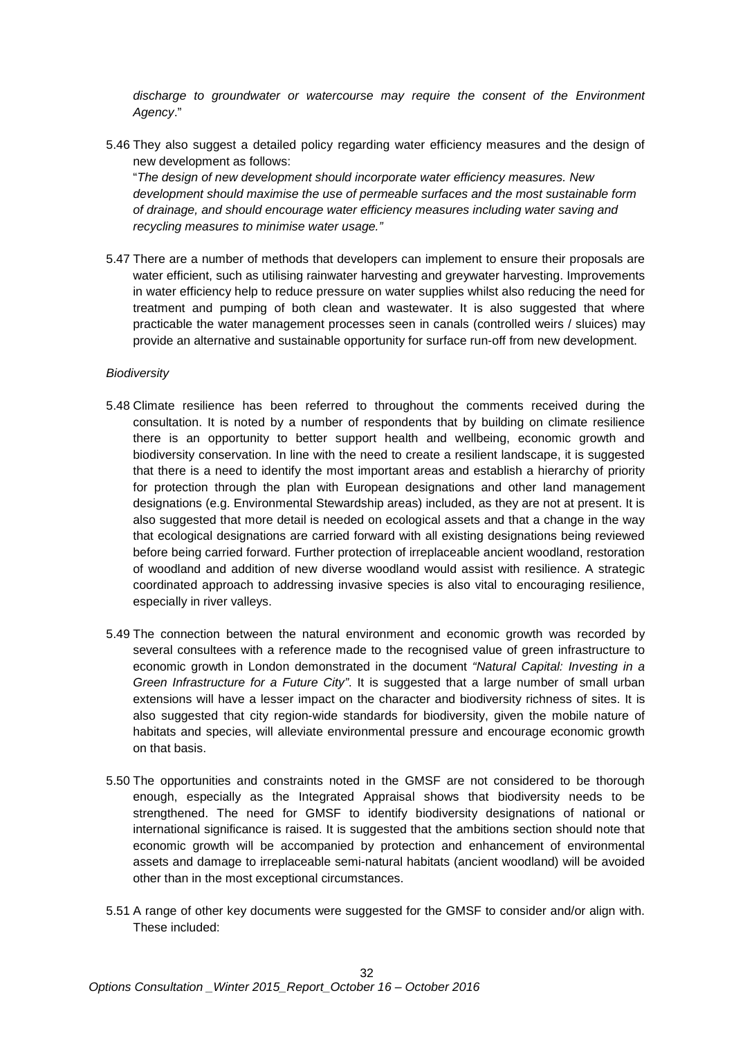*discharge to groundwater or watercourse may require the consent of the Environment Agency*."

5.46 They also suggest a detailed policy regarding water efficiency measures and the design of new development as follows:

"*The design of new development should incorporate water efficiency measures. New development should maximise the use of permeable surfaces and the most sustainable form of drainage, and should encourage water efficiency measures including water saving and recycling measures to minimise water usage."*

5.47 There are a number of methods that developers can implement to ensure their proposals are water efficient, such as utilising rainwater harvesting and greywater harvesting. Improvements in water efficiency help to reduce pressure on water supplies whilst also reducing the need for treatment and pumping of both clean and wastewater. It is also suggested that where practicable the water management processes seen in canals (controlled weirs / sluices) may provide an alternative and sustainable opportunity for surface run-off from new development.

#### *Biodiversity*

- 5.48 Climate resilience has been referred to throughout the comments received during the consultation. It is noted by a number of respondents that by building on climate resilience there is an opportunity to better support health and wellbeing, economic growth and biodiversity conservation. In line with the need to create a resilient landscape, it is suggested that there is a need to identify the most important areas and establish a hierarchy of priority for protection through the plan with European designations and other land management designations (e.g. Environmental Stewardship areas) included, as they are not at present. It is also suggested that more detail is needed on ecological assets and that a change in the way that ecological designations are carried forward with all existing designations being reviewed before being carried forward. Further protection of irreplaceable ancient woodland, restoration of woodland and addition of new diverse woodland would assist with resilience. A strategic coordinated approach to addressing invasive species is also vital to encouraging resilience, especially in river valleys.
- 5.49 The connection between the natural environment and economic growth was recorded by several consultees with a reference made to the recognised value of green infrastructure to economic growth in London demonstrated in the document *["Natural Capital: Investing in a](https://www.london.gov.uk/sites/default/files/gitaskforcereport.hyperlink.pdf)  [Green Infrastructure for a Future City"](https://www.london.gov.uk/sites/default/files/gitaskforcereport.hyperlink.pdf)*. It is suggested that a large number of small urban extensions will have a lesser impact on the character and biodiversity richness of sites. It is also suggested that city region-wide standards for biodiversity, given the mobile nature of habitats and species, will alleviate environmental pressure and encourage economic growth on that basis.
- 5.50 The opportunities and constraints noted in the GMSF are not considered to be thorough enough, especially as the Integrated Appraisal shows that biodiversity needs to be strengthened. The need for GMSF to identify biodiversity designations of national or international significance is raised. It is suggested that the ambitions section should note that economic growth will be accompanied by protection and enhancement of environmental assets and damage to irreplaceable semi-natural habitats (ancient woodland) will be avoided other than in the most exceptional circumstances.
- 5.51 A range of other key documents were suggested for the GMSF to consider and/or align with. These included: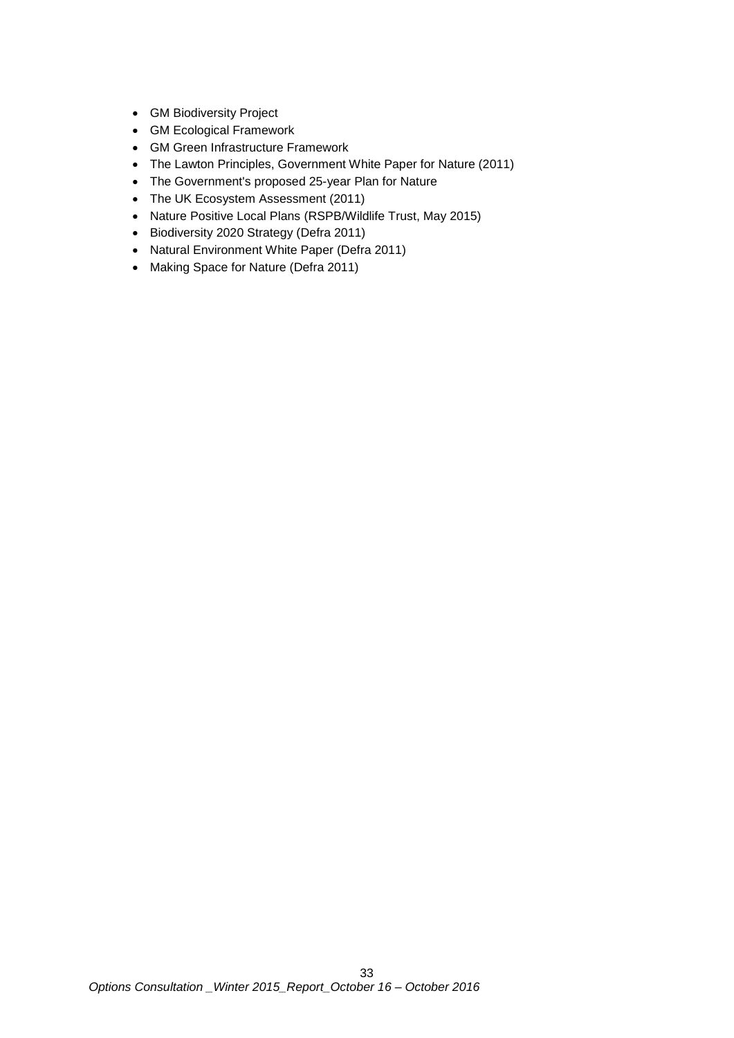- GM Biodiversity Project
- GM Ecological Framework
- GM Green Infrastructure Framework
- The Lawton Principles, Government White Paper for Nature (2011)
- The Government's proposed 25-year Plan for Nature
- The UK Ecosystem Assessment (2011)
- Nature Positive Local Plans (RSPB/Wildlife Trust, May 2015)
- Biodiversity 2020 Strategy (Defra 2011)
- Natural Environment White Paper (Defra 2011)
- Making Space for Nature (Defra 2011)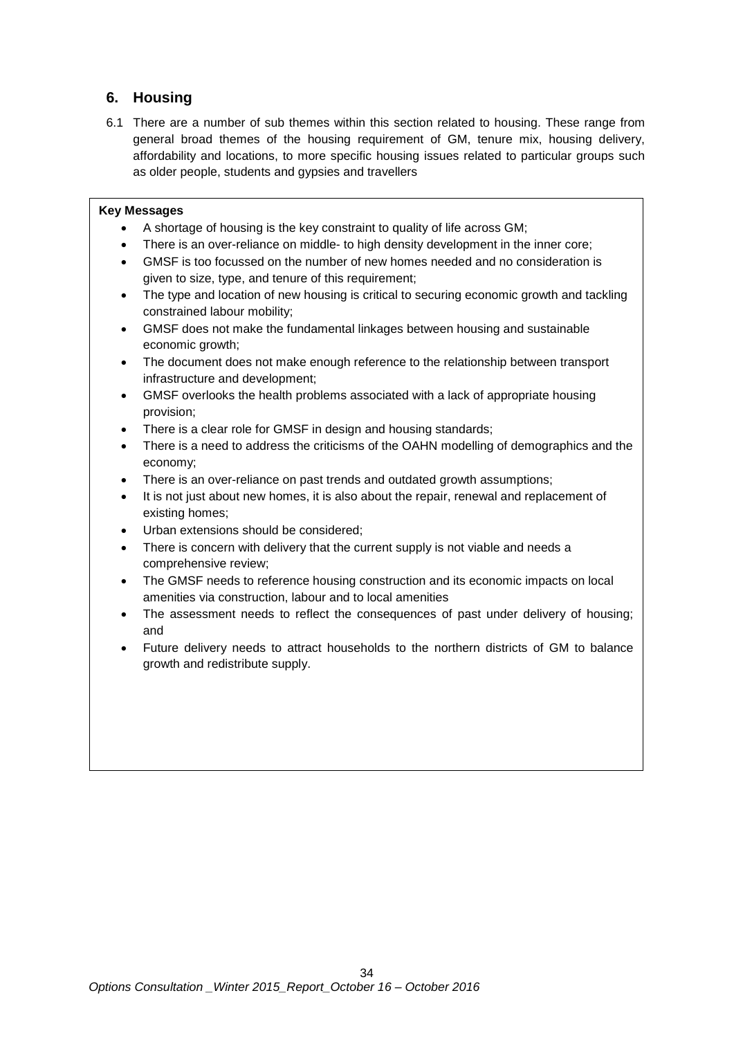## <span id="page-33-0"></span>**6. Housing**

6.1 There are a number of sub themes within this section related to housing. These range from general broad themes of the housing requirement of GM, tenure mix, housing delivery, affordability and locations, to more specific housing issues related to particular groups such as older people, students and gypsies and travellers

#### **Key Messages**

- A shortage of housing is the key constraint to quality of life across GM;
- There is an over-reliance on middle- to high density development in the inner core;
- GMSF is too focussed on the number of new homes needed and no consideration is given to size, type, and tenure of this requirement;
- The type and location of new housing is critical to securing economic growth and tackling constrained labour mobility;
- GMSF does not make the fundamental linkages between housing and sustainable economic growth;
- The document does not make enough reference to the relationship between transport infrastructure and development;
- GMSF overlooks the health problems associated with a lack of appropriate housing provision;
- There is a clear role for GMSF in design and housing standards;
- There is a need to address the criticisms of the OAHN modelling of demographics and the economy;
- There is an over-reliance on past trends and outdated growth assumptions;
- It is not just about new homes, it is also about the repair, renewal and replacement of existing homes;
- Urban extensions should be considered;
- There is concern with delivery that the current supply is not viable and needs a comprehensive review;
- The GMSF needs to reference housing construction and its economic impacts on local amenities via construction, labour and to local amenities
- The assessment needs to reflect the consequences of past under delivery of housing; and
- Future delivery needs to attract households to the northern districts of GM to balance growth and redistribute supply.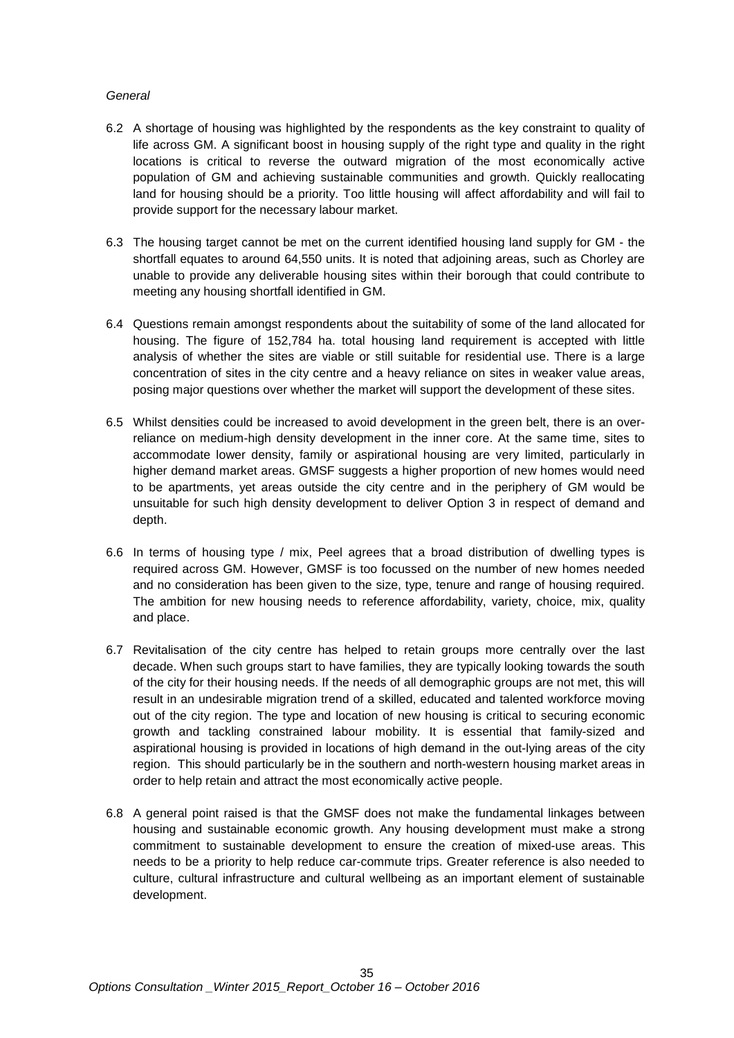#### *General*

- 6.2 A shortage of housing was highlighted by the respondents as the key constraint to quality of life across GM. A significant boost in housing supply of the right type and quality in the right locations is critical to reverse the outward migration of the most economically active population of GM and achieving sustainable communities and growth. Quickly reallocating land for housing should be a priority. Too little housing will affect affordability and will fail to provide support for the necessary labour market.
- 6.3 The housing target cannot be met on the current identified housing land supply for GM the shortfall equates to around 64,550 units. It is noted that adjoining areas, such as Chorley are unable to provide any deliverable housing sites within their borough that could contribute to meeting any housing shortfall identified in GM.
- 6.4 Questions remain amongst respondents about the suitability of some of the land allocated for housing. The figure of 152,784 ha. total housing land requirement is accepted with little analysis of whether the sites are viable or still suitable for residential use. There is a large concentration of sites in the city centre and a heavy reliance on sites in weaker value areas, posing major questions over whether the market will support the development of these sites.
- 6.5 Whilst densities could be increased to avoid development in the green belt, there is an overreliance on medium-high density development in the inner core. At the same time, sites to accommodate lower density, family or aspirational housing are very limited, particularly in higher demand market areas. GMSF suggests a higher proportion of new homes would need to be apartments, yet areas outside the city centre and in the periphery of GM would be unsuitable for such high density development to deliver Option 3 in respect of demand and depth.
- 6.6 In terms of housing type / mix, Peel agrees that a broad distribution of dwelling types is required across GM. However, GMSF is too focussed on the number of new homes needed and no consideration has been given to the size, type, tenure and range of housing required. The ambition for new housing needs to reference affordability, variety, choice, mix, quality and place.
- 6.7 Revitalisation of the city centre has helped to retain groups more centrally over the last decade. When such groups start to have families, they are typically looking towards the south of the city for their housing needs. If the needs of all demographic groups are not met, this will result in an undesirable migration trend of a skilled, educated and talented workforce moving out of the city region. The type and location of new housing is critical to securing economic growth and tackling constrained labour mobility. It is essential that family-sized and aspirational housing is provided in locations of high demand in the out-lying areas of the city region. This should particularly be in the southern and north-western housing market areas in order to help retain and attract the most economically active people.
- 6.8 A general point raised is that the GMSF does not make the fundamental linkages between housing and sustainable economic growth. Any housing development must make a strong commitment to sustainable development to ensure the creation of mixed-use areas. This needs to be a priority to help reduce car-commute trips. Greater reference is also needed to culture, cultural infrastructure and cultural wellbeing as an important element of sustainable development.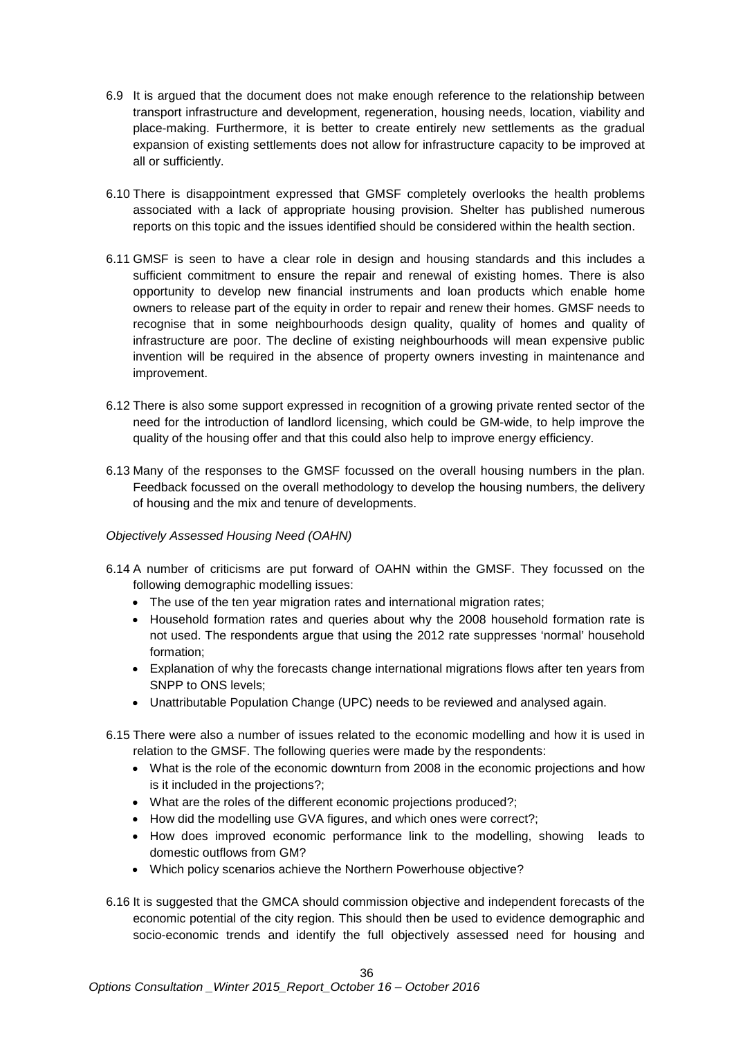- 6.9 It is argued that the document does not make enough reference to the relationship between transport infrastructure and development, regeneration, housing needs, location, viability and place-making. Furthermore, it is better to create entirely new settlements as the gradual expansion of existing settlements does not allow for infrastructure capacity to be improved at all or sufficiently.
- 6.10 There is disappointment expressed that GMSF completely overlooks the health problems associated with a lack of appropriate housing provision. Shelter has published numerous reports on this topic and the issues identified should be considered within the health section.
- 6.11 GMSF is seen to have a clear role in design and housing standards and this includes a sufficient commitment to ensure the repair and renewal of existing homes. There is also opportunity to develop new financial instruments and loan products which enable home owners to release part of the equity in order to repair and renew their homes. GMSF needs to recognise that in some neighbourhoods design quality, quality of homes and quality of infrastructure are poor. The decline of existing neighbourhoods will mean expensive public invention will be required in the absence of property owners investing in maintenance and improvement.
- 6.12 There is also some support expressed in recognition of a growing private rented sector of the need for the introduction of landlord licensing, which could be GM-wide, to help improve the quality of the housing offer and that this could also help to improve energy efficiency.
- 6.13 Many of the responses to the GMSF focussed on the overall housing numbers in the plan. Feedback focussed on the overall methodology to develop the housing numbers, the delivery of housing and the mix and tenure of developments.

#### *Objectively Assessed Housing Need (OAHN)*

- 6.14 A number of criticisms are put forward of OAHN within the GMSF. They focussed on the following demographic modelling issues:
	- The use of the ten year migration rates and international migration rates;
	- Household formation rates and queries about why the 2008 household formation rate is not used. The respondents argue that using the 2012 rate suppresses 'normal' household formation;
	- Explanation of why the forecasts change international migrations flows after ten years from SNPP to ONS levels;
	- Unattributable Population Change (UPC) needs to be reviewed and analysed again.
- 6.15 There were also a number of issues related to the economic modelling and how it is used in relation to the GMSF. The following queries were made by the respondents:
	- What is the role of the economic downturn from 2008 in the economic projections and how is it included in the projections?;
	- What are the roles of the different economic projections produced?;
	- How did the modelling use GVA figures, and which ones were correct?;
	- How does improved economic performance link to the modelling, showing leads to domestic outflows from GM?
	- Which policy scenarios achieve the Northern Powerhouse objective?
- 6.16 It is suggested that the GMCA should commission objective and independent forecasts of the economic potential of the city region. This should then be used to evidence demographic and socio-economic trends and identify the full objectively assessed need for housing and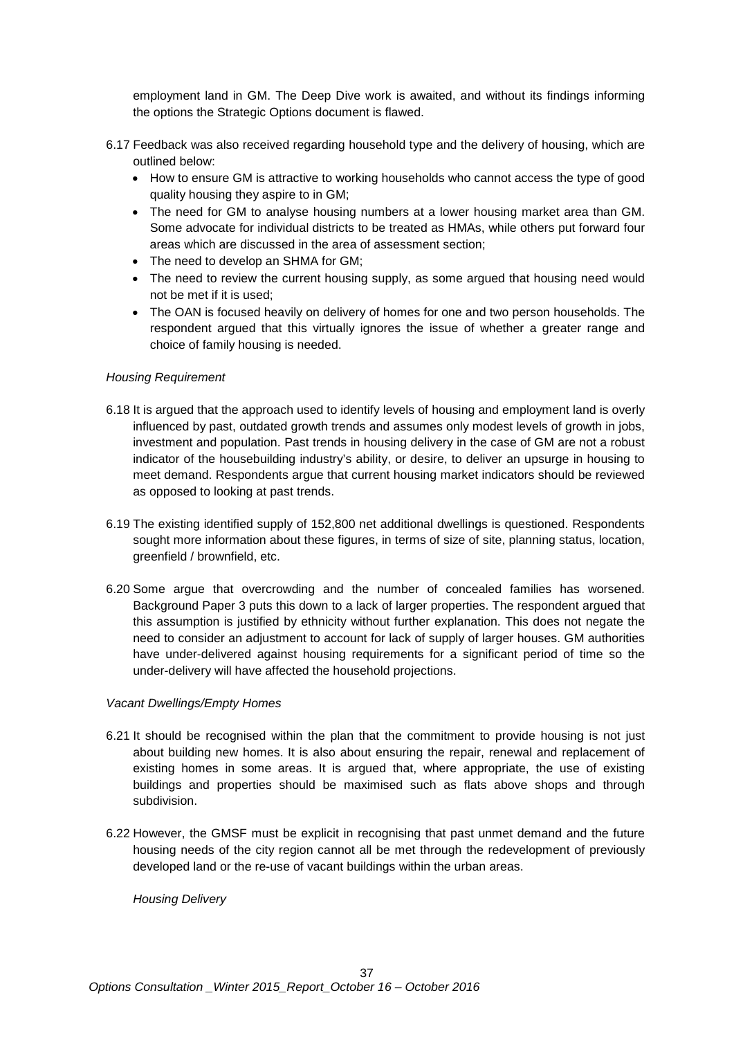employment land in GM. The Deep Dive work is awaited, and without its findings informing the options the Strategic Options document is flawed.

- 6.17 Feedback was also received regarding household type and the delivery of housing, which are outlined below:
	- How to ensure GM is attractive to working households who cannot access the type of good quality housing they aspire to in GM;
	- The need for GM to analyse housing numbers at a lower housing market area than GM. Some advocate for individual districts to be treated as HMAs, while others put forward four areas which are discussed in the area of assessment section;
	- The need to develop an SHMA for GM;
	- The need to review the current housing supply, as some argued that housing need would not be met if it is used;
	- The OAN is focused heavily on delivery of homes for one and two person households. The respondent argued that this virtually ignores the issue of whether a greater range and choice of family housing is needed.

# *Housing Requirement*

- 6.18 It is argued that the approach used to identify levels of housing and employment land is overly influenced by past, outdated growth trends and assumes only modest levels of growth in jobs, investment and population. Past trends in housing delivery in the case of GM are not a robust indicator of the housebuilding industry's ability, or desire, to deliver an upsurge in housing to meet demand. Respondents argue that current housing market indicators should be reviewed as opposed to looking at past trends.
- 6.19 The existing identified supply of 152,800 net additional dwellings is questioned. Respondents sought more information about these figures, in terms of size of site, planning status, location, greenfield / brownfield, etc.
- 6.20 Some argue that overcrowding and the number of concealed families has worsened. Background Paper 3 puts this down to a lack of larger properties. The respondent argued that this assumption is justified by ethnicity without further explanation. This does not negate the need to consider an adjustment to account for lack of supply of larger houses. GM authorities have under-delivered against housing requirements for a significant period of time so the under-delivery will have affected the household projections.

# *Vacant Dwellings/Empty Homes*

- 6.21 It should be recognised within the plan that the commitment to provide housing is not just about building new homes. It is also about ensuring the repair, renewal and replacement of existing homes in some areas. It is argued that, where appropriate, the use of existing buildings and properties should be maximised such as flats above shops and through subdivision.
- 6.22 However, the GMSF must be explicit in recognising that past unmet demand and the future housing needs of the city region cannot all be met through the redevelopment of previously developed land or the re-use of vacant buildings within the urban areas.

*Housing Delivery*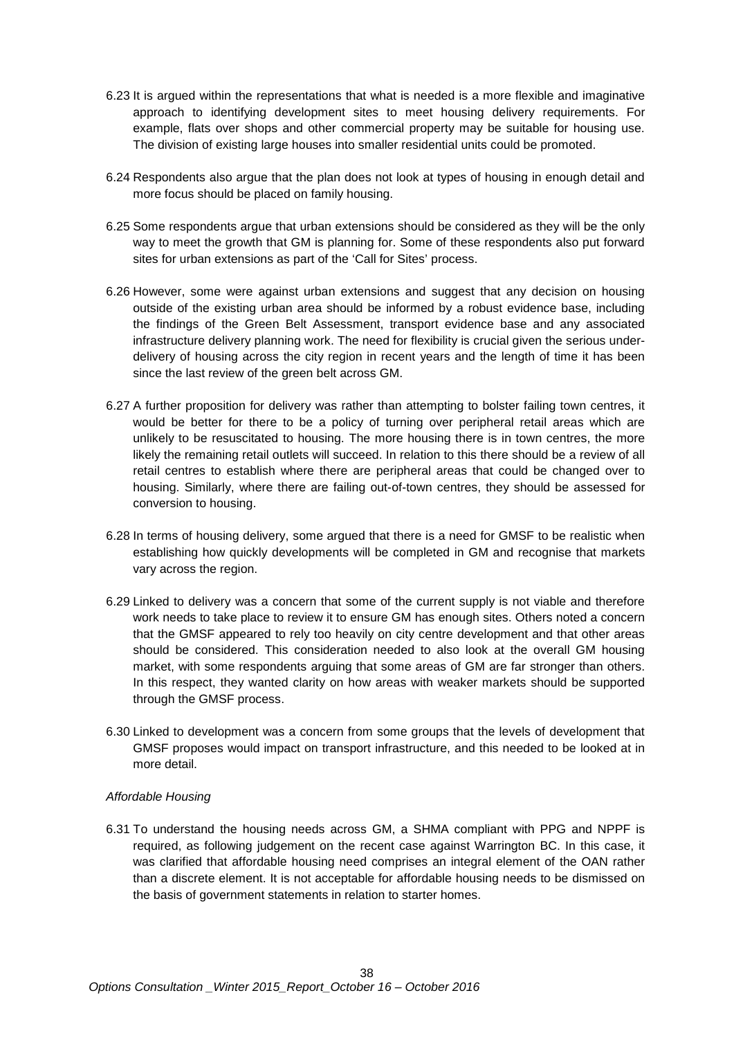- 6.23 It is argued within the representations that what is needed is a more flexible and imaginative approach to identifying development sites to meet housing delivery requirements. For example, flats over shops and other commercial property may be suitable for housing use. The division of existing large houses into smaller residential units could be promoted.
- 6.24 Respondents also argue that the plan does not look at types of housing in enough detail and more focus should be placed on family housing.
- 6.25 Some respondents argue that urban extensions should be considered as they will be the only way to meet the growth that GM is planning for. Some of these respondents also put forward sites for urban extensions as part of the 'Call for Sites' process.
- 6.26 However, some were against urban extensions and suggest that any decision on housing outside of the existing urban area should be informed by a robust evidence base, including the findings of the Green Belt Assessment, transport evidence base and any associated infrastructure delivery planning work. The need for flexibility is crucial given the serious underdelivery of housing across the city region in recent years and the length of time it has been since the last review of the green belt across GM.
- 6.27 A further proposition for delivery was rather than attempting to bolster failing town centres, it would be better for there to be a policy of turning over peripheral retail areas which are unlikely to be resuscitated to housing. The more housing there is in town centres, the more likely the remaining retail outlets will succeed. In relation to this there should be a review of all retail centres to establish where there are peripheral areas that could be changed over to housing. Similarly, where there are failing out-of-town centres, they should be assessed for conversion to housing.
- 6.28 In terms of housing delivery, some argued that there is a need for GMSF to be realistic when establishing how quickly developments will be completed in GM and recognise that markets vary across the region.
- 6.29 Linked to delivery was a concern that some of the current supply is not viable and therefore work needs to take place to review it to ensure GM has enough sites. Others noted a concern that the GMSF appeared to rely too heavily on city centre development and that other areas should be considered. This consideration needed to also look at the overall GM housing market, with some respondents arguing that some areas of GM are far stronger than others. In this respect, they wanted clarity on how areas with weaker markets should be supported through the GMSF process.
- 6.30 Linked to development was a concern from some groups that the levels of development that GMSF proposes would impact on transport infrastructure, and this needed to be looked at in more detail.

# *Affordable Housing*

6.31 To understand the housing needs across GM, a SHMA compliant with PPG and NPPF is required, as following judgement on the recent case against Warrington BC. In this case, it was clarified that affordable housing need comprises an integral element of the OAN rather than a discrete element. It is not acceptable for affordable housing needs to be dismissed on the basis of government statements in relation to starter homes.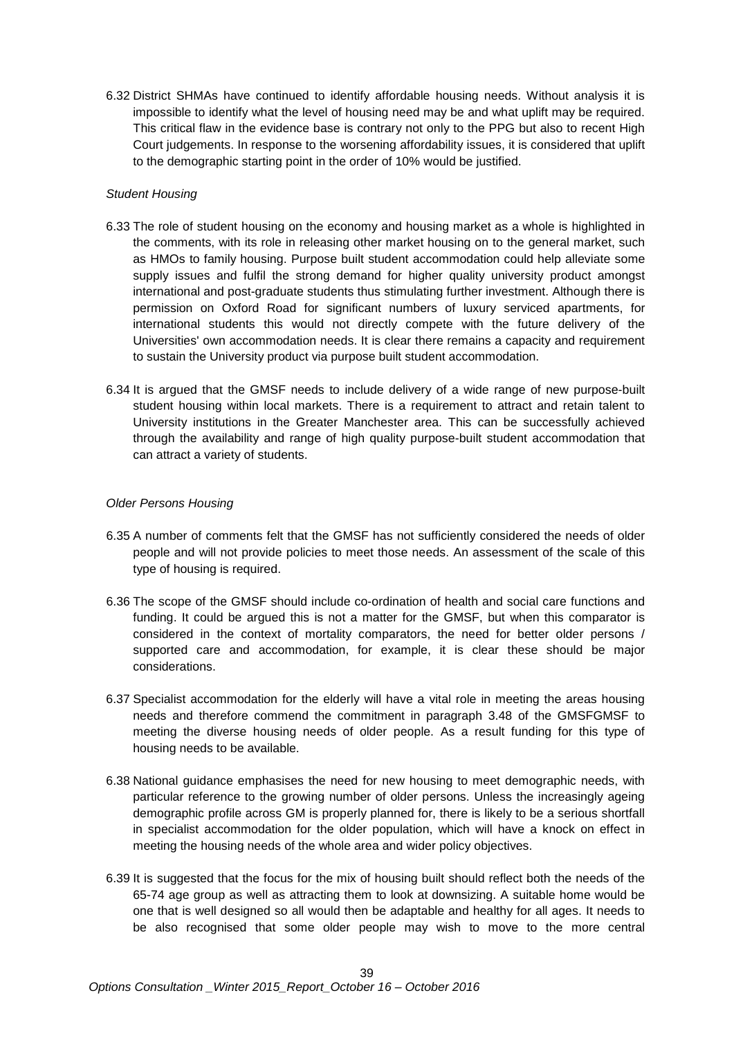6.32 District SHMAs have continued to identify affordable housing needs. Without analysis it is impossible to identify what the level of housing need may be and what uplift may be required. This critical flaw in the evidence base is contrary not only to the PPG but also to recent High Court judgements. In response to the worsening affordability issues, it is considered that uplift to the demographic starting point in the order of 10% would be justified.

## *Student Housing*

- 6.33 The role of student housing on the economy and housing market as a whole is highlighted in the comments, with its role in releasing other market housing on to the general market, such as HMOs to family housing. Purpose built student accommodation could help alleviate some supply issues and fulfil the strong demand for higher quality university product amongst international and post-graduate students thus stimulating further investment. Although there is permission on Oxford Road for significant numbers of luxury serviced apartments, for international students this would not directly compete with the future delivery of the Universities' own accommodation needs. It is clear there remains a capacity and requirement to sustain the University product via purpose built student accommodation.
- 6.34 It is argued that the GMSF needs to include delivery of a wide range of new purpose-built student housing within local markets. There is a requirement to attract and retain talent to University institutions in the Greater Manchester area. This can be successfully achieved through the availability and range of high quality purpose-built student accommodation that can attract a variety of students.

## *Older Persons Housing*

- 6.35 A number of comments felt that the GMSF has not sufficiently considered the needs of older people and will not provide policies to meet those needs. An assessment of the scale of this type of housing is required.
- 6.36 The scope of the GMSF should include co-ordination of health and social care functions and funding. It could be argued this is not a matter for the GMSF, but when this comparator is considered in the context of mortality comparators, the need for better older persons / supported care and accommodation, for example, it is clear these should be major considerations.
- 6.37 Specialist accommodation for the elderly will have a vital role in meeting the areas housing needs and therefore commend the commitment in paragraph 3.48 of the GMSFGMSF to meeting the diverse housing needs of older people. As a result funding for this type of housing needs to be available.
- 6.38 National guidance emphasises the need for new housing to meet demographic needs, with particular reference to the growing number of older persons. Unless the increasingly ageing demographic profile across GM is properly planned for, there is likely to be a serious shortfall in specialist accommodation for the older population, which will have a knock on effect in meeting the housing needs of the whole area and wider policy objectives.
- 6.39 It is suggested that the focus for the mix of housing built should reflect both the needs of the 65-74 age group as well as attracting them to look at downsizing. A suitable home would be one that is well designed so all would then be adaptable and healthy for all ages. It needs to be also recognised that some older people may wish to move to the more central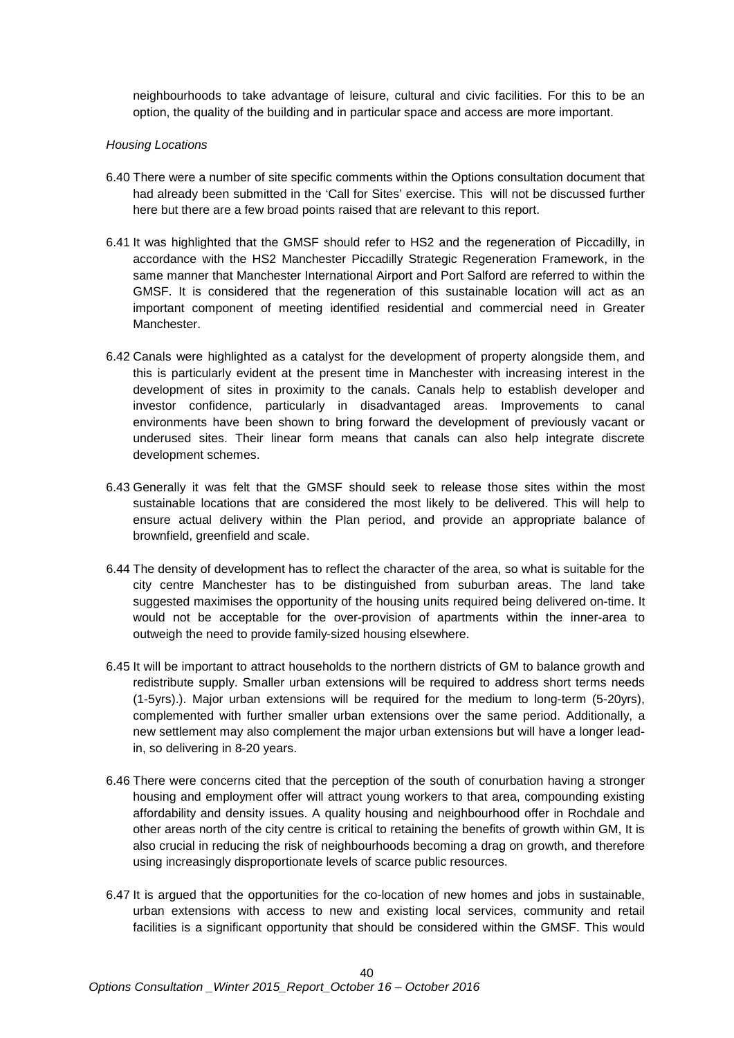neighbourhoods to take advantage of leisure, cultural and civic facilities. For this to be an option, the quality of the building and in particular space and access are more important.

#### *Housing Locations*

- 6.40 There were a number of site specific comments within the Options consultation document that had already been submitted in the 'Call for Sites' exercise. This will not be discussed further here but there are a few broad points raised that are relevant to this report.
- 6.41 It was highlighted that the GMSF should refer to HS2 and the regeneration of Piccadilly, in accordance with the HS2 Manchester Piccadilly Strategic Regeneration Framework, in the same manner that Manchester International Airport and Port Salford are referred to within the GMSF. It is considered that the regeneration of this sustainable location will act as an important component of meeting identified residential and commercial need in Greater Manchester.
- 6.42 Canals were highlighted as a catalyst for the development of property alongside them, and this is particularly evident at the present time in Manchester with increasing interest in the development of sites in proximity to the canals. Canals help to establish developer and investor confidence, particularly in disadvantaged areas. Improvements to canal environments have been shown to bring forward the development of previously vacant or underused sites. Their linear form means that canals can also help integrate discrete development schemes.
- 6.43 Generally it was felt that the GMSF should seek to release those sites within the most sustainable locations that are considered the most likely to be delivered. This will help to ensure actual delivery within the Plan period, and provide an appropriate balance of brownfield, greenfield and scale.
- 6.44 The density of development has to reflect the character of the area, so what is suitable for the city centre Manchester has to be distinguished from suburban areas. The land take suggested maximises the opportunity of the housing units required being delivered on-time. It would not be acceptable for the over-provision of apartments within the inner-area to outweigh the need to provide family-sized housing elsewhere.
- 6.45 It will be important to attract households to the northern districts of GM to balance growth and redistribute supply. Smaller urban extensions will be required to address short terms needs (1-5yrs).). Major urban extensions will be required for the medium to long-term (5-20yrs), complemented with further smaller urban extensions over the same period. Additionally, a new settlement may also complement the major urban extensions but will have a longer leadin, so delivering in 8-20 years.
- 6.46 There were concerns cited that the perception of the south of conurbation having a stronger housing and employment offer will attract young workers to that area, compounding existing affordability and density issues. A quality housing and neighbourhood offer in Rochdale and other areas north of the city centre is critical to retaining the benefits of growth within GM, It is also crucial in reducing the risk of neighbourhoods becoming a drag on growth, and therefore using increasingly disproportionate levels of scarce public resources.
- 6.47 It is argued that the opportunities for the co-location of new homes and jobs in sustainable, urban extensions with access to new and existing local services, community and retail facilities is a significant opportunity that should be considered within the GMSF. This would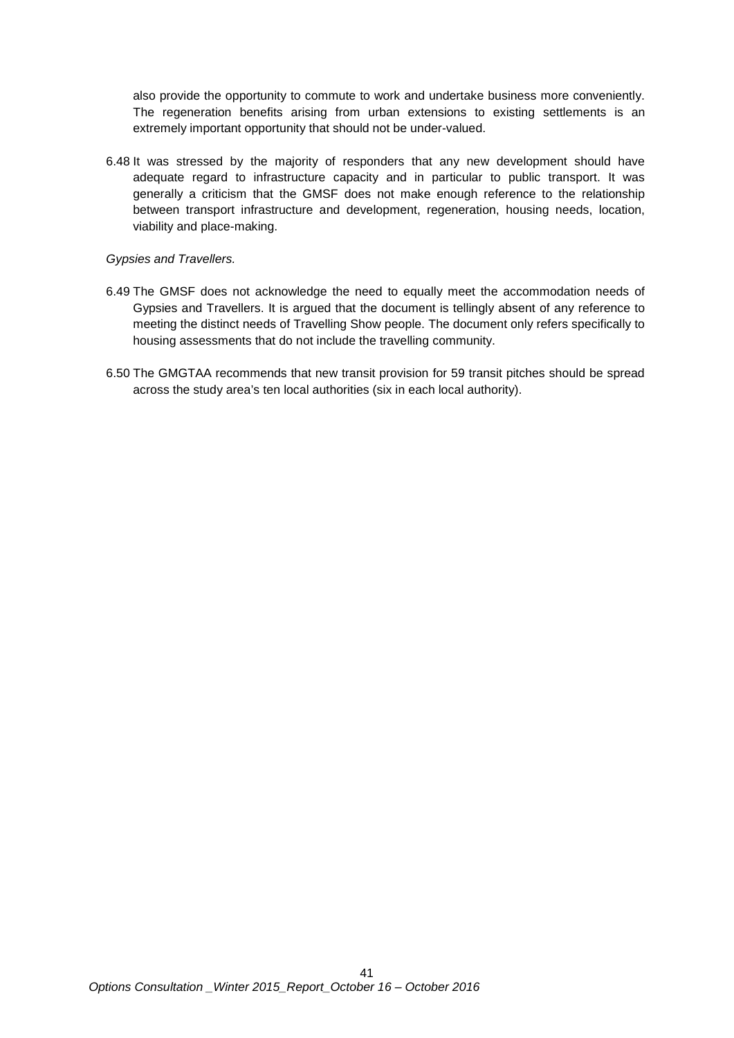also provide the opportunity to commute to work and undertake business more conveniently. The regeneration benefits arising from urban extensions to existing settlements is an extremely important opportunity that should not be under-valued.

6.48 It was stressed by the majority of responders that any new development should have adequate regard to infrastructure capacity and in particular to public transport. It was generally a criticism that the GMSF does not make enough reference to the relationship between transport infrastructure and development, regeneration, housing needs, location, viability and place-making.

# *Gypsies and Travellers.*

- 6.49 The GMSF does not acknowledge the need to equally meet the accommodation needs of Gypsies and Travellers. It is argued that the document is tellingly absent of any reference to meeting the distinct needs of Travelling Show people. The document only refers specifically to housing assessments that do not include the travelling community.
- 6.50 The GMGTAA recommends that new transit provision for 59 transit pitches should be spread across the study area's ten local authorities (six in each local authority).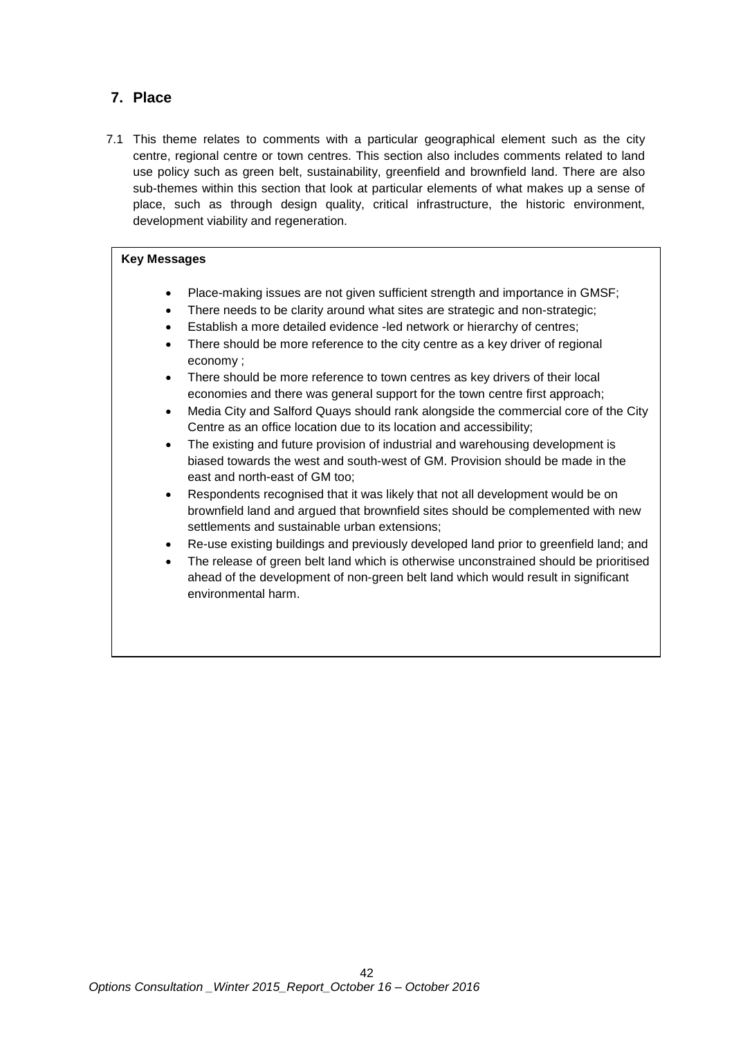# **7. Place**

7.1 This theme relates to comments with a particular geographical element such as the city centre, regional centre or town centres. This section also includes comments related to land use policy such as green belt, sustainability, greenfield and brownfield land. There are also sub-themes within this section that look at particular elements of what makes up a sense of place, such as through design quality, critical infrastructure, the historic environment, development viability and regeneration.

# **Key Messages**

- Place-making issues are not given sufficient strength and importance in GMSF;
- There needs to be clarity around what sites are strategic and non-strategic;
- Establish a more detailed evidence -led network or hierarchy of centres;
- There should be more reference to the city centre as a key driver of regional economy ;
- There should be more reference to town centres as key drivers of their local economies and there was general support for the town centre first approach;
- Media City and Salford Quays should rank alongside the commercial core of the City Centre as an office location due to its location and accessibility;
- The existing and future provision of industrial and warehousing development is biased towards the west and south-west of GM. Provision should be made in the east and north-east of GM too;
- Respondents recognised that it was likely that not all development would be on brownfield land and argued that brownfield sites should be complemented with new settlements and sustainable urban extensions;
- Re-use existing buildings and previously developed land prior to greenfield land; and
- The release of green belt land which is otherwise unconstrained should be prioritised ahead of the development of non-green belt land which would result in significant environmental harm.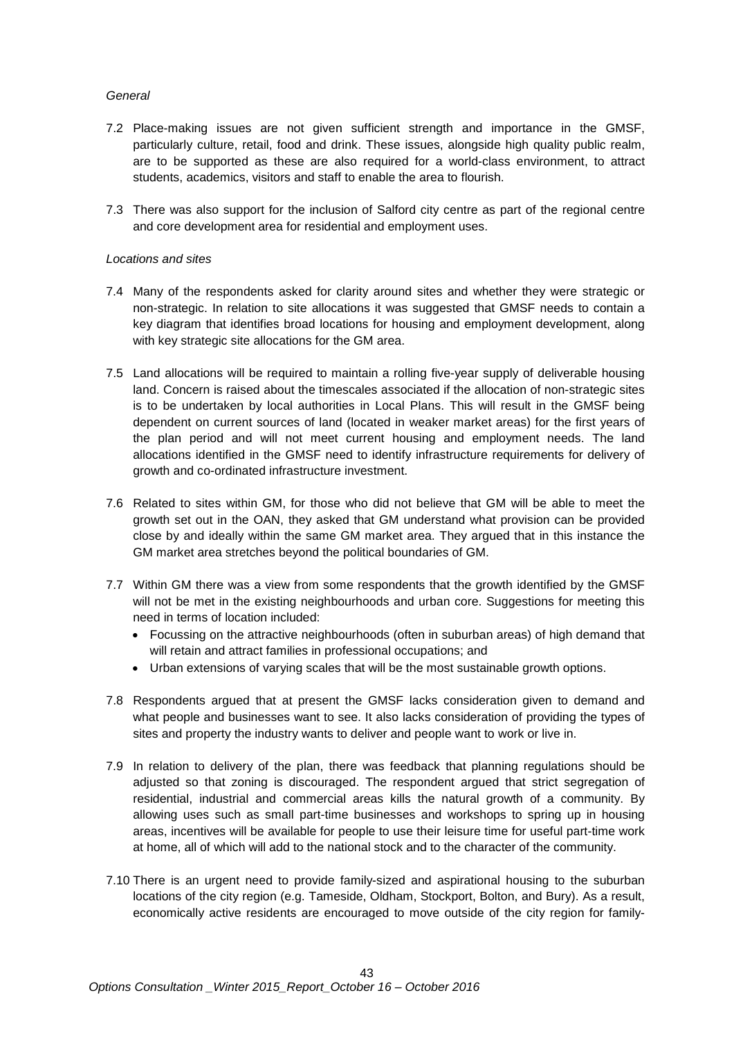# *General*

- 7.2 Place-making issues are not given sufficient strength and importance in the GMSF, particularly culture, retail, food and drink. These issues, alongside high quality public realm, are to be supported as these are also required for a world-class environment, to attract students, academics, visitors and staff to enable the area to flourish.
- 7.3 There was also support for the inclusion of Salford city centre as part of the regional centre and core development area for residential and employment uses.

## *Locations and sites*

- 7.4 Many of the respondents asked for clarity around sites and whether they were strategic or non-strategic. In relation to site allocations it was suggested that GMSF needs to contain a key diagram that identifies broad locations for housing and employment development, along with key strategic site allocations for the GM area.
- 7.5 Land allocations will be required to maintain a rolling five-year supply of deliverable housing land. Concern is raised about the timescales associated if the allocation of non-strategic sites is to be undertaken by local authorities in Local Plans. This will result in the GMSF being dependent on current sources of land (located in weaker market areas) for the first years of the plan period and will not meet current housing and employment needs. The land allocations identified in the GMSF need to identify infrastructure requirements for delivery of growth and co-ordinated infrastructure investment.
- 7.6 Related to sites within GM, for those who did not believe that GM will be able to meet the growth set out in the OAN, they asked that GM understand what provision can be provided close by and ideally within the same GM market area. They argued that in this instance the GM market area stretches beyond the political boundaries of GM.
- 7.7 Within GM there was a view from some respondents that the growth identified by the GMSF will not be met in the existing neighbourhoods and urban core. Suggestions for meeting this need in terms of location included:
	- Focussing on the attractive neighbourhoods (often in suburban areas) of high demand that will retain and attract families in professional occupations; and
	- Urban extensions of varying scales that will be the most sustainable growth options.
- 7.8 Respondents argued that at present the GMSF lacks consideration given to demand and what people and businesses want to see. It also lacks consideration of providing the types of sites and property the industry wants to deliver and people want to work or live in.
- 7.9 In relation to delivery of the plan, there was feedback that planning regulations should be adjusted so that zoning is discouraged. The respondent argued that strict segregation of residential, industrial and commercial areas kills the natural growth of a community. By allowing uses such as small part-time businesses and workshops to spring up in housing areas, incentives will be available for people to use their leisure time for useful part-time work at home, all of which will add to the national stock and to the character of the community.
- 7.10 There is an urgent need to provide family-sized and aspirational housing to the suburban locations of the city region (e.g. Tameside, Oldham, Stockport, Bolton, and Bury). As a result, economically active residents are encouraged to move outside of the city region for family-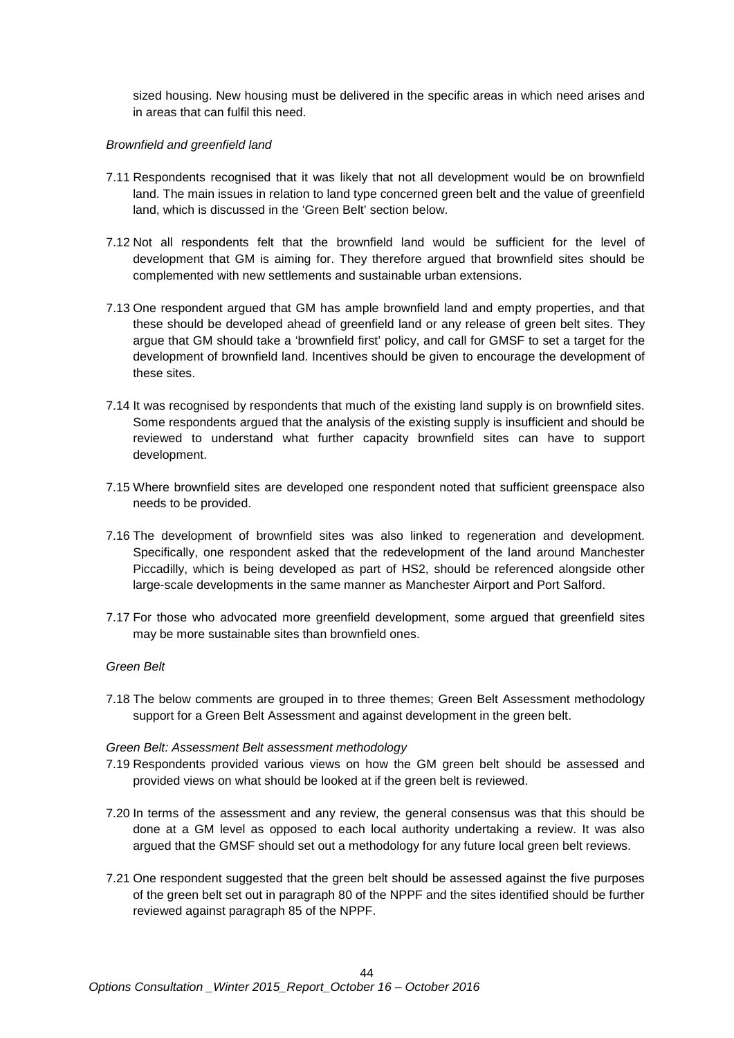sized housing. New housing must be delivered in the specific areas in which need arises and in areas that can fulfil this need.

### *Brownfield and greenfield land*

- 7.11 Respondents recognised that it was likely that not all development would be on brownfield land. The main issues in relation to land type concerned green belt and the value of greenfield land, which is discussed in the 'Green Belt' section below.
- 7.12 Not all respondents felt that the brownfield land would be sufficient for the level of development that GM is aiming for. They therefore argued that brownfield sites should be complemented with new settlements and sustainable urban extensions.
- 7.13 One respondent argued that GM has ample brownfield land and empty properties, and that these should be developed ahead of greenfield land or any release of green belt sites. They argue that GM should take a 'brownfield first' policy, and call for GMSF to set a target for the development of brownfield land. Incentives should be given to encourage the development of these sites.
- 7.14 It was recognised by respondents that much of the existing land supply is on brownfield sites. Some respondents argued that the analysis of the existing supply is insufficient and should be reviewed to understand what further capacity brownfield sites can have to support development.
- 7.15 Where brownfield sites are developed one respondent noted that sufficient greenspace also needs to be provided.
- 7.16 The development of brownfield sites was also linked to regeneration and development. Specifically, one respondent asked that the redevelopment of the land around Manchester Piccadilly, which is being developed as part of HS2, should be referenced alongside other large-scale developments in the same manner as Manchester Airport and Port Salford.
- 7.17 For those who advocated more greenfield development, some argued that greenfield sites may be more sustainable sites than brownfield ones.

# *Green Belt*

7.18 The below comments are grouped in to three themes; Green Belt Assessment methodology support for a Green Belt Assessment and against development in the green belt.

#### *Green Belt: Assessment Belt assessment methodology*

- 7.19 Respondents provided various views on how the GM green belt should be assessed and provided views on what should be looked at if the green belt is reviewed.
- 7.20 In terms of the assessment and any review, the general consensus was that this should be done at a GM level as opposed to each local authority undertaking a review. It was also argued that the GMSF should set out a methodology for any future local green belt reviews.
- 7.21 One respondent suggested that the green belt should be assessed against the five purposes of the green belt set out in paragraph 80 of the NPPF and the sites identified should be further reviewed against paragraph 85 of the NPPF.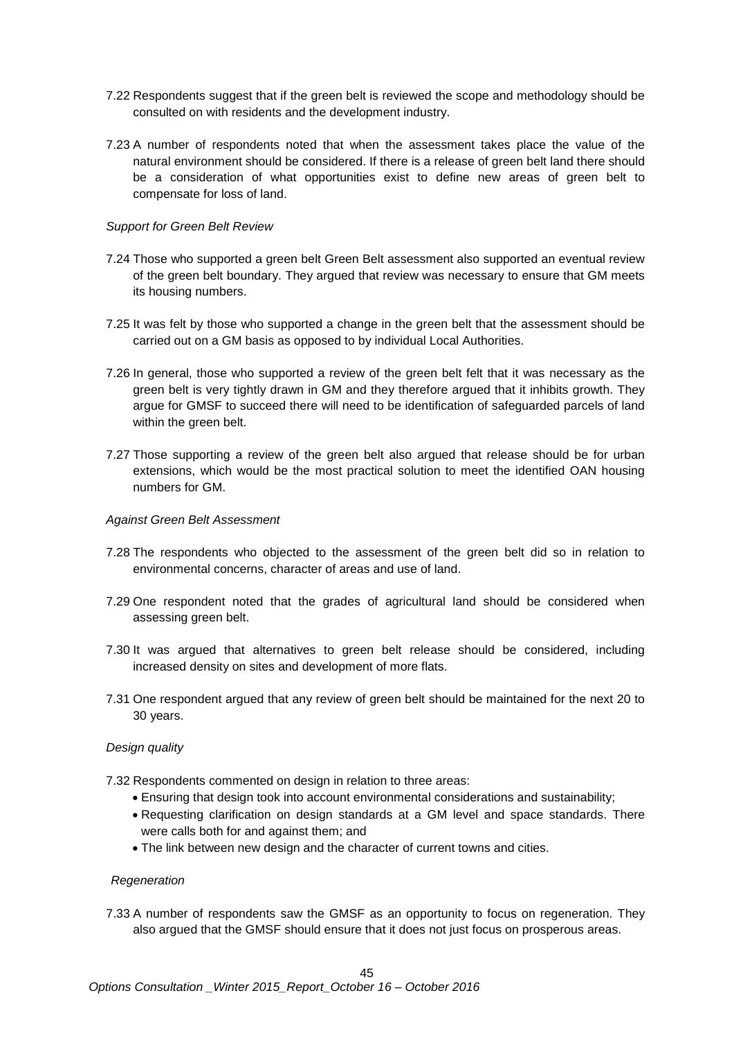- 7.22 Respondents suggest that if the green belt is reviewed the scope and methodology should be consulted on with residents and the development industry.
- 7.23 A number of respondents noted that when the assessment takes place the value of the natural environment should be considered. If there is a release of green belt land there should be a consideration of what opportunities exist to define new areas of green belt to compensate for loss of land.

## *Support for Green Belt Review*

- 7.24 Those who supported a green belt Green Belt assessment also supported an eventual review of the green belt boundary. They argued that review was necessary to ensure that GM meets its housing numbers.
- 7.25 It was felt by those who supported a change in the green belt that the assessment should be carried out on a GM basis as opposed to by individual Local Authorities.
- 7.26 In general, those who supported a review of the green belt felt that it was necessary as the green belt is very tightly drawn in GM and they therefore argued that it inhibits growth. They argue for GMSF to succeed there will need to be identification of safeguarded parcels of land within the green belt.
- 7.27 Those supporting a review of the green belt also argued that release should be for urban extensions, which would be the most practical solution to meet the identified OAN housing numbers for GM.

#### *Against Green Belt Assessment*

- 7.28 The respondents who objected to the assessment of the green belt did so in relation to environmental concerns, character of areas and use of land.
- 7.29 One respondent noted that the grades of agricultural land should be considered when assessing green belt.
- 7.30 It was argued that alternatives to green belt release should be considered, including increased density on sites and development of more flats.
- 7.31 One respondent argued that any review of green belt should be maintained for the next 20 to 30 years.

# *Design quality*

- 7.32 Respondents commented on design in relation to three areas:
	- Ensuring that design took into account environmental considerations and sustainability;
	- Requesting clarification on design standards at a GM level and space standards. There were calls both for and against them; and
	- The link between new design and the character of current towns and cities.

#### *Regeneration*

7.33 A number of respondents saw the GMSF as an opportunity to focus on regeneration. They also argued that the GMSF should ensure that it does not just focus on prosperous areas.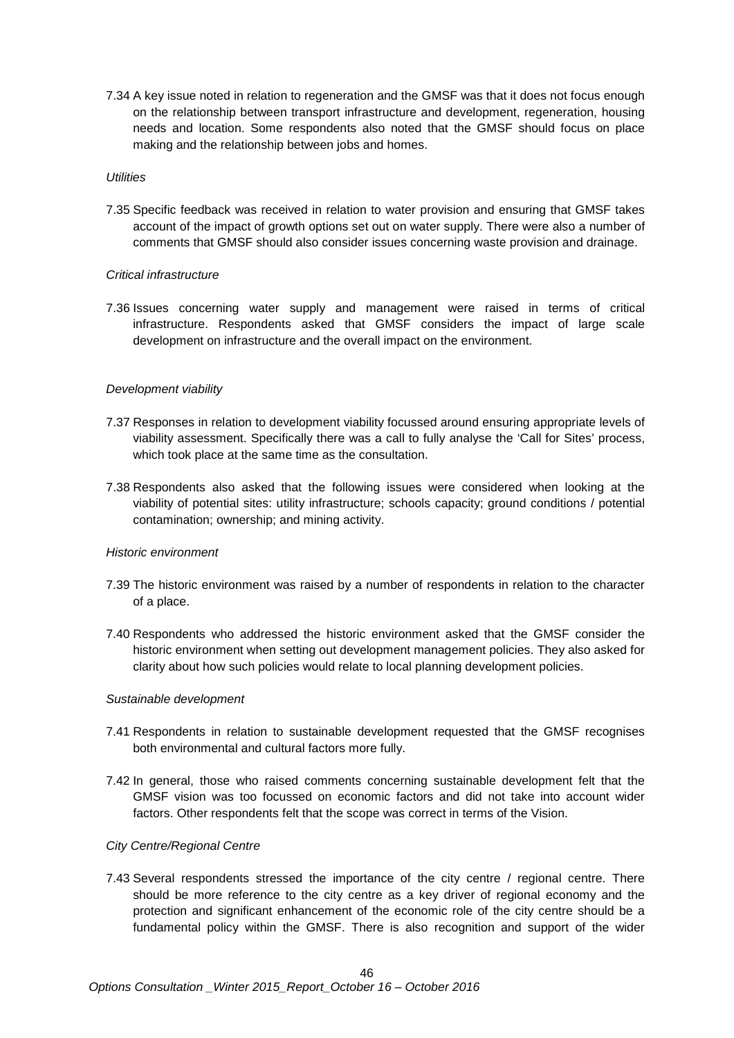7.34 A key issue noted in relation to regeneration and the GMSF was that it does not focus enough on the relationship between transport infrastructure and development, regeneration, housing needs and location. Some respondents also noted that the GMSF should focus on place making and the relationship between jobs and homes.

#### *Utilities*

7.35 Specific feedback was received in relation to water provision and ensuring that GMSF takes account of the impact of growth options set out on water supply. There were also a number of comments that GMSF should also consider issues concerning waste provision and drainage.

# *Critical infrastructure*

7.36 Issues concerning water supply and management were raised in terms of critical infrastructure. Respondents asked that GMSF considers the impact of large scale development on infrastructure and the overall impact on the environment.

### *Development viability*

- 7.37 Responses in relation to development viability focussed around ensuring appropriate levels of viability assessment. Specifically there was a call to fully analyse the 'Call for Sites' process, which took place at the same time as the consultation.
- 7.38 Respondents also asked that the following issues were considered when looking at the viability of potential sites: utility infrastructure; schools capacity; ground conditions / potential contamination; ownership; and mining activity.

#### *Historic environment*

- 7.39 The historic environment was raised by a number of respondents in relation to the character of a place.
- 7.40 Respondents who addressed the historic environment asked that the GMSF consider the historic environment when setting out development management policies. They also asked for clarity about how such policies would relate to local planning development policies.

# *Sustainable development*

- 7.41 Respondents in relation to sustainable development requested that the GMSF recognises both environmental and cultural factors more fully.
- 7.42 In general, those who raised comments concerning sustainable development felt that the GMSF vision was too focussed on economic factors and did not take into account wider factors. Other respondents felt that the scope was correct in terms of the Vision.

# *City Centre/Regional Centre*

7.43 Several respondents stressed the importance of the city centre / regional centre. There should be more reference to the city centre as a key driver of regional economy and the protection and significant enhancement of the economic role of the city centre should be a fundamental policy within the GMSF. There is also recognition and support of the wider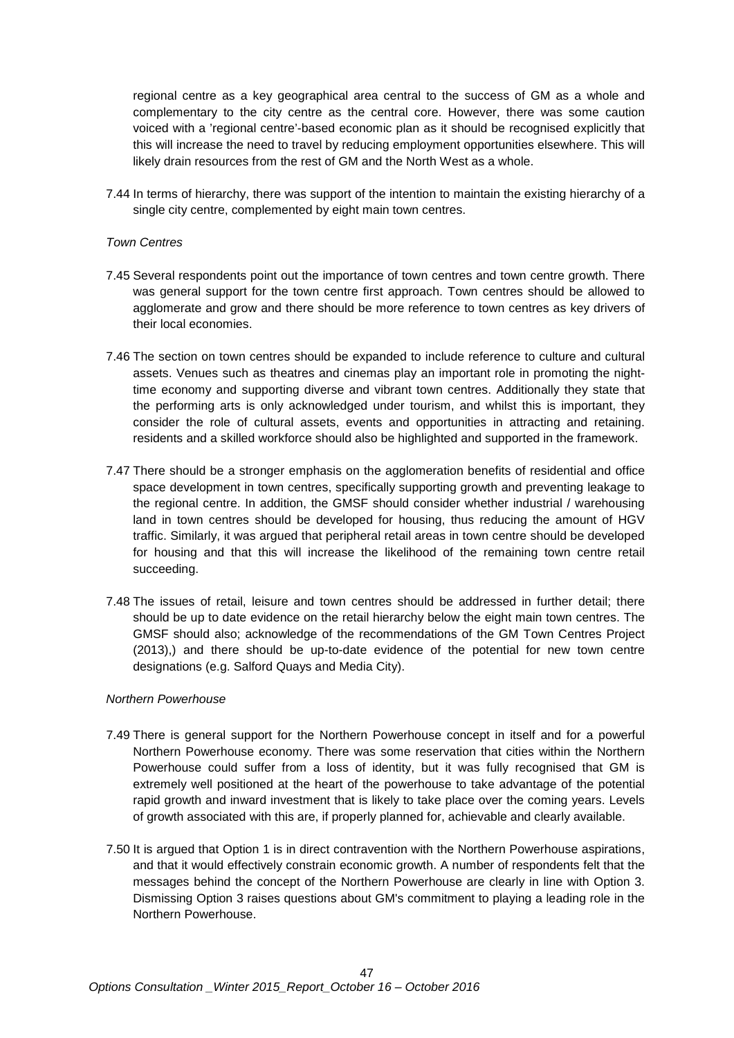regional centre as a key geographical area central to the success of GM as a whole and complementary to the city centre as the central core. However, there was some caution voiced with a 'regional centre'-based economic plan as it should be recognised explicitly that this will increase the need to travel by reducing employment opportunities elsewhere. This will likely drain resources from the rest of GM and the North West as a whole.

7.44 In terms of hierarchy, there was support of the intention to maintain the existing hierarchy of a single city centre, complemented by eight main town centres.

#### *Town Centres*

- 7.45 Several respondents point out the importance of town centres and town centre growth. There was general support for the town centre first approach. Town centres should be allowed to agglomerate and grow and there should be more reference to town centres as key drivers of their local economies.
- 7.46 The section on town centres should be expanded to include reference to culture and cultural assets. Venues such as theatres and cinemas play an important role in promoting the nighttime economy and supporting diverse and vibrant town centres. Additionally they state that the performing arts is only acknowledged under tourism, and whilst this is important, they consider the role of cultural assets, events and opportunities in attracting and retaining. residents and a skilled workforce should also be highlighted and supported in the framework.
- 7.47 There should be a stronger emphasis on the agglomeration benefits of residential and office space development in town centres, specifically supporting growth and preventing leakage to the regional centre. In addition, the GMSF should consider whether industrial / warehousing land in town centres should be developed for housing, thus reducing the amount of HGV traffic. Similarly, it was argued that peripheral retail areas in town centre should be developed for housing and that this will increase the likelihood of the remaining town centre retail succeeding.
- 7.48 The issues of retail, leisure and town centres should be addressed in further detail; there should be up to date evidence on the retail hierarchy below the eight main town centres. The GMSF should also; acknowledge of the recommendations of the GM Town Centres Project (2013),) and there should be up-to-date evidence of the potential for new town centre designations (e.g. Salford Quays and Media City).

#### *Northern Powerhouse*

- 7.49 There is general support for the Northern Powerhouse concept in itself and for a powerful Northern Powerhouse economy. There was some reservation that cities within the Northern Powerhouse could suffer from a loss of identity, but it was fully recognised that GM is extremely well positioned at the heart of the powerhouse to take advantage of the potential rapid growth and inward investment that is likely to take place over the coming years. Levels of growth associated with this are, if properly planned for, achievable and clearly available.
- 7.50 It is argued that Option 1 is in direct contravention with the Northern Powerhouse aspirations, and that it would effectively constrain economic growth. A number of respondents felt that the messages behind the concept of the Northern Powerhouse are clearly in line with Option 3. Dismissing Option 3 raises questions about GM's commitment to playing a leading role in the Northern Powerhouse.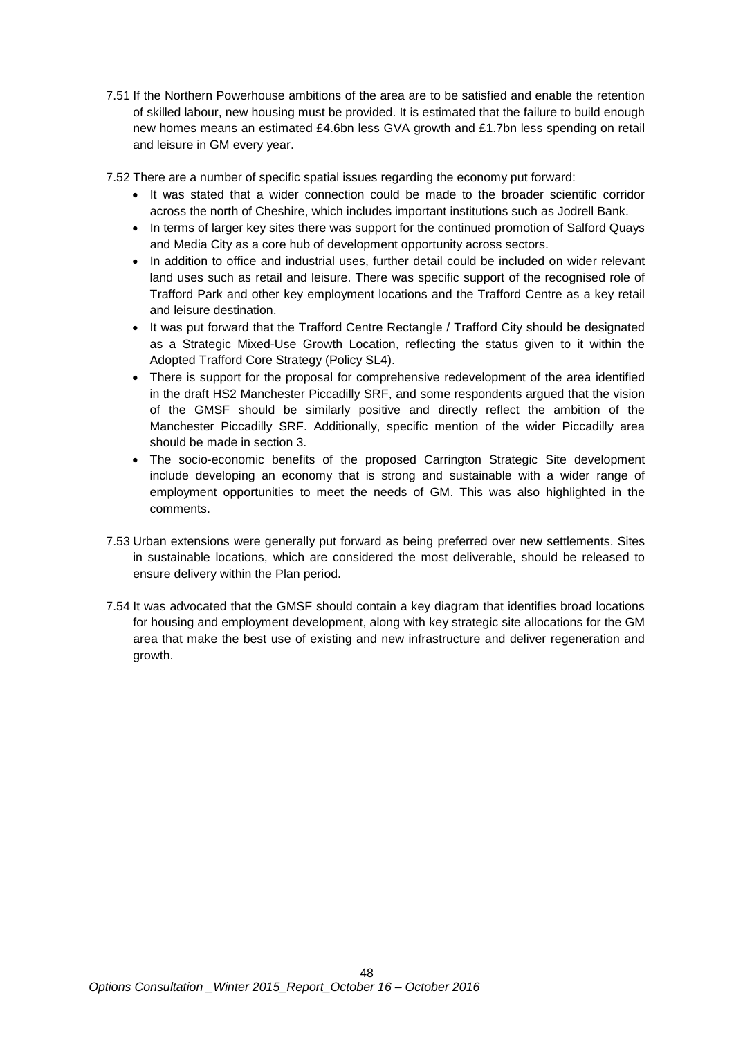7.51 If the Northern Powerhouse ambitions of the area are to be satisfied and enable the retention of skilled labour, new housing must be provided. It is estimated that the failure to build enough new homes means an estimated £4.6bn less GVA growth and £1.7bn less spending on retail and leisure in GM every year.

7.52 There are a number of specific spatial issues regarding the economy put forward:

- It was stated that a wider connection could be made to the broader scientific corridor across the north of Cheshire, which includes important institutions such as Jodrell Bank.
- In terms of larger key sites there was support for the continued promotion of Salford Quays and Media City as a core hub of development opportunity across sectors.
- In addition to office and industrial uses, further detail could be included on wider relevant land uses such as retail and leisure. There was specific support of the recognised role of Trafford Park and other key employment locations and the Trafford Centre as a key retail and leisure destination.
- It was put forward that the Trafford Centre Rectangle / Trafford City should be designated as a Strategic Mixed-Use Growth Location, reflecting the status given to it within the Adopted Trafford Core Strategy (Policy SL4).
- There is support for the proposal for comprehensive redevelopment of the area identified in the draft HS2 Manchester Piccadilly SRF, and some respondents argued that the vision of the GMSF should be similarly positive and directly reflect the ambition of the Manchester Piccadilly SRF. Additionally, specific mention of the wider Piccadilly area should be made in section 3.
- The socio-economic benefits of the proposed Carrington Strategic Site development include developing an economy that is strong and sustainable with a wider range of employment opportunities to meet the needs of GM. This was also highlighted in the comments.
- 7.53 Urban extensions were generally put forward as being preferred over new settlements. Sites in sustainable locations, which are considered the most deliverable, should be released to ensure delivery within the Plan period.
- 7.54 It was advocated that the GMSF should contain a key diagram that identifies broad locations for housing and employment development, along with key strategic site allocations for the GM area that make the best use of existing and new infrastructure and deliver regeneration and growth.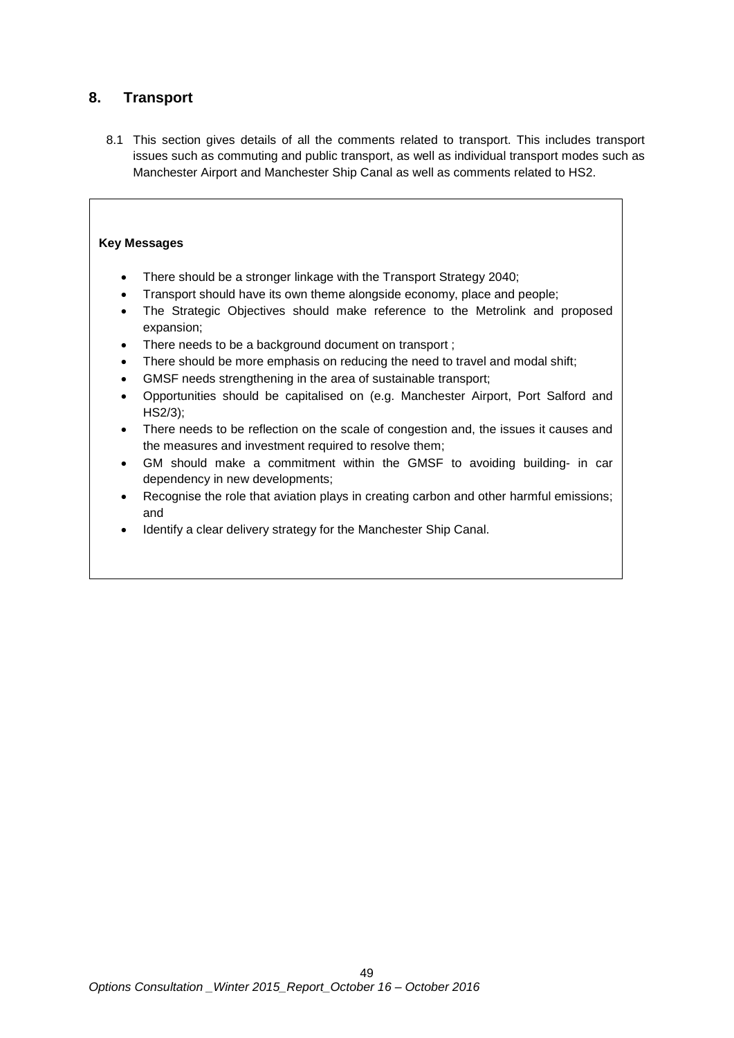# **8. Transport**

8.1 This section gives details of all the comments related to transport. This includes transport issues such as commuting and public transport, as well as individual transport modes such as Manchester Airport and Manchester Ship Canal as well as comments related to HS2.

# **Key Messages**

- There should be a stronger linkage with the Transport Strategy 2040;
- Transport should have its own theme alongside economy, place and people;
- The Strategic Objectives should make reference to the Metrolink and proposed expansion;
- There needs to be a background document on transport ;
- There should be more emphasis on reducing the need to travel and modal shift;
- GMSF needs strengthening in the area of sustainable transport;
- Opportunities should be capitalised on (e.g. Manchester Airport, Port Salford and HS2/3);
- There needs to be reflection on the scale of congestion and, the issues it causes and the measures and investment required to resolve them;
- GM should make a commitment within the GMSF to avoiding building- in car dependency in new developments;
- Recognise the role that aviation plays in creating carbon and other harmful emissions; and
- Identify a clear delivery strategy for the Manchester Ship Canal.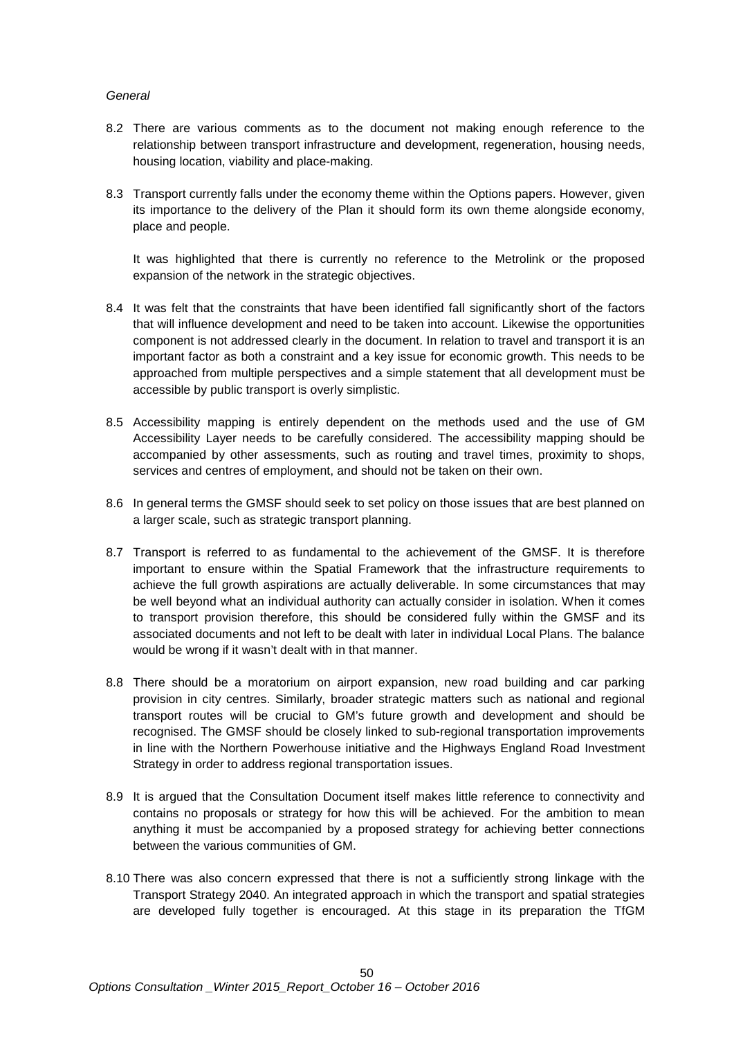# *General*

- 8.2 There are various comments as to the document not making enough reference to the relationship between transport infrastructure and development, regeneration, housing needs, housing location, viability and place-making.
- 8.3 Transport currently falls under the economy theme within the Options papers. However, given its importance to the delivery of the Plan it should form its own theme alongside economy, place and people.

It was highlighted that there is currently no reference to the Metrolink or the proposed expansion of the network in the strategic objectives.

- 8.4 It was felt that the constraints that have been identified fall significantly short of the factors that will influence development and need to be taken into account. Likewise the opportunities component is not addressed clearly in the document. In relation to travel and transport it is an important factor as both a constraint and a key issue for economic growth. This needs to be approached from multiple perspectives and a simple statement that all development must be accessible by public transport is overly simplistic.
- 8.5 Accessibility mapping is entirely dependent on the methods used and the use of GM Accessibility Layer needs to be carefully considered. The accessibility mapping should be accompanied by other assessments, such as routing and travel times, proximity to shops, services and centres of employment, and should not be taken on their own.
- 8.6 In general terms the GMSF should seek to set policy on those issues that are best planned on a larger scale, such as strategic transport planning.
- 8.7 Transport is referred to as fundamental to the achievement of the GMSF. It is therefore important to ensure within the Spatial Framework that the infrastructure requirements to achieve the full growth aspirations are actually deliverable. In some circumstances that may be well beyond what an individual authority can actually consider in isolation. When it comes to transport provision therefore, this should be considered fully within the GMSF and its associated documents and not left to be dealt with later in individual Local Plans. The balance would be wrong if it wasn't dealt with in that manner.
- 8.8 There should be a moratorium on airport expansion, new road building and car parking provision in city centres. Similarly, broader strategic matters such as national and regional transport routes will be crucial to GM's future growth and development and should be recognised. The GMSF should be closely linked to sub-regional transportation improvements in line with the Northern Powerhouse initiative and the Highways England Road Investment Strategy in order to address regional transportation issues.
- 8.9 It is argued that the Consultation Document itself makes little reference to connectivity and contains no proposals or strategy for how this will be achieved. For the ambition to mean anything it must be accompanied by a proposed strategy for achieving better connections between the various communities of GM.
- 8.10 There was also concern expressed that there is not a sufficiently strong linkage with the Transport Strategy 2040. An integrated approach in which the transport and spatial strategies are developed fully together is encouraged. At this stage in its preparation the TfGM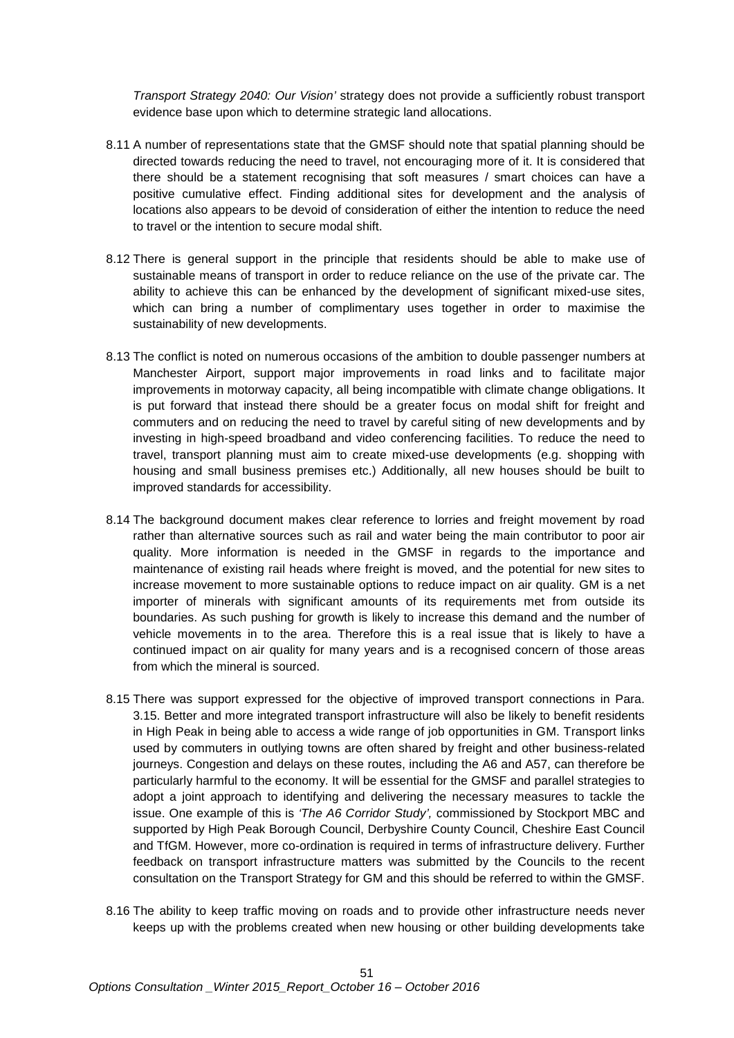*Transport Strategy 2040: Our Vision'* strategy does not provide a sufficiently robust transport evidence base upon which to determine strategic land allocations.

- 8.11 A number of representations state that the GMSF should note that spatial planning should be directed towards reducing the need to travel, not encouraging more of it. It is considered that there should be a statement recognising that soft measures / smart choices can have a positive cumulative effect. Finding additional sites for development and the analysis of locations also appears to be devoid of consideration of either the intention to reduce the need to travel or the intention to secure modal shift.
- 8.12 There is general support in the principle that residents should be able to make use of sustainable means of transport in order to reduce reliance on the use of the private car. The ability to achieve this can be enhanced by the development of significant mixed-use sites, which can bring a number of complimentary uses together in order to maximise the sustainability of new developments.
- 8.13 The conflict is noted on numerous occasions of the ambition to double passenger numbers at Manchester Airport, support major improvements in road links and to facilitate major improvements in motorway capacity, all being incompatible with climate change obligations. It is put forward that instead there should be a greater focus on modal shift for freight and commuters and on reducing the need to travel by careful siting of new developments and by investing in high-speed broadband and video conferencing facilities. To reduce the need to travel, transport planning must aim to create mixed-use developments (e.g. shopping with housing and small business premises etc.) Additionally, all new houses should be built to improved standards for accessibility.
- 8.14 The background document makes clear reference to lorries and freight movement by road rather than alternative sources such as rail and water being the main contributor to poor air quality. More information is needed in the GMSF in regards to the importance and maintenance of existing rail heads where freight is moved, and the potential for new sites to increase movement to more sustainable options to reduce impact on air quality. GM is a net importer of minerals with significant amounts of its requirements met from outside its boundaries. As such pushing for growth is likely to increase this demand and the number of vehicle movements in to the area. Therefore this is a real issue that is likely to have a continued impact on air quality for many years and is a recognised concern of those areas from which the mineral is sourced.
- 8.15 There was support expressed for the objective of improved transport connections in Para. 3.15. Better and more integrated transport infrastructure will also be likely to benefit residents in High Peak in being able to access a wide range of job opportunities in GM. Transport links used by commuters in outlying towns are often shared by freight and other business-related journeys. Congestion and delays on these routes, including the A6 and A57, can therefore be particularly harmful to the economy. It will be essential for the GMSF and parallel strategies to adopt a joint approach to identifying and delivering the necessary measures to tackle the issue. One example of this is *'The A6 Corridor Study',* commissioned by Stockport MBC and supported by High Peak Borough Council, Derbyshire County Council, Cheshire East Council and TfGM. However, more co-ordination is required in terms of infrastructure delivery. Further feedback on transport infrastructure matters was submitted by the Councils to the recent consultation on the Transport Strategy for GM and this should be referred to within the GMSF.
- 8.16 The ability to keep traffic moving on roads and to provide other infrastructure needs never keeps up with the problems created when new housing or other building developments take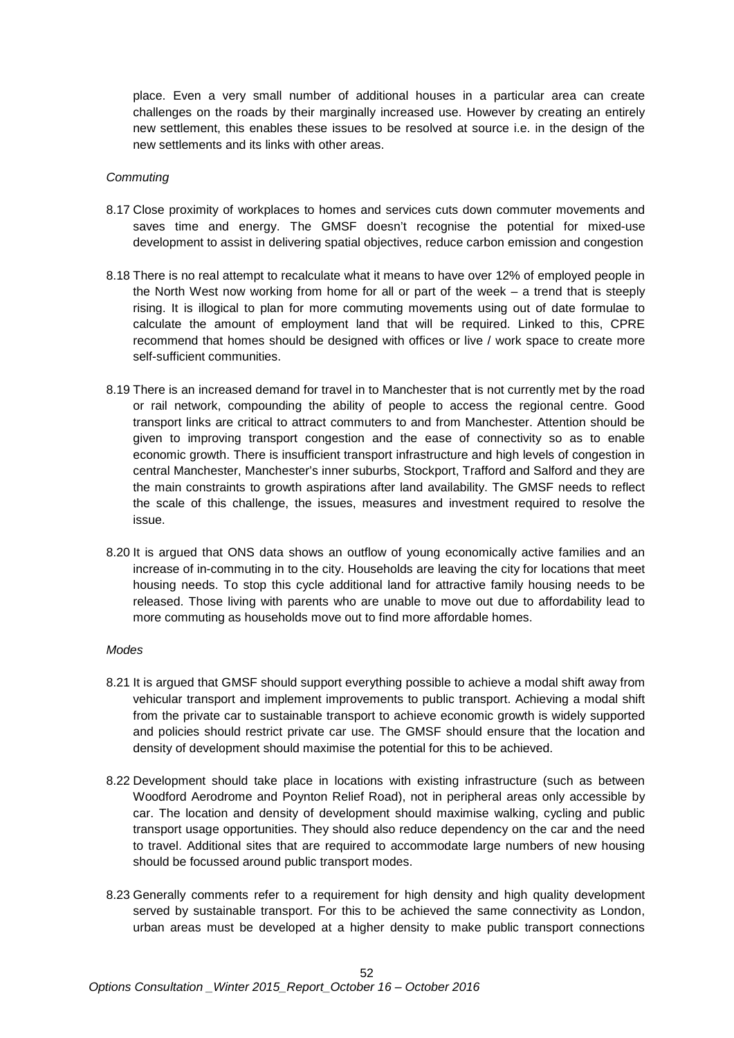place. Even a very small number of additional houses in a particular area can create challenges on the roads by their marginally increased use. However by creating an entirely new settlement, this enables these issues to be resolved at source i.e. in the design of the new settlements and its links with other areas.

#### *Commuting*

- 8.17 Close proximity of workplaces to homes and services cuts down commuter movements and saves time and energy. The GMSF doesn't recognise the potential for mixed-use development to assist in delivering spatial objectives, reduce carbon emission and congestion
- 8.18 There is no real attempt to recalculate what it means to have over 12% of employed people in the North West now working from home for all or part of the week – a trend that is steeply rising. It is illogical to plan for more commuting movements using out of date formulae to calculate the amount of employment land that will be required. Linked to this, CPRE recommend that homes should be designed with offices or live / work space to create more self-sufficient communities.
- 8.19 There is an increased demand for travel in to Manchester that is not currently met by the road or rail network, compounding the ability of people to access the regional centre. Good transport links are critical to attract commuters to and from Manchester. Attention should be given to improving transport congestion and the ease of connectivity so as to enable economic growth. There is insufficient transport infrastructure and high levels of congestion in central Manchester, Manchester's inner suburbs, Stockport, Trafford and Salford and they are the main constraints to growth aspirations after land availability. The GMSF needs to reflect the scale of this challenge, the issues, measures and investment required to resolve the issue.
- 8.20 It is argued that ONS data shows an outflow of young economically active families and an increase of in-commuting in to the city. Households are leaving the city for locations that meet housing needs. To stop this cycle additional land for attractive family housing needs to be released. Those living with parents who are unable to move out due to affordability lead to more commuting as households move out to find more affordable homes.

#### *Modes*

- 8.21 It is argued that GMSF should support everything possible to achieve a modal shift away from vehicular transport and implement improvements to public transport. Achieving a modal shift from the private car to sustainable transport to achieve economic growth is widely supported and policies should restrict private car use. The GMSF should ensure that the location and density of development should maximise the potential for this to be achieved.
- 8.22 Development should take place in locations with existing infrastructure (such as between Woodford Aerodrome and Poynton Relief Road), not in peripheral areas only accessible by car. The location and density of development should maximise walking, cycling and public transport usage opportunities. They should also reduce dependency on the car and the need to travel. Additional sites that are required to accommodate large numbers of new housing should be focussed around public transport modes.
- 8.23 Generally comments refer to a requirement for high density and high quality development served by sustainable transport. For this to be achieved the same connectivity as London, urban areas must be developed at a higher density to make public transport connections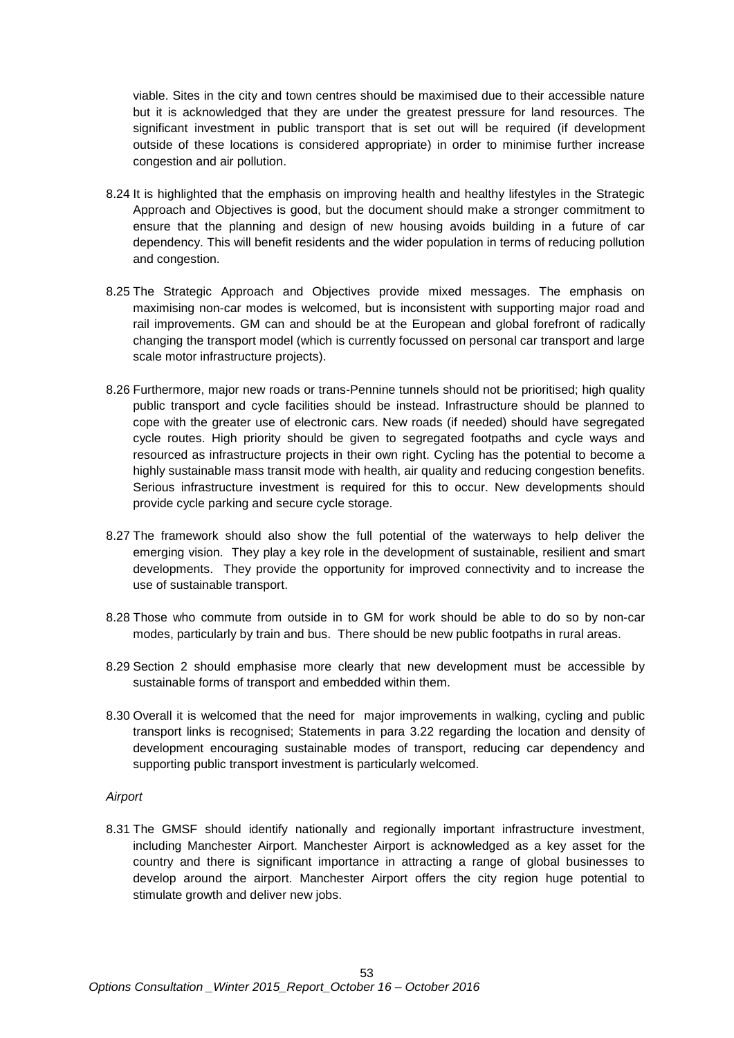viable. Sites in the city and town centres should be maximised due to their accessible nature but it is acknowledged that they are under the greatest pressure for land resources. The significant investment in public transport that is set out will be required (if development outside of these locations is considered appropriate) in order to minimise further increase congestion and air pollution.

- 8.24 It is highlighted that the emphasis on improving health and healthy lifestyles in the Strategic Approach and Objectives is good, but the document should make a stronger commitment to ensure that the planning and design of new housing avoids building in a future of car dependency. This will benefit residents and the wider population in terms of reducing pollution and congestion.
- 8.25 The Strategic Approach and Objectives provide mixed messages. The emphasis on maximising non-car modes is welcomed, but is inconsistent with supporting major road and rail improvements. GM can and should be at the European and global forefront of radically changing the transport model (which is currently focussed on personal car transport and large scale motor infrastructure projects).
- 8.26 Furthermore, major new roads or trans-Pennine tunnels should not be prioritised; high quality public transport and cycle facilities should be instead. Infrastructure should be planned to cope with the greater use of electronic cars. New roads (if needed) should have segregated cycle routes. High priority should be given to segregated footpaths and cycle ways and resourced as infrastructure projects in their own right. Cycling has the potential to become a highly sustainable mass transit mode with health, air quality and reducing congestion benefits. Serious infrastructure investment is required for this to occur. New developments should provide cycle parking and secure cycle storage.
- 8.27 The framework should also show the full potential of the waterways to help deliver the emerging vision. They play a key role in the development of sustainable, resilient and smart developments. They provide the opportunity for improved connectivity and to increase the use of sustainable transport.
- 8.28 Those who commute from outside in to GM for work should be able to do so by non-car modes, particularly by train and bus. There should be new public footpaths in rural areas.
- 8.29 Section 2 should emphasise more clearly that new development must be accessible by sustainable forms of transport and embedded within them.
- 8.30 Overall it is welcomed that the need for major improvements in walking, cycling and public transport links is recognised; Statements in para 3.22 regarding the location and density of development encouraging sustainable modes of transport, reducing car dependency and supporting public transport investment is particularly welcomed.

#### *Airport*

8.31 The GMSF should identify nationally and regionally important infrastructure investment, including Manchester Airport. Manchester Airport is acknowledged as a key asset for the country and there is significant importance in attracting a range of global businesses to develop around the airport. Manchester Airport offers the city region huge potential to stimulate growth and deliver new jobs.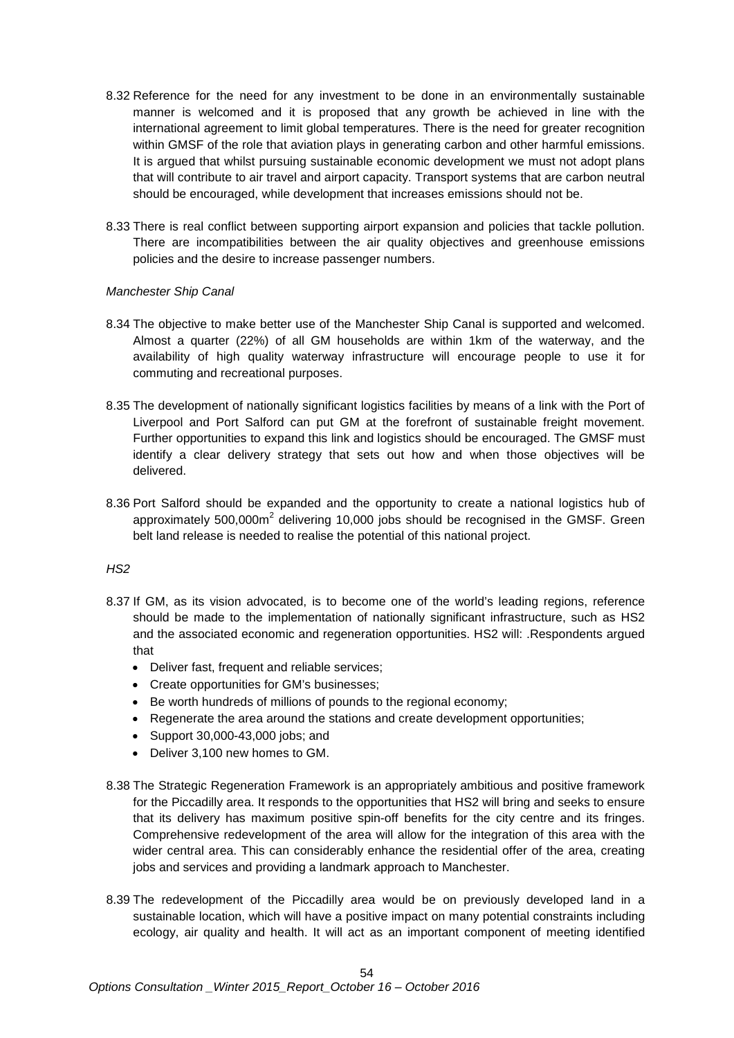- 8.32 Reference for the need for any investment to be done in an environmentally sustainable manner is welcomed and it is proposed that any growth be achieved in line with the international agreement to limit global temperatures. There is the need for greater recognition within GMSF of the role that aviation plays in generating carbon and other harmful emissions. It is argued that whilst pursuing sustainable economic development we must not adopt plans that will contribute to air travel and airport capacity. Transport systems that are carbon neutral should be encouraged, while development that increases emissions should not be.
- 8.33 There is real conflict between supporting airport expansion and policies that tackle pollution. There are incompatibilities between the air quality objectives and greenhouse emissions policies and the desire to increase passenger numbers.

# *Manchester Ship Canal*

- 8.34 The objective to make better use of the Manchester Ship Canal is supported and welcomed. Almost a quarter (22%) of all GM households are within 1km of the waterway, and the availability of high quality waterway infrastructure will encourage people to use it for commuting and recreational purposes.
- 8.35 The development of nationally significant logistics facilities by means of a link with the Port of Liverpool and Port Salford can put GM at the forefront of sustainable freight movement. Further opportunities to expand this link and logistics should be encouraged. The GMSF must identify a clear delivery strategy that sets out how and when those objectives will be delivered.
- 8.36 Port Salford should be expanded and the opportunity to create a national logistics hub of approximately  $500,000m^2$  delivering 10,000 jobs should be recognised in the GMSF. Green belt land release is needed to realise the potential of this national project.

# *HS2*

- 8.37 If GM, as its vision advocated, is to become one of the world's leading regions, reference should be made to the implementation of nationally significant infrastructure, such as HS2 and the associated economic and regeneration opportunities. HS2 will: .Respondents argued that
	- Deliver fast, frequent and reliable services;
	- Create opportunities for GM's businesses;
	- Be worth hundreds of millions of pounds to the regional economy;
	- Regenerate the area around the stations and create development opportunities;
	- Support 30,000-43,000 jobs; and
	- Deliver 3,100 new homes to GM.
- 8.38 The Strategic Regeneration Framework is an appropriately ambitious and positive framework for the Piccadilly area. It responds to the opportunities that HS2 will bring and seeks to ensure that its delivery has maximum positive spin-off benefits for the city centre and its fringes. Comprehensive redevelopment of the area will allow for the integration of this area with the wider central area. This can considerably enhance the residential offer of the area, creating jobs and services and providing a landmark approach to Manchester.
- 8.39 The redevelopment of the Piccadilly area would be on previously developed land in a sustainable location, which will have a positive impact on many potential constraints including ecology, air quality and health. It will act as an important component of meeting identified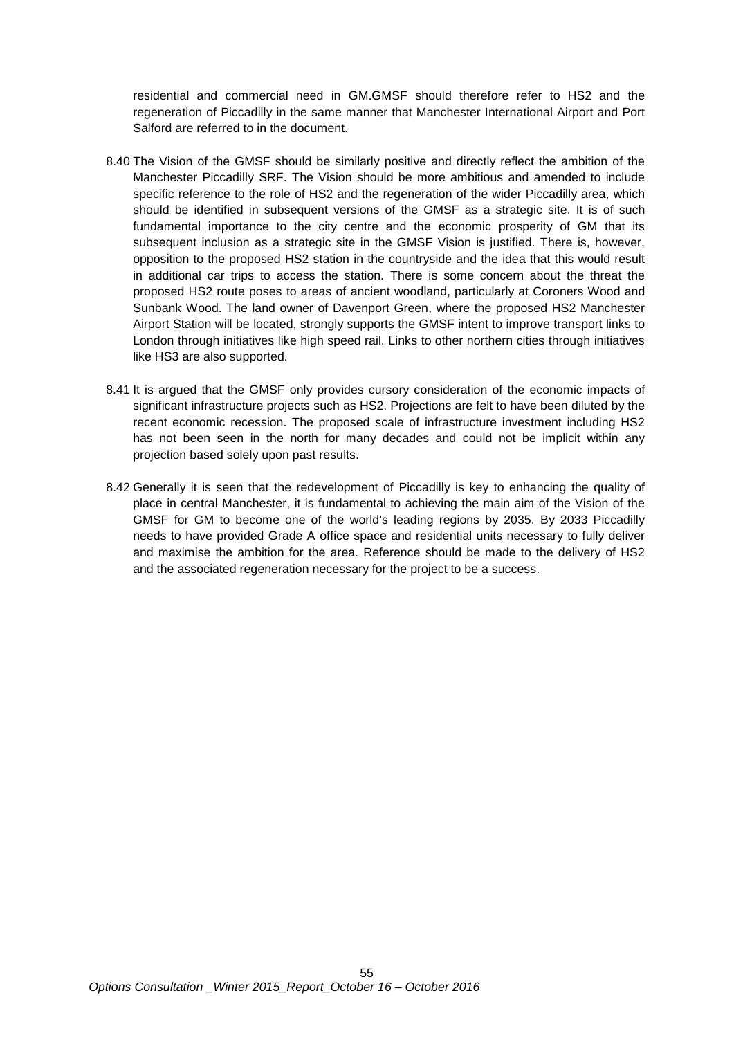residential and commercial need in GM.GMSF should therefore refer to HS2 and the regeneration of Piccadilly in the same manner that Manchester International Airport and Port Salford are referred to in the document.

- 8.40 The Vision of the GMSF should be similarly positive and directly reflect the ambition of the Manchester Piccadilly SRF. The Vision should be more ambitious and amended to include specific reference to the role of HS2 and the regeneration of the wider Piccadilly area, which should be identified in subsequent versions of the GMSF as a strategic site. It is of such fundamental importance to the city centre and the economic prosperity of GM that its subsequent inclusion as a strategic site in the GMSF Vision is justified. There is, however, opposition to the proposed HS2 station in the countryside and the idea that this would result in additional car trips to access the station. There is some concern about the threat the proposed HS2 route poses to areas of ancient woodland, particularly at Coroners Wood and Sunbank Wood. The land owner of Davenport Green, where the proposed HS2 Manchester Airport Station will be located, strongly supports the GMSF intent to improve transport links to London through initiatives like high speed rail. Links to other northern cities through initiatives like HS3 are also supported.
- 8.41 It is argued that the GMSF only provides cursory consideration of the economic impacts of significant infrastructure projects such as HS2. Projections are felt to have been diluted by the recent economic recession. The proposed scale of infrastructure investment including HS2 has not been seen in the north for many decades and could not be implicit within any projection based solely upon past results.
- 8.42 Generally it is seen that the redevelopment of Piccadilly is key to enhancing the quality of place in central Manchester, it is fundamental to achieving the main aim of the Vision of the GMSF for GM to become one of the world's leading regions by 2035. By 2033 Piccadilly needs to have provided Grade A office space and residential units necessary to fully deliver and maximise the ambition for the area. Reference should be made to the delivery of HS2 and the associated regeneration necessary for the project to be a success.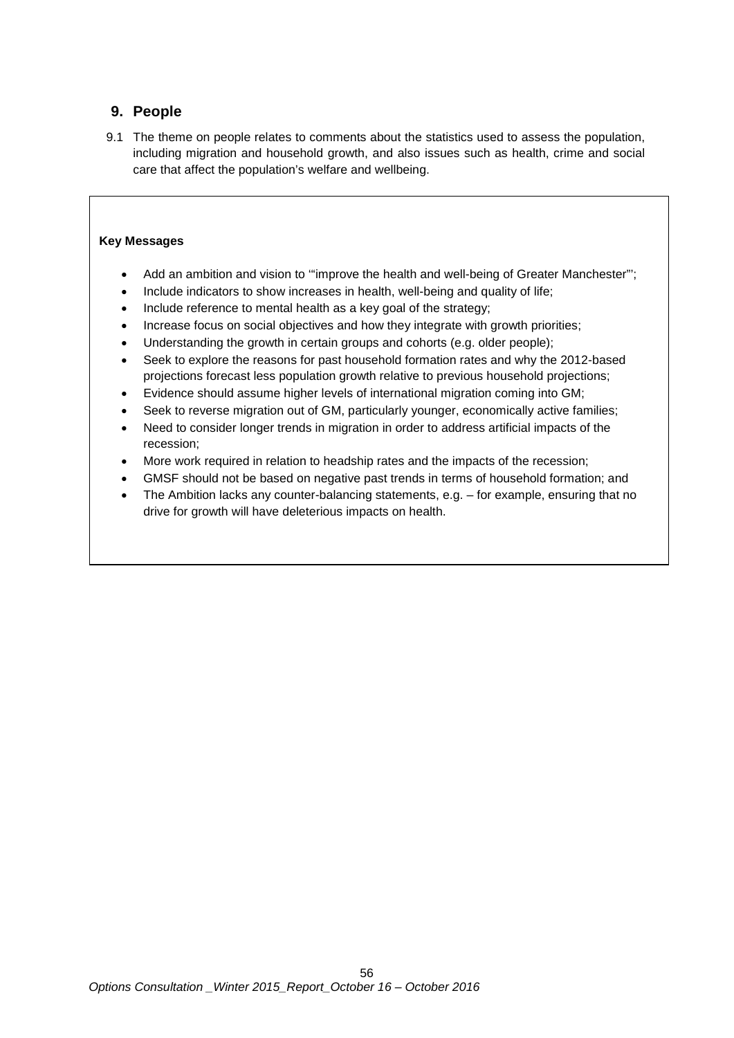# **9. People**

9.1 The theme on people relates to comments about the statistics used to assess the population, including migration and household growth, and also issues such as health, crime and social care that affect the population's welfare and wellbeing.

# **Key Messages**

- Add an ambition and vision to "improve the health and well-being of Greater Manchester";
- Include indicators to show increases in health, well-being and quality of life;
- Include reference to mental health as a key goal of the strategy;
- Increase focus on social objectives and how they integrate with growth priorities;
- Understanding the growth in certain groups and cohorts (e.g. older people);
- Seek to explore the reasons for past household formation rates and why the 2012-based projections forecast less population growth relative to previous household projections;
- Evidence should assume higher levels of international migration coming into GM;
- Seek to reverse migration out of GM, particularly younger, economically active families;
- Need to consider longer trends in migration in order to address artificial impacts of the recession;
- More work required in relation to headship rates and the impacts of the recession;
- GMSF should not be based on negative past trends in terms of household formation; and
- The Ambition lacks any counter-balancing statements, e.g. for example, ensuring that no drive for growth will have deleterious impacts on health.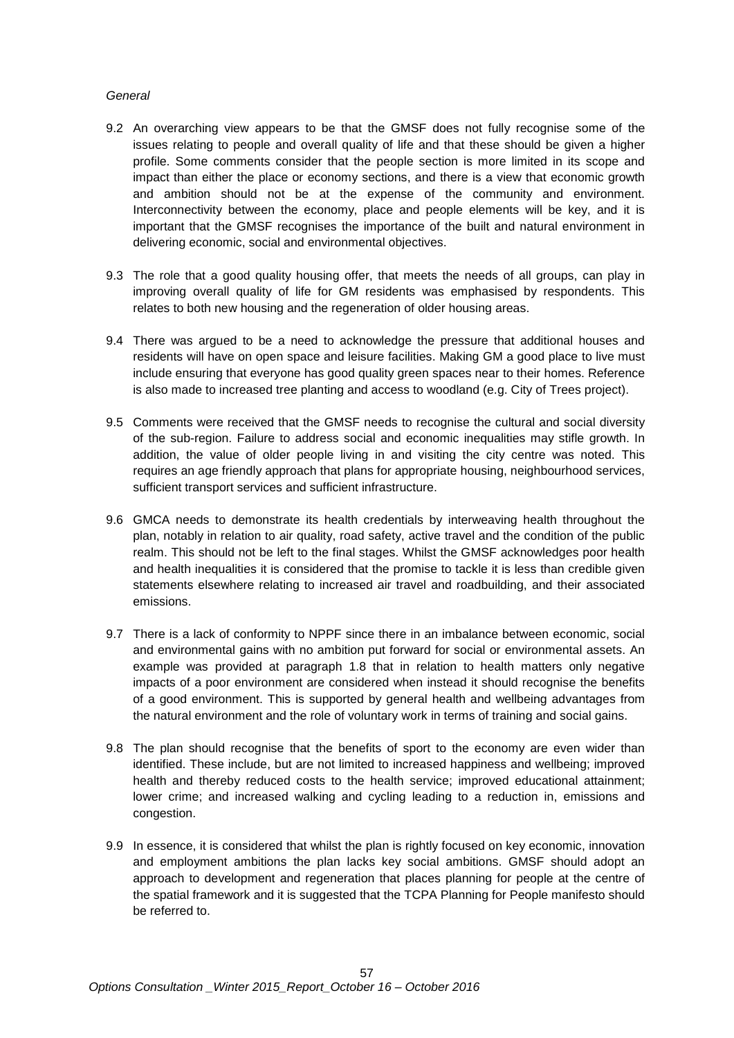# *General*

- 9.2 An overarching view appears to be that the GMSF does not fully recognise some of the issues relating to people and overall quality of life and that these should be given a higher profile. Some comments consider that the people section is more limited in its scope and impact than either the place or economy sections, and there is a view that economic growth and ambition should not be at the expense of the community and environment. Interconnectivity between the economy, place and people elements will be key, and it is important that the GMSF recognises the importance of the built and natural environment in delivering economic, social and environmental objectives.
- 9.3 The role that a good quality housing offer, that meets the needs of all groups, can play in improving overall quality of life for GM residents was emphasised by respondents. This relates to both new housing and the regeneration of older housing areas.
- 9.4 There was argued to be a need to acknowledge the pressure that additional houses and residents will have on open space and leisure facilities. Making GM a good place to live must include ensuring that everyone has good quality green spaces near to their homes. Reference is also made to increased tree planting and access to woodland (e.g. City of Trees project).
- 9.5 Comments were received that the GMSF needs to recognise the cultural and social diversity of the sub-region. Failure to address social and economic inequalities may stifle growth. In addition, the value of older people living in and visiting the city centre was noted. This requires an age friendly approach that plans for appropriate housing, neighbourhood services, sufficient transport services and sufficient infrastructure.
- 9.6 GMCA needs to demonstrate its health credentials by interweaving health throughout the plan, notably in relation to air quality, road safety, active travel and the condition of the public realm. This should not be left to the final stages. Whilst the GMSF acknowledges poor health and health inequalities it is considered that the promise to tackle it is less than credible given statements elsewhere relating to increased air travel and roadbuilding, and their associated emissions.
- 9.7 There is a lack of conformity to NPPF since there in an imbalance between economic, social and environmental gains with no ambition put forward for social or environmental assets. An example was provided at paragraph 1.8 that in relation to health matters only negative impacts of a poor environment are considered when instead it should recognise the benefits of a good environment. This is supported by general health and wellbeing advantages from the natural environment and the role of voluntary work in terms of training and social gains.
- 9.8 The plan should recognise that the benefits of sport to the economy are even wider than identified. These include, but are not limited to increased happiness and wellbeing; improved health and thereby reduced costs to the health service; improved educational attainment; lower crime; and increased walking and cycling leading to a reduction in, emissions and congestion.
- 9.9 In essence, it is considered that whilst the plan is rightly focused on key economic, innovation and employment ambitions the plan lacks key social ambitions. GMSF should adopt an approach to development and regeneration that places planning for people at the centre of the spatial framework and it is suggested that the TCPA Planning for People manifesto should be referred to.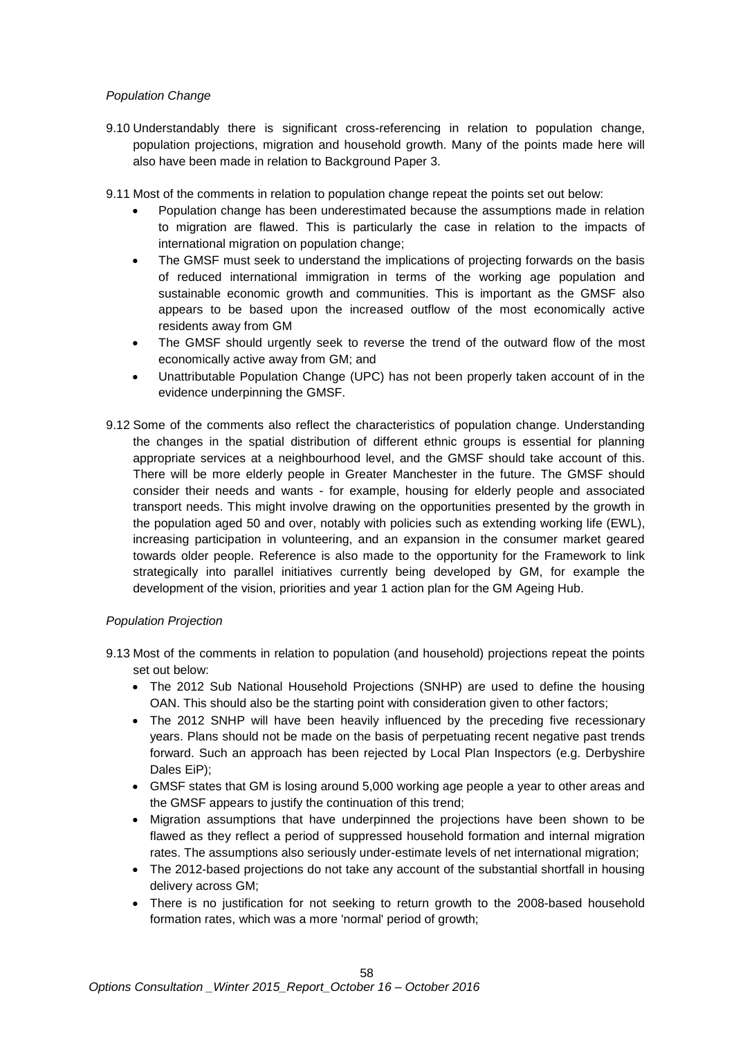# *Population Change*

- 9.10 Understandably there is significant cross-referencing in relation to population change, population projections, migration and household growth. Many of the points made here will also have been made in relation to Background Paper 3.
- 9.11 Most of the comments in relation to population change repeat the points set out below:
	- Population change has been underestimated because the assumptions made in relation to migration are flawed. This is particularly the case in relation to the impacts of international migration on population change;
	- The GMSF must seek to understand the implications of projecting forwards on the basis of reduced international immigration in terms of the working age population and sustainable economic growth and communities. This is important as the GMSF also appears to be based upon the increased outflow of the most economically active residents away from GM
	- The GMSF should urgently seek to reverse the trend of the outward flow of the most economically active away from GM; and
	- Unattributable Population Change (UPC) has not been properly taken account of in the evidence underpinning the GMSF.
- 9.12 Some of the comments also reflect the characteristics of population change. Understanding the changes in the spatial distribution of different ethnic groups is essential for planning appropriate services at a neighbourhood level, and the GMSF should take account of this. There will be more elderly people in Greater Manchester in the future. The GMSF should consider their needs and wants - for example, housing for elderly people and associated transport needs. This might involve drawing on the opportunities presented by the growth in the population aged 50 and over, notably with policies such as extending working life (EWL), increasing participation in volunteering, and an expansion in the consumer market geared towards older people. Reference is also made to the opportunity for the Framework to link strategically into parallel initiatives currently being developed by GM, for example the development of the vision, priorities and year 1 action plan for the GM Ageing Hub.

# *Population Projection*

- 9.13 Most of the comments in relation to population (and household) projections repeat the points set out below:
	- The 2012 Sub National Household Projections (SNHP) are used to define the housing OAN. This should also be the starting point with consideration given to other factors;
	- The 2012 SNHP will have been heavily influenced by the preceding five recessionary years. Plans should not be made on the basis of perpetuating recent negative past trends forward. Such an approach has been rejected by Local Plan Inspectors (e.g. Derbyshire Dales EiP);
	- GMSF states that GM is losing around 5,000 working age people a year to other areas and the GMSF appears to justify the continuation of this trend;
	- Migration assumptions that have underpinned the projections have been shown to be flawed as they reflect a period of suppressed household formation and internal migration rates. The assumptions also seriously under-estimate levels of net international migration;
	- The 2012-based projections do not take any account of the substantial shortfall in housing delivery across GM;
	- There is no justification for not seeking to return growth to the 2008-based household formation rates, which was a more 'normal' period of growth;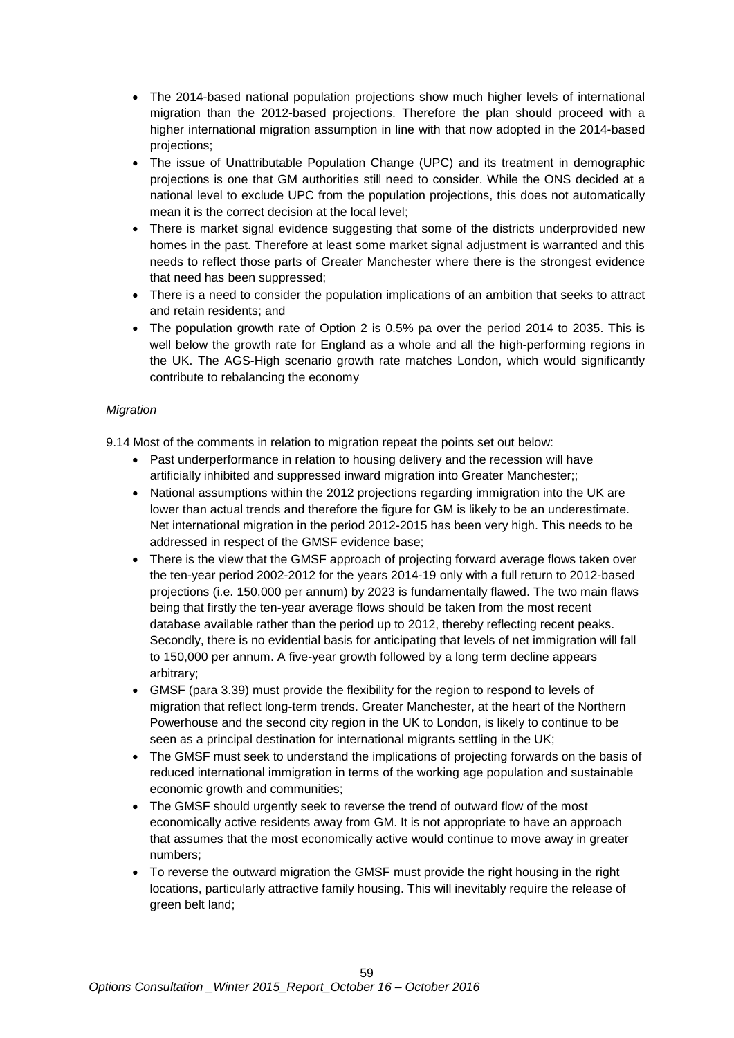- The 2014-based national population projections show much higher levels of international migration than the 2012-based projections. Therefore the plan should proceed with a higher international migration assumption in line with that now adopted in the 2014-based projections;
- The issue of Unattributable Population Change (UPC) and its treatment in demographic projections is one that GM authorities still need to consider. While the ONS decided at a national level to exclude UPC from the population projections, this does not automatically mean it is the correct decision at the local level;
- There is market signal evidence suggesting that some of the districts underprovided new homes in the past. Therefore at least some market signal adjustment is warranted and this needs to reflect those parts of Greater Manchester where there is the strongest evidence that need has been suppressed;
- There is a need to consider the population implications of an ambition that seeks to attract and retain residents; and
- The population growth rate of Option 2 is 0.5% pa over the period 2014 to 2035. This is well below the growth rate for England as a whole and all the high-performing regions in the UK. The AGS-High scenario growth rate matches London, which would significantly contribute to rebalancing the economy

# *Migration*

9.14 Most of the comments in relation to migration repeat the points set out below:

- Past underperformance in relation to housing delivery and the recession will have artificially inhibited and suppressed inward migration into Greater Manchester;;
- National assumptions within the 2012 projections regarding immigration into the UK are lower than actual trends and therefore the figure for GM is likely to be an underestimate. Net international migration in the period 2012-2015 has been very high. This needs to be addressed in respect of the GMSF evidence base;
- There is the view that the GMSF approach of projecting forward average flows taken over the ten-year period 2002-2012 for the years 2014-19 only with a full return to 2012-based projections (i.e. 150,000 per annum) by 2023 is fundamentally flawed. The two main flaws being that firstly the ten-year average flows should be taken from the most recent database available rather than the period up to 2012, thereby reflecting recent peaks. Secondly, there is no evidential basis for anticipating that levels of net immigration will fall to 150,000 per annum. A five-year growth followed by a long term decline appears arbitrary;
- GMSF (para 3.39) must provide the flexibility for the region to respond to levels of migration that reflect long-term trends. Greater Manchester, at the heart of the Northern Powerhouse and the second city region in the UK to London, is likely to continue to be seen as a principal destination for international migrants settling in the UK;
- The GMSF must seek to understand the implications of projecting forwards on the basis of reduced international immigration in terms of the working age population and sustainable economic growth and communities;
- The GMSF should urgently seek to reverse the trend of outward flow of the most economically active residents away from GM. It is not appropriate to have an approach that assumes that the most economically active would continue to move away in greater numbers;
- To reverse the outward migration the GMSF must provide the right housing in the right locations, particularly attractive family housing. This will inevitably require the release of green belt land;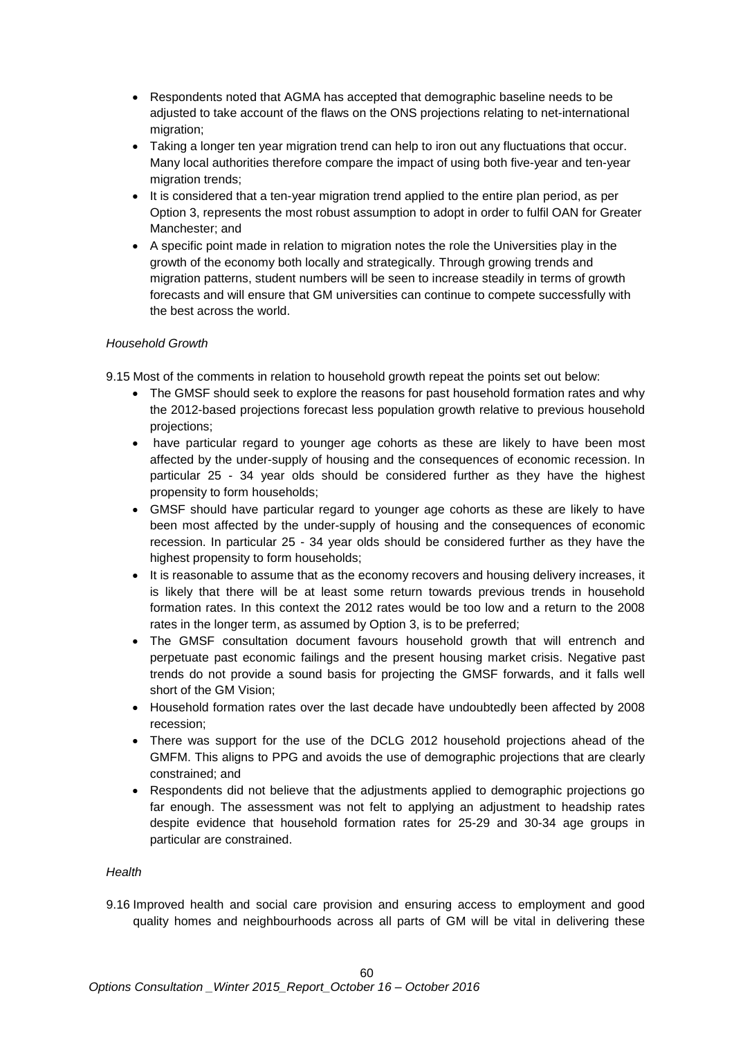- Respondents noted that AGMA has accepted that demographic baseline needs to be adjusted to take account of the flaws on the ONS projections relating to net-international migration;
- Taking a longer ten year migration trend can help to iron out any fluctuations that occur. Many local authorities therefore compare the impact of using both five-year and ten-year migration trends:
- It is considered that a ten-year migration trend applied to the entire plan period, as per Option 3, represents the most robust assumption to adopt in order to fulfil OAN for Greater Manchester; and
- A specific point made in relation to migration notes the role the Universities play in the growth of the economy both locally and strategically. Through growing trends and migration patterns, student numbers will be seen to increase steadily in terms of growth forecasts and will ensure that GM universities can continue to compete successfully with the best across the world.

# *Household Growth*

9.15 Most of the comments in relation to household growth repeat the points set out below:

- The GMSF should seek to explore the reasons for past household formation rates and why the 2012-based projections forecast less population growth relative to previous household projections;
- have particular regard to younger age cohorts as these are likely to have been most affected by the under-supply of housing and the consequences of economic recession. In particular 25 - 34 year olds should be considered further as they have the highest propensity to form households;
- GMSF should have particular regard to younger age cohorts as these are likely to have been most affected by the under-supply of housing and the consequences of economic recession. In particular 25 - 34 year olds should be considered further as they have the highest propensity to form households;
- It is reasonable to assume that as the economy recovers and housing delivery increases, it is likely that there will be at least some return towards previous trends in household formation rates. In this context the 2012 rates would be too low and a return to the 2008 rates in the longer term, as assumed by Option 3, is to be preferred;
- The GMSF consultation document favours household growth that will entrench and perpetuate past economic failings and the present housing market crisis. Negative past trends do not provide a sound basis for projecting the GMSF forwards, and it falls well short of the GM Vision;
- Household formation rates over the last decade have undoubtedly been affected by 2008 recession;
- There was support for the use of the DCLG 2012 household projections ahead of the GMFM. This aligns to PPG and avoids the use of demographic projections that are clearly constrained; and
- Respondents did not believe that the adjustments applied to demographic projections go far enough. The assessment was not felt to applying an adjustment to headship rates despite evidence that household formation rates for 25-29 and 30-34 age groups in particular are constrained.

# *Health*

9.16 Improved health and social care provision and ensuring access to employment and good quality homes and neighbourhoods across all parts of GM will be vital in delivering these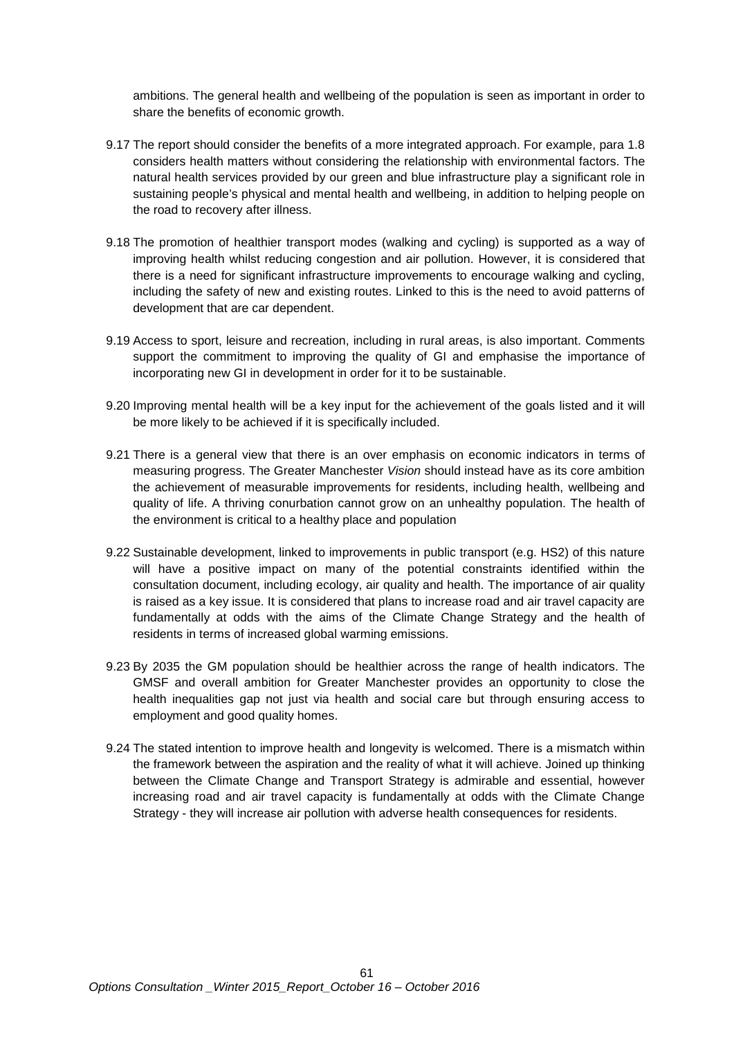ambitions. The general health and wellbeing of the population is seen as important in order to share the benefits of economic growth.

- 9.17 The report should consider the benefits of a more integrated approach. For example, para 1.8 considers health matters without considering the relationship with environmental factors. The natural health services provided by our green and blue infrastructure play a significant role in sustaining people's physical and mental health and wellbeing, in addition to helping people on the road to recovery after illness.
- 9.18 The promotion of healthier transport modes (walking and cycling) is supported as a way of improving health whilst reducing congestion and air pollution. However, it is considered that there is a need for significant infrastructure improvements to encourage walking and cycling, including the safety of new and existing routes. Linked to this is the need to avoid patterns of development that are car dependent.
- 9.19 Access to sport, leisure and recreation, including in rural areas, is also important. Comments support the commitment to improving the quality of GI and emphasise the importance of incorporating new GI in development in order for it to be sustainable.
- 9.20 Improving mental health will be a key input for the achievement of the goals listed and it will be more likely to be achieved if it is specifically included.
- 9.21 There is a general view that there is an over emphasis on economic indicators in terms of measuring progress. The Greater Manchester *Vision* should instead have as its core ambition the achievement of measurable improvements for residents, including health, wellbeing and quality of life. A thriving conurbation cannot grow on an unhealthy population. The health of the environment is critical to a healthy place and population
- 9.22 Sustainable development, linked to improvements in public transport (e.g. HS2) of this nature will have a positive impact on many of the potential constraints identified within the consultation document, including ecology, air quality and health. The importance of air quality is raised as a key issue. It is considered that plans to increase road and air travel capacity are fundamentally at odds with the aims of the Climate Change Strategy and the health of residents in terms of increased global warming emissions.
- 9.23 By 2035 the GM population should be healthier across the range of health indicators. The GMSF and overall ambition for Greater Manchester provides an opportunity to close the health inequalities gap not just via health and social care but through ensuring access to employment and good quality homes.
- 9.24 The stated intention to improve health and longevity is welcomed. There is a mismatch within the framework between the aspiration and the reality of what it will achieve. Joined up thinking between the Climate Change and Transport Strategy is admirable and essential, however increasing road and air travel capacity is fundamentally at odds with the Climate Change Strategy - they will increase air pollution with adverse health consequences for residents.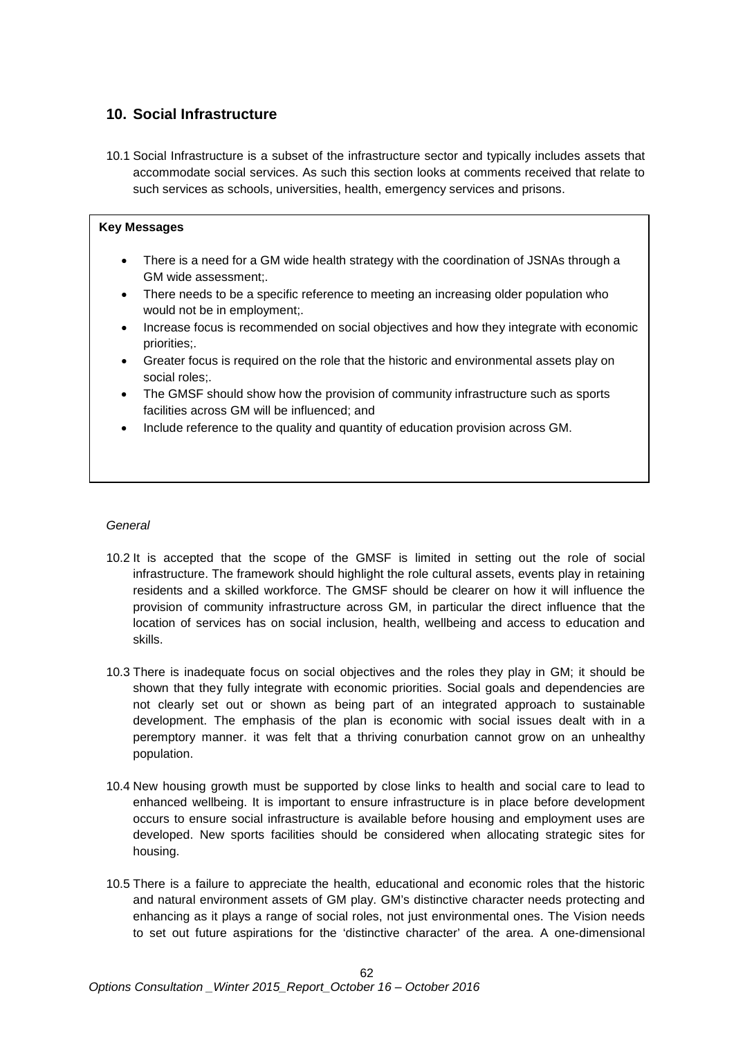# **10. Social Infrastructure**

10.1 Social Infrastructure is a subset of the infrastructure sector and typically includes assets that accommodate social services. As such this section looks at comments received that relate to such services as schools, universities, health, emergency services and prisons.

# **Key Messages**

- There is a need for a GM wide health strategy with the coordination of JSNAs through a GM wide assessment;.
- There needs to be a specific reference to meeting an increasing older population who would not be in employment;.
- Increase focus is recommended on social objectives and how they integrate with economic priorities;.
- Greater focus is required on the role that the historic and environmental assets play on social roles;.
- The GMSF should show how the provision of community infrastructure such as sports facilities across GM will be influenced; and
- Include reference to the quality and quantity of education provision across GM.

# *General*

- 10.2 It is accepted that the scope of the GMSF is limited in setting out the role of social infrastructure. The framework should highlight the role cultural assets, events play in retaining residents and a skilled workforce. The GMSF should be clearer on how it will influence the provision of community infrastructure across GM, in particular the direct influence that the location of services has on social inclusion, health, wellbeing and access to education and skills.
- 10.3 There is inadequate focus on social objectives and the roles they play in GM; it should be shown that they fully integrate with economic priorities. Social goals and dependencies are not clearly set out or shown as being part of an integrated approach to sustainable development. The emphasis of the plan is economic with social issues dealt with in a peremptory manner. it was felt that a thriving conurbation cannot grow on an unhealthy population.
- 10.4 New housing growth must be supported by close links to health and social care to lead to enhanced wellbeing. It is important to ensure infrastructure is in place before development occurs to ensure social infrastructure is available before housing and employment uses are developed. New sports facilities should be considered when allocating strategic sites for housing.
- 10.5 There is a failure to appreciate the health, educational and economic roles that the historic and natural environment assets of GM play. GM's distinctive character needs protecting and enhancing as it plays a range of social roles, not just environmental ones. The Vision needs to set out future aspirations for the 'distinctive character' of the area. A one-dimensional

 $62$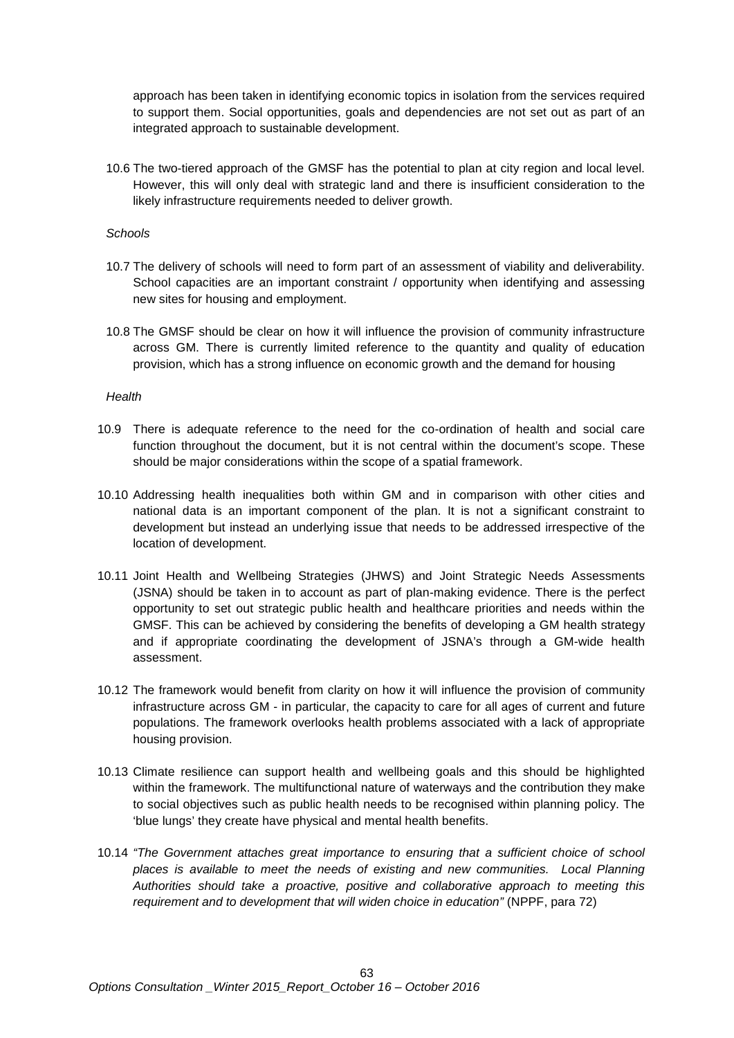approach has been taken in identifying economic topics in isolation from the services required to support them. Social opportunities, goals and dependencies are not set out as part of an integrated approach to sustainable development.

10.6 The two-tiered approach of the GMSF has the potential to plan at city region and local level. However, this will only deal with strategic land and there is insufficient consideration to the likely infrastructure requirements needed to deliver growth.

#### *Schools*

- 10.7 The delivery of schools will need to form part of an assessment of viability and deliverability. School capacities are an important constraint / opportunity when identifying and assessing new sites for housing and employment.
- 10.8 The GMSF should be clear on how it will influence the provision of community infrastructure across GM. There is currently limited reference to the quantity and quality of education provision, which has a strong influence on economic growth and the demand for housing

#### *Health*

- 10.9 There is adequate reference to the need for the co-ordination of health and social care function throughout the document, but it is not central within the document's scope. These should be major considerations within the scope of a spatial framework.
- 10.10 Addressing health inequalities both within GM and in comparison with other cities and national data is an important component of the plan. It is not a significant constraint to development but instead an underlying issue that needs to be addressed irrespective of the location of development.
- 10.11 Joint Health and Wellbeing Strategies (JHWS) and Joint Strategic Needs Assessments (JSNA) should be taken in to account as part of plan-making evidence. There is the perfect opportunity to set out strategic public health and healthcare priorities and needs within the GMSF. This can be achieved by considering the benefits of developing a GM health strategy and if appropriate coordinating the development of JSNA's through a GM-wide health assessment.
- 10.12 The framework would benefit from clarity on how it will influence the provision of community infrastructure across GM - in particular, the capacity to care for all ages of current and future populations. The framework overlooks health problems associated with a lack of appropriate housing provision.
- 10.13 Climate resilience can support health and wellbeing goals and this should be highlighted within the framework. The multifunctional nature of waterways and the contribution they make to social objectives such as public health needs to be recognised within planning policy. The 'blue lungs' they create have physical and mental health benefits.
- 10.14 *"The Government attaches great importance to ensuring that a sufficient choice of school places is available to meet the needs of existing and new communities. Local Planning Authorities should take a proactive, positive and collaborative approach to meeting this requirement and to development that will widen choice in education"* (NPPF, para 72)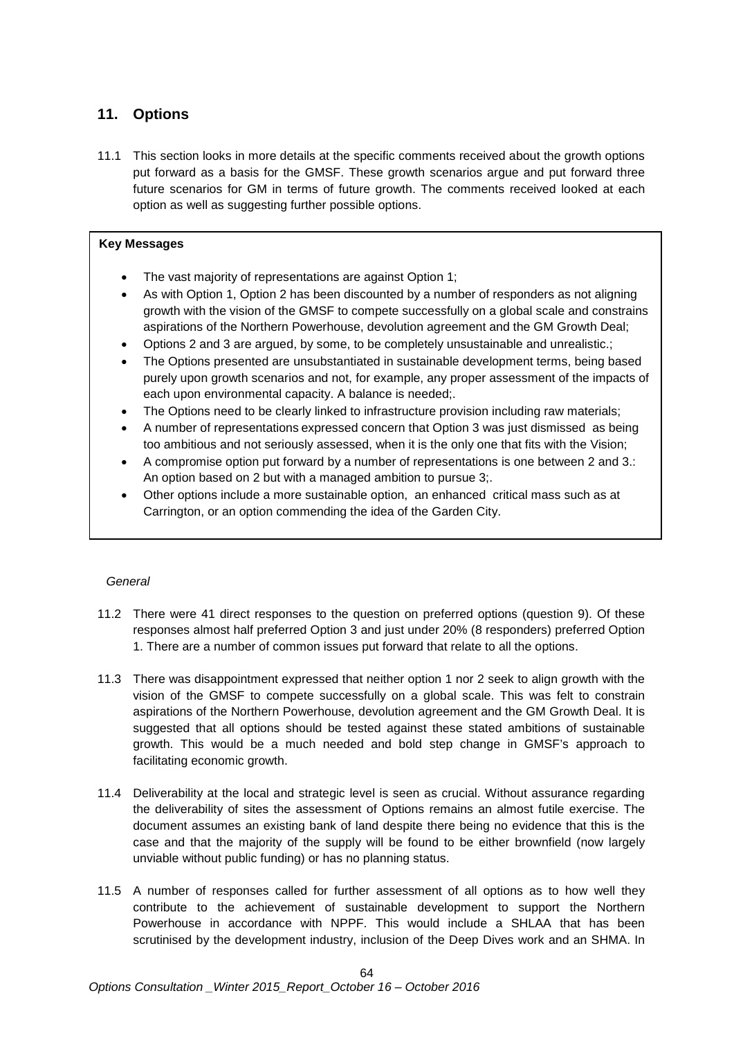# **11. Options**

11.1 This section looks in more details at the specific comments received about the growth options put forward as a basis for the GMSF. These growth scenarios argue and put forward three future scenarios for GM in terms of future growth. The comments received looked at each option as well as suggesting further possible options.

# **Key Messages**

- The vast majority of representations are against Option 1;
- As with Option 1, Option 2 has been discounted by a number of responders as not aligning growth with the vision of the GMSF to compete successfully on a global scale and constrains aspirations of the Northern Powerhouse, devolution agreement and the GM Growth Deal;
- Options 2 and 3 are argued, by some, to be completely unsustainable and unrealistic.;
- The Options presented are unsubstantiated in sustainable development terms, being based purely upon growth scenarios and not, for example, any proper assessment of the impacts of each upon environmental capacity. A balance is needed;.
- The Options need to be clearly linked to infrastructure provision including raw materials;
- A number of representations expressed concern that Option 3 was just dismissed as being too ambitious and not seriously assessed, when it is the only one that fits with the Vision;
- A compromise option put forward by a number of representations is one between 2 and 3.: An option based on 2 but with a managed ambition to pursue 3;.
- Other options include a more sustainable option, an enhanced critical mass such as at Carrington, or an option commending the idea of the Garden City.

# *General*

- 11.2 There were 41 direct responses to the question on preferred options (question 9). Of these responses almost half preferred Option 3 and just under 20% (8 responders) preferred Option 1. There are a number of common issues put forward that relate to all the options.
- 11.3 There was disappointment expressed that neither option 1 nor 2 seek to align growth with the vision of the GMSF to compete successfully on a global scale. This was felt to constrain aspirations of the Northern Powerhouse, devolution agreement and the GM Growth Deal. It is suggested that all options should be tested against these stated ambitions of sustainable growth. This would be a much needed and bold step change in GMSF's approach to facilitating economic growth.
- 11.4 Deliverability at the local and strategic level is seen as crucial. Without assurance regarding the deliverability of sites the assessment of Options remains an almost futile exercise. The document assumes an existing bank of land despite there being no evidence that this is the case and that the majority of the supply will be found to be either brownfield (now largely unviable without public funding) or has no planning status.
- 11.5 A number of responses called for further assessment of all options as to how well they contribute to the achievement of sustainable development to support the Northern Powerhouse in accordance with NPPF. This would include a SHLAA that has been scrutinised by the development industry, inclusion of the Deep Dives work and an SHMA. In

64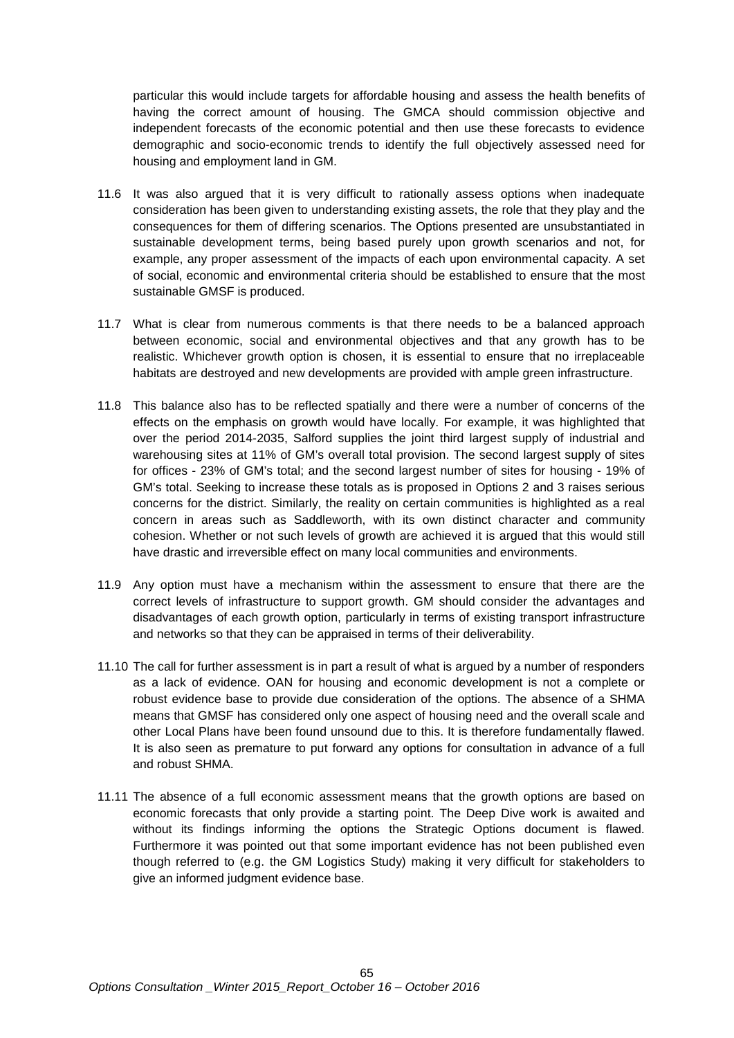particular this would include targets for affordable housing and assess the health benefits of having the correct amount of housing. The GMCA should commission objective and independent forecasts of the economic potential and then use these forecasts to evidence demographic and socio-economic trends to identify the full objectively assessed need for housing and employment land in GM.

- 11.6 It was also argued that it is very difficult to rationally assess options when inadequate consideration has been given to understanding existing assets, the role that they play and the consequences for them of differing scenarios. The Options presented are unsubstantiated in sustainable development terms, being based purely upon growth scenarios and not, for example, any proper assessment of the impacts of each upon environmental capacity. A set of social, economic and environmental criteria should be established to ensure that the most sustainable GMSF is produced.
- 11.7 What is clear from numerous comments is that there needs to be a balanced approach between economic, social and environmental objectives and that any growth has to be realistic. Whichever growth option is chosen, it is essential to ensure that no irreplaceable habitats are destroyed and new developments are provided with ample green infrastructure.
- 11.8 This balance also has to be reflected spatially and there were a number of concerns of the effects on the emphasis on growth would have locally. For example, it was highlighted that over the period 2014-2035, Salford supplies the joint third largest supply of industrial and warehousing sites at 11% of GM's overall total provision. The second largest supply of sites for offices - 23% of GM's total; and the second largest number of sites for housing - 19% of GM's total. Seeking to increase these totals as is proposed in Options 2 and 3 raises serious concerns for the district. Similarly, the reality on certain communities is highlighted as a real concern in areas such as Saddleworth, with its own distinct character and community cohesion. Whether or not such levels of growth are achieved it is argued that this would still have drastic and irreversible effect on many local communities and environments.
- 11.9 Any option must have a mechanism within the assessment to ensure that there are the correct levels of infrastructure to support growth. GM should consider the advantages and disadvantages of each growth option, particularly in terms of existing transport infrastructure and networks so that they can be appraised in terms of their deliverability.
- 11.10 The call for further assessment is in part a result of what is argued by a number of responders as a lack of evidence. OAN for housing and economic development is not a complete or robust evidence base to provide due consideration of the options. The absence of a SHMA means that GMSF has considered only one aspect of housing need and the overall scale and other Local Plans have been found unsound due to this. It is therefore fundamentally flawed. It is also seen as premature to put forward any options for consultation in advance of a full and robust SHMA.
- 11.11 The absence of a full economic assessment means that the growth options are based on economic forecasts that only provide a starting point. The Deep Dive work is awaited and without its findings informing the options the Strategic Options document is flawed. Furthermore it was pointed out that some important evidence has not been published even though referred to (e.g. the GM Logistics Study) making it very difficult for stakeholders to give an informed judgment evidence base.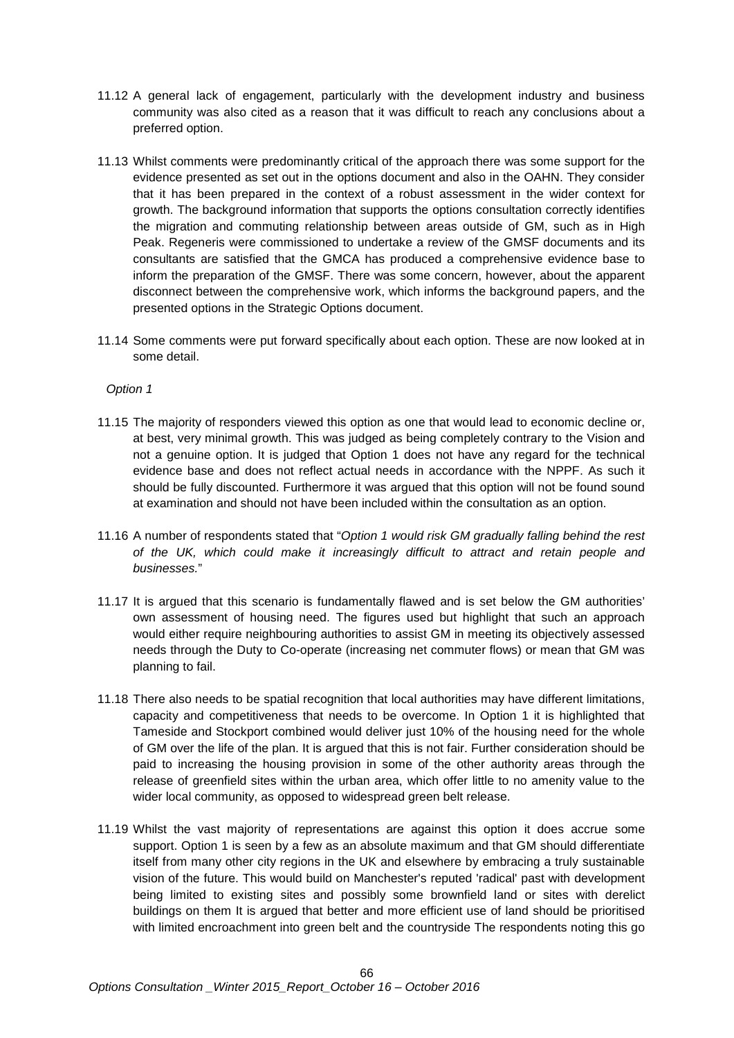- 11.12 A general lack of engagement, particularly with the development industry and business community was also cited as a reason that it was difficult to reach any conclusions about a preferred option.
- 11.13 Whilst comments were predominantly critical of the approach there was some support for the evidence presented as set out in the options document and also in the OAHN. They consider that it has been prepared in the context of a robust assessment in the wider context for growth. The background information that supports the options consultation correctly identifies the migration and commuting relationship between areas outside of GM, such as in High Peak. Regeneris were commissioned to undertake a review of the GMSF documents and its consultants are satisfied that the GMCA has produced a comprehensive evidence base to inform the preparation of the GMSF. There was some concern, however, about the apparent disconnect between the comprehensive work, which informs the background papers, and the presented options in the Strategic Options document.
- 11.14 Some comments were put forward specifically about each option. These are now looked at in some detail.

*Option 1*

- 11.15 The majority of responders viewed this option as one that would lead to economic decline or, at best, very minimal growth. This was judged as being completely contrary to the Vision and not a genuine option. It is judged that Option 1 does not have any regard for the technical evidence base and does not reflect actual needs in accordance with the NPPF. As such it should be fully discounted. Furthermore it was argued that this option will not be found sound at examination and should not have been included within the consultation as an option.
- 11.16 A number of respondents stated that "*Option 1 would risk GM gradually falling behind the rest of the UK, which could make it increasingly difficult to attract and retain people and businesses.*"
- 11.17 It is argued that this scenario is fundamentally flawed and is set below the GM authorities' own assessment of housing need. The figures used but highlight that such an approach would either require neighbouring authorities to assist GM in meeting its objectively assessed needs through the Duty to Co-operate (increasing net commuter flows) or mean that GM was planning to fail.
- 11.18 There also needs to be spatial recognition that local authorities may have different limitations, capacity and competitiveness that needs to be overcome. In Option 1 it is highlighted that Tameside and Stockport combined would deliver just 10% of the housing need for the whole of GM over the life of the plan. It is argued that this is not fair. Further consideration should be paid to increasing the housing provision in some of the other authority areas through the release of greenfield sites within the urban area, which offer little to no amenity value to the wider local community, as opposed to widespread green belt release.
- 11.19 Whilst the vast majority of representations are against this option it does accrue some support. Option 1 is seen by a few as an absolute maximum and that GM should differentiate itself from many other city regions in the UK and elsewhere by embracing a truly sustainable vision of the future. This would build on Manchester's reputed 'radical' past with development being limited to existing sites and possibly some brownfield land or sites with derelict buildings on them It is argued that better and more efficient use of land should be prioritised with limited encroachment into green belt and the countryside The respondents noting this go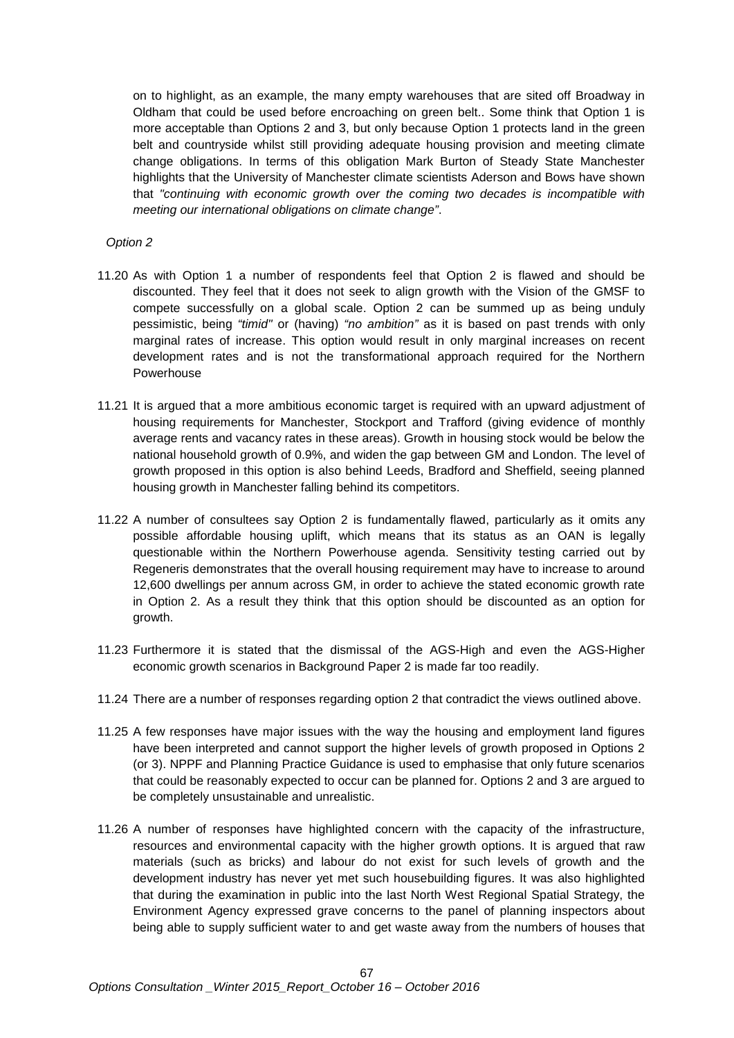on to highlight, as an example, the many empty warehouses that are sited off Broadway in Oldham that could be used before encroaching on green belt.. Some think that Option 1 is more acceptable than Options 2 and 3, but only because Option 1 protects land in the green belt and countryside whilst still providing adequate housing provision and meeting climate change obligations. In terms of this obligation Mark Burton of Steady State Manchester highlights that the University of Manchester climate scientists Aderson and Bows have shown that *"continuing with economic growth over the coming two decades is incompatible with meeting our international obligations on climate change"*.

*Option 2*

- 11.20 As with Option 1 a number of respondents feel that Option 2 is flawed and should be discounted. They feel that it does not seek to align growth with the Vision of the GMSF to compete successfully on a global scale. Option 2 can be summed up as being unduly pessimistic, being *"timid"* or (having) *"no ambition"* as it is based on past trends with only marginal rates of increase. This option would result in only marginal increases on recent development rates and is not the transformational approach required for the Northern Powerhouse
- 11.21 It is argued that a more ambitious economic target is required with an upward adjustment of housing requirements for Manchester, Stockport and Trafford (giving evidence of monthly average rents and vacancy rates in these areas). Growth in housing stock would be below the national household growth of 0.9%, and widen the gap between GM and London. The level of growth proposed in this option is also behind Leeds, Bradford and Sheffield, seeing planned housing growth in Manchester falling behind its competitors.
- 11.22 A number of consultees say Option 2 is fundamentally flawed, particularly as it omits any possible affordable housing uplift, which means that its status as an OAN is legally questionable within the Northern Powerhouse agenda. Sensitivity testing carried out by Regeneris demonstrates that the overall housing requirement may have to increase to around 12,600 dwellings per annum across GM, in order to achieve the stated economic growth rate in Option 2. As a result they think that this option should be discounted as an option for growth.
- 11.23 Furthermore it is stated that the dismissal of the AGS-High and even the AGS-Higher economic growth scenarios in Background Paper 2 is made far too readily.
- 11.24 There are a number of responses regarding option 2 that contradict the views outlined above.
- 11.25 A few responses have major issues with the way the housing and employment land figures have been interpreted and cannot support the higher levels of growth proposed in Options 2 (or 3). NPPF and Planning Practice Guidance is used to emphasise that only future scenarios that could be reasonably expected to occur can be planned for. Options 2 and 3 are argued to be completely unsustainable and unrealistic.
- 11.26 A number of responses have highlighted concern with the capacity of the infrastructure, resources and environmental capacity with the higher growth options. It is argued that raw materials (such as bricks) and labour do not exist for such levels of growth and the development industry has never yet met such housebuilding figures. It was also highlighted that during the examination in public into the last North West Regional Spatial Strategy, the Environment Agency expressed grave concerns to the panel of planning inspectors about being able to supply sufficient water to and get waste away from the numbers of houses that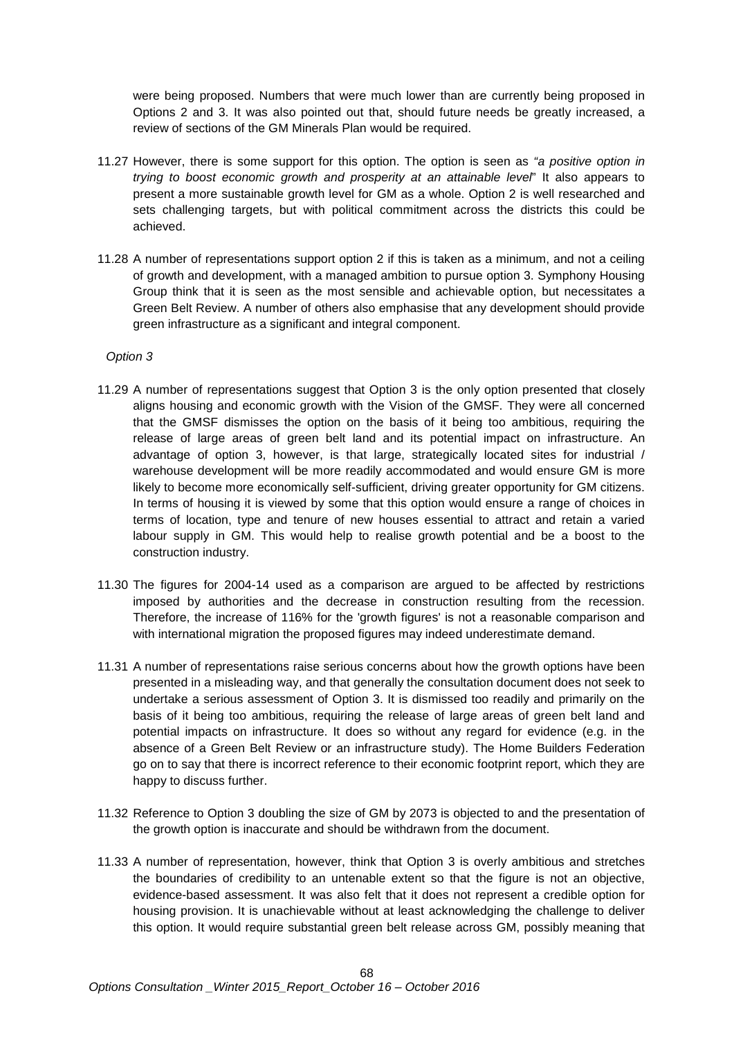were being proposed. Numbers that were much lower than are currently being proposed in Options 2 and 3. It was also pointed out that, should future needs be greatly increased, a review of sections of the GM Minerals Plan would be required.

- 11.27 However, there is some support for this option. The option is seen as *"a positive option in trying to boost economic growth and prosperity at an attainable level*" It also appears to present a more sustainable growth level for GM as a whole. Option 2 is well researched and sets challenging targets, but with political commitment across the districts this could be achieved.
- 11.28 A number of representations support option 2 if this is taken as a minimum, and not a ceiling of growth and development, with a managed ambition to pursue option 3. Symphony Housing Group think that it is seen as the most sensible and achievable option, but necessitates a Green Belt Review. A number of others also emphasise that any development should provide green infrastructure as a significant and integral component.

# *Option 3*

- 11.29 A number of representations suggest that Option 3 is the only option presented that closely aligns housing and economic growth with the Vision of the GMSF. They were all concerned that the GMSF dismisses the option on the basis of it being too ambitious, requiring the release of large areas of green belt land and its potential impact on infrastructure. An advantage of option 3, however, is that large, strategically located sites for industrial / warehouse development will be more readily accommodated and would ensure GM is more likely to become more economically self-sufficient, driving greater opportunity for GM citizens. In terms of housing it is viewed by some that this option would ensure a range of choices in terms of location, type and tenure of new houses essential to attract and retain a varied labour supply in GM. This would help to realise growth potential and be a boost to the construction industry.
- 11.30 The figures for 2004-14 used as a comparison are argued to be affected by restrictions imposed by authorities and the decrease in construction resulting from the recession. Therefore, the increase of 116% for the 'growth figures' is not a reasonable comparison and with international migration the proposed figures may indeed underestimate demand.
- 11.31 A number of representations raise serious concerns about how the growth options have been presented in a misleading way, and that generally the consultation document does not seek to undertake a serious assessment of Option 3. It is dismissed too readily and primarily on the basis of it being too ambitious, requiring the release of large areas of green belt land and potential impacts on infrastructure. It does so without any regard for evidence (e.g. in the absence of a Green Belt Review or an infrastructure study). The Home Builders Federation go on to say that there is incorrect reference to their economic footprint report, which they are happy to discuss further.
- 11.32 Reference to Option 3 doubling the size of GM by 2073 is objected to and the presentation of the growth option is inaccurate and should be withdrawn from the document.
- 11.33 A number of representation, however, think that Option 3 is overly ambitious and stretches the boundaries of credibility to an untenable extent so that the figure is not an objective, evidence-based assessment. It was also felt that it does not represent a credible option for housing provision. It is unachievable without at least acknowledging the challenge to deliver this option. It would require substantial green belt release across GM, possibly meaning that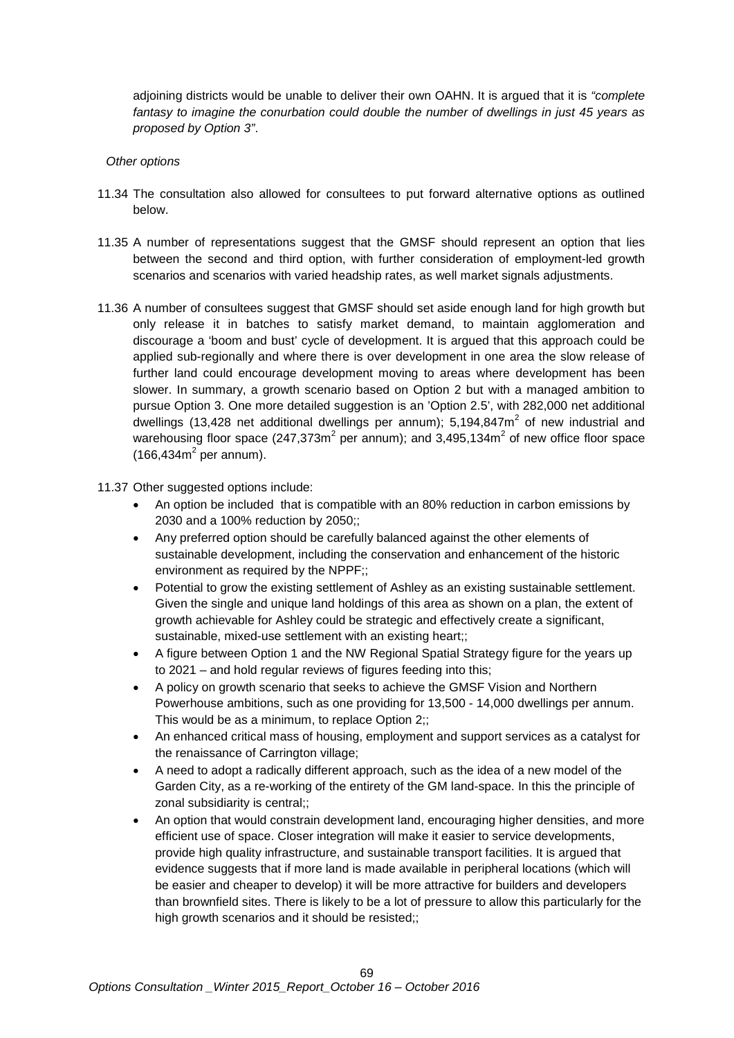adjoining districts would be unable to deliver their own OAHN. It is argued that it is *"complete fantasy to imagine the conurbation could double the number of dwellings in just 45 years as proposed by Option 3"*.

# *Other options*

- 11.34 The consultation also allowed for consultees to put forward alternative options as outlined below.
- 11.35 A number of representations suggest that the GMSF should represent an option that lies between the second and third option, with further consideration of employment-led growth scenarios and scenarios with varied headship rates, as well market signals adjustments.
- 11.36 A number of consultees suggest that GMSF should set aside enough land for high growth but only release it in batches to satisfy market demand, to maintain agglomeration and discourage a 'boom and bust' cycle of development. It is argued that this approach could be applied sub-regionally and where there is over development in one area the slow release of further land could encourage development moving to areas where development has been slower. In summary, a growth scenario based on Option 2 but with a managed ambition to pursue Option 3. One more detailed suggestion is an 'Option 2.5', with 282,000 net additional dwellings (13,428 net additional dwellings per annum);  $5.194.847m<sup>2</sup>$  of new industrial and warehousing floor space  $(247,373m^2$  per annum); and 3,495,134 $m^2$  of new office floor space  $(166, 434m<sup>2</sup>$  per annum).

### 11.37 Other suggested options include:

- An option be included that is compatible with an 80% reduction in carbon emissions by 2030 and a 100% reduction by 2050;;
- Any preferred option should be carefully balanced against the other elements of sustainable development, including the conservation and enhancement of the historic environment as required by the NPPF;;
- Potential to grow the existing settlement of Ashley as an existing sustainable settlement. Given the single and unique land holdings of this area as shown on a plan, the extent of growth achievable for Ashley could be strategic and effectively create a significant, sustainable, mixed-use settlement with an existing heart;;
- A figure between Option 1 and the NW Regional Spatial Strategy figure for the years up to 2021 – and hold regular reviews of figures feeding into this;
- A policy on growth scenario that seeks to achieve the GMSF Vision and Northern Powerhouse ambitions, such as one providing for 13,500 - 14,000 dwellings per annum. This would be as a minimum, to replace Option 2;;
- An enhanced critical mass of housing, employment and support services as a catalyst for the renaissance of Carrington village;
- A need to adopt a radically different approach, such as the idea of a new model of the Garden City, as a re-working of the entirety of the GM land-space. In this the principle of zonal subsidiarity is central;;
- An option that would constrain development land, encouraging higher densities, and more efficient use of space. Closer integration will make it easier to service developments, provide high quality infrastructure, and sustainable transport facilities. It is argued that evidence suggests that if more land is made available in peripheral locations (which will be easier and cheaper to develop) it will be more attractive for builders and developers than brownfield sites. There is likely to be a lot of pressure to allow this particularly for the high growth scenarios and it should be resisted;;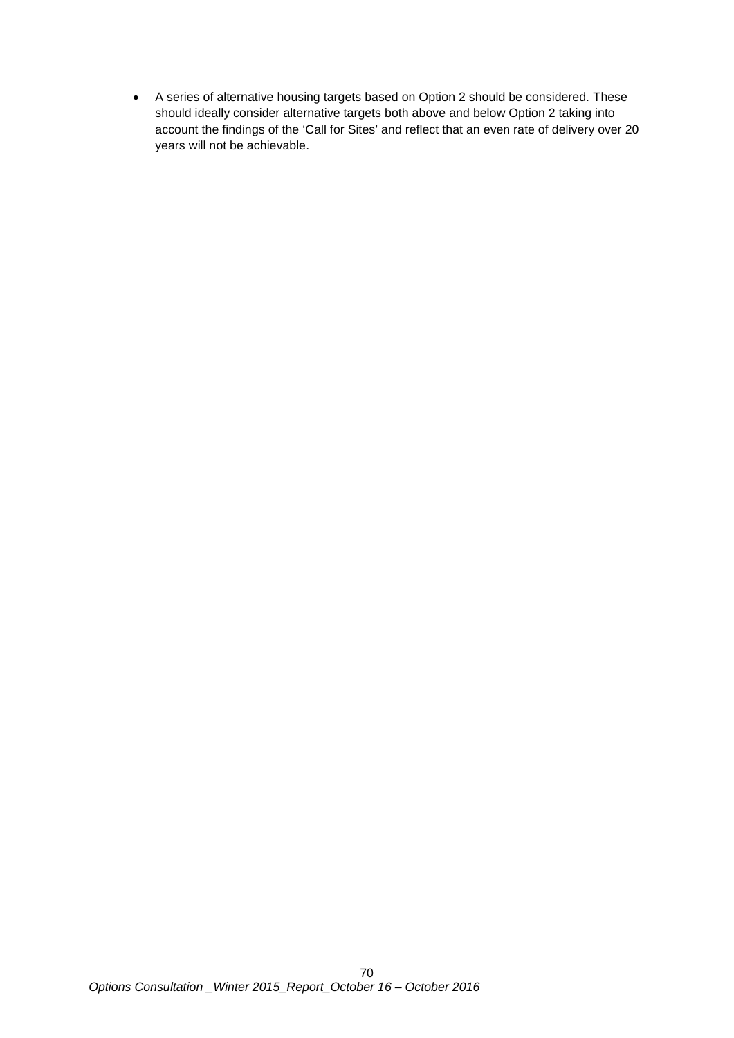• A series of alternative housing targets based on Option 2 should be considered. These should ideally consider alternative targets both above and below Option 2 taking into account the findings of the 'Call for Sites' and reflect that an even rate of delivery over 20 years will not be achievable.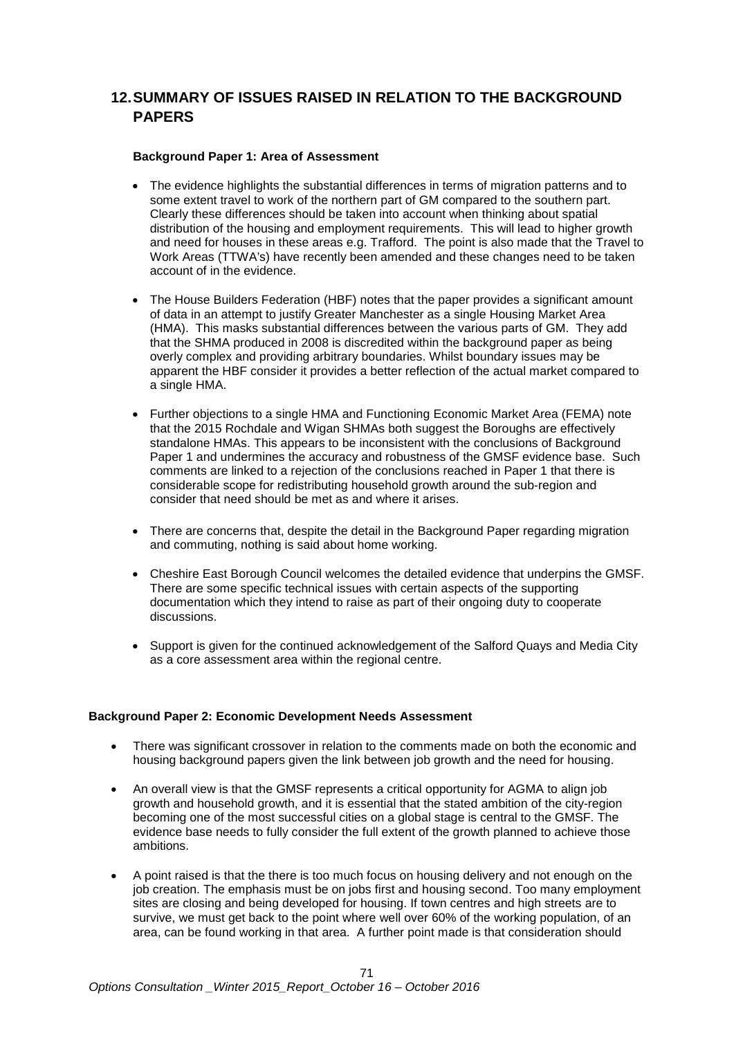# **12.SUMMARY OF ISSUES RAISED IN RELATION TO THE BACKGROUND PAPERS**

## **Background Paper 1: Area of Assessment**

- The evidence highlights the substantial differences in terms of migration patterns and to some extent travel to work of the northern part of GM compared to the southern part. Clearly these differences should be taken into account when thinking about spatial distribution of the housing and employment requirements. This will lead to higher growth and need for houses in these areas e.g. Trafford. The point is also made that the Travel to Work Areas (TTWA's) have recently been amended and these changes need to be taken account of in the evidence.
- The House Builders Federation (HBF) notes that the paper provides a significant amount of data in an attempt to justify Greater Manchester as a single Housing Market Area (HMA). This masks substantial differences between the various parts of GM. They add that the SHMA produced in 2008 is discredited within the background paper as being overly complex and providing arbitrary boundaries. Whilst boundary issues may be apparent the HBF consider it provides a better reflection of the actual market compared to a single HMA.
- Further objections to a single HMA and Functioning Economic Market Area (FEMA) note that the 2015 Rochdale and Wigan SHMAs both suggest the Boroughs are effectively standalone HMAs. This appears to be inconsistent with the conclusions of Background Paper 1 and undermines the accuracy and robustness of the GMSF evidence base. Such comments are linked to a rejection of the conclusions reached in Paper 1 that there is considerable scope for redistributing household growth around the sub-region and consider that need should be met as and where it arises.
- There are concerns that, despite the detail in the Background Paper regarding migration and commuting, nothing is said about home working.
- Cheshire East Borough Council welcomes the detailed evidence that underpins the GMSF. There are some specific technical issues with certain aspects of the supporting documentation which they intend to raise as part of their ongoing duty to cooperate discussions.
- Support is given for the continued acknowledgement of the Salford Quays and Media City as a core assessment area within the regional centre.

# **Background Paper 2: Economic Development Needs Assessment**

- There was significant crossover in relation to the comments made on both the economic and housing background papers given the link between job growth and the need for housing.
- An overall view is that the GMSF represents a critical opportunity for AGMA to align job growth and household growth, and it is essential that the stated ambition of the city-region becoming one of the most successful cities on a global stage is central to the GMSF. The evidence base needs to fully consider the full extent of the growth planned to achieve those ambitions.
- A point raised is that the there is too much focus on housing delivery and not enough on the job creation. The emphasis must be on jobs first and housing second. Too many employment sites are closing and being developed for housing. If town centres and high streets are to survive, we must get back to the point where well over 60% of the working population, of an area, can be found working in that area. A further point made is that consideration should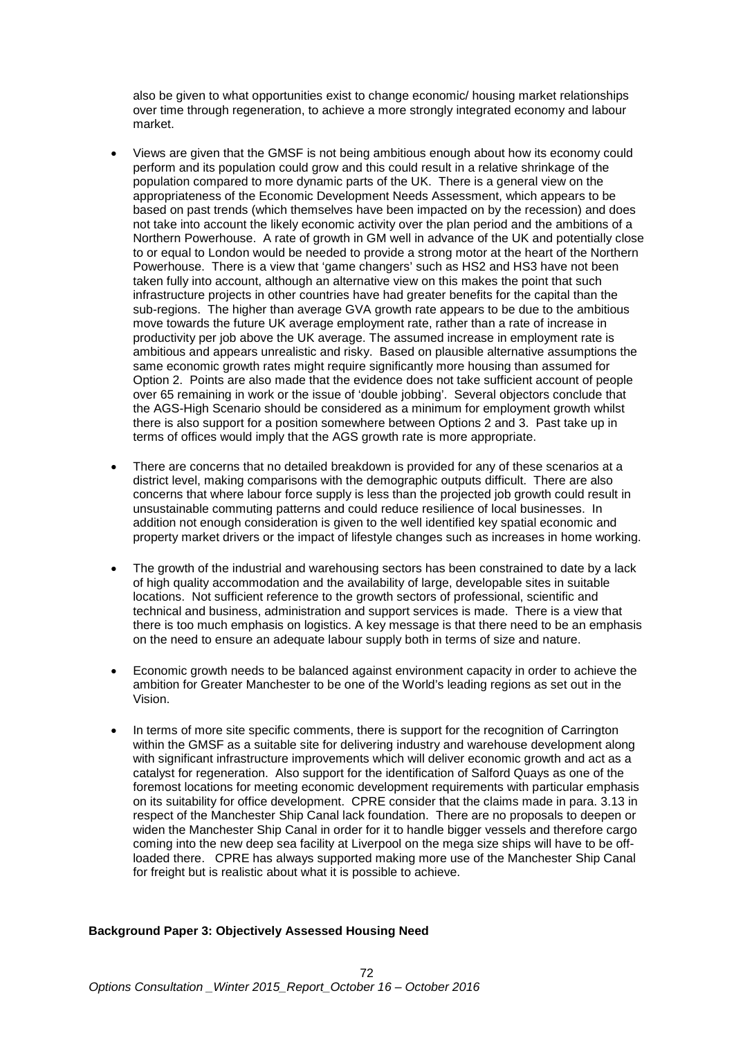also be given to what opportunities exist to change economic/ housing market relationships over time through regeneration, to achieve a more strongly integrated economy and labour market.

- Views are given that the GMSF is not being ambitious enough about how its economy could perform and its population could grow and this could result in a relative shrinkage of the population compared to more dynamic parts of the UK. There is a general view on the appropriateness of the Economic Development Needs Assessment, which appears to be based on past trends (which themselves have been impacted on by the recession) and does not take into account the likely economic activity over the plan period and the ambitions of a Northern Powerhouse. A rate of growth in GM well in advance of the UK and potentially close to or equal to London would be needed to provide a strong motor at the heart of the Northern Powerhouse. There is a view that 'game changers' such as HS2 and HS3 have not been taken fully into account, although an alternative view on this makes the point that such infrastructure projects in other countries have had greater benefits for the capital than the sub-regions. The higher than average GVA growth rate appears to be due to the ambitious move towards the future UK average employment rate, rather than a rate of increase in productivity per job above the UK average. The assumed increase in employment rate is ambitious and appears unrealistic and risky. Based on plausible alternative assumptions the same economic growth rates might require significantly more housing than assumed for Option 2. Points are also made that the evidence does not take sufficient account of people over 65 remaining in work or the issue of 'double jobbing'. Several objectors conclude that the AGS-High Scenario should be considered as a minimum for employment growth whilst there is also support for a position somewhere between Options 2 and 3. Past take up in terms of offices would imply that the AGS growth rate is more appropriate.
- There are concerns that no detailed breakdown is provided for any of these scenarios at a district level, making comparisons with the demographic outputs difficult. There are also concerns that where labour force supply is less than the projected job growth could result in unsustainable commuting patterns and could reduce resilience of local businesses. In addition not enough consideration is given to the well identified key spatial economic and property market drivers or the impact of lifestyle changes such as increases in home working.
- The growth of the industrial and warehousing sectors has been constrained to date by a lack of high quality accommodation and the availability of large, developable sites in suitable locations. Not sufficient reference to the growth sectors of professional, scientific and technical and business, administration and support services is made. There is a view that there is too much emphasis on logistics. A key message is that there need to be an emphasis on the need to ensure an adequate labour supply both in terms of size and nature.
- Economic growth needs to be balanced against environment capacity in order to achieve the ambition for Greater Manchester to be one of the World's leading regions as set out in the Vision.
- In terms of more site specific comments, there is support for the recognition of Carrington within the GMSF as a suitable site for delivering industry and warehouse development along with significant infrastructure improvements which will deliver economic growth and act as a catalyst for regeneration. Also support for the identification of Salford Quays as one of the foremost locations for meeting economic development requirements with particular emphasis on its suitability for office development. CPRE consider that the claims made in para. 3.13 in respect of the Manchester Ship Canal lack foundation. There are no proposals to deepen or widen the Manchester Ship Canal in order for it to handle bigger vessels and therefore cargo coming into the new deep sea facility at Liverpool on the mega size ships will have to be offloaded there. CPRE has always supported making more use of the Manchester Ship Canal for freight but is realistic about what it is possible to achieve.

# **Background Paper 3: Objectively Assessed Housing Need**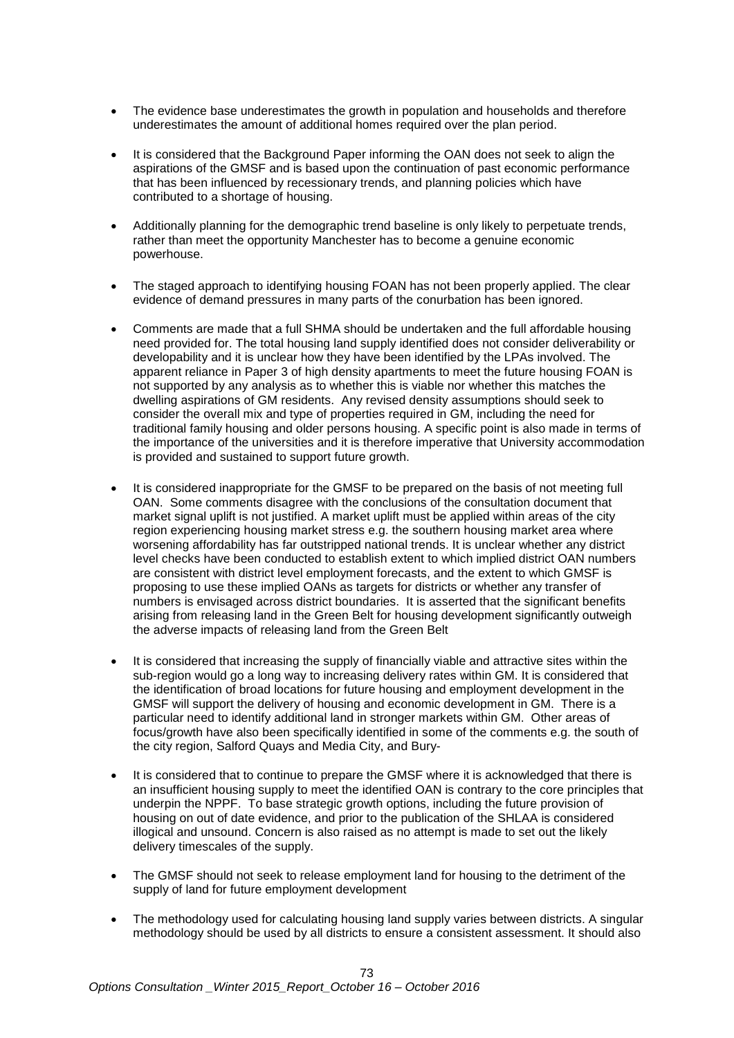- The evidence base underestimates the growth in population and households and therefore underestimates the amount of additional homes required over the plan period.
- It is considered that the Background Paper informing the OAN does not seek to align the aspirations of the GMSF and is based upon the continuation of past economic performance that has been influenced by recessionary trends, and planning policies which have contributed to a shortage of housing.
- Additionally planning for the demographic trend baseline is only likely to perpetuate trends, rather than meet the opportunity Manchester has to become a genuine economic powerhouse.
- The staged approach to identifying housing FOAN has not been properly applied. The clear evidence of demand pressures in many parts of the conurbation has been ignored.
- Comments are made that a full SHMA should be undertaken and the full affordable housing need provided for. The total housing land supply identified does not consider deliverability or developability and it is unclear how they have been identified by the LPAs involved. The apparent reliance in Paper 3 of high density apartments to meet the future housing FOAN is not supported by any analysis as to whether this is viable nor whether this matches the dwelling aspirations of GM residents. Any revised density assumptions should seek to consider the overall mix and type of properties required in GM, including the need for traditional family housing and older persons housing. A specific point is also made in terms of the importance of the universities and it is therefore imperative that University accommodation is provided and sustained to support future growth.
- It is considered inappropriate for the GMSF to be prepared on the basis of not meeting full OAN. Some comments disagree with the conclusions of the consultation document that market signal uplift is not justified. A market uplift must be applied within areas of the city region experiencing housing market stress e.g. the southern housing market area where worsening affordability has far outstripped national trends. It is unclear whether any district level checks have been conducted to establish extent to which implied district OAN numbers are consistent with district level employment forecasts, and the extent to which GMSF is proposing to use these implied OANs as targets for districts or whether any transfer of numbers is envisaged across district boundaries. It is asserted that the significant benefits arising from releasing land in the Green Belt for housing development significantly outweigh the adverse impacts of releasing land from the Green Belt
- It is considered that increasing the supply of financially viable and attractive sites within the sub-region would go a long way to increasing delivery rates within GM. It is considered that the identification of broad locations for future housing and employment development in the GMSF will support the delivery of housing and economic development in GM. There is a particular need to identify additional land in stronger markets within GM. Other areas of focus/growth have also been specifically identified in some of the comments e.g. the south of the city region, Salford Quays and Media City, and Bury-
- It is considered that to continue to prepare the GMSF where it is acknowledged that there is an insufficient housing supply to meet the identified OAN is contrary to the core principles that underpin the NPPF. To base strategic growth options, including the future provision of housing on out of date evidence, and prior to the publication of the SHLAA is considered illogical and unsound. Concern is also raised as no attempt is made to set out the likely delivery timescales of the supply.
- The GMSF should not seek to release employment land for housing to the detriment of the supply of land for future employment development
- The methodology used for calculating housing land supply varies between districts. A singular methodology should be used by all districts to ensure a consistent assessment. It should also

73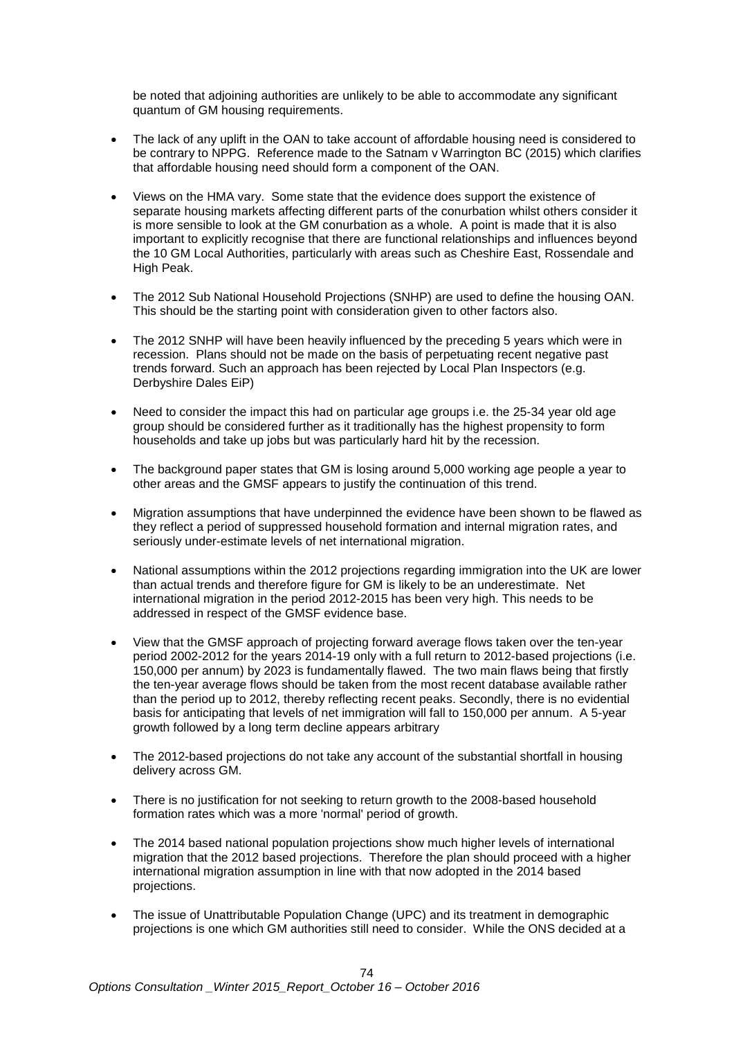be noted that adjoining authorities are unlikely to be able to accommodate any significant quantum of GM housing requirements.

- The lack of any uplift in the OAN to take account of affordable housing need is considered to be contrary to NPPG. Reference made to the Satnam v Warrington BC (2015) which clarifies that affordable housing need should form a component of the OAN.
- Views on the HMA vary. Some state that the evidence does support the existence of separate housing markets affecting different parts of the conurbation whilst others consider it is more sensible to look at the GM conurbation as a whole. A point is made that it is also important to explicitly recognise that there are functional relationships and influences beyond the 10 GM Local Authorities, particularly with areas such as Cheshire East, Rossendale and High Peak.
- The 2012 Sub National Household Projections (SNHP) are used to define the housing OAN. This should be the starting point with consideration given to other factors also.
- The 2012 SNHP will have been heavily influenced by the preceding 5 years which were in recession. Plans should not be made on the basis of perpetuating recent negative past trends forward. Such an approach has been rejected by Local Plan Inspectors (e.g. Derbyshire Dales EiP)
- Need to consider the impact this had on particular age groups i.e. the 25-34 year old age group should be considered further as it traditionally has the highest propensity to form households and take up jobs but was particularly hard hit by the recession.
- The background paper states that GM is losing around 5,000 working age people a year to other areas and the GMSF appears to justify the continuation of this trend.
- Migration assumptions that have underpinned the evidence have been shown to be flawed as they reflect a period of suppressed household formation and internal migration rates, and seriously under-estimate levels of net international migration.
- National assumptions within the 2012 projections regarding immigration into the UK are lower than actual trends and therefore figure for GM is likely to be an underestimate. Net international migration in the period 2012-2015 has been very high. This needs to be addressed in respect of the GMSF evidence base.
- View that the GMSF approach of projecting forward average flows taken over the ten-year period 2002-2012 for the years 2014-19 only with a full return to 2012-based projections (i.e. 150,000 per annum) by 2023 is fundamentally flawed. The two main flaws being that firstly the ten-year average flows should be taken from the most recent database available rather than the period up to 2012, thereby reflecting recent peaks. Secondly, there is no evidential basis for anticipating that levels of net immigration will fall to 150,000 per annum. A 5-year growth followed by a long term decline appears arbitrary
- The 2012-based projections do not take any account of the substantial shortfall in housing delivery across GM.
- There is no justification for not seeking to return growth to the 2008-based household formation rates which was a more 'normal' period of growth.
- The 2014 based national population projections show much higher levels of international migration that the 2012 based projections. Therefore the plan should proceed with a higher international migration assumption in line with that now adopted in the 2014 based projections.
- The issue of Unattributable Population Change (UPC) and its treatment in demographic projections is one which GM authorities still need to consider. While the ONS decided at a

74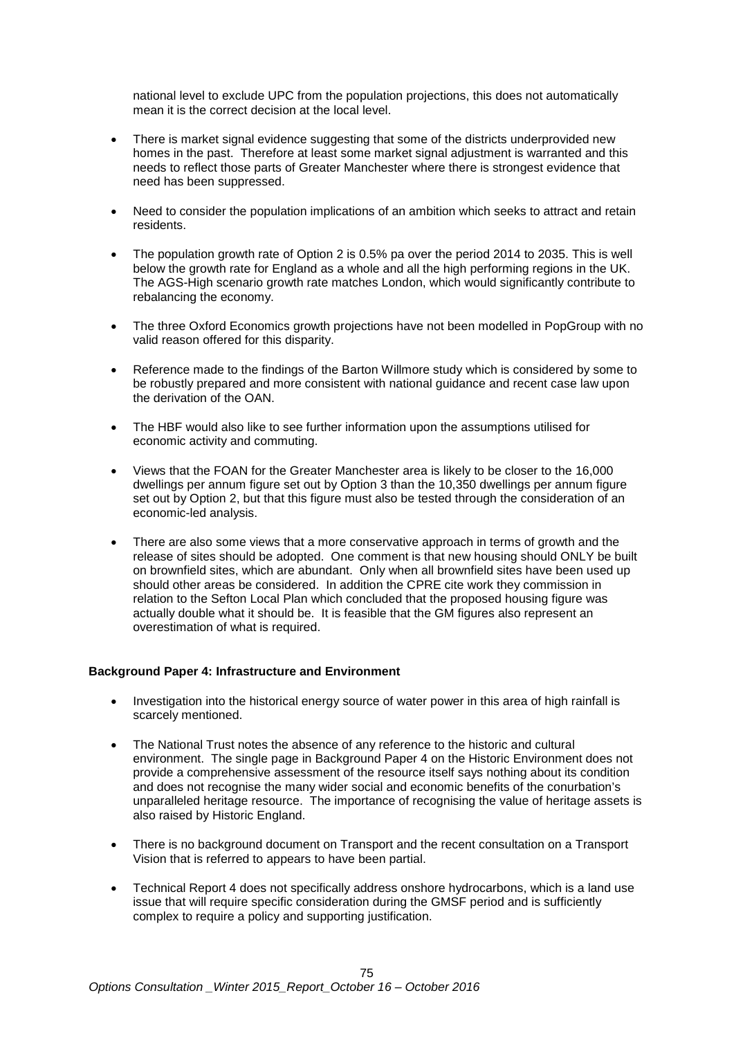national level to exclude UPC from the population projections, this does not automatically mean it is the correct decision at the local level.

- There is market signal evidence suggesting that some of the districts underprovided new homes in the past. Therefore at least some market signal adjustment is warranted and this needs to reflect those parts of Greater Manchester where there is strongest evidence that need has been suppressed.
- Need to consider the population implications of an ambition which seeks to attract and retain residents.
- The population growth rate of Option 2 is 0.5% pa over the period 2014 to 2035. This is well below the growth rate for England as a whole and all the high performing regions in the UK. The AGS-High scenario growth rate matches London, which would significantly contribute to rebalancing the economy.
- The three Oxford Economics growth projections have not been modelled in PopGroup with no valid reason offered for this disparity.
- Reference made to the findings of the Barton Willmore study which is considered by some to be robustly prepared and more consistent with national guidance and recent case law upon the derivation of the OAN.
- The HBF would also like to see further information upon the assumptions utilised for economic activity and commuting.
- Views that the FOAN for the Greater Manchester area is likely to be closer to the 16,000 dwellings per annum figure set out by Option 3 than the 10,350 dwellings per annum figure set out by Option 2, but that this figure must also be tested through the consideration of an economic-led analysis.
- There are also some views that a more conservative approach in terms of growth and the release of sites should be adopted. One comment is that new housing should ONLY be built on brownfield sites, which are abundant. Only when all brownfield sites have been used up should other areas be considered. In addition the CPRE cite work they commission in relation to the Sefton Local Plan which concluded that the proposed housing figure was actually double what it should be. It is feasible that the GM figures also represent an overestimation of what is required.

#### **Background Paper 4: Infrastructure and Environment**

- Investigation into the historical energy source of water power in this area of high rainfall is scarcely mentioned.
- The National Trust notes the absence of any reference to the historic and cultural environment. The single page in Background Paper 4 on the Historic Environment does not provide a comprehensive assessment of the resource itself says nothing about its condition and does not recognise the many wider social and economic benefits of the conurbation's unparalleled heritage resource. The importance of recognising the value of heritage assets is also raised by Historic England.
- There is no background document on Transport and the recent consultation on a Transport Vision that is referred to appears to have been partial.
- Technical Report 4 does not specifically address onshore hydrocarbons, which is a land use issue that will require specific consideration during the GMSF period and is sufficiently complex to require a policy and supporting justification.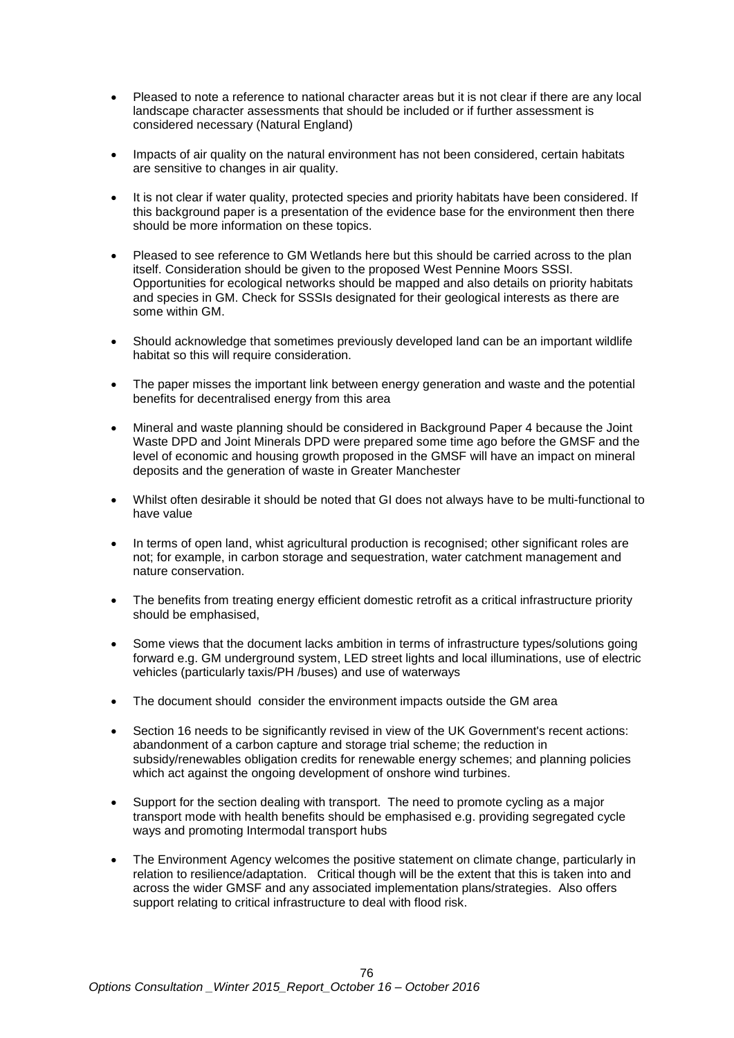- Pleased to note a reference to national character areas but it is not clear if there are any local landscape character assessments that should be included or if further assessment is considered necessary (Natural England)
- Impacts of air quality on the natural environment has not been considered, certain habitats are sensitive to changes in air quality.
- It is not clear if water quality, protected species and priority habitats have been considered. If this background paper is a presentation of the evidence base for the environment then there should be more information on these topics.
- Pleased to see reference to GM Wetlands here but this should be carried across to the plan itself. Consideration should be given to the proposed West Pennine Moors SSSI. Opportunities for ecological networks should be mapped and also details on priority habitats and species in GM. Check for SSSIs designated for their geological interests as there are some within GM.
- Should acknowledge that sometimes previously developed land can be an important wildlife habitat so this will require consideration.
- The paper misses the important link between energy generation and waste and the potential benefits for decentralised energy from this area
- Mineral and waste planning should be considered in Background Paper 4 because the Joint Waste DPD and Joint Minerals DPD were prepared some time ago before the GMSF and the level of economic and housing growth proposed in the GMSF will have an impact on mineral deposits and the generation of waste in Greater Manchester
- Whilst often desirable it should be noted that GI does not always have to be multi-functional to have value
- In terms of open land, whist agricultural production is recognised; other significant roles are not; for example, in carbon storage and sequestration, water catchment management and nature conservation.
- The benefits from treating energy efficient domestic retrofit as a critical infrastructure priority should be emphasised,
- Some views that the document lacks ambition in terms of infrastructure types/solutions going forward e.g. GM underground system, LED street lights and local illuminations, use of electric vehicles (particularly taxis/PH /buses) and use of waterways
- The document should consider the environment impacts outside the GM area
- Section 16 needs to be significantly revised in view of the UK Government's recent actions: abandonment of a carbon capture and storage trial scheme; the reduction in subsidy/renewables obligation credits for renewable energy schemes; and planning policies which act against the ongoing development of onshore wind turbines.
- Support for the section dealing with transport. The need to promote cycling as a major transport mode with health benefits should be emphasised e.g. providing segregated cycle ways and promoting Intermodal transport hubs
- The Environment Agency welcomes the positive statement on climate change, particularly in relation to resilience/adaptation. Critical though will be the extent that this is taken into and across the wider GMSF and any associated implementation plans/strategies. Also offers support relating to critical infrastructure to deal with flood risk.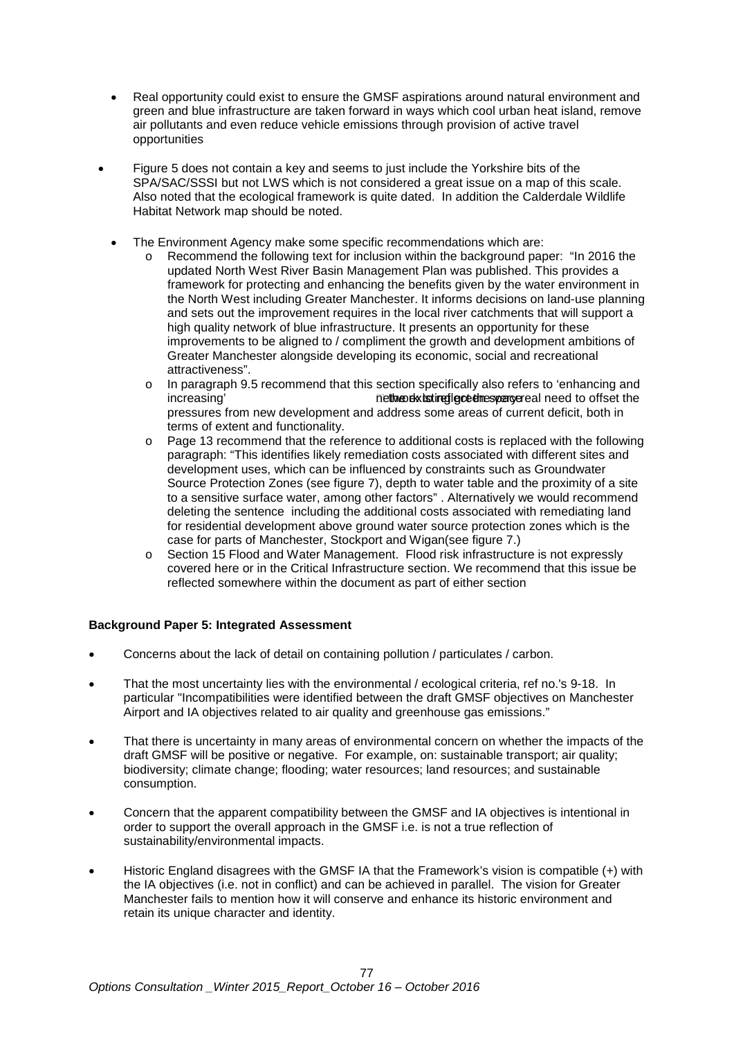- Real opportunity could exist to ensure the GMSF aspirations around natural environment and green and blue infrastructure are taken forward in ways which cool urban heat island, remove air pollutants and even reduce vehicle emissions through provision of active travel opportunities
- Figure 5 does not contain a key and seems to just include the Yorkshire bits of the SPA/SAC/SSSI but not LWS which is not considered a great issue on a map of this scale. Also noted that the ecological framework is quite dated. In addition the Calderdale Wildlife Habitat Network map should be noted.
	- The Environment Agency make some specific recommendations which are:
		- Recommend the following text for inclusion within the background paper: "In 2016 the updated North West River Basin Management Plan was published. This provides a framework for protecting and enhancing the benefits given by the water environment in the North West including Greater Manchester. It informs decisions on land-use planning and sets out the improvement requires in the local river catchments that will support a high quality network of blue infrastructure. It presents an opportunity for these improvements to be aligned to / compliment the growth and development ambitions of Greater Manchester alongside developing its economic, social and recreational attractiveness".
		- o In paragraph 9.5 recommend that this section specifically also refers to 'enhancing and<br>increasing' method increasing' paragreeal need to offset the nethe dx isting lece the spance al need to offset the pressures from new development and address some areas of current deficit, both in terms of extent and functionality.
		- o Page 13 recommend that the reference to additional costs is replaced with the following paragraph: "This identifies likely remediation costs associated with different sites and development uses, which can be influenced by constraints such as Groundwater Source Protection Zones (see figure 7), depth to water table and the proximity of a site to a sensitive surface water, among other factors" . Alternatively we would recommend deleting the sentence including the additional costs associated with remediating land for residential development above ground water source protection zones which is the case for parts of Manchester, Stockport and Wigan(see figure 7.)
		- o Section 15 Flood and Water Management. Flood risk infrastructure is not expressly covered here or in the Critical Infrastructure section. We recommend that this issue be reflected somewhere within the document as part of either section

#### **Background Paper 5: Integrated Assessment**

- Concerns about the lack of detail on containing pollution / particulates / carbon.
- That the most uncertainty lies with the environmental / ecological criteria, ref no.'s 9-18. In particular "Incompatibilities were identified between the draft GMSF objectives on Manchester Airport and IA objectives related to air quality and greenhouse gas emissions."
- That there is uncertainty in many areas of environmental concern on whether the impacts of the draft GMSF will be positive or negative. For example, on: sustainable transport; air quality; biodiversity; climate change; flooding; water resources; land resources; and sustainable consumption.
- Concern that the apparent compatibility between the GMSF and IA objectives is intentional in order to support the overall approach in the GMSF i.e. is not a true reflection of sustainability/environmental impacts.
- Historic England disagrees with the GMSF IA that the Framework's vision is compatible (+) with the IA objectives (i.e. not in conflict) and can be achieved in parallel. The vision for Greater Manchester fails to mention how it will conserve and enhance its historic environment and retain its unique character and identity.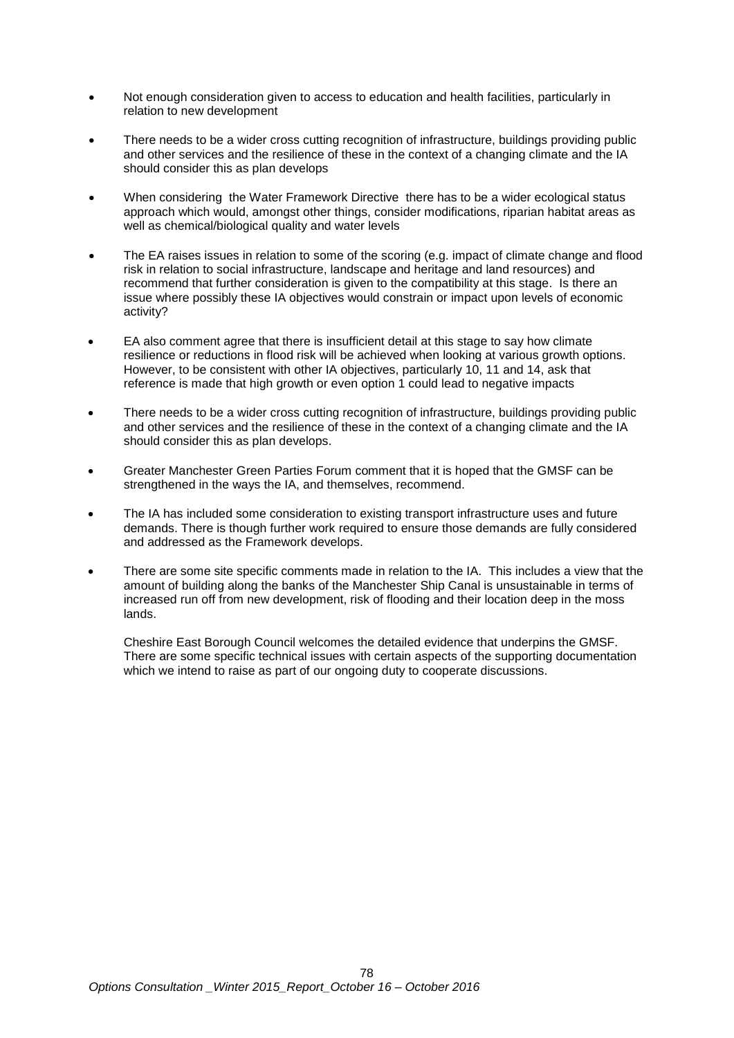- Not enough consideration given to access to education and health facilities, particularly in relation to new development
- There needs to be a wider cross cutting recognition of infrastructure, buildings providing public and other services and the resilience of these in the context of a changing climate and the IA should consider this as plan develops
- When considering the Water Framework Directive there has to be a wider ecological status approach which would, amongst other things, consider modifications, riparian habitat areas as well as chemical/biological quality and water levels
- The EA raises issues in relation to some of the scoring (e.g. impact of climate change and flood risk in relation to social infrastructure, landscape and heritage and land resources) and recommend that further consideration is given to the compatibility at this stage. Is there an issue where possibly these IA objectives would constrain or impact upon levels of economic activity?
- EA also comment agree that there is insufficient detail at this stage to say how climate resilience or reductions in flood risk will be achieved when looking at various growth options. However, to be consistent with other IA objectives, particularly 10, 11 and 14, ask that reference is made that high growth or even option 1 could lead to negative impacts
- There needs to be a wider cross cutting recognition of infrastructure, buildings providing public and other services and the resilience of these in the context of a changing climate and the IA should consider this as plan develops.
- Greater Manchester Green Parties Forum comment that it is hoped that the GMSF can be strengthened in the ways the IA, and themselves, recommend.
- The IA has included some consideration to existing transport infrastructure uses and future demands. There is though further work required to ensure those demands are fully considered and addressed as the Framework develops.
- There are some site specific comments made in relation to the IA. This includes a view that the amount of building along the banks of the Manchester Ship Canal is unsustainable in terms of increased run off from new development, risk of flooding and their location deep in the moss lands.

Cheshire East Borough Council welcomes the detailed evidence that underpins the GMSF. There are some specific technical issues with certain aspects of the supporting documentation which we intend to raise as part of our ongoing duty to cooperate discussions.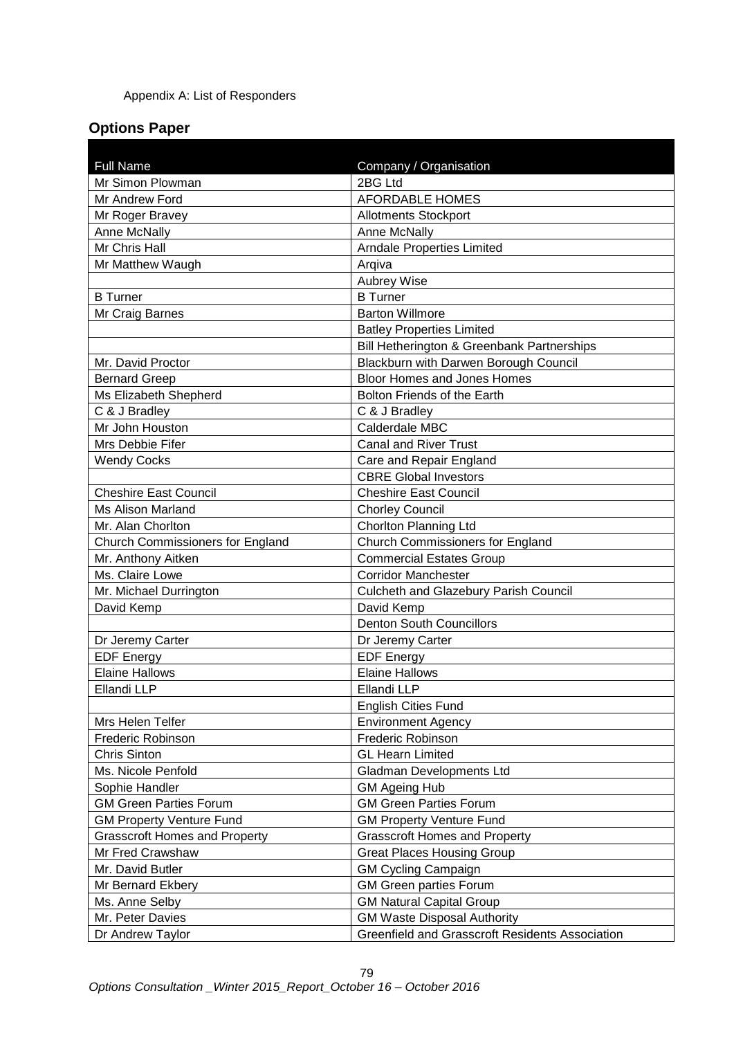#### Appendix A: List of Responders

## **Options Paper**

| <b>Full Name</b><br>Mr Simon Plowman                     | Company / Organisation<br>2BG Ltd                                    |
|----------------------------------------------------------|----------------------------------------------------------------------|
| Mr Andrew Ford                                           | <b>AFORDABLE HOMES</b>                                               |
|                                                          |                                                                      |
| Mr Roger Bravey                                          | <b>Allotments Stockport</b>                                          |
| Anne McNally                                             | Anne McNally                                                         |
| Mr Chris Hall                                            | <b>Arndale Properties Limited</b>                                    |
| Mr Matthew Waugh                                         | Argiva                                                               |
|                                                          | <b>Aubrey Wise</b><br><b>B</b> Turner                                |
| <b>B</b> Turner                                          | <b>Barton Willmore</b>                                               |
| Mr Craig Barnes                                          |                                                                      |
|                                                          | <b>Batley Properties Limited</b>                                     |
|                                                          | Bill Hetherington & Greenbank Partnerships                           |
| Mr. David Proctor                                        | Blackburn with Darwen Borough Council<br>Bloor Homes and Jones Homes |
| <b>Bernard Greep</b>                                     | Bolton Friends of the Earth                                          |
| Ms Elizabeth Shepherd                                    |                                                                      |
| C & J Bradley<br>Mr John Houston                         | C & J Bradley<br>Calderdale MBC                                      |
| Mrs Debbie Fifer                                         |                                                                      |
|                                                          | <b>Canal and River Trust</b>                                         |
| <b>Wendy Cocks</b>                                       | Care and Repair England<br><b>CBRE Global Investors</b>              |
|                                                          | <b>Cheshire East Council</b>                                         |
| <b>Cheshire East Council</b><br><b>Ms Alison Marland</b> |                                                                      |
| Mr. Alan Chorlton                                        | <b>Chorley Council</b><br>Chorlton Planning Ltd                      |
| <b>Church Commissioners for England</b>                  | <b>Church Commissioners for England</b>                              |
| Mr. Anthony Aitken                                       | <b>Commercial Estates Group</b>                                      |
| Ms. Claire Lowe                                          | <b>Corridor Manchester</b>                                           |
| Mr. Michael Durrington                                   | Culcheth and Glazebury Parish Council                                |
| David Kemp                                               | David Kemp                                                           |
|                                                          | <b>Denton South Councillors</b>                                      |
| Dr Jeremy Carter                                         | Dr Jeremy Carter                                                     |
| <b>EDF Energy</b>                                        | <b>EDF Energy</b>                                                    |
| <b>Elaine Hallows</b>                                    | <b>Elaine Hallows</b>                                                |
| Ellandi LLP                                              | Ellandi LLP                                                          |
|                                                          | <b>English Cities Fund</b>                                           |
| Mrs Helen Telfer                                         | <b>Environment Agency</b>                                            |
| <b>Frederic Robinson</b>                                 | Frederic Robinson                                                    |
| <b>Chris Sinton</b>                                      | <b>GL Hearn Limited</b>                                              |
| Ms. Nicole Penfold                                       | Gladman Developments Ltd                                             |
| Sophie Handler                                           | <b>GM Ageing Hub</b>                                                 |
| <b>GM Green Parties Forum</b>                            | <b>GM Green Parties Forum</b>                                        |
| <b>GM Property Venture Fund</b>                          | <b>GM Property Venture Fund</b>                                      |
| <b>Grasscroft Homes and Property</b>                     | <b>Grasscroft Homes and Property</b>                                 |
| Mr Fred Crawshaw                                         | <b>Great Places Housing Group</b>                                    |
| Mr. David Butler                                         | <b>GM Cycling Campaign</b>                                           |
| Mr Bernard Ekbery                                        | <b>GM Green parties Forum</b>                                        |
| Ms. Anne Selby                                           | <b>GM Natural Capital Group</b>                                      |
| Mr. Peter Davies                                         | <b>GM Waste Disposal Authority</b>                                   |
| Dr Andrew Taylor                                         | <b>Greenfield and Grasscroft Residents Association</b>               |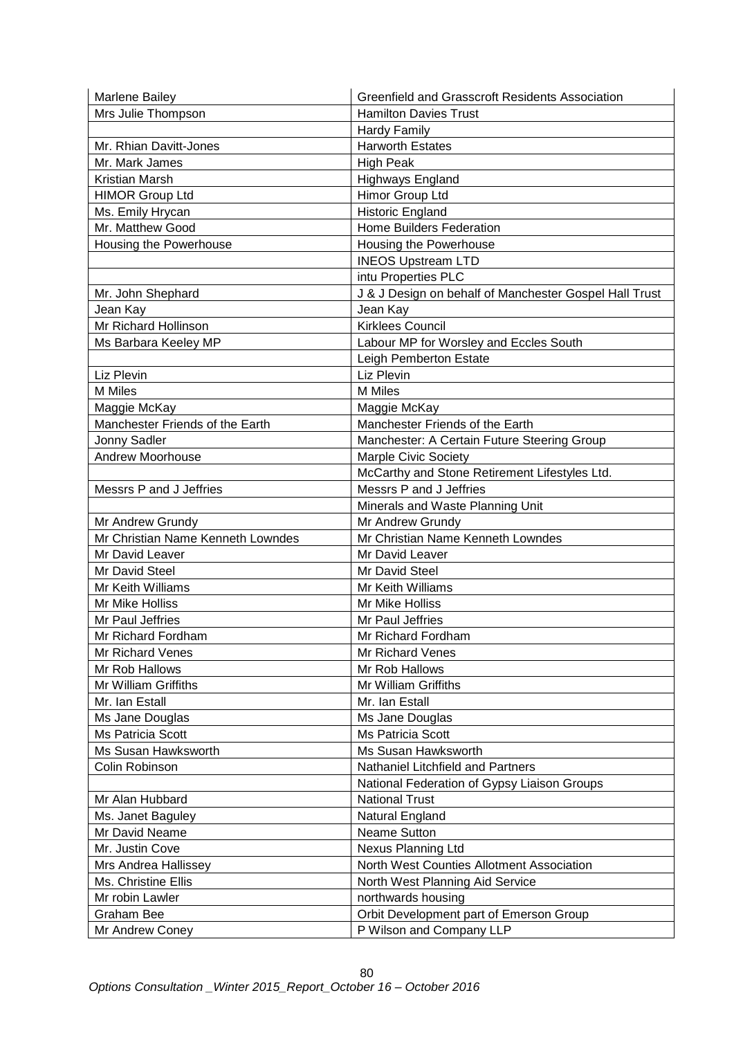| <b>Marlene Bailey</b>             | <b>Greenfield and Grasscroft Residents Association</b> |
|-----------------------------------|--------------------------------------------------------|
| Mrs Julie Thompson                | <b>Hamilton Davies Trust</b>                           |
|                                   | <b>Hardy Family</b>                                    |
| Mr. Rhian Davitt-Jones            | <b>Harworth Estates</b>                                |
| Mr. Mark James                    | <b>High Peak</b>                                       |
| Kristian Marsh                    | <b>Highways England</b>                                |
| <b>HIMOR Group Ltd</b>            | Himor Group Ltd                                        |
| Ms. Emily Hrycan                  | Historic England                                       |
| Mr. Matthew Good                  | Home Builders Federation                               |
| Housing the Powerhouse            | Housing the Powerhouse                                 |
|                                   | <b>INEOS Upstream LTD</b>                              |
|                                   | intu Properties PLC                                    |
| Mr. John Shephard                 | J & J Design on behalf of Manchester Gospel Hall Trust |
| Jean Kay                          | Jean Kay                                               |
| Mr Richard Hollinson              | <b>Kirklees Council</b>                                |
|                                   | Labour MP for Worsley and Eccles South                 |
| Ms Barbara Keeley MP              |                                                        |
|                                   | Leigh Pemberton Estate                                 |
| Liz Plevin                        | Liz Plevin                                             |
| <b>M</b> Miles                    | <b>M</b> Miles                                         |
| Maggie McKay                      | Maggie McKay                                           |
| Manchester Friends of the Earth   | Manchester Friends of the Earth                        |
| Jonny Sadler                      | Manchester: A Certain Future Steering Group            |
| <b>Andrew Moorhouse</b>           | <b>Marple Civic Society</b>                            |
|                                   | McCarthy and Stone Retirement Lifestyles Ltd.          |
| Messrs P and J Jeffries           | Messrs P and J Jeffries                                |
|                                   | Minerals and Waste Planning Unit                       |
| Mr Andrew Grundy                  | Mr Andrew Grundy                                       |
| Mr Christian Name Kenneth Lowndes | Mr Christian Name Kenneth Lowndes                      |
| Mr David Leaver                   | Mr David Leaver                                        |
| Mr David Steel                    | Mr David Steel                                         |
| Mr Keith Williams                 | Mr Keith Williams                                      |
| Mr Mike Holliss                   | Mr Mike Holliss                                        |
| Mr Paul Jeffries                  | Mr Paul Jeffries                                       |
| Mr Richard Fordham                | Mr Richard Fordham                                     |
| <b>Mr Richard Venes</b>           | Mr Richard Venes                                       |
| Mr Rob Hallows                    | Mr Rob Hallows                                         |
| Mr William Griffiths              | Mr William Griffiths                                   |
| Mr. Ian Estall                    | Mr. Ian Estall                                         |
| Ms Jane Douglas                   | Ms Jane Douglas                                        |
| <b>Ms Patricia Scott</b>          | Ms Patricia Scott                                      |
| Ms Susan Hawksworth               | Ms Susan Hawksworth                                    |
| Colin Robinson                    | Nathaniel Litchfield and Partners                      |
|                                   | National Federation of Gypsy Liaison Groups            |
| Mr Alan Hubbard                   | <b>National Trust</b>                                  |
| Ms. Janet Baguley                 | Natural England                                        |
| Mr David Neame                    | <b>Neame Sutton</b>                                    |
| Mr. Justin Cove                   | Nexus Planning Ltd                                     |
| Mrs Andrea Hallissey              | North West Counties Allotment Association              |
| Ms. Christine Ellis               | North West Planning Aid Service                        |
| Mr robin Lawler                   | northwards housing                                     |
| <b>Graham Bee</b>                 |                                                        |
|                                   | Orbit Development part of Emerson Group                |
| Mr Andrew Coney                   | P Wilson and Company LLP                               |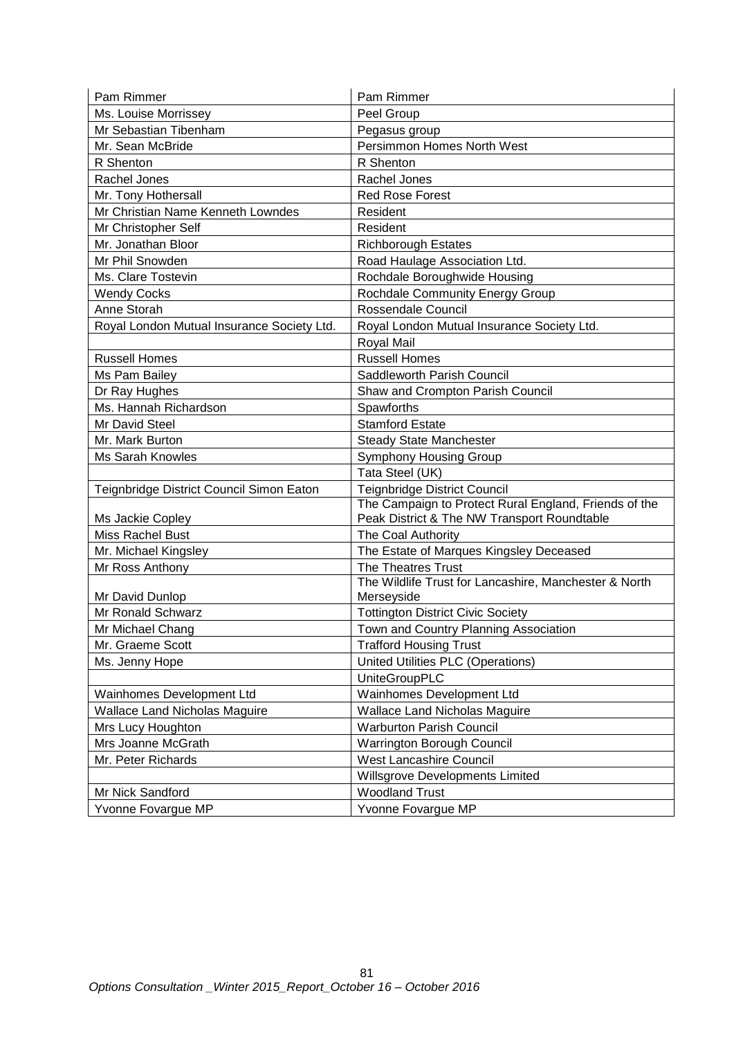| Pam Rimmer                                 | Pam Rimmer                                            |
|--------------------------------------------|-------------------------------------------------------|
| Ms. Louise Morrissey                       | Peel Group                                            |
| Mr Sebastian Tibenham                      | Pegasus group                                         |
| Mr. Sean McBride                           | Persimmon Homes North West                            |
| R Shenton                                  | R Shenton                                             |
| Rachel Jones                               | Rachel Jones                                          |
| Mr. Tony Hothersall                        | <b>Red Rose Forest</b>                                |
| Mr Christian Name Kenneth Lowndes          | Resident                                              |
| Mr Christopher Self                        | Resident                                              |
| Mr. Jonathan Bloor                         | <b>Richborough Estates</b>                            |
| Mr Phil Snowden                            | Road Haulage Association Ltd.                         |
| Ms. Clare Tostevin                         | Rochdale Boroughwide Housing                          |
| <b>Wendy Cocks</b>                         | Rochdale Community Energy Group                       |
| Anne Storah                                | Rossendale Council                                    |
| Royal London Mutual Insurance Society Ltd. | Royal London Mutual Insurance Society Ltd.            |
|                                            | Royal Mail                                            |
| <b>Russell Homes</b>                       | <b>Russell Homes</b>                                  |
| Ms Pam Bailey                              | Saddleworth Parish Council                            |
| Dr Ray Hughes                              | Shaw and Crompton Parish Council                      |
| Ms. Hannah Richardson                      | Spawforths                                            |
| Mr David Steel                             | <b>Stamford Estate</b>                                |
| Mr. Mark Burton                            | <b>Steady State Manchester</b>                        |
| <b>Ms Sarah Knowles</b>                    | <b>Symphony Housing Group</b>                         |
|                                            | Tata Steel (UK)                                       |
| Teignbridge District Council Simon Eaton   | <b>Teignbridge District Council</b>                   |
|                                            | The Campaign to Protect Rural England, Friends of the |
| Ms Jackie Copley                           | Peak District & The NW Transport Roundtable           |
| Miss Rachel Bust                           | The Coal Authority                                    |
| Mr. Michael Kingsley                       | The Estate of Marques Kingsley Deceased               |
| Mr Ross Anthony                            | The Theatres Trust                                    |
|                                            | The Wildlife Trust for Lancashire, Manchester & North |
| Mr David Dunlop                            | Merseyside                                            |
| <b>Mr Ronald Schwarz</b>                   | <b>Tottington District Civic Society</b>              |
| Mr Michael Chang                           | Town and Country Planning Association                 |
| Mr. Graeme Scott                           | <b>Trafford Housing Trust</b>                         |
| Ms. Jenny Hope                             | United Utilities PLC (Operations)                     |
|                                            | <b>UniteGroupPLC</b>                                  |
| Wainhomes Development Ltd                  | Wainhomes Development Ltd                             |
| <b>Wallace Land Nicholas Maguire</b>       | <b>Wallace Land Nicholas Maguire</b>                  |
| Mrs Lucy Houghton                          | <b>Warburton Parish Council</b>                       |
| Mrs Joanne McGrath                         | <b>Warrington Borough Council</b>                     |
| Mr. Peter Richards                         | <b>West Lancashire Council</b>                        |
|                                            | Willsgrove Developments Limited                       |
| Mr Nick Sandford                           | <b>Woodland Trust</b>                                 |
| Yvonne Fovargue MP                         | Yvonne Fovargue MP                                    |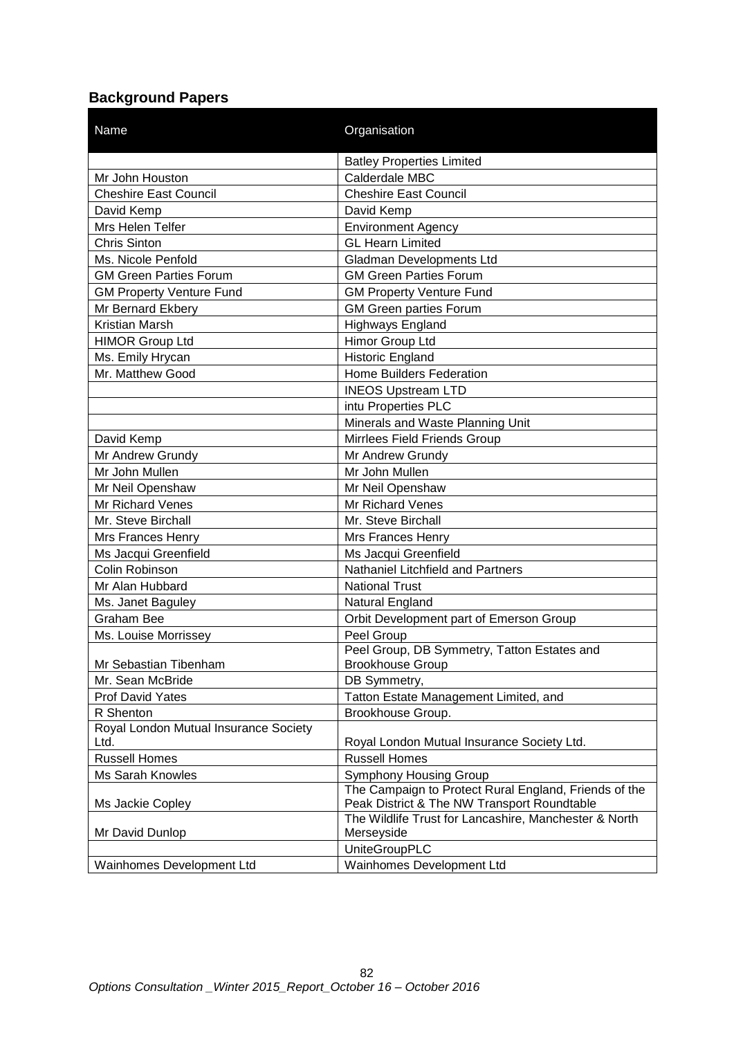# **Background Papers**

| <b>Name</b>                           | Organisation                                          |
|---------------------------------------|-------------------------------------------------------|
|                                       | <b>Batley Properties Limited</b>                      |
| Mr John Houston                       | Calderdale MBC                                        |
| <b>Cheshire East Council</b>          | <b>Cheshire East Council</b>                          |
| David Kemp                            | David Kemp                                            |
| Mrs Helen Telfer                      | <b>Environment Agency</b>                             |
| <b>Chris Sinton</b>                   | <b>GL Hearn Limited</b>                               |
| Ms. Nicole Penfold                    | <b>Gladman Developments Ltd</b>                       |
| <b>GM Green Parties Forum</b>         | <b>GM Green Parties Forum</b>                         |
| <b>GM Property Venture Fund</b>       | <b>GM Property Venture Fund</b>                       |
| Mr Bernard Ekbery                     | <b>GM Green parties Forum</b>                         |
| Kristian Marsh                        | <b>Highways England</b>                               |
| <b>HIMOR Group Ltd</b>                | Himor Group Ltd                                       |
| Ms. Emily Hrycan                      | <b>Historic England</b>                               |
| Mr. Matthew Good                      | <b>Home Builders Federation</b>                       |
|                                       | <b>INEOS Upstream LTD</b>                             |
|                                       | intu Properties PLC                                   |
|                                       | Minerals and Waste Planning Unit                      |
| David Kemp                            | Mirrlees Field Friends Group                          |
| Mr Andrew Grundy                      | Mr Andrew Grundy                                      |
| Mr John Mullen                        | Mr John Mullen                                        |
| Mr Neil Openshaw                      | Mr Neil Openshaw                                      |
| Mr Richard Venes                      | Mr Richard Venes                                      |
| Mr. Steve Birchall                    | Mr. Steve Birchall                                    |
| Mrs Frances Henry                     | Mrs Frances Henry                                     |
| Ms Jacqui Greenfield                  | Ms Jacqui Greenfield                                  |
| Colin Robinson                        | Nathaniel Litchfield and Partners                     |
| Mr Alan Hubbard                       | <b>National Trust</b>                                 |
| Ms. Janet Baguley                     | Natural England                                       |
| <b>Graham Bee</b>                     | Orbit Development part of Emerson Group               |
| Ms. Louise Morrissey                  | Peel Group                                            |
|                                       | Peel Group, DB Symmetry, Tatton Estates and           |
| Mr Sebastian Tibenham                 | <b>Brookhouse Group</b>                               |
| Mr. Sean McBride                      | DB Symmetry,                                          |
| Prof David Yates                      | Tatton Estate Management Limited, and                 |
| R Shenton                             | Brookhouse Group.                                     |
| Royal London Mutual Insurance Society |                                                       |
| Ltd.                                  | Royal London Mutual Insurance Society Ltd.            |
| <b>Russell Homes</b>                  | <b>Russell Homes</b>                                  |
| Ms Sarah Knowles                      | <b>Symphony Housing Group</b>                         |
|                                       | The Campaign to Protect Rural England, Friends of the |
| Ms Jackie Copley                      | Peak District & The NW Transport Roundtable           |
|                                       | The Wildlife Trust for Lancashire, Manchester & North |
| Mr David Dunlop                       | Merseyside                                            |
|                                       | <b>UniteGroupPLC</b>                                  |
| Wainhomes Development Ltd             | Wainhomes Development Ltd                             |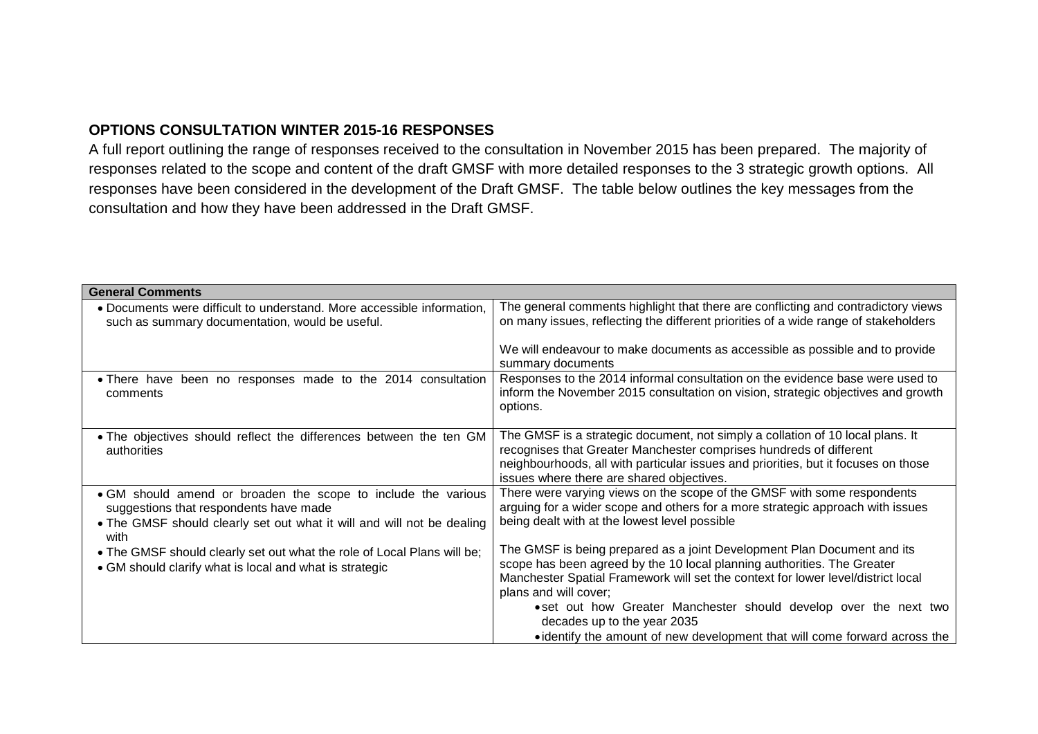### **OPTIONS CONSULTATION WINTER 2015-16 RESPONSES**

A full report outlining the range of responses received to the consultation in November 2015 has been prepared. The majority of responses related to the scope and content of the draft GMSF with more detailed responses to the 3 strategic growth options. All responses have been considered in the development of the Draft GMSF. The table below outlines the key messages from the consultation and how they have been addressed in the Draft GMSF.

| <b>General Comments</b>                                                                                                                                                                   |                                                                                                                                                                                                                                                                                                                                                                                                                                                   |
|-------------------------------------------------------------------------------------------------------------------------------------------------------------------------------------------|---------------------------------------------------------------------------------------------------------------------------------------------------------------------------------------------------------------------------------------------------------------------------------------------------------------------------------------------------------------------------------------------------------------------------------------------------|
| • Documents were difficult to understand. More accessible information,<br>such as summary documentation, would be useful.                                                                 | The general comments highlight that there are conflicting and contradictory views<br>on many issues, reflecting the different priorities of a wide range of stakeholders                                                                                                                                                                                                                                                                          |
|                                                                                                                                                                                           | We will endeavour to make documents as accessible as possible and to provide<br>summary documents                                                                                                                                                                                                                                                                                                                                                 |
| . There have been no responses made to the 2014 consultation<br>comments                                                                                                                  | Responses to the 2014 informal consultation on the evidence base were used to<br>inform the November 2015 consultation on vision, strategic objectives and growth<br>options.                                                                                                                                                                                                                                                                     |
| • The objectives should reflect the differences between the ten GM<br>authorities                                                                                                         | The GMSF is a strategic document, not simply a collation of 10 local plans. It<br>recognises that Greater Manchester comprises hundreds of different<br>neighbourhoods, all with particular issues and priorities, but it focuses on those<br>issues where there are shared objectives.                                                                                                                                                           |
| • GM should amend or broaden the scope to include the various<br>suggestions that respondents have made<br>• The GMSF should clearly set out what it will and will not be dealing<br>with | There were varying views on the scope of the GMSF with some respondents<br>arguing for a wider scope and others for a more strategic approach with issues<br>being dealt with at the lowest level possible                                                                                                                                                                                                                                        |
| . The GMSF should clearly set out what the role of Local Plans will be;<br>• GM should clarify what is local and what is strategic                                                        | The GMSF is being prepared as a joint Development Plan Document and its<br>scope has been agreed by the 10 local planning authorities. The Greater<br>Manchester Spatial Framework will set the context for lower level/district local<br>plans and will cover;<br>• set out how Greater Manchester should develop over the next two<br>decades up to the year 2035<br>• identify the amount of new development that will come forward across the |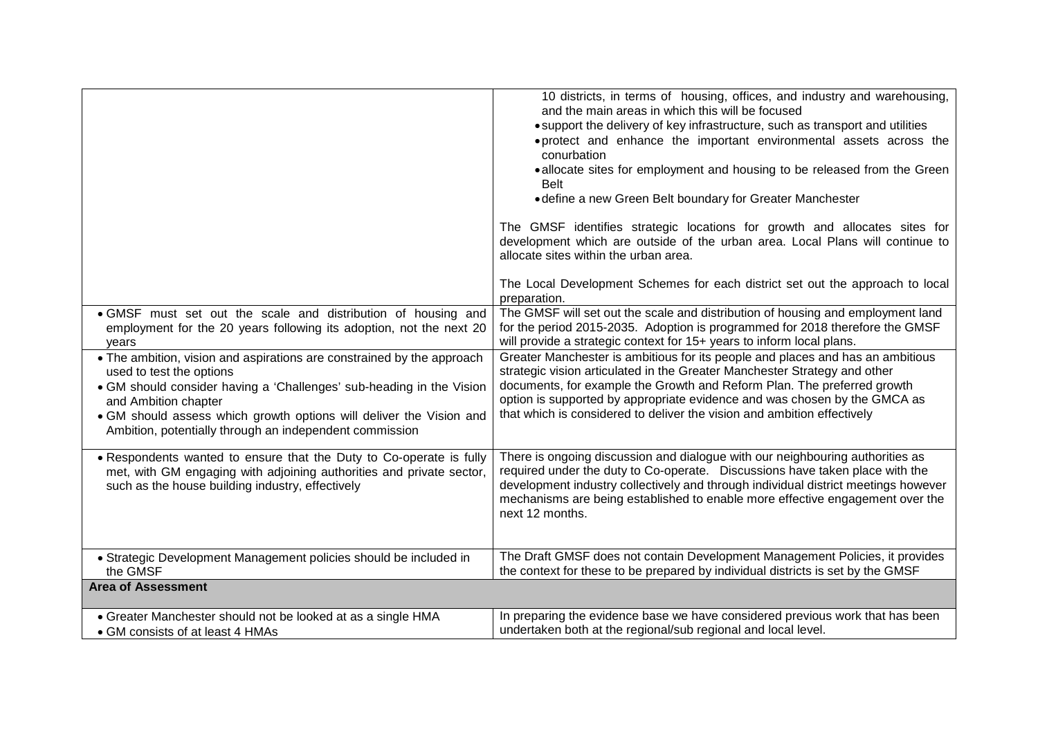|                                                                                                                                                                                                                                                                                                                                      | 10 districts, in terms of housing, offices, and industry and warehousing,<br>and the main areas in which this will be focused<br>• support the delivery of key infrastructure, such as transport and utilities<br>. protect and enhance the important environmental assets across the<br>conurbation<br>• allocate sites for employment and housing to be released from the Green<br><b>Belt</b><br>• define a new Green Belt boundary for Greater Manchester<br>The GMSF identifies strategic locations for growth and allocates sites for<br>development which are outside of the urban area. Local Plans will continue to<br>allocate sites within the urban area.<br>The Local Development Schemes for each district set out the approach to local |
|--------------------------------------------------------------------------------------------------------------------------------------------------------------------------------------------------------------------------------------------------------------------------------------------------------------------------------------|--------------------------------------------------------------------------------------------------------------------------------------------------------------------------------------------------------------------------------------------------------------------------------------------------------------------------------------------------------------------------------------------------------------------------------------------------------------------------------------------------------------------------------------------------------------------------------------------------------------------------------------------------------------------------------------------------------------------------------------------------------|
|                                                                                                                                                                                                                                                                                                                                      | preparation.                                                                                                                                                                                                                                                                                                                                                                                                                                                                                                                                                                                                                                                                                                                                           |
| · GMSF must set out the scale and distribution of housing and<br>employment for the 20 years following its adoption, not the next 20<br>years                                                                                                                                                                                        | The GMSF will set out the scale and distribution of housing and employment land<br>for the period 2015-2035. Adoption is programmed for 2018 therefore the GMSF<br>will provide a strategic context for 15+ years to inform local plans.                                                                                                                                                                                                                                                                                                                                                                                                                                                                                                               |
| • The ambition, vision and aspirations are constrained by the approach<br>used to test the options<br>• GM should consider having a 'Challenges' sub-heading in the Vision<br>and Ambition chapter<br>. GM should assess which growth options will deliver the Vision and<br>Ambition, potentially through an independent commission | Greater Manchester is ambitious for its people and places and has an ambitious<br>strategic vision articulated in the Greater Manchester Strategy and other<br>documents, for example the Growth and Reform Plan. The preferred growth<br>option is supported by appropriate evidence and was chosen by the GMCA as<br>that which is considered to deliver the vision and ambition effectively                                                                                                                                                                                                                                                                                                                                                         |
| • Respondents wanted to ensure that the Duty to Co-operate is fully<br>met, with GM engaging with adjoining authorities and private sector,<br>such as the house building industry, effectively                                                                                                                                      | There is ongoing discussion and dialogue with our neighbouring authorities as<br>required under the duty to Co-operate. Discussions have taken place with the<br>development industry collectively and through individual district meetings however<br>mechanisms are being established to enable more effective engagement over the<br>next 12 months.                                                                                                                                                                                                                                                                                                                                                                                                |
| • Strategic Development Management policies should be included in<br>the GMSF                                                                                                                                                                                                                                                        | The Draft GMSF does not contain Development Management Policies, it provides<br>the context for these to be prepared by individual districts is set by the GMSF                                                                                                                                                                                                                                                                                                                                                                                                                                                                                                                                                                                        |
| <b>Area of Assessment</b>                                                                                                                                                                                                                                                                                                            |                                                                                                                                                                                                                                                                                                                                                                                                                                                                                                                                                                                                                                                                                                                                                        |
| • Greater Manchester should not be looked at as a single HMA<br>• GM consists of at least 4 HMAs                                                                                                                                                                                                                                     | In preparing the evidence base we have considered previous work that has been<br>undertaken both at the regional/sub regional and local level.                                                                                                                                                                                                                                                                                                                                                                                                                                                                                                                                                                                                         |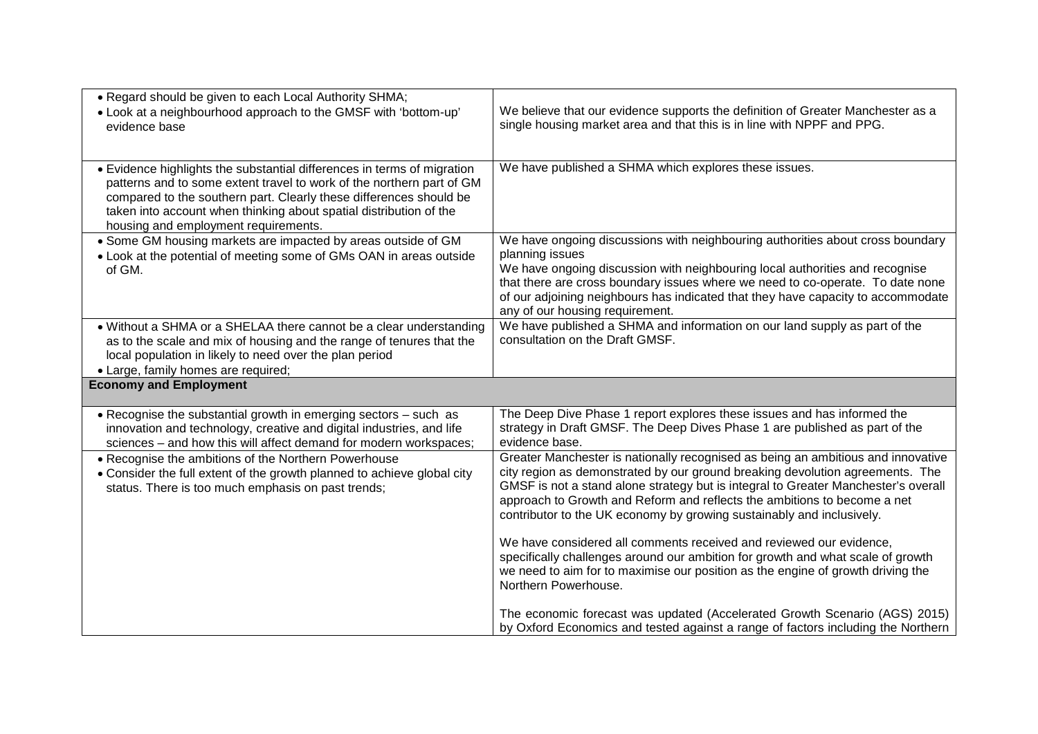| . Regard should be given to each Local Authority SHMA;                                                                                                                                                                                                                                                                               |                                                                                                                                                                                                                                                                                                                                                                                                              |
|--------------------------------------------------------------------------------------------------------------------------------------------------------------------------------------------------------------------------------------------------------------------------------------------------------------------------------------|--------------------------------------------------------------------------------------------------------------------------------------------------------------------------------------------------------------------------------------------------------------------------------------------------------------------------------------------------------------------------------------------------------------|
| • Look at a neighbourhood approach to the GMSF with 'bottom-up'<br>evidence base                                                                                                                                                                                                                                                     | We believe that our evidence supports the definition of Greater Manchester as a<br>single housing market area and that this is in line with NPPF and PPG.                                                                                                                                                                                                                                                    |
|                                                                                                                                                                                                                                                                                                                                      |                                                                                                                                                                                                                                                                                                                                                                                                              |
| • Evidence highlights the substantial differences in terms of migration<br>patterns and to some extent travel to work of the northern part of GM<br>compared to the southern part. Clearly these differences should be<br>taken into account when thinking about spatial distribution of the<br>housing and employment requirements. | We have published a SHMA which explores these issues.                                                                                                                                                                                                                                                                                                                                                        |
| • Some GM housing markets are impacted by areas outside of GM<br>• Look at the potential of meeting some of GMs OAN in areas outside<br>of GM.                                                                                                                                                                                       | We have ongoing discussions with neighbouring authorities about cross boundary<br>planning issues<br>We have ongoing discussion with neighbouring local authorities and recognise                                                                                                                                                                                                                            |
|                                                                                                                                                                                                                                                                                                                                      | that there are cross boundary issues where we need to co-operate. To date none<br>of our adjoining neighbours has indicated that they have capacity to accommodate<br>any of our housing requirement.                                                                                                                                                                                                        |
| • Without a SHMA or a SHELAA there cannot be a clear understanding<br>as to the scale and mix of housing and the range of tenures that the<br>local population in likely to need over the plan period                                                                                                                                | We have published a SHMA and information on our land supply as part of the<br>consultation on the Draft GMSF.                                                                                                                                                                                                                                                                                                |
| • Large, family homes are required;                                                                                                                                                                                                                                                                                                  |                                                                                                                                                                                                                                                                                                                                                                                                              |
| <b>Economy and Employment</b>                                                                                                                                                                                                                                                                                                        |                                                                                                                                                                                                                                                                                                                                                                                                              |
| • Recognise the substantial growth in emerging sectors - such as<br>innovation and technology, creative and digital industries, and life<br>sciences - and how this will affect demand for modern workspaces;                                                                                                                        | The Deep Dive Phase 1 report explores these issues and has informed the<br>strategy in Draft GMSF. The Deep Dives Phase 1 are published as part of the<br>evidence base.                                                                                                                                                                                                                                     |
| • Recognise the ambitions of the Northern Powerhouse<br>• Consider the full extent of the growth planned to achieve global city<br>status. There is too much emphasis on past trends;                                                                                                                                                | Greater Manchester is nationally recognised as being an ambitious and innovative<br>city region as demonstrated by our ground breaking devolution agreements. The<br>GMSF is not a stand alone strategy but is integral to Greater Manchester's overall<br>approach to Growth and Reform and reflects the ambitions to become a net<br>contributor to the UK economy by growing sustainably and inclusively. |
|                                                                                                                                                                                                                                                                                                                                      | We have considered all comments received and reviewed our evidence,<br>specifically challenges around our ambition for growth and what scale of growth<br>we need to aim for to maximise our position as the engine of growth driving the<br>Northern Powerhouse.                                                                                                                                            |
|                                                                                                                                                                                                                                                                                                                                      | The economic forecast was updated (Accelerated Growth Scenario (AGS) 2015)<br>by Oxford Economics and tested against a range of factors including the Northern                                                                                                                                                                                                                                               |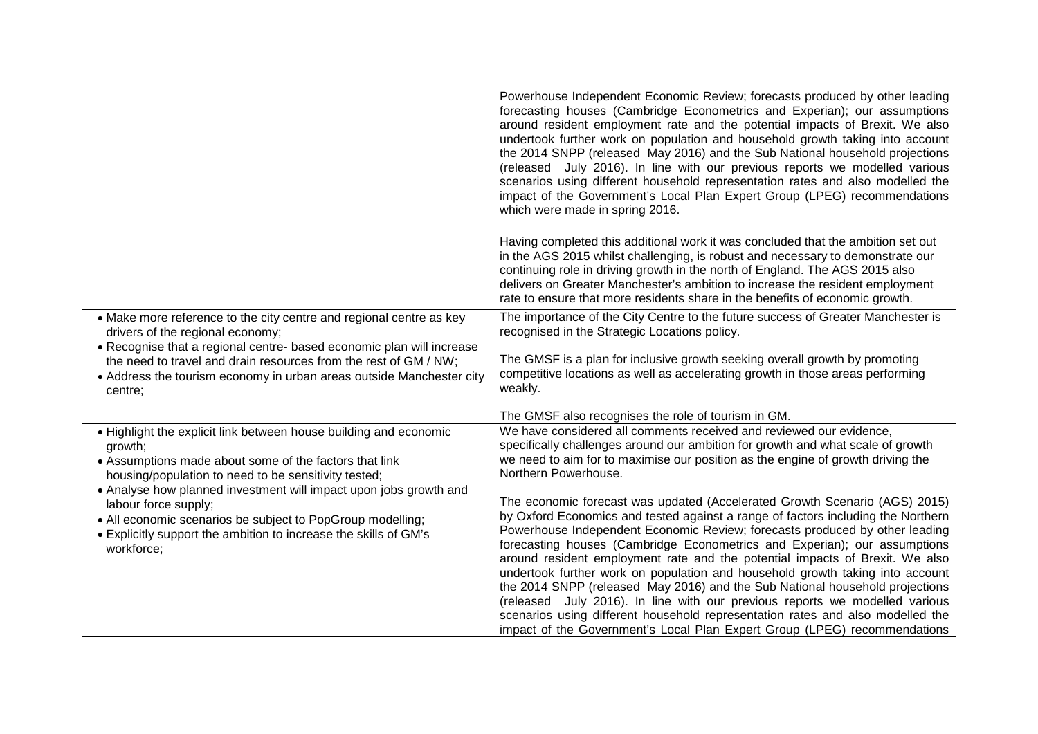|                                                                                                                                                                                                                                                                                                                                                                                                                                             | Powerhouse Independent Economic Review; forecasts produced by other leading<br>forecasting houses (Cambridge Econometrics and Experian); our assumptions<br>around resident employment rate and the potential impacts of Brexit. We also<br>undertook further work on population and household growth taking into account<br>the 2014 SNPP (released May 2016) and the Sub National household projections<br>(released July 2016). In line with our previous reports we modelled various<br>scenarios using different household representation rates and also modelled the<br>impact of the Government's Local Plan Expert Group (LPEG) recommendations<br>which were made in spring 2016.<br>Having completed this additional work it was concluded that the ambition set out<br>in the AGS 2015 whilst challenging, is robust and necessary to demonstrate our<br>continuing role in driving growth in the north of England. The AGS 2015 also<br>delivers on Greater Manchester's ambition to increase the resident employment<br>rate to ensure that more residents share in the benefits of economic growth. |
|---------------------------------------------------------------------------------------------------------------------------------------------------------------------------------------------------------------------------------------------------------------------------------------------------------------------------------------------------------------------------------------------------------------------------------------------|-------------------------------------------------------------------------------------------------------------------------------------------------------------------------------------------------------------------------------------------------------------------------------------------------------------------------------------------------------------------------------------------------------------------------------------------------------------------------------------------------------------------------------------------------------------------------------------------------------------------------------------------------------------------------------------------------------------------------------------------------------------------------------------------------------------------------------------------------------------------------------------------------------------------------------------------------------------------------------------------------------------------------------------------------------------------------------------------------------------------|
| • Make more reference to the city centre and regional centre as key<br>drivers of the regional economy;<br>• Recognise that a regional centre- based economic plan will increase<br>the need to travel and drain resources from the rest of GM / NW;<br>• Address the tourism economy in urban areas outside Manchester city<br>centre;                                                                                                     | The importance of the City Centre to the future success of Greater Manchester is<br>recognised in the Strategic Locations policy.<br>The GMSF is a plan for inclusive growth seeking overall growth by promoting<br>competitive locations as well as accelerating growth in those areas performing<br>weakly.                                                                                                                                                                                                                                                                                                                                                                                                                                                                                                                                                                                                                                                                                                                                                                                                     |
|                                                                                                                                                                                                                                                                                                                                                                                                                                             | The GMSF also recognises the role of tourism in GM.                                                                                                                                                                                                                                                                                                                                                                                                                                                                                                                                                                                                                                                                                                                                                                                                                                                                                                                                                                                                                                                               |
| . Highlight the explicit link between house building and economic<br>growth;<br>• Assumptions made about some of the factors that link<br>housing/population to need to be sensitivity tested;<br>• Analyse how planned investment will impact upon jobs growth and<br>labour force supply;<br>• All economic scenarios be subject to PopGroup modelling;<br>• Explicitly support the ambition to increase the skills of GM's<br>workforce; | We have considered all comments received and reviewed our evidence,<br>specifically challenges around our ambition for growth and what scale of growth<br>we need to aim for to maximise our position as the engine of growth driving the<br>Northern Powerhouse.<br>The economic forecast was updated (Accelerated Growth Scenario (AGS) 2015)<br>by Oxford Economics and tested against a range of factors including the Northern<br>Powerhouse Independent Economic Review; forecasts produced by other leading<br>forecasting houses (Cambridge Econometrics and Experian); our assumptions<br>around resident employment rate and the potential impacts of Brexit. We also<br>undertook further work on population and household growth taking into account<br>the 2014 SNPP (released May 2016) and the Sub National household projections<br>(released July 2016). In line with our previous reports we modelled various<br>scenarios using different household representation rates and also modelled the<br>impact of the Government's Local Plan Expert Group (LPEG) recommendations                    |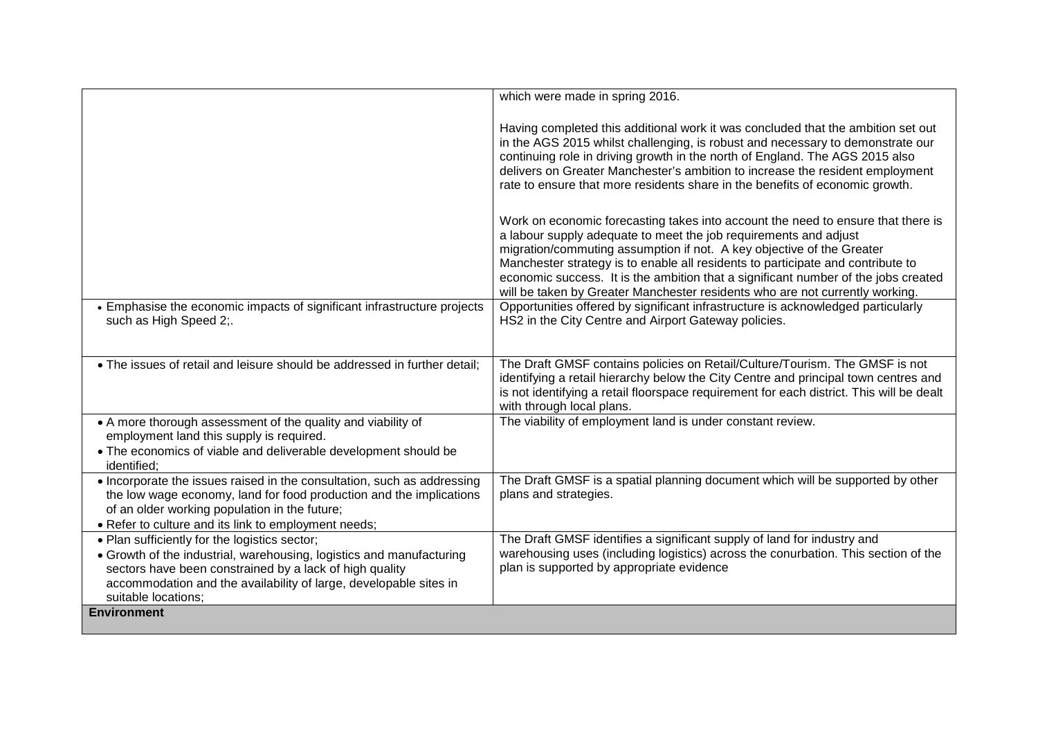|                                                                                                                                                                                                                                                                              | which were made in spring 2016.                                                                                                                                                                                                                                                                                                                                                                                                                                                        |
|------------------------------------------------------------------------------------------------------------------------------------------------------------------------------------------------------------------------------------------------------------------------------|----------------------------------------------------------------------------------------------------------------------------------------------------------------------------------------------------------------------------------------------------------------------------------------------------------------------------------------------------------------------------------------------------------------------------------------------------------------------------------------|
|                                                                                                                                                                                                                                                                              | Having completed this additional work it was concluded that the ambition set out<br>in the AGS 2015 whilst challenging, is robust and necessary to demonstrate our<br>continuing role in driving growth in the north of England. The AGS 2015 also<br>delivers on Greater Manchester's ambition to increase the resident employment<br>rate to ensure that more residents share in the benefits of economic growth.                                                                    |
|                                                                                                                                                                                                                                                                              | Work on economic forecasting takes into account the need to ensure that there is<br>a labour supply adequate to meet the job requirements and adjust<br>migration/commuting assumption if not. A key objective of the Greater<br>Manchester strategy is to enable all residents to participate and contribute to<br>economic success. It is the ambition that a significant number of the jobs created<br>will be taken by Greater Manchester residents who are not currently working. |
| • Emphasise the economic impacts of significant infrastructure projects<br>such as High Speed 2;.                                                                                                                                                                            | Opportunities offered by significant infrastructure is acknowledged particularly<br>HS2 in the City Centre and Airport Gateway policies.                                                                                                                                                                                                                                                                                                                                               |
| • The issues of retail and leisure should be addressed in further detail;                                                                                                                                                                                                    | The Draft GMSF contains policies on Retail/Culture/Tourism. The GMSF is not<br>identifying a retail hierarchy below the City Centre and principal town centres and<br>is not identifying a retail floorspace requirement for each district. This will be dealt<br>with through local plans.                                                                                                                                                                                            |
| • A more thorough assessment of the quality and viability of<br>employment land this supply is required.<br>• The economics of viable and deliverable development should be<br>identified:                                                                                   | The viability of employment land is under constant review.                                                                                                                                                                                                                                                                                                                                                                                                                             |
| • Incorporate the issues raised in the consultation, such as addressing<br>the low wage economy, land for food production and the implications<br>of an older working population in the future;<br>• Refer to culture and its link to employment needs;                      | The Draft GMSF is a spatial planning document which will be supported by other<br>plans and strategies.                                                                                                                                                                                                                                                                                                                                                                                |
| . Plan sufficiently for the logistics sector;<br>• Growth of the industrial, warehousing, logistics and manufacturing<br>sectors have been constrained by a lack of high quality<br>accommodation and the availability of large, developable sites in<br>suitable locations; | The Draft GMSF identifies a significant supply of land for industry and<br>warehousing uses (including logistics) across the conurbation. This section of the<br>plan is supported by appropriate evidence                                                                                                                                                                                                                                                                             |
| <b>Environment</b>                                                                                                                                                                                                                                                           |                                                                                                                                                                                                                                                                                                                                                                                                                                                                                        |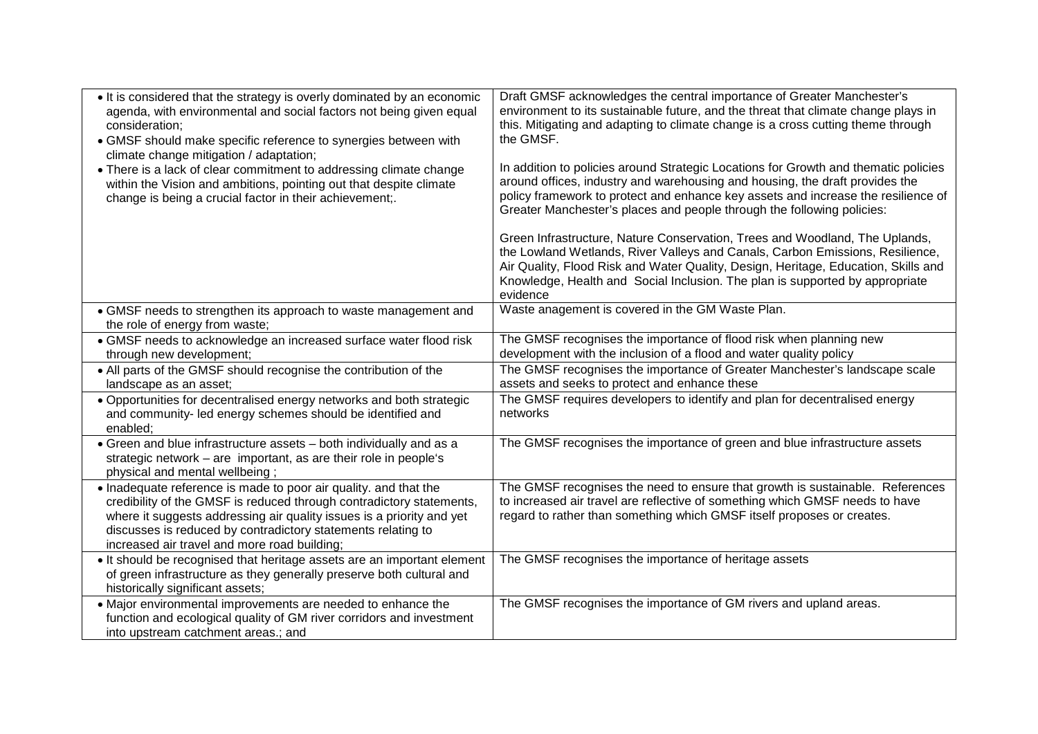| • It is considered that the strategy is overly dominated by an economic<br>agenda, with environmental and social factors not being given equal<br>consideration;<br>• GMSF should make specific reference to synergies between with<br>climate change mitigation / adaptation;<br>• There is a lack of clear commitment to addressing climate change<br>within the Vision and ambitions, pointing out that despite climate<br>change is being a crucial factor in their achievement;. | Draft GMSF acknowledges the central importance of Greater Manchester's<br>environment to its sustainable future, and the threat that climate change plays in<br>this. Mitigating and adapting to climate change is a cross cutting theme through<br>the GMSF.<br>In addition to policies around Strategic Locations for Growth and thematic policies<br>around offices, industry and warehousing and housing, the draft provides the<br>policy framework to protect and enhance key assets and increase the resilience of<br>Greater Manchester's places and people through the following policies: |
|---------------------------------------------------------------------------------------------------------------------------------------------------------------------------------------------------------------------------------------------------------------------------------------------------------------------------------------------------------------------------------------------------------------------------------------------------------------------------------------|-----------------------------------------------------------------------------------------------------------------------------------------------------------------------------------------------------------------------------------------------------------------------------------------------------------------------------------------------------------------------------------------------------------------------------------------------------------------------------------------------------------------------------------------------------------------------------------------------------|
|                                                                                                                                                                                                                                                                                                                                                                                                                                                                                       | Green Infrastructure, Nature Conservation, Trees and Woodland, The Uplands,<br>the Lowland Wetlands, River Valleys and Canals, Carbon Emissions, Resilience,<br>Air Quality, Flood Risk and Water Quality, Design, Heritage, Education, Skills and<br>Knowledge, Health and Social Inclusion. The plan is supported by appropriate<br>evidence                                                                                                                                                                                                                                                      |
| • GMSF needs to strengthen its approach to waste management and<br>the role of energy from waste;                                                                                                                                                                                                                                                                                                                                                                                     | Waste anagement is covered in the GM Waste Plan.                                                                                                                                                                                                                                                                                                                                                                                                                                                                                                                                                    |
| • GMSF needs to acknowledge an increased surface water flood risk<br>through new development;                                                                                                                                                                                                                                                                                                                                                                                         | The GMSF recognises the importance of flood risk when planning new<br>development with the inclusion of a flood and water quality policy                                                                                                                                                                                                                                                                                                                                                                                                                                                            |
| • All parts of the GMSF should recognise the contribution of the<br>landscape as an asset;                                                                                                                                                                                                                                                                                                                                                                                            | The GMSF recognises the importance of Greater Manchester's landscape scale<br>assets and seeks to protect and enhance these                                                                                                                                                                                                                                                                                                                                                                                                                                                                         |
| • Opportunities for decentralised energy networks and both strategic<br>and community- led energy schemes should be identified and<br>enabled;                                                                                                                                                                                                                                                                                                                                        | The GMSF requires developers to identify and plan for decentralised energy<br>networks                                                                                                                                                                                                                                                                                                                                                                                                                                                                                                              |
| • Green and blue infrastructure assets - both individually and as a<br>strategic network – are important, as are their role in people's<br>physical and mental wellbeing;                                                                                                                                                                                                                                                                                                             | The GMSF recognises the importance of green and blue infrastructure assets                                                                                                                                                                                                                                                                                                                                                                                                                                                                                                                          |
| • Inadequate reference is made to poor air quality. and that the<br>credibility of the GMSF is reduced through contradictory statements,<br>where it suggests addressing air quality issues is a priority and yet<br>discusses is reduced by contradictory statements relating to<br>increased air travel and more road building;                                                                                                                                                     | The GMSF recognises the need to ensure that growth is sustainable. References<br>to increased air travel are reflective of something which GMSF needs to have<br>regard to rather than something which GMSF itself proposes or creates.                                                                                                                                                                                                                                                                                                                                                             |
| • It should be recognised that heritage assets are an important element<br>of green infrastructure as they generally preserve both cultural and<br>historically significant assets;                                                                                                                                                                                                                                                                                                   | The GMSF recognises the importance of heritage assets                                                                                                                                                                                                                                                                                                                                                                                                                                                                                                                                               |
| • Major environmental improvements are needed to enhance the<br>function and ecological quality of GM river corridors and investment<br>into upstream catchment areas.; and                                                                                                                                                                                                                                                                                                           | The GMSF recognises the importance of GM rivers and upland areas.                                                                                                                                                                                                                                                                                                                                                                                                                                                                                                                                   |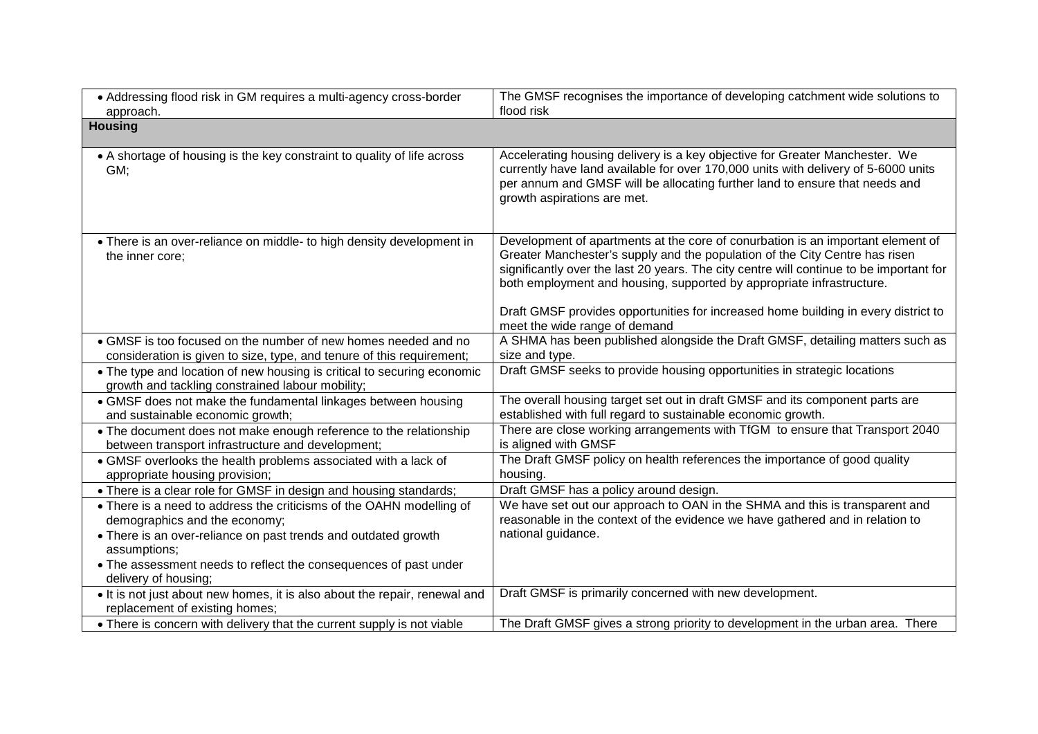| • Addressing flood risk in GM requires a multi-agency cross-border                                                                                                                      | The GMSF recognises the importance of developing catchment wide solutions to                                                                                                                                                                                                                                                                                                                                                                              |
|-----------------------------------------------------------------------------------------------------------------------------------------------------------------------------------------|-----------------------------------------------------------------------------------------------------------------------------------------------------------------------------------------------------------------------------------------------------------------------------------------------------------------------------------------------------------------------------------------------------------------------------------------------------------|
| approach.                                                                                                                                                                               | flood risk                                                                                                                                                                                                                                                                                                                                                                                                                                                |
| <b>Housing</b>                                                                                                                                                                          |                                                                                                                                                                                                                                                                                                                                                                                                                                                           |
| • A shortage of housing is the key constraint to quality of life across<br>GM;                                                                                                          | Accelerating housing delivery is a key objective for Greater Manchester. We<br>currently have land available for over 170,000 units with delivery of 5-6000 units<br>per annum and GMSF will be allocating further land to ensure that needs and<br>growth aspirations are met.                                                                                                                                                                           |
| • There is an over-reliance on middle- to high density development in<br>the inner core;                                                                                                | Development of apartments at the core of conurbation is an important element of<br>Greater Manchester's supply and the population of the City Centre has risen<br>significantly over the last 20 years. The city centre will continue to be important for<br>both employment and housing, supported by appropriate infrastructure.<br>Draft GMSF provides opportunities for increased home building in every district to<br>meet the wide range of demand |
| • GMSF is too focused on the number of new homes needed and no<br>consideration is given to size, type, and tenure of this requirement;                                                 | A SHMA has been published alongside the Draft GMSF, detailing matters such as<br>size and type.                                                                                                                                                                                                                                                                                                                                                           |
| • The type and location of new housing is critical to securing economic<br>growth and tackling constrained labour mobility;                                                             | Draft GMSF seeks to provide housing opportunities in strategic locations                                                                                                                                                                                                                                                                                                                                                                                  |
| • GMSF does not make the fundamental linkages between housing<br>and sustainable economic growth;                                                                                       | The overall housing target set out in draft GMSF and its component parts are<br>established with full regard to sustainable economic growth.                                                                                                                                                                                                                                                                                                              |
| • The document does not make enough reference to the relationship<br>between transport infrastructure and development;                                                                  | There are close working arrangements with TfGM to ensure that Transport 2040<br>is aligned with GMSF                                                                                                                                                                                                                                                                                                                                                      |
| • GMSF overlooks the health problems associated with a lack of<br>appropriate housing provision;                                                                                        | The Draft GMSF policy on health references the importance of good quality<br>housing.                                                                                                                                                                                                                                                                                                                                                                     |
| • There is a clear role for GMSF in design and housing standards;                                                                                                                       | Draft GMSF has a policy around design.                                                                                                                                                                                                                                                                                                                                                                                                                    |
| • There is a need to address the criticisms of the OAHN modelling of<br>demographics and the economy;<br>• There is an over-reliance on past trends and outdated growth<br>assumptions; | We have set out our approach to OAN in the SHMA and this is transparent and<br>reasonable in the context of the evidence we have gathered and in relation to<br>national guidance.                                                                                                                                                                                                                                                                        |
| • The assessment needs to reflect the consequences of past under<br>delivery of housing;                                                                                                |                                                                                                                                                                                                                                                                                                                                                                                                                                                           |
| . It is not just about new homes, it is also about the repair, renewal and<br>replacement of existing homes;                                                                            | Draft GMSF is primarily concerned with new development.                                                                                                                                                                                                                                                                                                                                                                                                   |
| • There is concern with delivery that the current supply is not viable                                                                                                                  | The Draft GMSF gives a strong priority to development in the urban area. There                                                                                                                                                                                                                                                                                                                                                                            |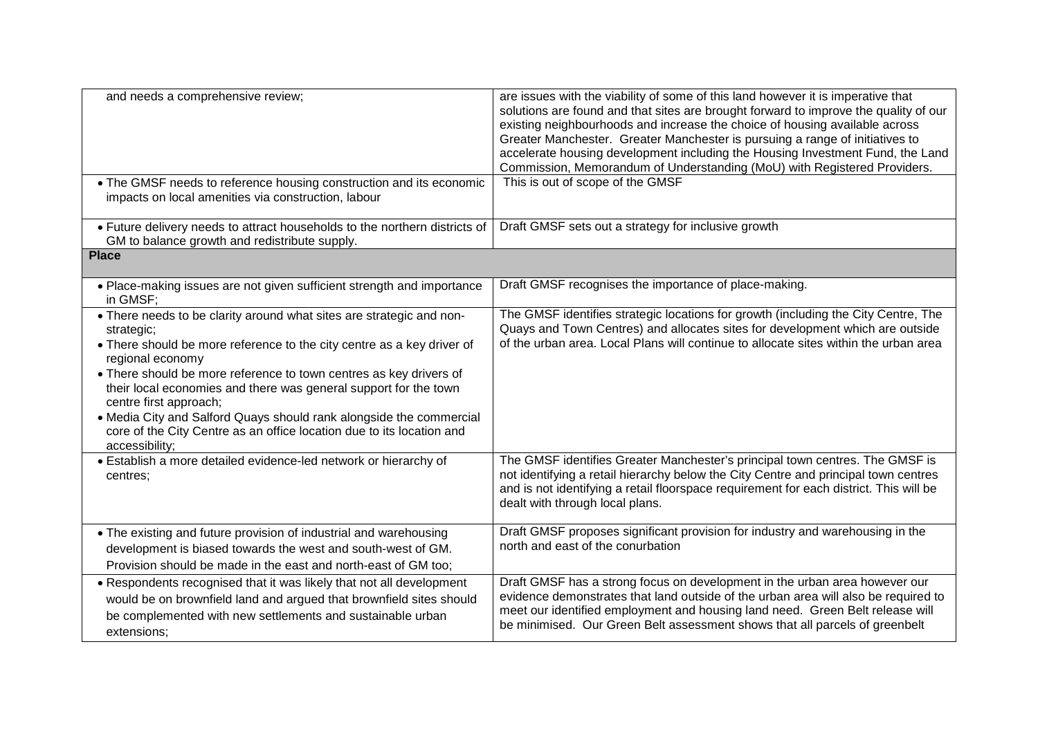| and needs a comprehensive review;<br>• The GMSF needs to reference housing construction and its economic                                                                                                                                                                                                                                                                                                                                                                                                               | are issues with the viability of some of this land however it is imperative that<br>solutions are found and that sites are brought forward to improve the quality of our<br>existing neighbourhoods and increase the choice of housing available across<br>Greater Manchester. Greater Manchester is pursuing a range of initiatives to<br>accelerate housing development including the Housing Investment Fund, the Land<br>Commission, Memorandum of Understanding (MoU) with Registered Providers.<br>This is out of scope of the GMSF |
|------------------------------------------------------------------------------------------------------------------------------------------------------------------------------------------------------------------------------------------------------------------------------------------------------------------------------------------------------------------------------------------------------------------------------------------------------------------------------------------------------------------------|-------------------------------------------------------------------------------------------------------------------------------------------------------------------------------------------------------------------------------------------------------------------------------------------------------------------------------------------------------------------------------------------------------------------------------------------------------------------------------------------------------------------------------------------|
| impacts on local amenities via construction, labour                                                                                                                                                                                                                                                                                                                                                                                                                                                                    |                                                                                                                                                                                                                                                                                                                                                                                                                                                                                                                                           |
| • Future delivery needs to attract households to the northern districts of<br>GM to balance growth and redistribute supply.                                                                                                                                                                                                                                                                                                                                                                                            | Draft GMSF sets out a strategy for inclusive growth                                                                                                                                                                                                                                                                                                                                                                                                                                                                                       |
| <b>Place</b>                                                                                                                                                                                                                                                                                                                                                                                                                                                                                                           |                                                                                                                                                                                                                                                                                                                                                                                                                                                                                                                                           |
| • Place-making issues are not given sufficient strength and importance<br>in GMSF;                                                                                                                                                                                                                                                                                                                                                                                                                                     | Draft GMSF recognises the importance of place-making.                                                                                                                                                                                                                                                                                                                                                                                                                                                                                     |
| • There needs to be clarity around what sites are strategic and non-<br>strategic;<br>• There should be more reference to the city centre as a key driver of<br>regional economy<br>• There should be more reference to town centres as key drivers of<br>their local economies and there was general support for the town<br>centre first approach;<br>• Media City and Salford Quays should rank alongside the commercial<br>core of the City Centre as an office location due to its location and<br>accessibility; | The GMSF identifies strategic locations for growth (including the City Centre, The<br>Quays and Town Centres) and allocates sites for development which are outside<br>of the urban area. Local Plans will continue to allocate sites within the urban area                                                                                                                                                                                                                                                                               |
| • Establish a more detailed evidence-led network or hierarchy of<br>centres;                                                                                                                                                                                                                                                                                                                                                                                                                                           | The GMSF identifies Greater Manchester's principal town centres. The GMSF is<br>not identifying a retail hierarchy below the City Centre and principal town centres<br>and is not identifying a retail floorspace requirement for each district. This will be<br>dealt with through local plans.                                                                                                                                                                                                                                          |
| • The existing and future provision of industrial and warehousing<br>development is biased towards the west and south-west of GM.<br>Provision should be made in the east and north-east of GM too;                                                                                                                                                                                                                                                                                                                    | Draft GMSF proposes significant provision for industry and warehousing in the<br>north and east of the conurbation                                                                                                                                                                                                                                                                                                                                                                                                                        |
| • Respondents recognised that it was likely that not all development<br>would be on brownfield land and argued that brownfield sites should<br>be complemented with new settlements and sustainable urban<br>extensions;                                                                                                                                                                                                                                                                                               | Draft GMSF has a strong focus on development in the urban area however our<br>evidence demonstrates that land outside of the urban area will also be required to<br>meet our identified employment and housing land need. Green Belt release will<br>be minimised. Our Green Belt assessment shows that all parcels of greenbelt                                                                                                                                                                                                          |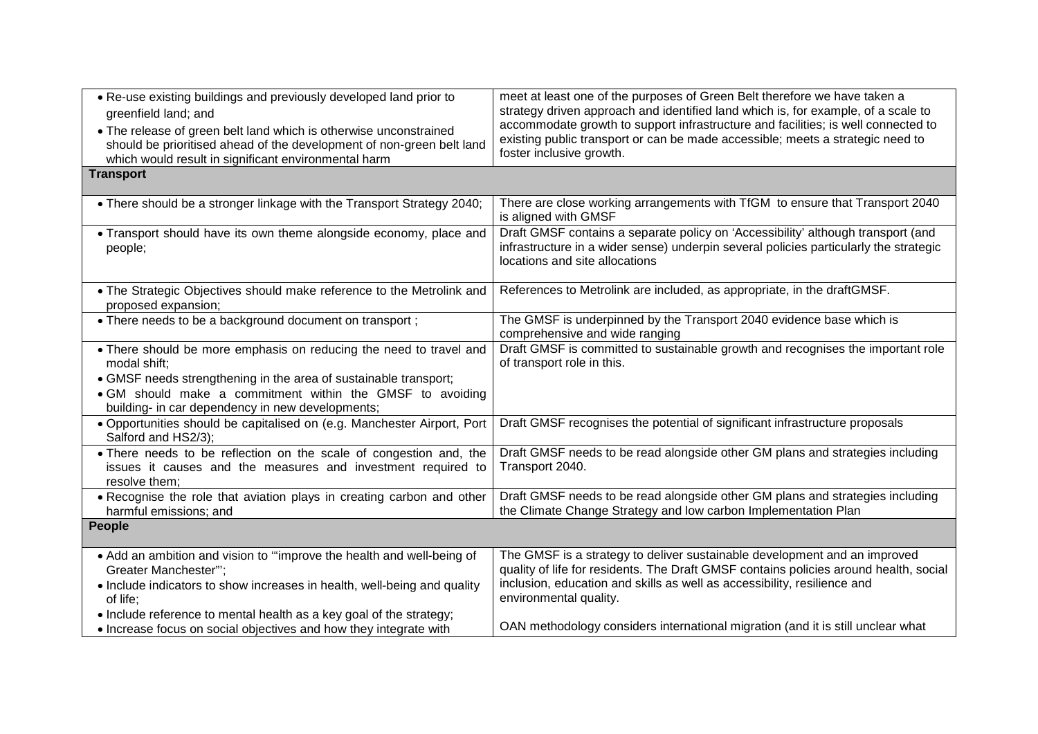| . Re-use existing buildings and previously developed land prior to<br>greenfield land; and<br>• The release of green belt land which is otherwise unconstrained<br>should be prioritised ahead of the development of non-green belt land<br>which would result in significant environmental harm<br><b>Transport</b> | meet at least one of the purposes of Green Belt therefore we have taken a<br>strategy driven approach and identified land which is, for example, of a scale to<br>accommodate growth to support infrastructure and facilities; is well connected to<br>existing public transport or can be made accessible; meets a strategic need to<br>foster inclusive growth. |
|----------------------------------------------------------------------------------------------------------------------------------------------------------------------------------------------------------------------------------------------------------------------------------------------------------------------|-------------------------------------------------------------------------------------------------------------------------------------------------------------------------------------------------------------------------------------------------------------------------------------------------------------------------------------------------------------------|
|                                                                                                                                                                                                                                                                                                                      | There are close working arrangements with TfGM to ensure that Transport 2040                                                                                                                                                                                                                                                                                      |
| • There should be a stronger linkage with the Transport Strategy 2040;                                                                                                                                                                                                                                               | is aligned with GMSF                                                                                                                                                                                                                                                                                                                                              |
| • Transport should have its own theme alongside economy, place and<br>people;                                                                                                                                                                                                                                        | Draft GMSF contains a separate policy on 'Accessibility' although transport (and<br>infrastructure in a wider sense) underpin several policies particularly the strategic<br>locations and site allocations                                                                                                                                                       |
| • The Strategic Objectives should make reference to the Metrolink and<br>proposed expansion;                                                                                                                                                                                                                         | References to Metrolink are included, as appropriate, in the draftGMSF.                                                                                                                                                                                                                                                                                           |
| • There needs to be a background document on transport;                                                                                                                                                                                                                                                              | The GMSF is underpinned by the Transport 2040 evidence base which is<br>comprehensive and wide ranging                                                                                                                                                                                                                                                            |
| • There should be more emphasis on reducing the need to travel and<br>modal shift;                                                                                                                                                                                                                                   | Draft GMSF is committed to sustainable growth and recognises the important role<br>of transport role in this.                                                                                                                                                                                                                                                     |
| • GMSF needs strengthening in the area of sustainable transport;<br>. GM should make a commitment within the GMSF to avoiding<br>building- in car dependency in new developments;                                                                                                                                    |                                                                                                                                                                                                                                                                                                                                                                   |
| · Opportunities should be capitalised on (e.g. Manchester Airport, Port<br>Salford and HS2/3);                                                                                                                                                                                                                       | Draft GMSF recognises the potential of significant infrastructure proposals                                                                                                                                                                                                                                                                                       |
| • There needs to be reflection on the scale of congestion and, the<br>issues it causes and the measures and investment required to<br>resolve them;                                                                                                                                                                  | Draft GMSF needs to be read alongside other GM plans and strategies including<br>Transport 2040.                                                                                                                                                                                                                                                                  |
| . Recognise the role that aviation plays in creating carbon and other<br>harmful emissions; and                                                                                                                                                                                                                      | Draft GMSF needs to be read alongside other GM plans and strategies including<br>the Climate Change Strategy and low carbon Implementation Plan                                                                                                                                                                                                                   |
| <b>People</b>                                                                                                                                                                                                                                                                                                        |                                                                                                                                                                                                                                                                                                                                                                   |
| • Add an ambition and vision to "improve the health and well-being of<br>Greater Manchester"";<br>• Include indicators to show increases in health, well-being and quality<br>of life;                                                                                                                               | The GMSF is a strategy to deliver sustainable development and an improved<br>quality of life for residents. The Draft GMSF contains policies around health, social<br>inclusion, education and skills as well as accessibility, resilience and<br>environmental quality.                                                                                          |
| • Include reference to mental health as a key goal of the strategy;<br>• Increase focus on social objectives and how they integrate with                                                                                                                                                                             | OAN methodology considers international migration (and it is still unclear what                                                                                                                                                                                                                                                                                   |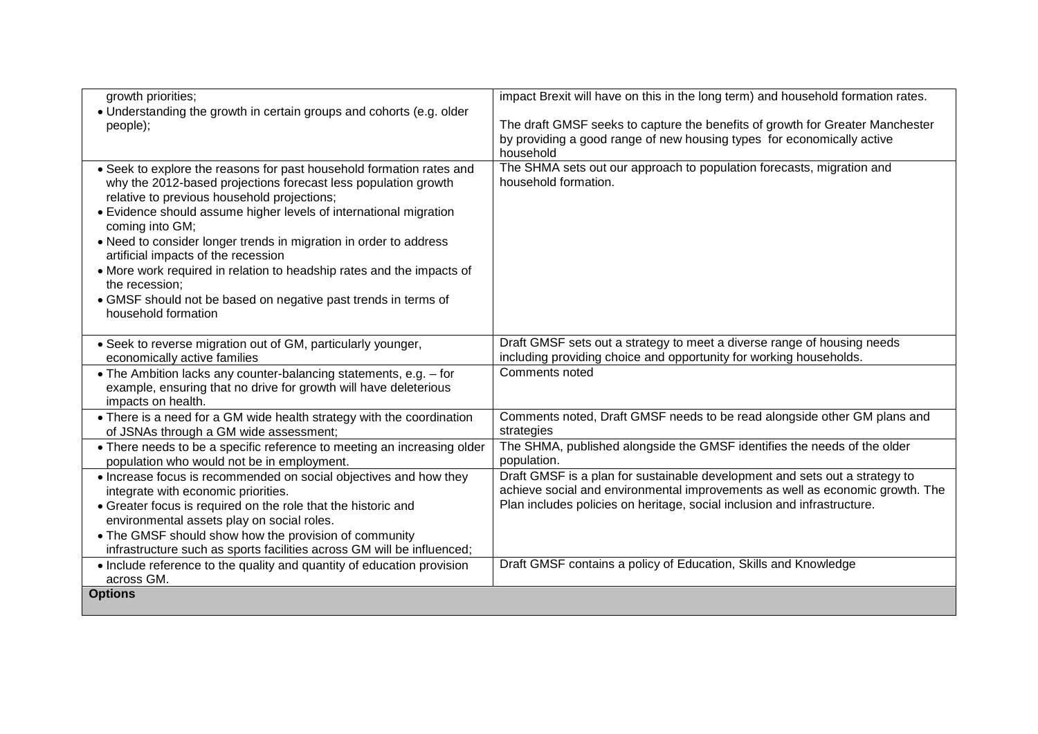| growth priorities;                                                                                                                                                                                                                                                                                                                                                                                                                                                                                                                                                            | impact Brexit will have on this in the long term) and household formation rates.                                                                                                                                                         |
|-------------------------------------------------------------------------------------------------------------------------------------------------------------------------------------------------------------------------------------------------------------------------------------------------------------------------------------------------------------------------------------------------------------------------------------------------------------------------------------------------------------------------------------------------------------------------------|------------------------------------------------------------------------------------------------------------------------------------------------------------------------------------------------------------------------------------------|
| • Understanding the growth in certain groups and cohorts (e.g. older<br>people);                                                                                                                                                                                                                                                                                                                                                                                                                                                                                              | The draft GMSF seeks to capture the benefits of growth for Greater Manchester<br>by providing a good range of new housing types for economically active<br>household                                                                     |
| • Seek to explore the reasons for past household formation rates and<br>why the 2012-based projections forecast less population growth<br>relative to previous household projections;<br>• Evidence should assume higher levels of international migration<br>coming into GM;<br>• Need to consider longer trends in migration in order to address<br>artificial impacts of the recession<br>• More work required in relation to headship rates and the impacts of<br>the recession;<br>• GMSF should not be based on negative past trends in terms of<br>household formation | The SHMA sets out our approach to population forecasts, migration and<br>household formation.                                                                                                                                            |
| • Seek to reverse migration out of GM, particularly younger,<br>economically active families                                                                                                                                                                                                                                                                                                                                                                                                                                                                                  | Draft GMSF sets out a strategy to meet a diverse range of housing needs<br>including providing choice and opportunity for working households.                                                                                            |
| • The Ambition lacks any counter-balancing statements, e.g. - for<br>example, ensuring that no drive for growth will have deleterious<br>impacts on health.                                                                                                                                                                                                                                                                                                                                                                                                                   | Comments noted                                                                                                                                                                                                                           |
| • There is a need for a GM wide health strategy with the coordination<br>of JSNAs through a GM wide assessment;                                                                                                                                                                                                                                                                                                                                                                                                                                                               | Comments noted, Draft GMSF needs to be read alongside other GM plans and<br>strategies                                                                                                                                                   |
| • There needs to be a specific reference to meeting an increasing older<br>population who would not be in employment.                                                                                                                                                                                                                                                                                                                                                                                                                                                         | The SHMA, published alongside the GMSF identifies the needs of the older<br>population.                                                                                                                                                  |
| • Increase focus is recommended on social objectives and how they<br>integrate with economic priorities.<br>• Greater focus is required on the role that the historic and<br>environmental assets play on social roles.<br>• The GMSF should show how the provision of community<br>infrastructure such as sports facilities across GM will be influenced;                                                                                                                                                                                                                    | Draft GMSF is a plan for sustainable development and sets out a strategy to<br>achieve social and environmental improvements as well as economic growth. The<br>Plan includes policies on heritage, social inclusion and infrastructure. |
| • Include reference to the quality and quantity of education provision<br>across GM.                                                                                                                                                                                                                                                                                                                                                                                                                                                                                          | Draft GMSF contains a policy of Education, Skills and Knowledge                                                                                                                                                                          |
| <b>Options</b>                                                                                                                                                                                                                                                                                                                                                                                                                                                                                                                                                                |                                                                                                                                                                                                                                          |